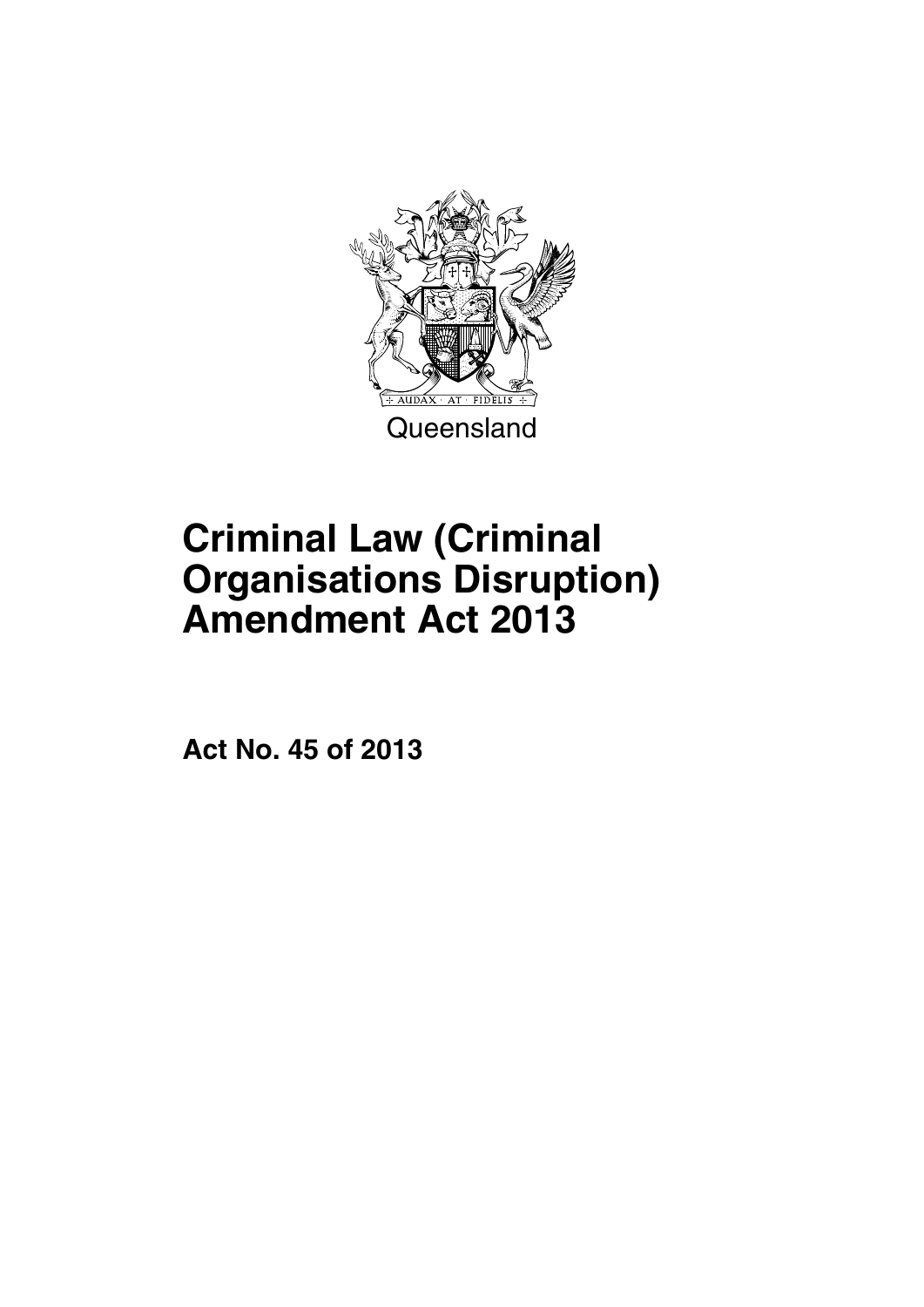

# **Criminal Law (Criminal Organisations Disruption) Amendment Act 2013**

**Act No. 45 of 2013**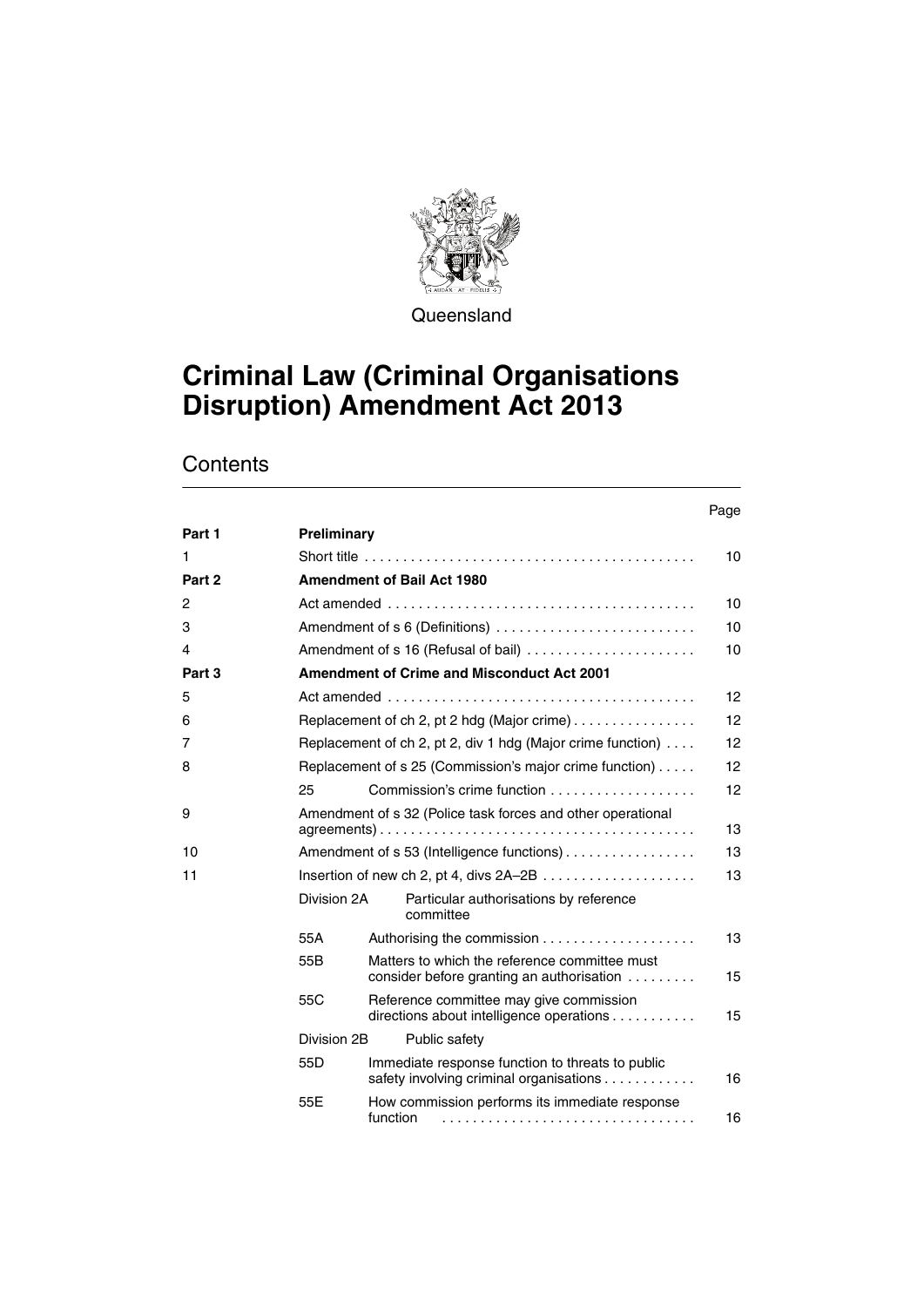

**Queensland** 

## **Criminal Law (Criminal Organisations Disruption) Amendment Act 2013**

|                |                 |          |                                                                                                   | Page |
|----------------|-----------------|----------|---------------------------------------------------------------------------------------------------|------|
| Part 1         | Preliminary     |          |                                                                                                   |      |
| 1              |                 |          |                                                                                                   | 10   |
| Part 2         |                 |          | <b>Amendment of Bail Act 1980</b>                                                                 |      |
| $\overline{2}$ |                 |          | Act amended $\ldots \ldots \ldots \ldots \ldots \ldots \ldots \ldots \ldots \ldots \ldots \ldots$ | 10   |
| 3              |                 |          | Amendment of s 6 (Definitions)                                                                    | 10   |
| 4              |                 |          | Amendment of s 16 (Refusal of bail)                                                               | 10   |
| Part 3         |                 |          | <b>Amendment of Crime and Misconduct Act 2001</b>                                                 |      |
| 5              |                 |          |                                                                                                   | 12   |
| 6              |                 |          | Replacement of ch 2, pt 2 hdg (Major crime)                                                       | 12   |
| 7              |                 |          | Replacement of ch 2, pt 2, div 1 hdg (Major crime function)                                       | 12   |
| 8              |                 |          | Replacement of s 25 (Commission's major crime function)                                           | 12   |
|                | 25              |          |                                                                                                   | 12   |
| 9              |                 |          | Amendment of s 32 (Police task forces and other operational                                       | 13   |
| 10             |                 |          | Amendment of s 53 (Intelligence functions)                                                        | 13   |
| 11             |                 |          |                                                                                                   | 13   |
|                | Division 2A     |          | Particular authorisations by reference<br>committee                                               |      |
|                | 55A             |          |                                                                                                   | 13   |
|                | 55B             |          | Matters to which the reference committee must<br>consider before granting an authorisation        | 15   |
|                | 55C             |          | Reference committee may give commission<br>directions about intelligence operations               | 15   |
|                | Division 2B     |          | Public safety                                                                                     |      |
|                | 55 <sub>D</sub> |          | Immediate response function to threats to public<br>safety involving criminal organisations       | 16   |
|                | 55E             | function | How commission performs its immediate response                                                    | 16   |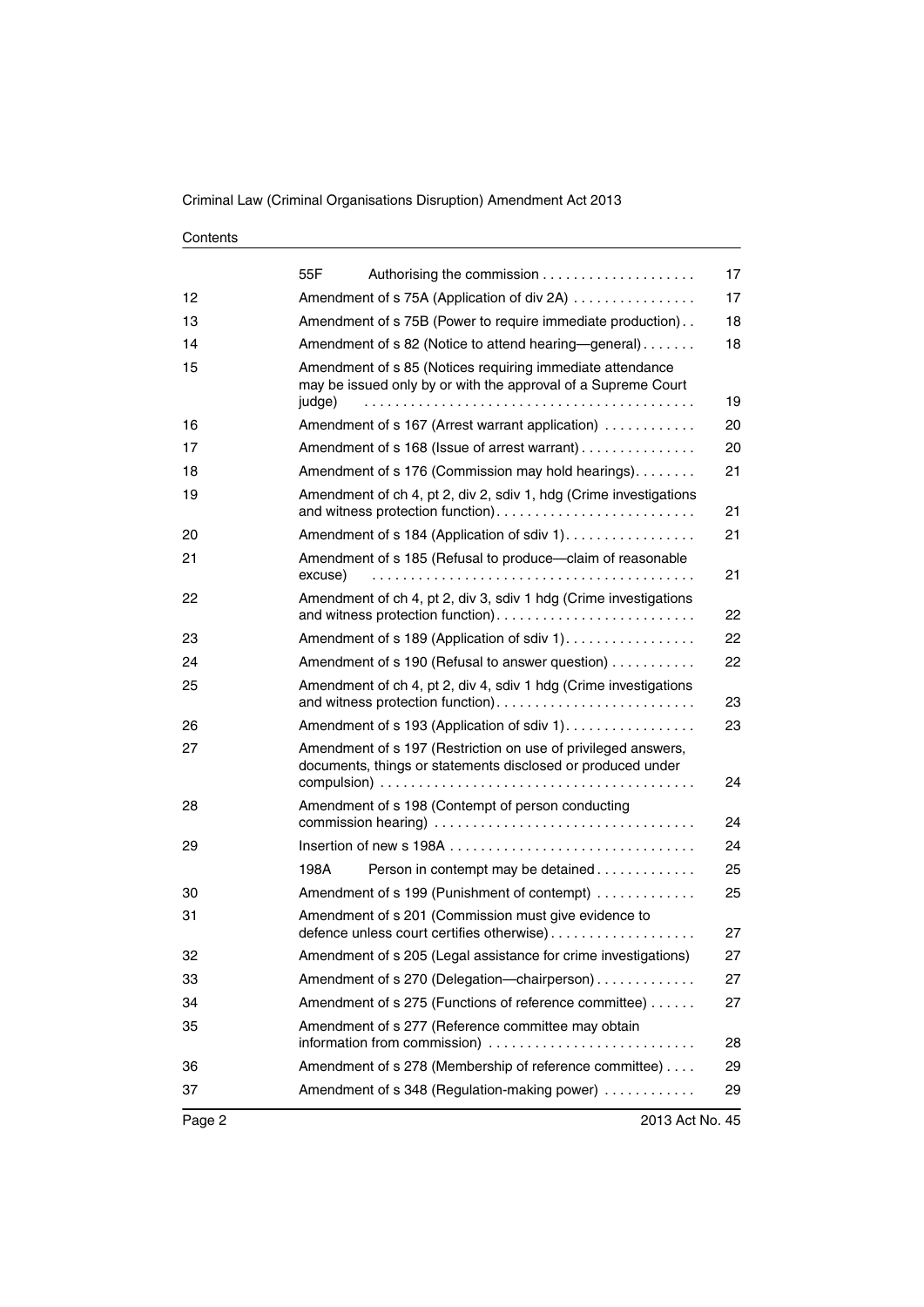| 55F                                                                                                                                  | 17                                                |
|--------------------------------------------------------------------------------------------------------------------------------------|---------------------------------------------------|
| Amendment of s 75A (Application of div 2A)                                                                                           | 17                                                |
| Amendment of s 75B (Power to require immediate production)                                                                           | 18                                                |
| Amendment of s 82 (Notice to attend hearing—general)                                                                                 | 18                                                |
| Amendment of s 85 (Notices requiring immediate attendance<br>may be issued only by or with the approval of a Supreme Court<br>judge) | 19                                                |
| Amendment of s 167 (Arrest warrant application)                                                                                      | 20                                                |
| Amendment of s 168 (Issue of arrest warrant)                                                                                         | 20                                                |
| Amendment of s 176 (Commission may hold hearings).                                                                                   | 21                                                |
| Amendment of ch 4, pt 2, div 2, sdiv 1, hdg (Crime investigations                                                                    | 21                                                |
| Amendment of s 184 (Application of sdiv 1).                                                                                          | 21                                                |
| Amendment of s 185 (Refusal to produce-claim of reasonable<br>excuse)                                                                | 21                                                |
| Amendment of ch 4, pt 2, div 3, sdiv 1 hdg (Crime investigations                                                                     | 22                                                |
| Amendment of s 189 (Application of sdiv 1).                                                                                          | 22                                                |
| Amendment of s 190 (Refusal to answer question)                                                                                      | 22                                                |
| Amendment of ch 4, pt 2, div 4, sdiv 1 hdg (Crime investigations                                                                     | 23                                                |
| Amendment of s 193 (Application of sdiv 1).                                                                                          | 23                                                |
| Amendment of s 197 (Restriction on use of privileged answers,<br>documents, things or statements disclosed or produced under         | 24                                                |
|                                                                                                                                      |                                                   |
|                                                                                                                                      | 24                                                |
|                                                                                                                                      | 24                                                |
| 198A<br>Person in contempt may be detained                                                                                           | 25                                                |
| Amendment of s 199 (Punishment of contempt)                                                                                          | 25                                                |
| Amendment of s 201 (Commission must give evidence to<br>defence unless court certifies otherwise)                                    | 27                                                |
| Amendment of s 205 (Legal assistance for crime investigations)                                                                       | 27                                                |
| Amendment of s 270 (Delegation-chairperson)                                                                                          | 27                                                |
| Amendment of s 275 (Functions of reference committee)                                                                                | 27                                                |
| Amendment of s 277 (Reference committee may obtain<br>information from commission)                                                   | 28                                                |
| Amendment of s 278 (Membership of reference committee)                                                                               | 29                                                |
| Amendment of s 348 (Regulation-making power)                                                                                         | 29                                                |
|                                                                                                                                      | Amendment of s 198 (Contempt of person conducting |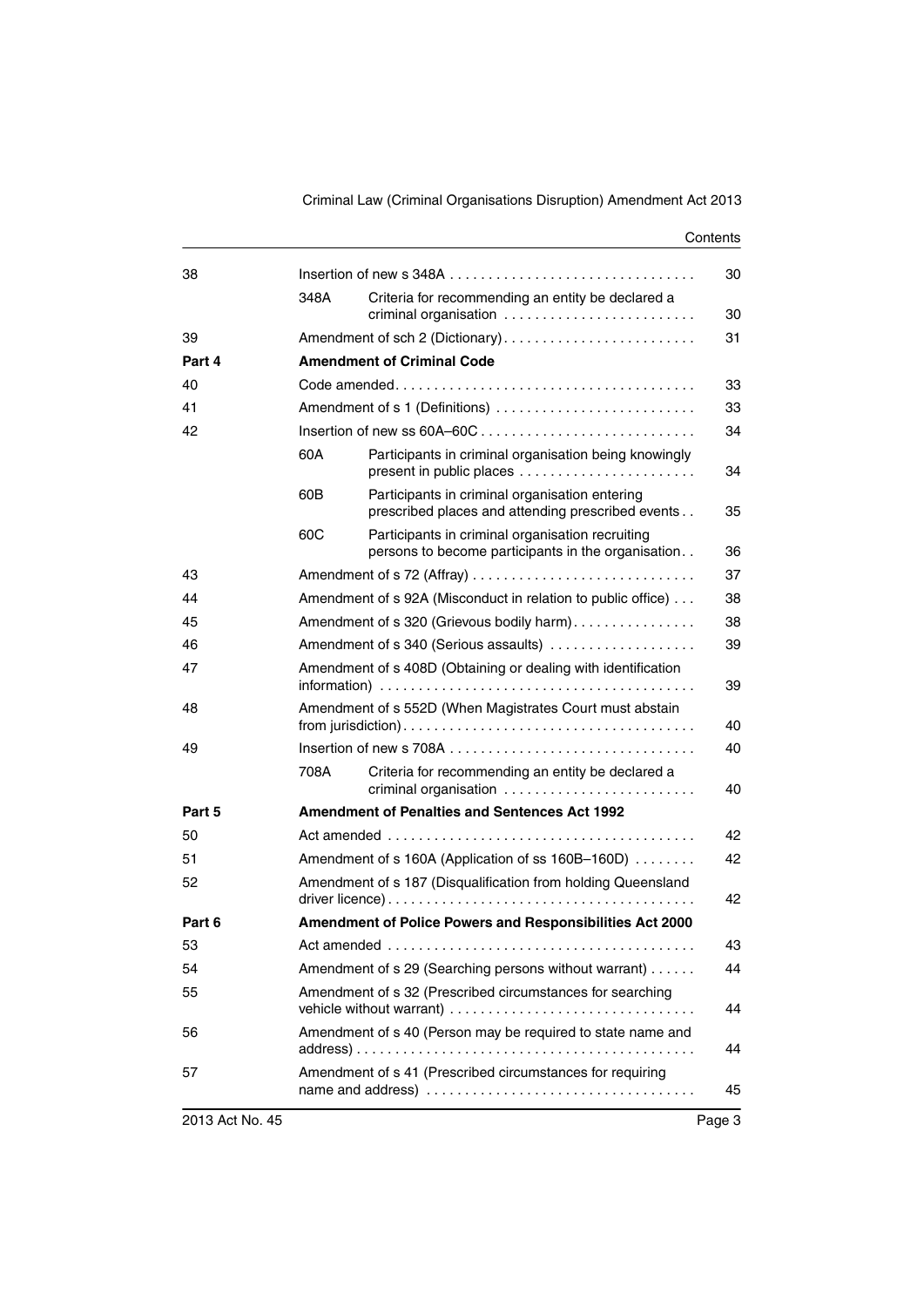| 38     |      |                                                                                                        | 30 |  |
|--------|------|--------------------------------------------------------------------------------------------------------|----|--|
|        | 348A | Criteria for recommending an entity be declared a<br>criminal organisation                             | 30 |  |
| 39     |      | Amendment of sch 2 (Dictionary)                                                                        | 31 |  |
| Part 4 |      | <b>Amendment of Criminal Code</b>                                                                      |    |  |
| 40     |      |                                                                                                        | 33 |  |
| 41     |      | Amendment of s 1 (Definitions)                                                                         | 33 |  |
| 42     | 34   |                                                                                                        |    |  |
|        | 60A  | Participants in criminal organisation being knowingly<br>present in public places                      | 34 |  |
|        | 60B  | Participants in criminal organisation entering<br>prescribed places and attending prescribed events    | 35 |  |
|        | 60C  | Participants in criminal organisation recruiting<br>persons to become participants in the organisation | 36 |  |
| 43     |      | Amendment of s 72 (Affray)                                                                             | 37 |  |
| 44     |      | Amendment of s 92A (Misconduct in relation to public office)                                           | 38 |  |
| 45     |      | Amendment of s 320 (Grievous bodily harm)                                                              | 38 |  |
| 46     |      | Amendment of s 340 (Serious assaults)                                                                  | 39 |  |
| 47     |      | Amendment of s 408D (Obtaining or dealing with identification                                          |    |  |
| 48     |      | Amendment of s 552D (When Magistrates Court must abstain                                               | 40 |  |
| 49     |      |                                                                                                        | 40 |  |
|        | 708A | Criteria for recommending an entity be declared a<br>criminal organisation                             | 40 |  |
| Part 5 |      | <b>Amendment of Penalties and Sentences Act 1992</b>                                                   |    |  |
| 50     |      |                                                                                                        | 42 |  |
| 51     |      | Amendment of s 160A (Application of ss 160B-160D)                                                      | 42 |  |
| 52     |      | Amendment of s 187 (Disqualification from holding Queensland<br>42                                     |    |  |
| Part 6 |      | Amendment of Police Powers and Responsibilities Act 2000                                               |    |  |
| 53     |      |                                                                                                        | 43 |  |
| 54     |      | Amendment of s 29 (Searching persons without warrant)                                                  | 44 |  |
| 55     |      | Amendment of s 32 (Prescribed circumstances for searching                                              | 44 |  |
| 56     |      | Amendment of s 40 (Person may be required to state name and                                            | 44 |  |
| 57     |      | Amendment of s 41 (Prescribed circumstances for requiring                                              | 45 |  |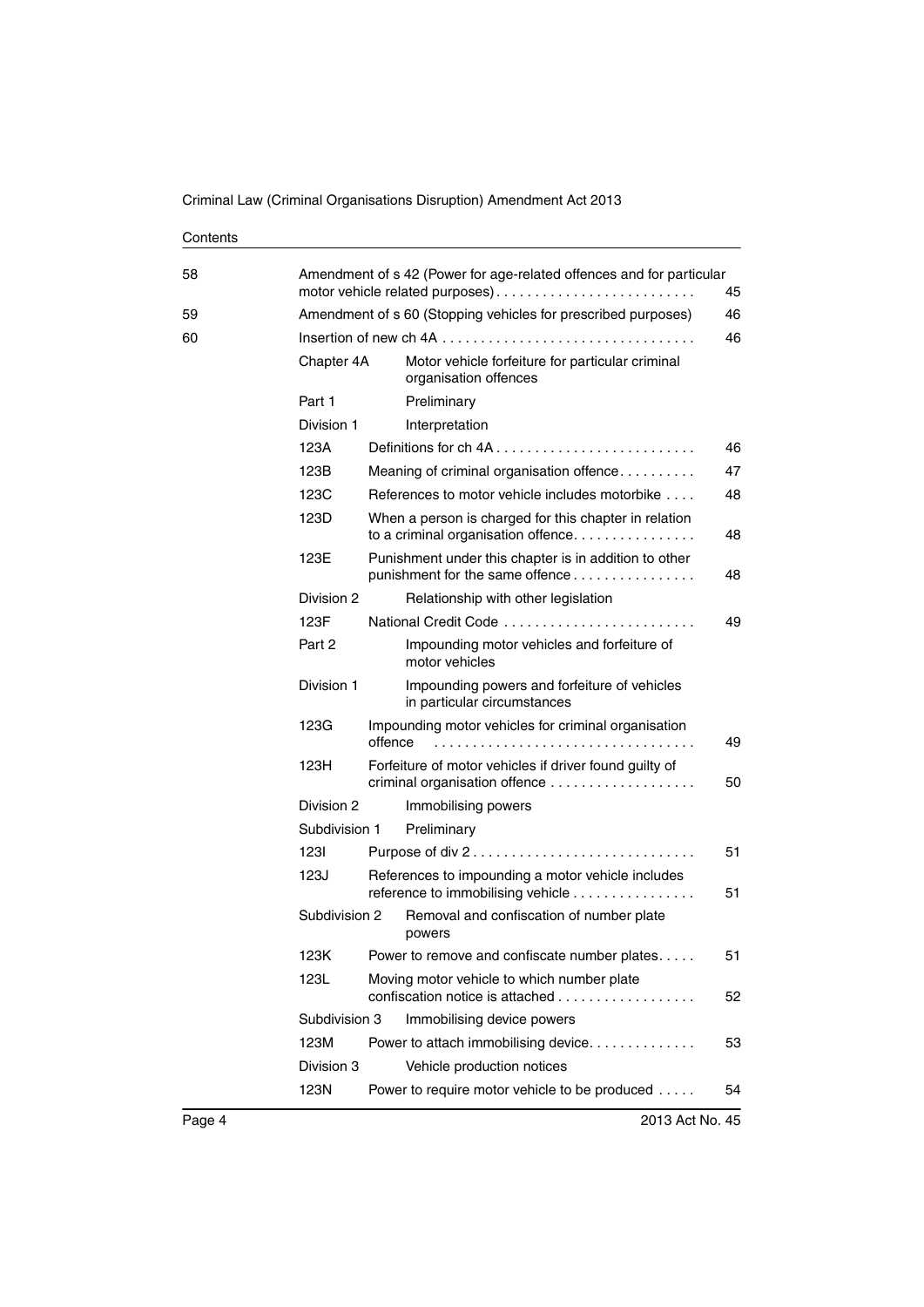| 58 |               | Amendment of s 42 (Power for age-related offences and for particular<br>motor vehicle related purposes)                |
|----|---------------|------------------------------------------------------------------------------------------------------------------------|
| 59 |               | Amendment of s 60 (Stopping vehicles for prescribed purposes)                                                          |
| 60 |               |                                                                                                                        |
|    | Chapter 4A    | Motor vehicle forfeiture for particular criminal<br>organisation offences                                              |
|    | Part 1        | Preliminary                                                                                                            |
|    | Division 1    | Interpretation                                                                                                         |
|    | 123A          |                                                                                                                        |
|    | 123B          | Meaning of criminal organisation offence                                                                               |
|    | 123C          | References to motor vehicle includes motorbike                                                                         |
|    | 123D          | When a person is charged for this chapter in relation<br>to a criminal organisation offence                            |
|    | 123E          | Punishment under this chapter is in addition to other<br>punishment for the same offence                               |
|    | Division 2    | Relationship with other legislation                                                                                    |
|    | 123F          | National Credit Code                                                                                                   |
|    | Part 2        | Impounding motor vehicles and forfeiture of<br>motor vehicles                                                          |
|    | Division 1    | Impounding powers and forfeiture of vehicles<br>in particular circumstances                                            |
|    | 123G          | Impounding motor vehicles for criminal organisation<br>offence                                                         |
|    | 123H          | Forfeiture of motor vehicles if driver found guilty of                                                                 |
|    | Division 2    | Immobilising powers                                                                                                    |
|    | Subdivision 1 | Preliminary                                                                                                            |
|    | 1231          | Purpose of div 2                                                                                                       |
|    | 123J          | References to impounding a motor vehicle includes<br>reference to immobilising vehicle                                 |
|    | Subdivision 2 | Removal and confiscation of number plate<br>powers                                                                     |
|    | 123K          | Power to remove and confiscate number plates                                                                           |
|    | 123L          | Moving motor vehicle to which number plate<br>confiscation notice is attached $\ldots, \ldots, \ldots, \ldots, \ldots$ |
|    | Subdivision 3 | Immobilising device powers                                                                                             |
|    | 123M          | Power to attach immobilising device.                                                                                   |
|    | Division 3    | Vehicle production notices                                                                                             |
|    | 123N          | Power to require motor vehicle to be produced                                                                          |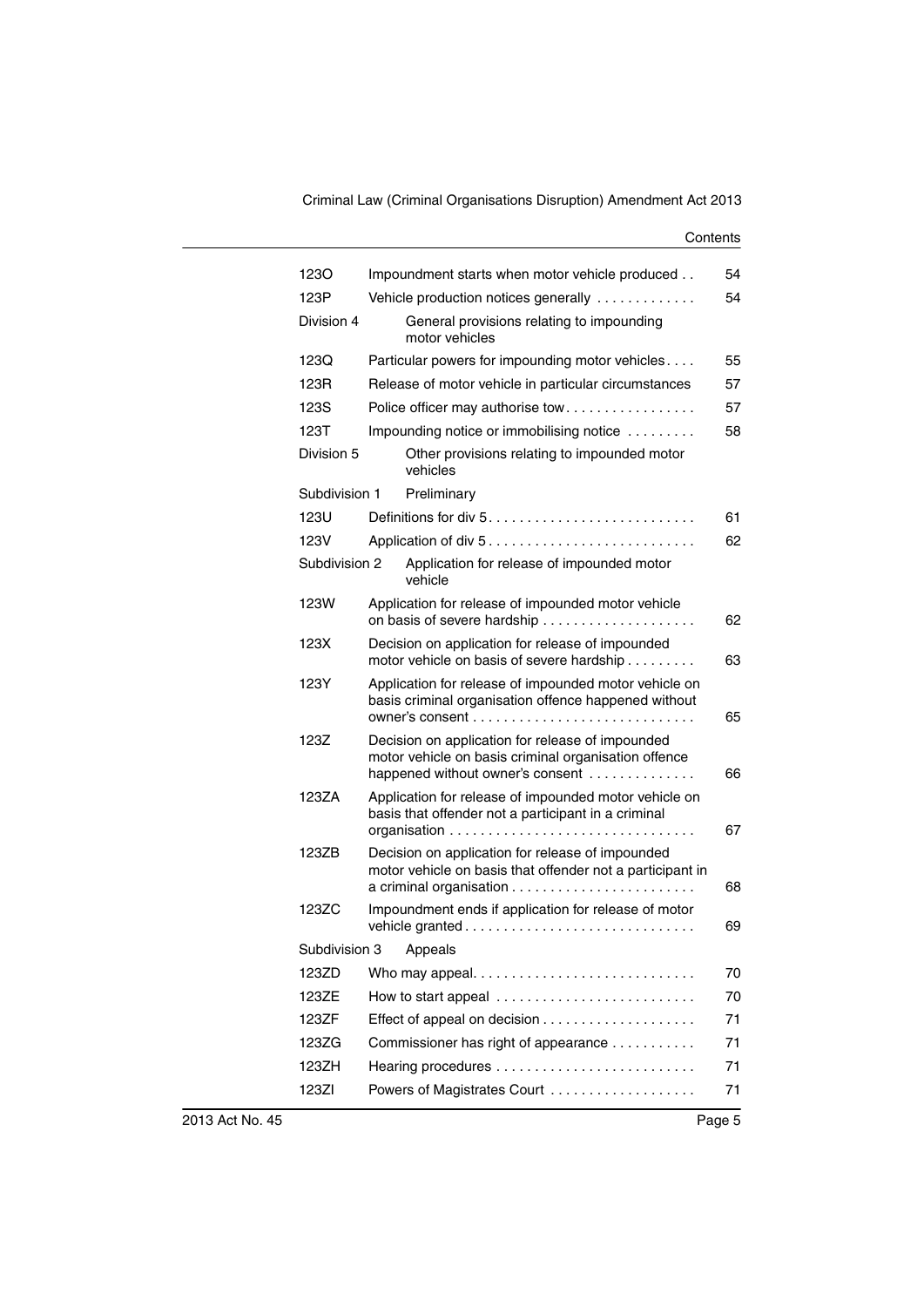| 1230          | Impoundment starts when motor vehicle produced                                                                                               | 54       |  |
|---------------|----------------------------------------------------------------------------------------------------------------------------------------------|----------|--|
| 123P          | 54<br>Vehicle production notices generally                                                                                                   |          |  |
| Division 4    | General provisions relating to impounding<br>motor vehicles                                                                                  |          |  |
| 123Q          | Particular powers for impounding motor vehicles                                                                                              | 55       |  |
| 123R          | Release of motor vehicle in particular circumstances                                                                                         | 57       |  |
| 123S          | Police officer may authorise tow                                                                                                             | 57       |  |
| 123T          | Impounding notice or immobilising notice                                                                                                     | 58       |  |
| Division 5    | Other provisions relating to impounded motor<br>vehicles                                                                                     |          |  |
| Subdivision 1 | Preliminary                                                                                                                                  |          |  |
| 123U          |                                                                                                                                              | 61       |  |
| 123V          |                                                                                                                                              | 62       |  |
| Subdivision 2 | Application for release of impounded motor<br>vehicle                                                                                        |          |  |
| 123W          | Application for release of impounded motor vehicle                                                                                           | 62       |  |
| 123X          | Decision on application for release of impounded<br>motor vehicle on basis of severe hardship                                                | 63       |  |
| 123Y          | Application for release of impounded motor vehicle on<br>basis criminal organisation offence happened without                                | 65       |  |
| 123Z          | Decision on application for release of impounded<br>motor vehicle on basis criminal organisation offence<br>happened without owner's consent | 66       |  |
| 123ZA         | Application for release of impounded motor vehicle on<br>basis that offender not a participant in a criminal                                 | 67       |  |
| 123ZB         | Decision on application for release of impounded<br>motor vehicle on basis that offender not a participant in                                |          |  |
| 123ZC         | Impoundment ends if application for release of motor<br>vehicle granted                                                                      | 68<br>69 |  |
| Subdivision 3 | Appeals                                                                                                                                      |          |  |
| 123ZD         |                                                                                                                                              | 70       |  |
| 123ZE         | How to start appeal                                                                                                                          | 70       |  |
| 123ZF         |                                                                                                                                              | 71       |  |
| 123ZG         | Commissioner has right of appearance                                                                                                         | 71       |  |
| 123ZH         |                                                                                                                                              | 71       |  |
| 123ZI         | Powers of Magistrates Court                                                                                                                  | 71       |  |
|               |                                                                                                                                              |          |  |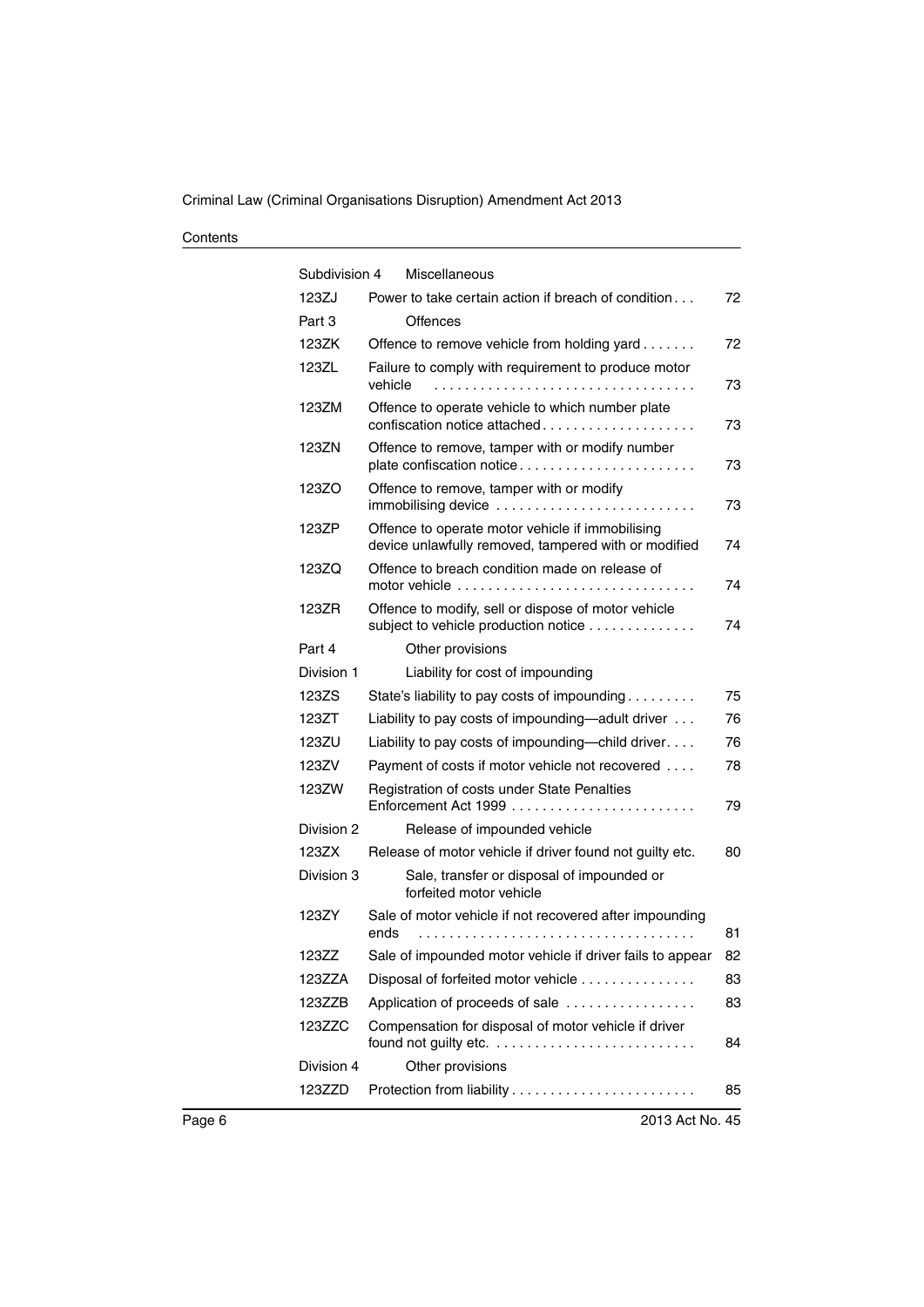| Subdivision 4 | Miscellaneous                                                                                            |    |
|---------------|----------------------------------------------------------------------------------------------------------|----|
| 123ZJ         | Power to take certain action if breach of condition                                                      | 72 |
| Part 3        | Offences                                                                                                 |    |
| 123ZK         | Offence to remove vehicle from holding yard                                                              | 72 |
| 123ZL         | Failure to comply with requirement to produce motor<br>vehicle                                           | 73 |
| 123ZM         | Offence to operate vehicle to which number plate<br>confiscation notice attached                         | 73 |
| 123ZN         | Offence to remove, tamper with or modify number<br>plate confiscation notice                             | 73 |
| 123ZO         | Offence to remove, tamper with or modify<br>immobilising device                                          | 73 |
| 123ZP         | Offence to operate motor vehicle if immobilising<br>device unlawfully removed, tampered with or modified | 74 |
| 123ZQ         | Offence to breach condition made on release of                                                           | 74 |
| 123ZR         | Offence to modify, sell or dispose of motor vehicle<br>subject to vehicle production notice              | 74 |
| Part 4        | Other provisions                                                                                         |    |
| Division 1    | Liability for cost of impounding                                                                         |    |
| 123ZS         | State's liability to pay costs of impounding                                                             | 75 |
| 123ZT         | Liability to pay costs of impounding—adult driver                                                        | 76 |
| 123ZU         | Liability to pay costs of impounding—child driver.                                                       | 76 |
| 123ZV         | Payment of costs if motor vehicle not recovered                                                          | 78 |
| 123ZW         | Registration of costs under State Penalties                                                              | 79 |
| Division 2    | Release of impounded vehicle                                                                             |    |
| 123ZX         | Release of motor vehicle if driver found not guilty etc.                                                 | 80 |
| Division 3    | Sale, transfer or disposal of impounded or<br>forfeited motor vehicle                                    |    |
| 123ZY         | Sale of motor vehicle if not recovered after impounding<br>ends                                          | 81 |
| 12377         | Sale of impounded motor vehicle if driver fails to appear                                                | 82 |
| 123ZZA        | Disposal of forfeited motor vehicle                                                                      | 83 |
| 123ZZB        | Application of proceeds of sale                                                                          | 83 |
| 123ZZC        | Compensation for disposal of motor vehicle if driver<br>found not guilty etc.                            | 84 |
| Division 4    | Other provisions                                                                                         |    |
| 123ZZD        |                                                                                                          | 85 |
|               |                                                                                                          |    |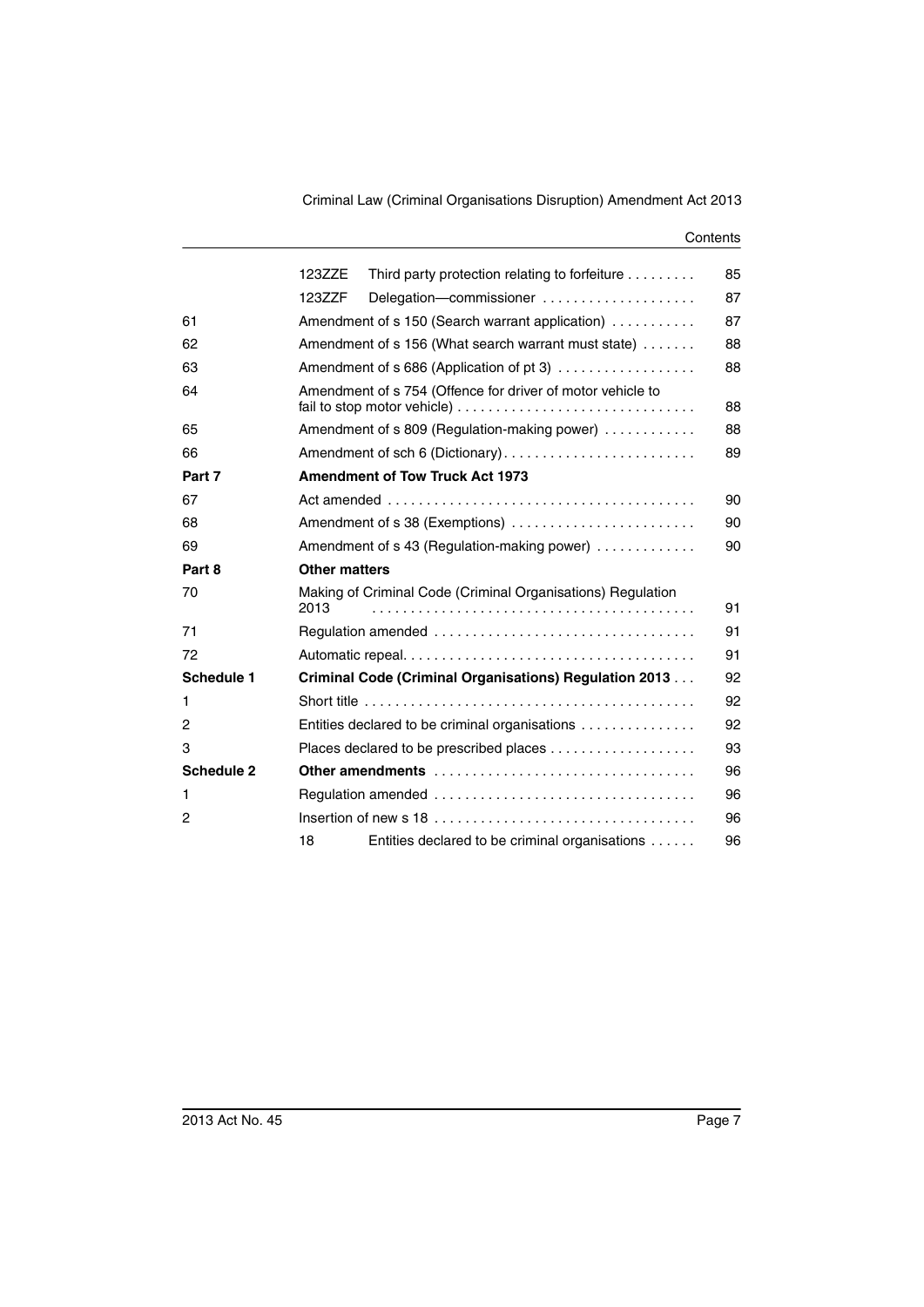|                   | 123ZZE               | Third party protection relating to forfeiture               | 85 |
|-------------------|----------------------|-------------------------------------------------------------|----|
|                   | 123ZZF               | Delegation-commissioner                                     | 87 |
| 61                |                      | Amendment of s 150 (Search warrant application)             | 87 |
| 62                |                      | Amendment of s 156 (What search warrant must state)         | 88 |
| 63                |                      | Amendment of s 686 (Application of pt 3)                    | 88 |
| 64                |                      | Amendment of s 754 (Offence for driver of motor vehicle to  | 88 |
| 65                |                      | Amendment of s 809 (Regulation-making power)                | 88 |
| 66                |                      | Amendment of sch 6 (Dictionary)                             | 89 |
| Part 7            |                      | <b>Amendment of Tow Truck Act 1973</b>                      |    |
| 67                |                      |                                                             | 90 |
| 68                |                      | Amendment of s 38 (Exemptions)                              | 90 |
| 69                |                      | Amendment of s 43 (Regulation-making power)                 | 90 |
| Part 8            | <b>Other matters</b> |                                                             |    |
| 70                | 2013                 | Making of Criminal Code (Criminal Organisations) Regulation | 91 |
| 71                |                      |                                                             | 91 |
| 72                |                      |                                                             | 91 |
| <b>Schedule 1</b> |                      | Criminal Code (Criminal Organisations) Regulation 2013      | 92 |
| 1                 |                      |                                                             | 92 |
| 2                 |                      | Entities declared to be criminal organisations              | 92 |
| 3                 |                      | Places declared to be prescribed places                     | 93 |
| <b>Schedule 2</b> |                      | Other amendments                                            | 96 |
| 1                 |                      |                                                             | 96 |
| $\overline{c}$    |                      |                                                             | 96 |
|                   | 18                   | Entities declared to be criminal organisations              | 96 |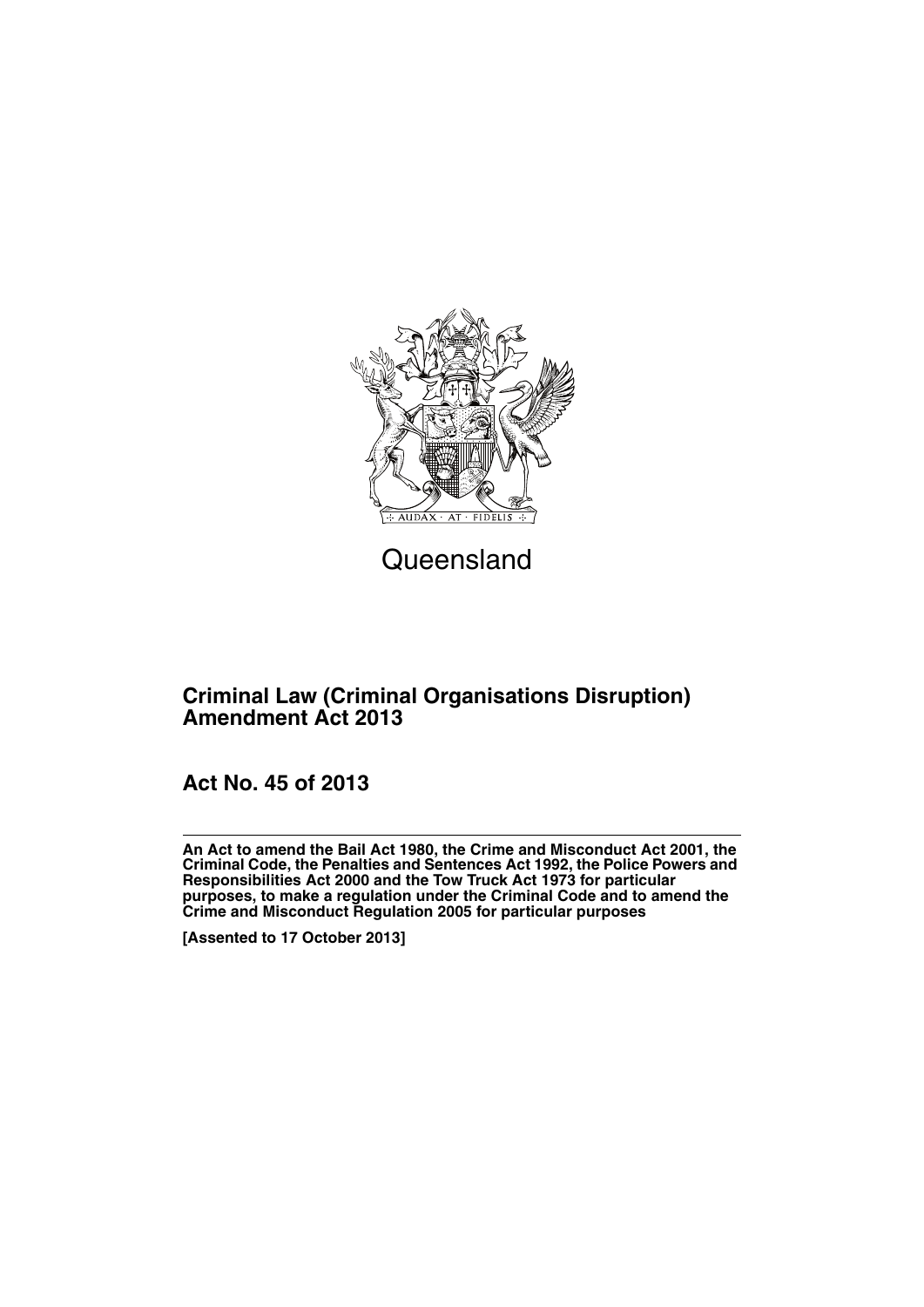

## **Queensland**

## **Criminal Law (Criminal Organisations Disruption) Amendment Act 2013**

**Act No. 45 of 2013**

**An Act to amend the Bail Act 1980, the Crime and Misconduct Act 2001, the Criminal Code, the Penalties and Sentences Act 1992, the Police Powers and Responsibilities Act 2000 and the Tow Truck Act 1973 for particular purposes, to make a regulation under the Criminal Code and to amend the Crime and Misconduct Regulation 2005 for particular purposes**

**[Assented to 17 October 2013]**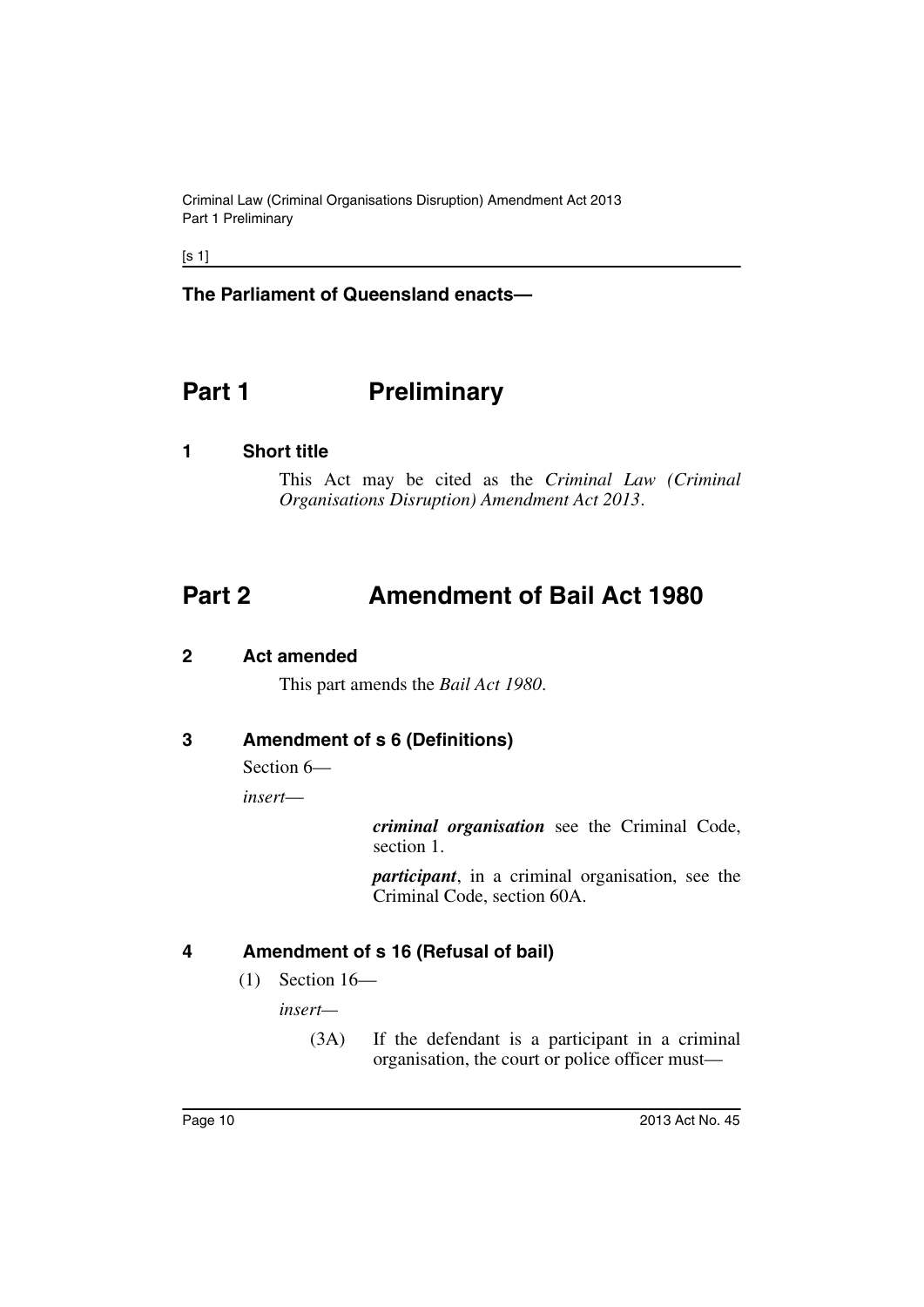Criminal Law (Criminal Organisations Disruption) Amendment Act 2013 Part 1 Preliminary

 $[s 1]$ 

**The Parliament of Queensland enacts—**

## <span id="page-11-0"></span>**Part 1** Preliminary

#### <span id="page-11-1"></span>**1 Short title**

This Act may be cited as the *Criminal Law (Criminal Organisations Disruption) Amendment Act 2013*.

## <span id="page-11-2"></span>**Part 2 Amendment of Bail Act 1980**

#### <span id="page-11-3"></span>**2 Act amended**

This part amends the *Bail Act 1980*.

#### <span id="page-11-4"></span>**3 Amendment of s 6 (Definitions)**

Section 6—

*insert*—

*criminal organisation* see the Criminal Code, section 1.

*participant*, in a criminal organisation, see the Criminal Code, section 60A.

#### <span id="page-11-5"></span>**4 Amendment of s 16 (Refusal of bail)**

(1) Section 16—

*insert—*

(3A) If the defendant is a participant in a criminal organisation, the court or police officer must—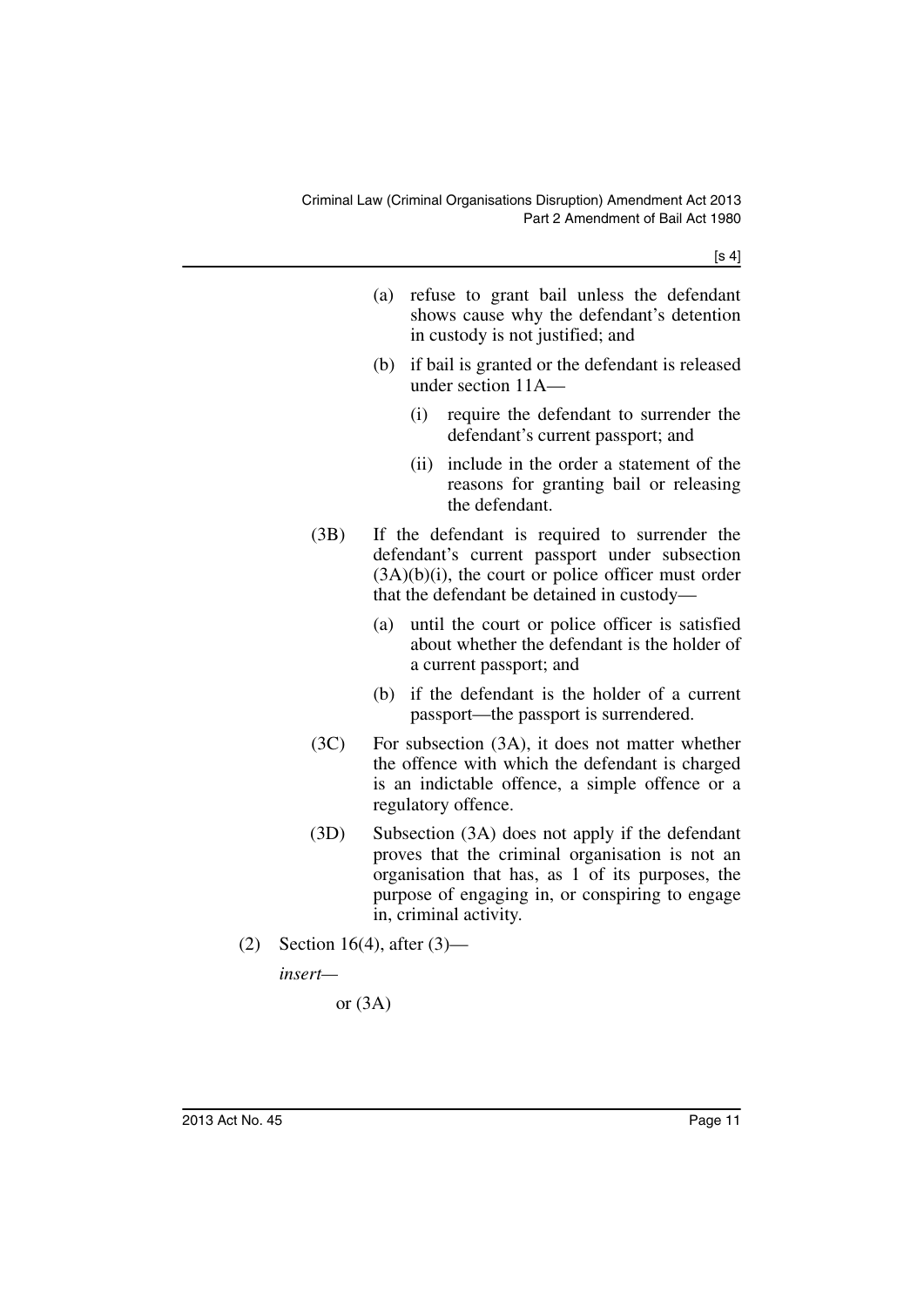[s 4]

|     |                              | (a) | refuse to grant bail unless the defendant<br>shows cause why the defendant's detention<br>in custody is not justified; and                                                                                                          |
|-----|------------------------------|-----|-------------------------------------------------------------------------------------------------------------------------------------------------------------------------------------------------------------------------------------|
|     |                              | (b) | if bail is granted or the defendant is released<br>under section 11A-                                                                                                                                                               |
|     |                              |     | (i)<br>require the defendant to surrender the<br>defendant's current passport; and                                                                                                                                                  |
|     |                              |     | include in the order a statement of the<br>(ii)<br>reasons for granting bail or releasing<br>the defendant.                                                                                                                         |
|     | (3B)                         |     | If the defendant is required to surrender the<br>defendant's current passport under subsection<br>$(3A)(b)(i)$ , the court or police officer must order<br>that the defendant be detained in custody-                               |
|     |                              | (a) | until the court or police officer is satisfied<br>about whether the defendant is the holder of<br>a current passport; and                                                                                                           |
|     |                              | (b) | if the defendant is the holder of a current<br>passport—the passport is surrendered.                                                                                                                                                |
|     | (3C)                         |     | For subsection (3A), it does not matter whether<br>the offence with which the defendant is charged<br>is an indictable offence, a simple offence or a<br>regulatory offence.                                                        |
|     | (3D)                         |     | Subsection (3A) does not apply if the defendant<br>proves that the criminal organisation is not an<br>organisation that has, as 1 of its purposes, the<br>purpose of engaging in, or conspiring to engage<br>in, criminal activity. |
| (2) | Section 16(4), after $(3)$ — |     |                                                                                                                                                                                                                                     |
|     | insert—                      |     |                                                                                                                                                                                                                                     |

or (3A)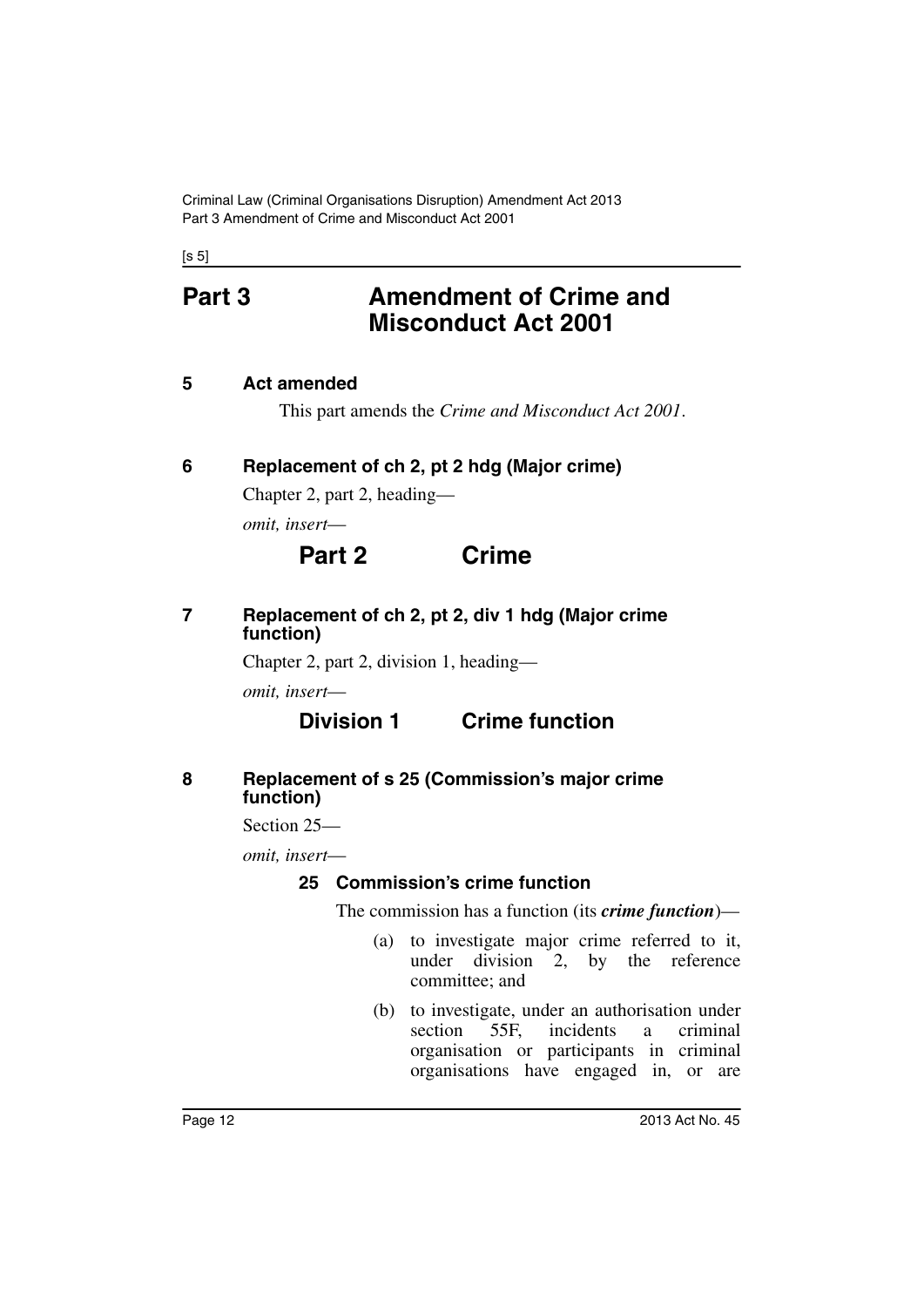$[s 5]$ 

## <span id="page-13-0"></span>**Part 3 Amendment of Crime and Misconduct Act 2001**

#### <span id="page-13-1"></span>**5 Act amended**

This part amends the *Crime and Misconduct Act 2001*.

## <span id="page-13-2"></span>**6 Replacement of ch 2, pt 2 hdg (Major crime)**

Chapter 2, part 2, heading—

*omit, insert*—

## **Part 2 Crime**

#### <span id="page-13-3"></span>**7 Replacement of ch 2, pt 2, div 1 hdg (Major crime function)**

Chapter 2, part 2, division 1, heading—

*omit, insert*—

## **Division 1 Crime function**

#### <span id="page-13-4"></span>**8 Replacement of s 25 (Commission's major crime function)**

Section 25—

<span id="page-13-5"></span>*omit, insert*—

## **25 Commission's crime function**

The commission has a function (its *crime function*)—

- (a) to investigate major crime referred to it, under division 2, by the reference committee; and
- (b) to investigate, under an authorisation under section 55F, incidents a criminal organisation or participants in criminal organisations have engaged in, or are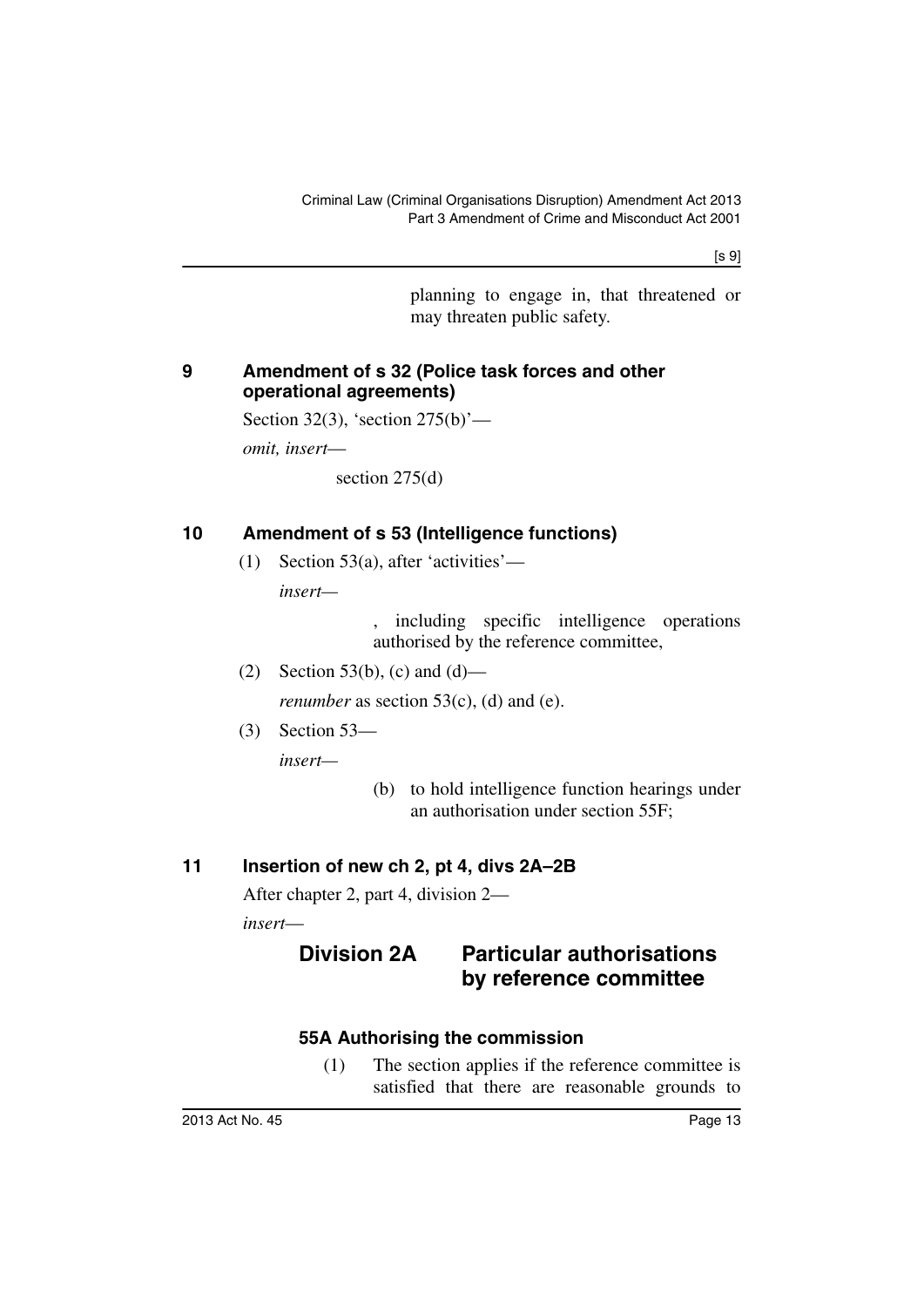planning to engage in, that threatened or may threaten public safety.

#### <span id="page-14-0"></span>**9 Amendment of s 32 (Police task forces and other operational agreements)**

Section 32(3), 'section 275(b)'—

*omit, insert*—

section 275(d)

### <span id="page-14-1"></span>**10 Amendment of s 53 (Intelligence functions)**

(1) Section 53(a), after 'activities' *insert—*

> , including specific intelligence operations authorised by the reference committee,

- (2) Section 53(b), (c) and (d) *renumber* as section 53(c), (d) and (e).
- (3) Section 53—

*insert—*

(b) to hold intelligence function hearings under an authorisation under section 55F;

## <span id="page-14-2"></span>**11 Insertion of new ch 2, pt 4, divs 2A–2B**

After chapter 2, part 4, division 2—

<span id="page-14-3"></span>*insert*—

## **Division 2A Particular authorisations by reference committee**

#### <span id="page-14-4"></span>**55A Authorising the commission**

(1) The section applies if the reference committee is satisfied that there are reasonable grounds to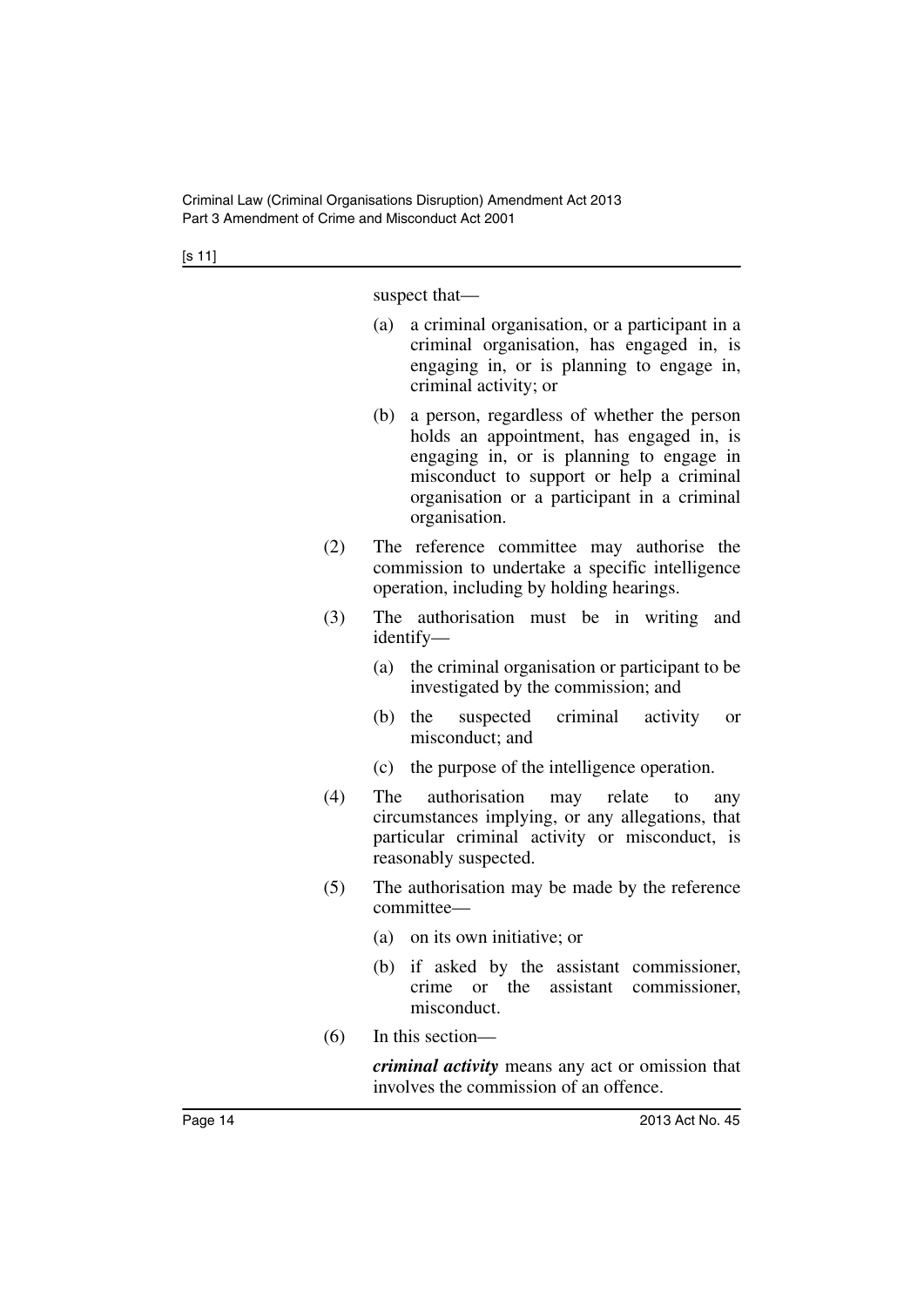suspect that—

- (a) a criminal organisation, or a participant in a criminal organisation, has engaged in, is engaging in, or is planning to engage in, criminal activity; or
- (b) a person, regardless of whether the person holds an appointment, has engaged in, is engaging in, or is planning to engage in misconduct to support or help a criminal organisation or a participant in a criminal organisation.
- (2) The reference committee may authorise the commission to undertake a specific intelligence operation, including by holding hearings.
- (3) The authorisation must be in writing and identify—
	- (a) the criminal organisation or participant to be investigated by the commission; and
	- (b) the suspected criminal activity or misconduct; and
	- (c) the purpose of the intelligence operation.
- (4) The authorisation may relate to any circumstances implying, or any allegations, that particular criminal activity or misconduct, is reasonably suspected.
- (5) The authorisation may be made by the reference committee—
	- (a) on its own initiative; or
	- (b) if asked by the assistant commissioner, crime or the assistant commissioner, misconduct.
- (6) In this section—

*criminal activity* means any act or omission that involves the commission of an offence.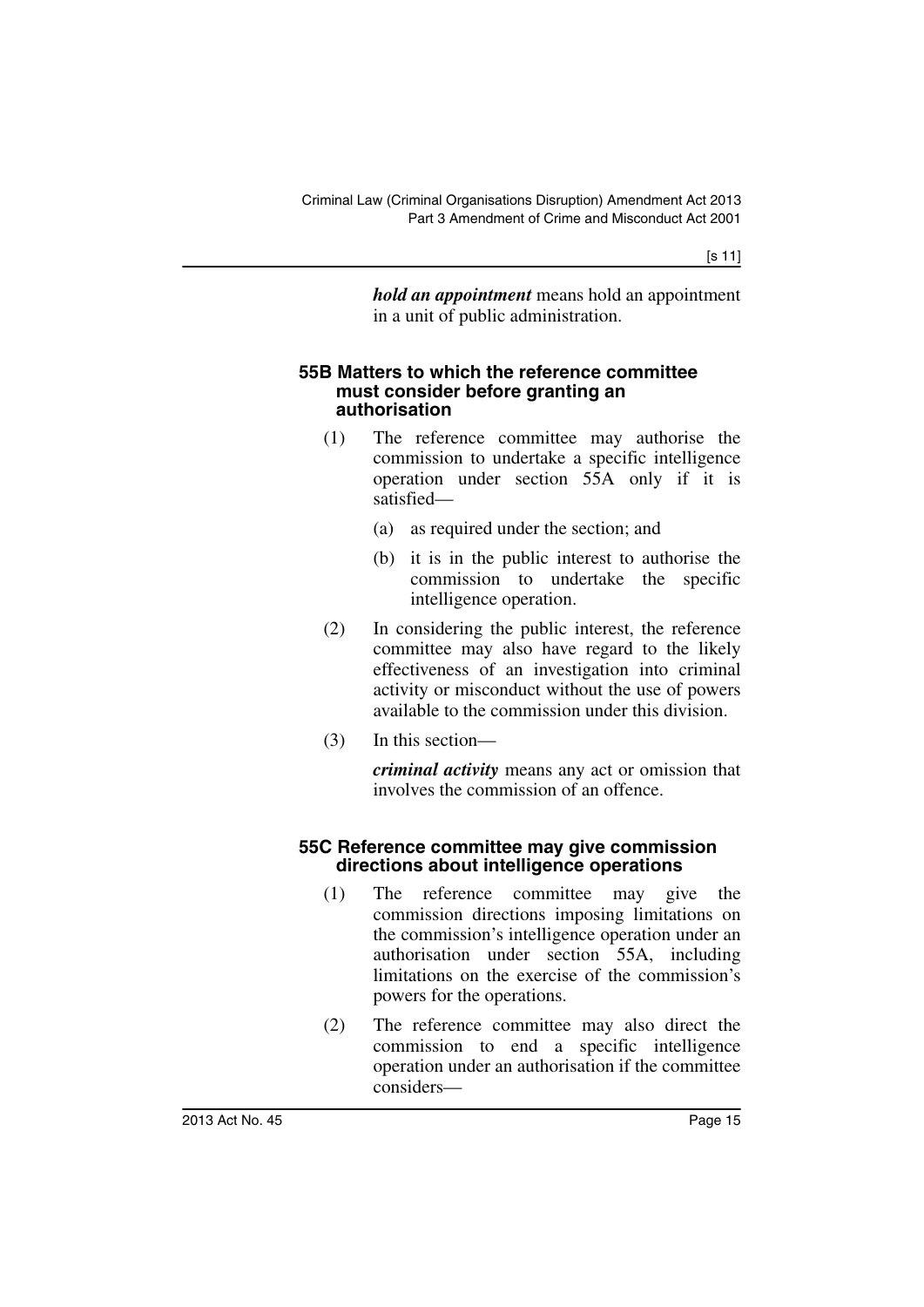*hold an appointment* means hold an appointment in a unit of public administration.

#### <span id="page-16-0"></span>**55B Matters to which the reference committee must consider before granting an authorisation**

- (1) The reference committee may authorise the commission to undertake a specific intelligence operation under section 55A only if it is satisfied—
	- (a) as required under the section; and
	- (b) it is in the public interest to authorise the commission to undertake the specific intelligence operation.
- (2) In considering the public interest, the reference committee may also have regard to the likely effectiveness of an investigation into criminal activity or misconduct without the use of powers available to the commission under this division.
- (3) In this section—

*criminal activity* means any act or omission that involves the commission of an offence.

#### <span id="page-16-1"></span>**55C Reference committee may give commission directions about intelligence operations**

- (1) The reference committee may give the commission directions imposing limitations on the commission's intelligence operation under an authorisation under section 55A, including limitations on the exercise of the commission's powers for the operations.
- (2) The reference committee may also direct the commission to end a specific intelligence operation under an authorisation if the committee considers—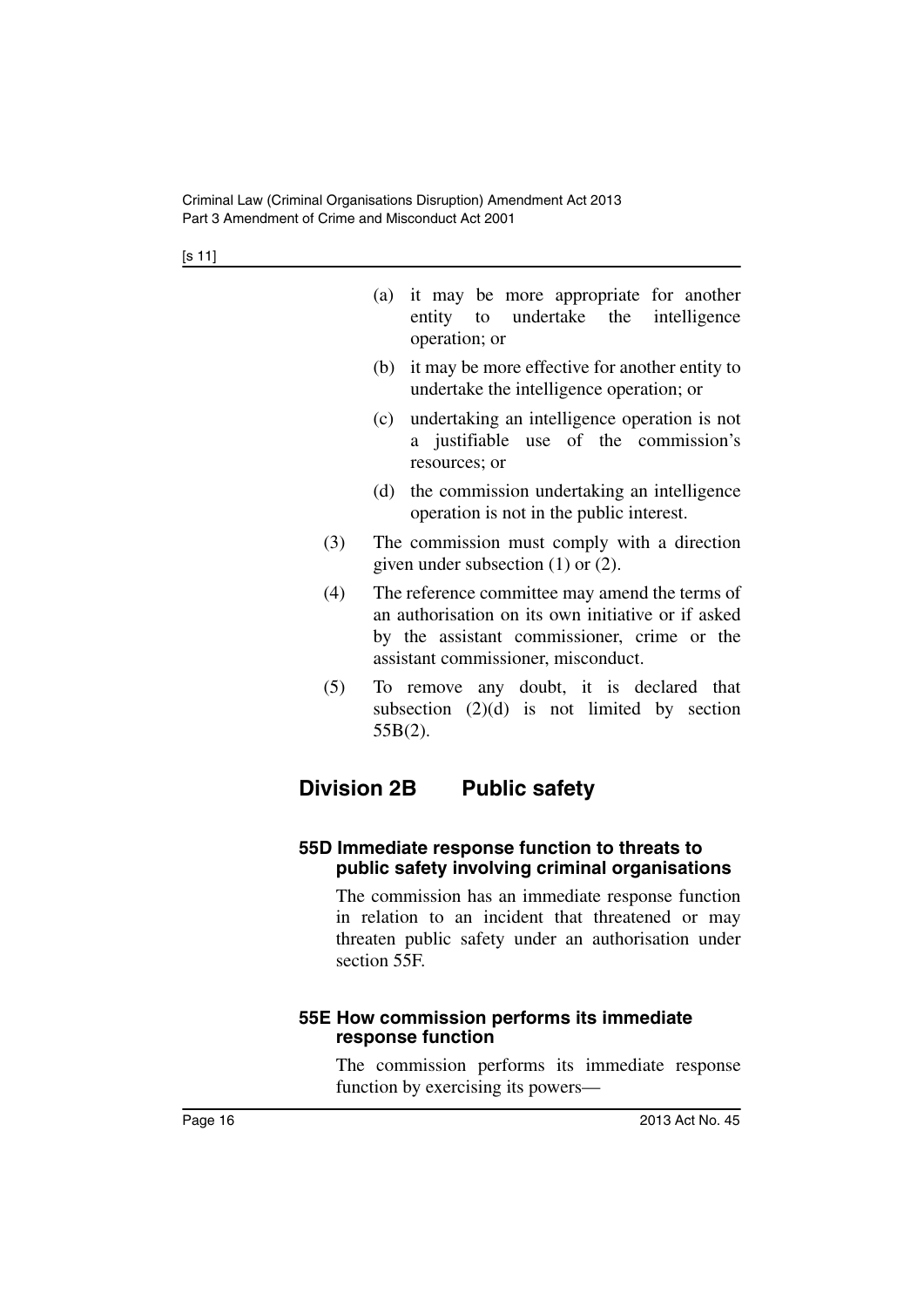|     | (a) it may be more appropriate for another<br>entity to undertake the intelligence<br>operation; or                                                                                        |
|-----|--------------------------------------------------------------------------------------------------------------------------------------------------------------------------------------------|
|     | (b) it may be more effective for another entity to<br>undertake the intelligence operation; or                                                                                             |
|     | (c) undertaking an intelligence operation is not<br>a justifiable use of the commission's<br>resources; or                                                                                 |
|     | (d) the commission undertaking an intelligence<br>operation is not in the public interest.                                                                                                 |
| (3) | The commission must comply with a direction<br>given under subsection $(1)$ or $(2)$ .                                                                                                     |
| (4) | The reference committee may amend the terms of<br>an authorisation on its own initiative or if asked<br>by the assistant commissioner, crime or the<br>assistant commissioner, misconduct. |
| (5) | To remove any doubt, it is declared that<br>subsection $(2)(d)$ is not limited by section<br>$55B(2)$ .                                                                                    |
|     | <b>Division 2B</b><br><b>Public safety</b>                                                                                                                                                 |
|     | 55D Immediate response function to threats to                                                                                                                                              |

#### <span id="page-17-1"></span><span id="page-17-0"></span>**55D Immediate re public safety involving criminal organisations**

The commission has an immediate response function in relation to an incident that threatened or may threaten public safety under an authorisation under section 55F.

#### <span id="page-17-2"></span>**55E How commission performs its immediate response function**

The commission performs its immediate response function by exercising its powers—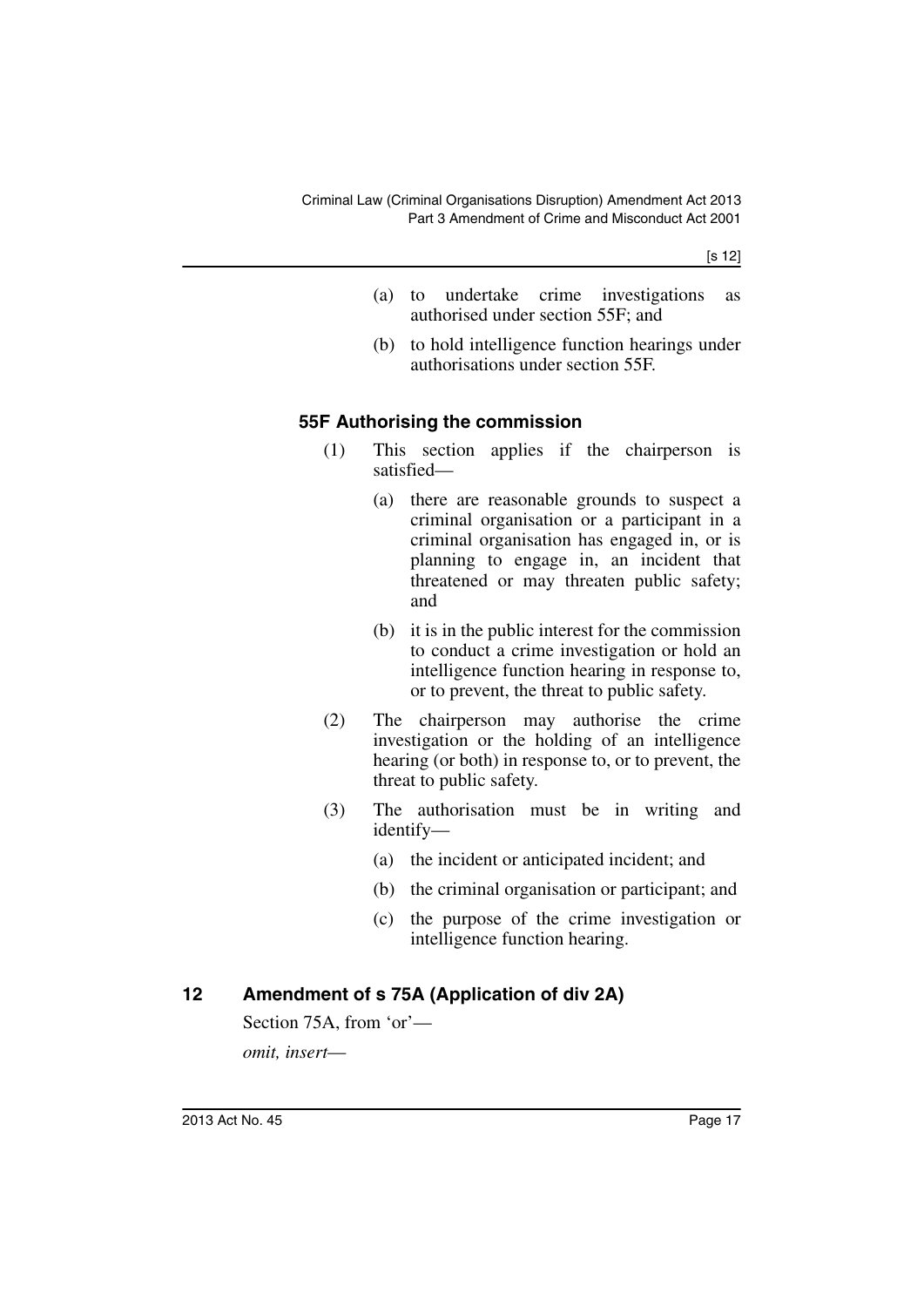[s 12]

- (a) to undertake crime investigations as authorised under section 55F; and
- (b) to hold intelligence function hearings under authorisations under section 55F.

#### <span id="page-18-0"></span>**55F Authorising the commission**

- (1) This section applies if the chairperson is satisfied—
	- (a) there are reasonable grounds to suspect a criminal organisation or a participant in a criminal organisation has engaged in, or is planning to engage in, an incident that threatened or may threaten public safety; and
	- (b) it is in the public interest for the commission to conduct a crime investigation or hold an intelligence function hearing in response to, or to prevent, the threat to public safety.
- (2) The chairperson may authorise the crime investigation or the holding of an intelligence hearing (or both) in response to, or to prevent, the threat to public safety.
- (3) The authorisation must be in writing and identify—
	- (a) the incident or anticipated incident; and
	- (b) the criminal organisation or participant; and
	- (c) the purpose of the crime investigation or intelligence function hearing.

#### <span id="page-18-1"></span>**12 Amendment of s 75A (Application of div 2A)**

Section 75A, from 'or' *omit, insert*—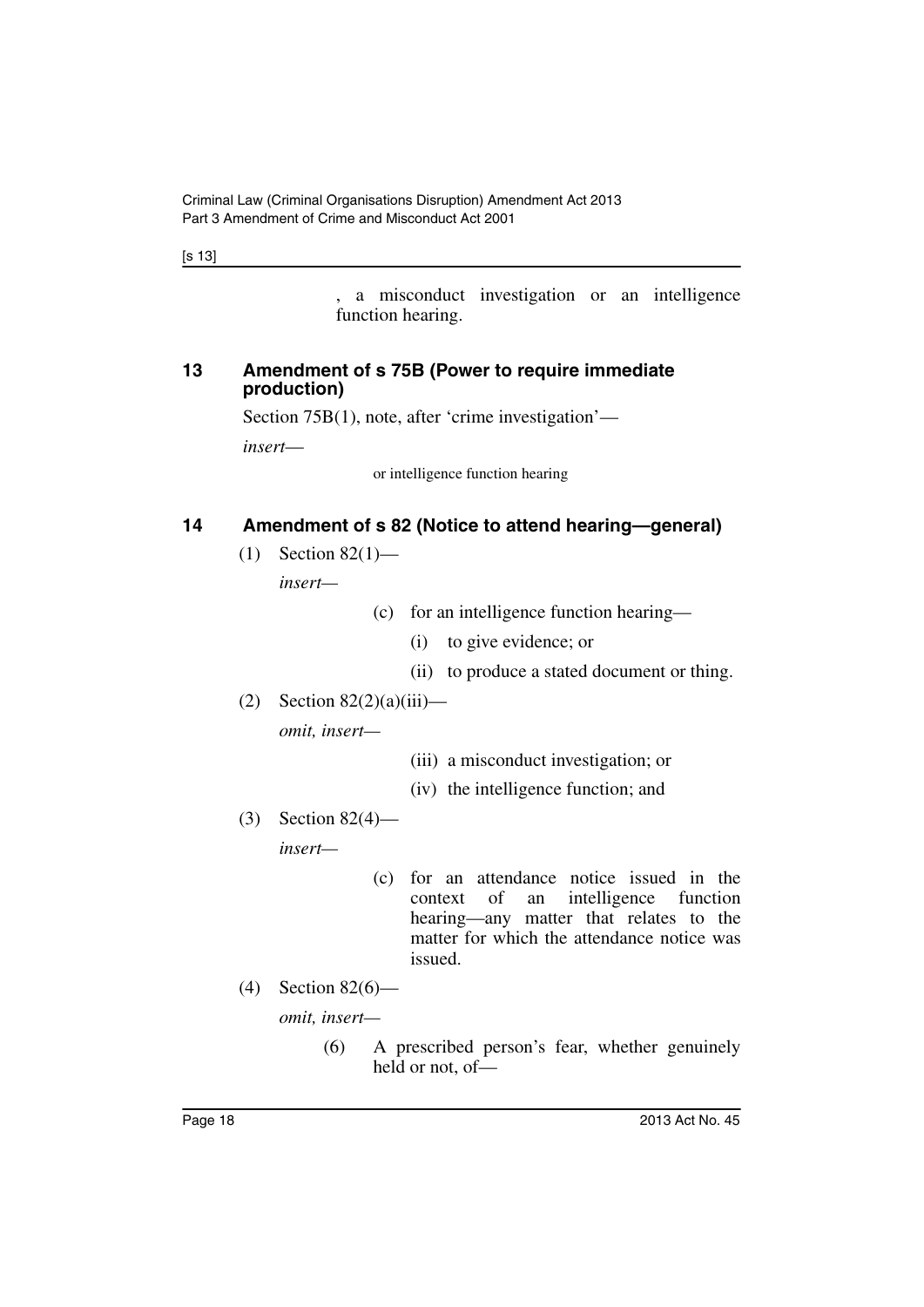[s 13]

, a misconduct investigation or an intelligence function hearing.

#### <span id="page-19-0"></span>**13 Amendment of s 75B (Power to require immediate production)**

Section 75B(1), note, after 'crime investigation'—

*insert*—

or intelligence function hearing

#### <span id="page-19-1"></span>**14 Amendment of s 82 (Notice to attend hearing—general)**

 $(1)$  Section 82 $(1)$ —

*insert—*

- (c) for an intelligence function hearing—
	- (i) to give evidence; or
	- (ii) to produce a stated document or thing.
- $(2)$  Section 82 $(2)(a)(iii)$ —

*omit, insert—*

- (iii) a misconduct investigation; or
- (iv) the intelligence function; and
- (3) Section 82(4)—

*insert—*

- (c) for an attendance notice issued in the context of an intelligence function hearing—any matter that relates to the matter for which the attendance notice was issued.
- (4) Section 82(6)—

*omit, insert—*

(6) A prescribed person's fear, whether genuinely held or not, of—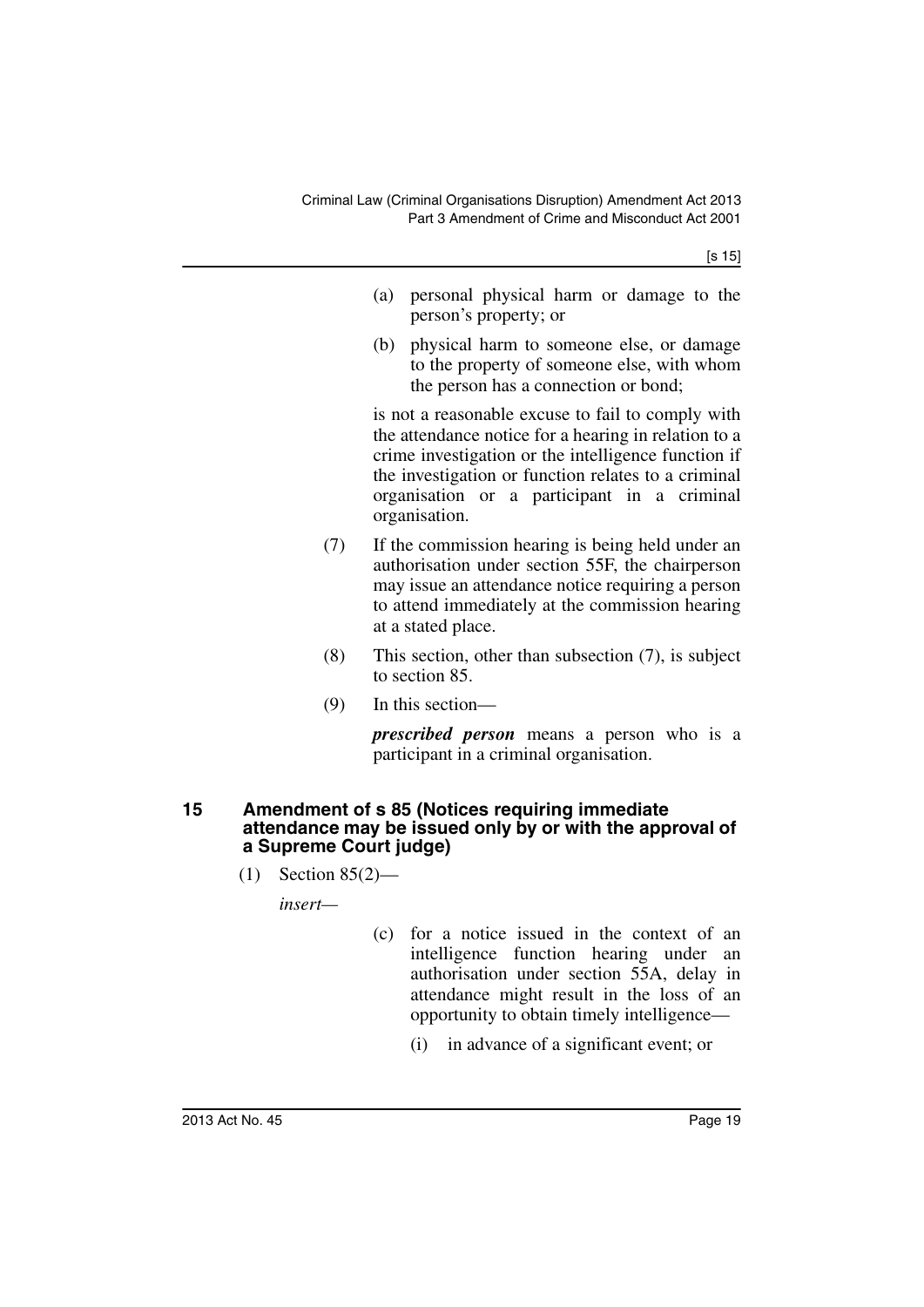[s 15]

- (a) personal physical harm or damage to the person's property; or
- (b) physical harm to someone else, or damage to the property of someone else, with whom the person has a connection or bond;

is not a reasonable excuse to fail to comply with the attendance notice for a hearing in relation to a crime investigation or the intelligence function if the investigation or function relates to a criminal organisation or a participant in a criminal organisation.

- (7) If the commission hearing is being held under an authorisation under section 55F, the chairperson may issue an attendance notice requiring a person to attend immediately at the commission hearing at a stated place.
- (8) This section, other than subsection (7), is subject to section 85.
- (9) In this section—

*prescribed person* means a person who is a participant in a criminal organisation.

#### <span id="page-20-0"></span>**15 Amendment of s 85 (Notices requiring immediate attendance may be issued only by or with the approval of a Supreme Court judge)**

(1) Section 85(2)—

*insert—*

- (c) for a notice issued in the context of an intelligence function hearing under an authorisation under section 55A, delay in attendance might result in the loss of an opportunity to obtain timely intelligence—
	- (i) in advance of a significant event; or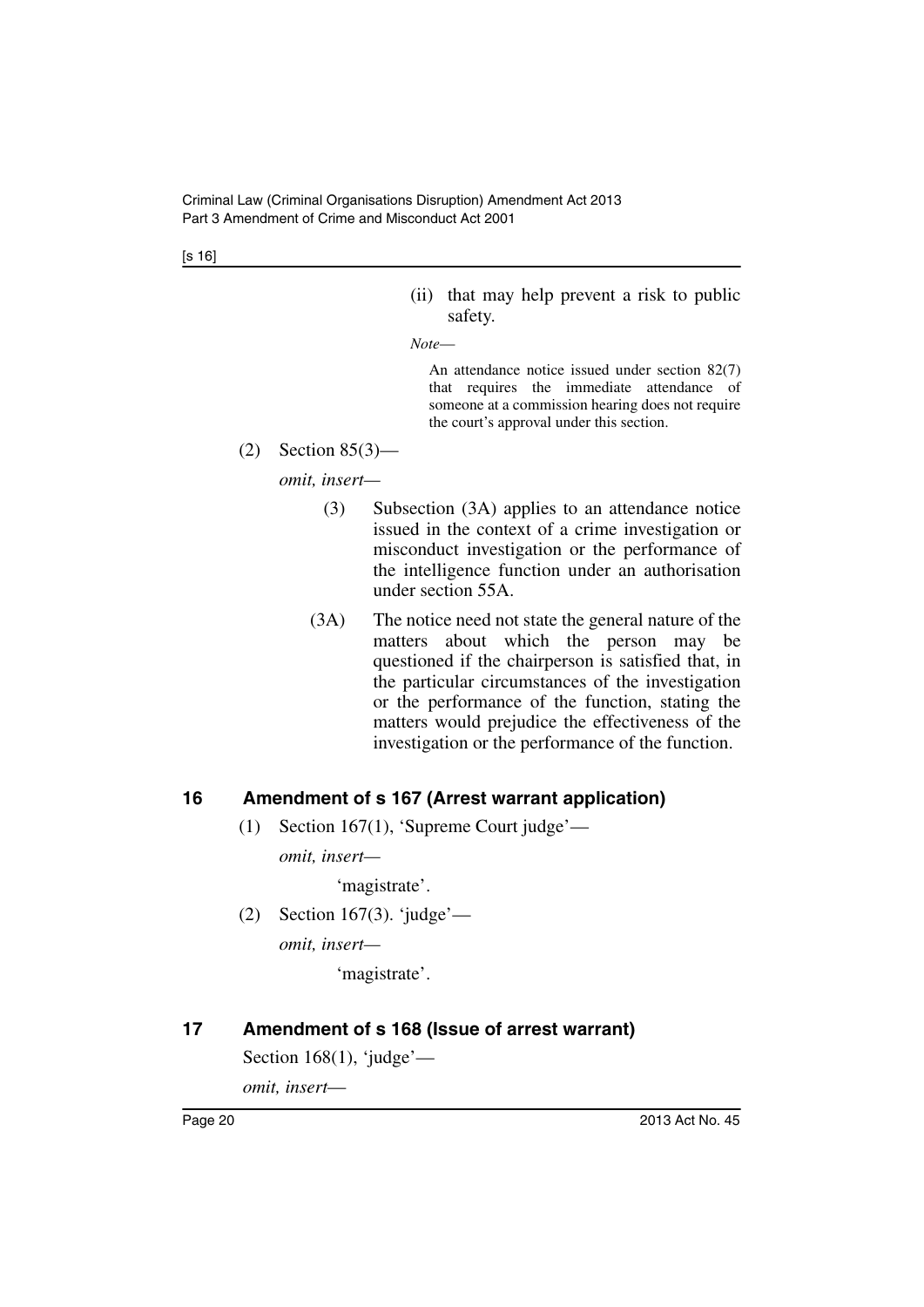[s 16]

- (ii) that may help prevent a risk to public safety.
- *Note*—

An attendance notice issued under section 82(7) that requires the immediate attendance of someone at a commission hearing does not require the court's approval under this section.

(2) Section 85(3)—

*omit, insert—*

- (3) Subsection (3A) applies to an attendance notice issued in the context of a crime investigation or misconduct investigation or the performance of the intelligence function under an authorisation under section 55A.
- (3A) The notice need not state the general nature of the matters about which the person may be questioned if the chairperson is satisfied that, in the particular circumstances of the investigation or the performance of the function, stating the matters would prejudice the effectiveness of the investigation or the performance of the function.

#### <span id="page-21-0"></span>**16 Amendment of s 167 (Arrest warrant application)**

(1) Section 167(1), 'Supreme Court judge'—

*omit, insert—*

'magistrate'.

(2) Section 167(3). 'judge'—

*omit, insert—*

'magistrate'.

#### <span id="page-21-1"></span>**17 Amendment of s 168 (Issue of arrest warrant)**

Section  $168(1)$ , 'judge'—

*omit, insert*—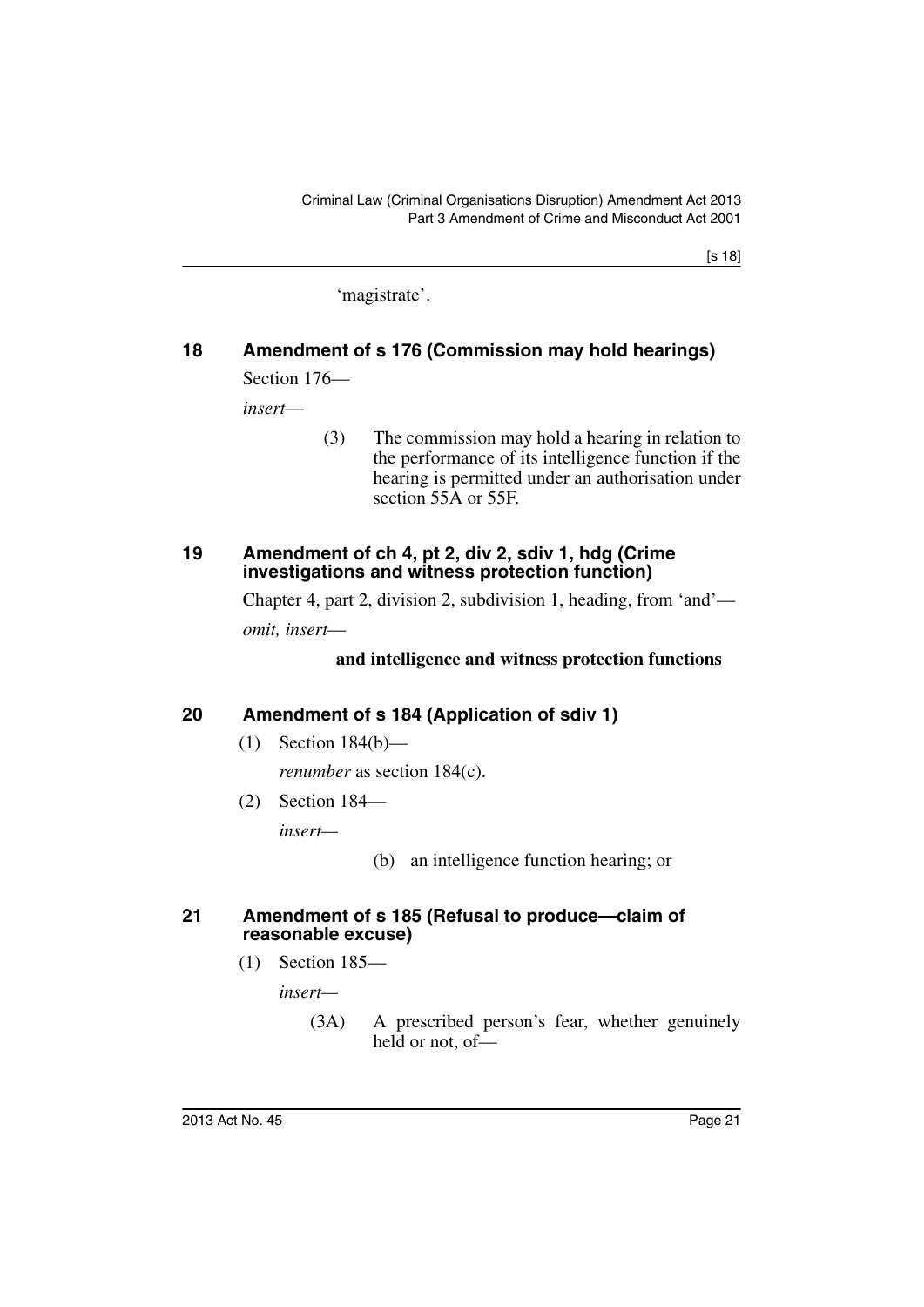'magistrate'.

### <span id="page-22-0"></span>**18 Amendment of s 176 (Commission may hold hearings)** Section 176—

*insert*—

(3) The commission may hold a hearing in relation to the performance of its intelligence function if the hearing is permitted under an authorisation under section 55A or 55F.

#### <span id="page-22-1"></span>**19 Amendment of ch 4, pt 2, div 2, sdiv 1, hdg (Crime investigations and witness protection function)**

Chapter 4, part 2, division 2, subdivision 1, heading, from 'and' *omit, insert*—

#### **and intelligence and witness protection functions**

## <span id="page-22-2"></span>**20 Amendment of s 184 (Application of sdiv 1)**

(1) Section 184(b)—

*renumber* as section 184(c).

(2) Section 184—

*insert—*

#### <span id="page-22-3"></span>**21 Amendment of s 185 (Refusal to produce—claim of reasonable excuse)**

(1) Section 185—

*insert—*

(3A) A prescribed person's fear, whether genuinely held or not, of—

<sup>(</sup>b) an intelligence function hearing; or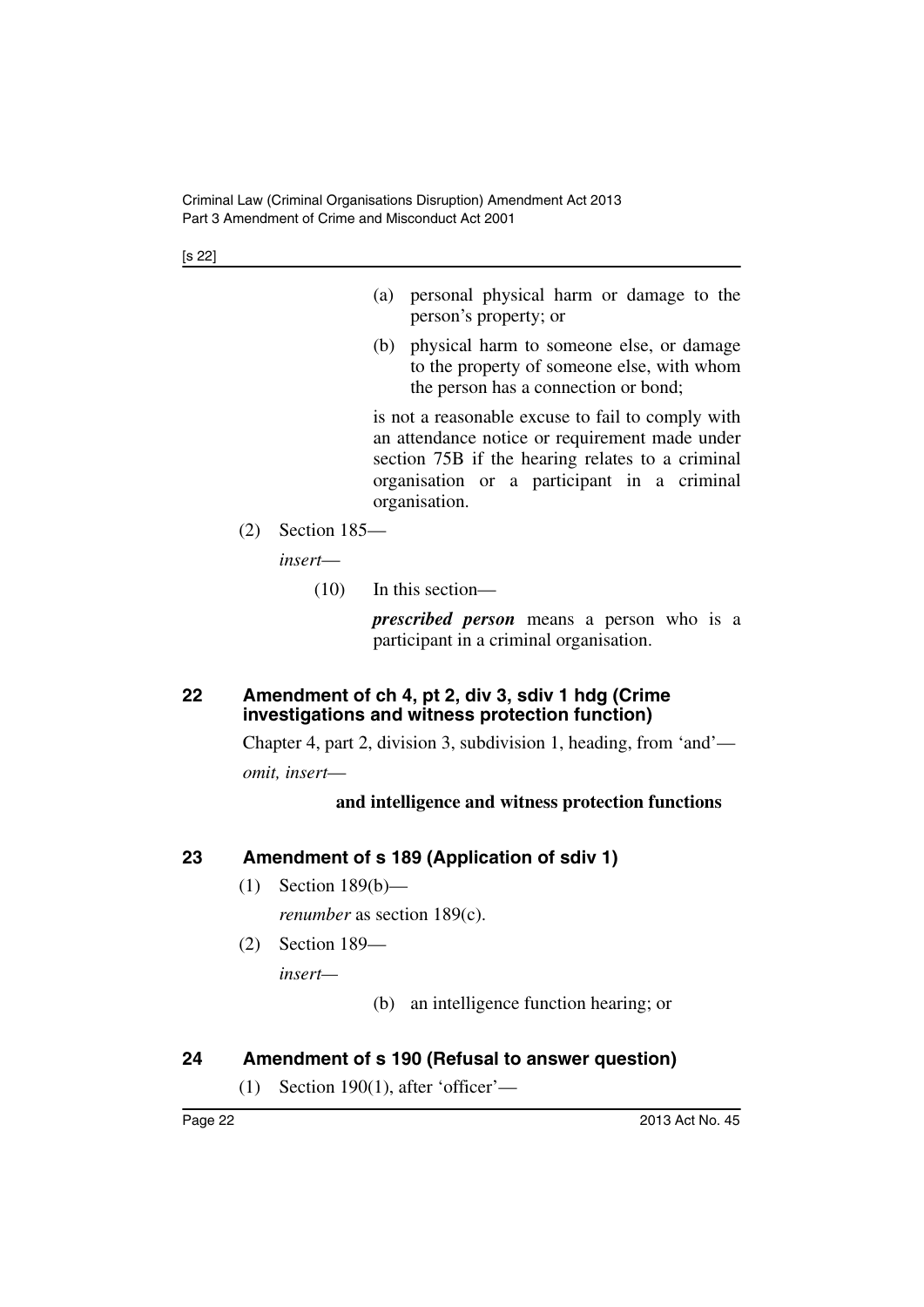[s 22]

- (a) personal physical harm or damage to the person's property; or
- (b) physical harm to someone else, or damage to the property of someone else, with whom the person has a connection or bond;

is not a reasonable excuse to fail to comply with an attendance notice or requirement made under section 75B if the hearing relates to a criminal organisation or a participant in a criminal organisation.

(2) Section 185—

*insert*—

(10) In this section—

*prescribed person* means a person who is a participant in a criminal organisation.

### <span id="page-23-0"></span>**22 Amendment of ch 4, pt 2, div 3, sdiv 1 hdg (Crime investigations and witness protection function)**

Chapter 4, part 2, division 3, subdivision 1, heading, from 'and' *omit, insert*—

#### **and intelligence and witness protection functions**

## <span id="page-23-1"></span>**23 Amendment of s 189 (Application of sdiv 1)**

(1) Section 189(b)—

*renumber* as section 189(c).

(2) Section 189—

*insert—*

(b) an intelligence function hearing; or

## <span id="page-23-2"></span>**24 Amendment of s 190 (Refusal to answer question)**

 $(1)$  Section 190(1), after 'officer'—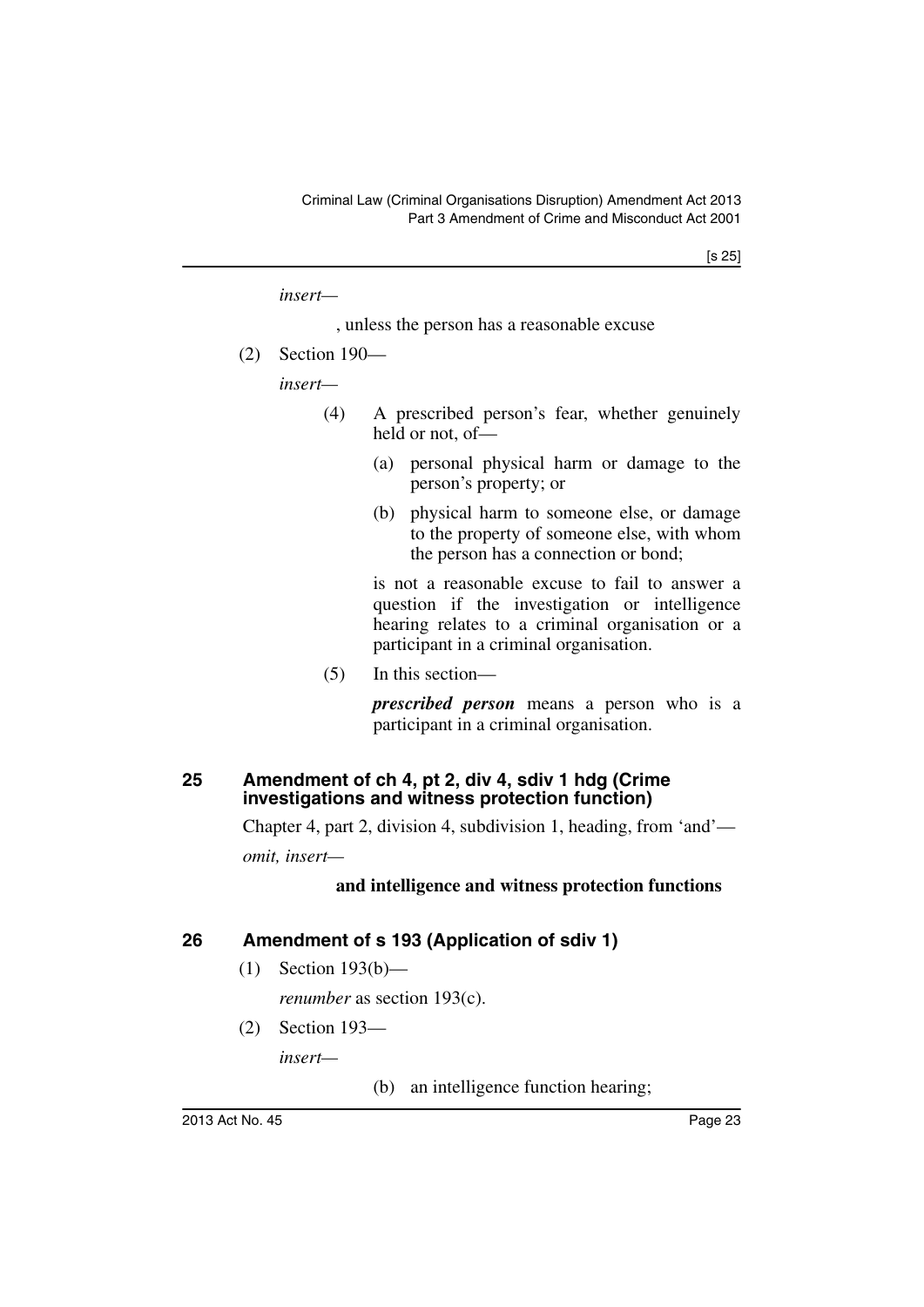*insert—*

- , unless the person has a reasonable excuse
- (2) Section 190—

*insert—*

- (4) A prescribed person's fear, whether genuinely held or not, of—
	- (a) personal physical harm or damage to the person's property; or
	- (b) physical harm to someone else, or damage to the property of someone else, with whom the person has a connection or bond;

is not a reasonable excuse to fail to answer a question if the investigation or intelligence hearing relates to a criminal organisation or a participant in a criminal organisation.

(5) In this section—

*prescribed person* means a person who is a participant in a criminal organisation.

#### <span id="page-24-0"></span>**25 Amendment of ch 4, pt 2, div 4, sdiv 1 hdg (Crime investigations and witness protection function)**

Chapter 4, part 2, division 4, subdivision 1, heading, from 'and'—

*omit, insert—*

#### **and intelligence and witness protection functions**

#### <span id="page-24-1"></span>**26 Amendment of s 193 (Application of sdiv 1)**

(1) Section 193(b)—

*renumber* as section 193(c).

(2) Section 193—

*insert—*

(b) an intelligence function hearing;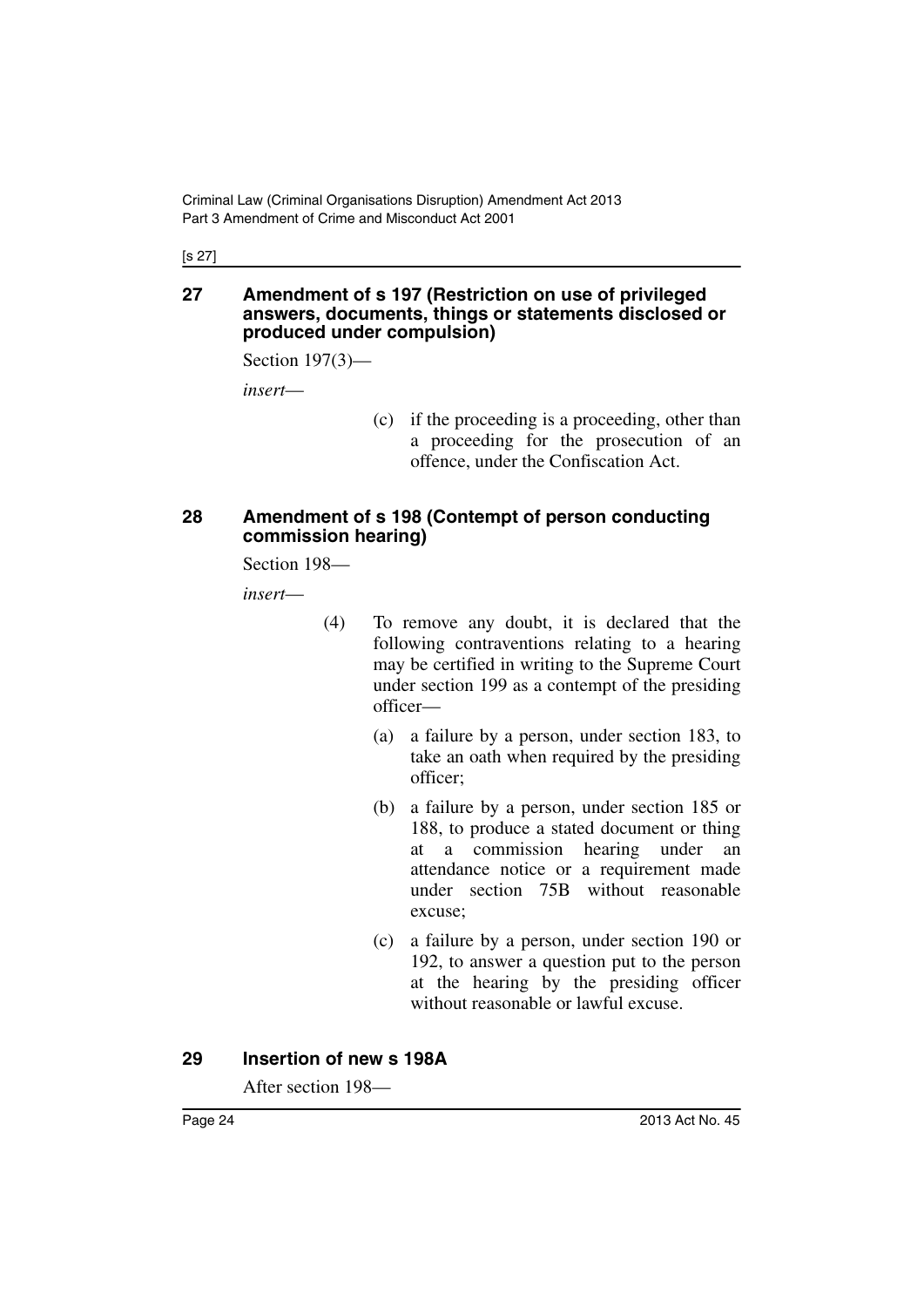[s 27]

#### <span id="page-25-0"></span>**27 Amendment of s 197 (Restriction on use of privileged answers, documents, things or statements disclosed or produced under compulsion)**

Section 197(3)—

*insert*—

(c) if the proceeding is a proceeding, other than a proceeding for the prosecution of an offence, under the Confiscation Act.

#### <span id="page-25-1"></span>**28 Amendment of s 198 (Contempt of person conducting commission hearing)**

Section 198—

*insert*—

- (4) To remove any doubt, it is declared that the following contraventions relating to a hearing may be certified in writing to the Supreme Court under section 199 as a contempt of the presiding officer—
	- (a) a failure by a person, under section 183, to take an oath when required by the presiding officer;
	- (b) a failure by a person, under section 185 or 188, to produce a stated document or thing at a commission hearing under an attendance notice or a requirement made under section 75B without reasonable excuse;
	- (c) a failure by a person, under section 190 or 192, to answer a question put to the person at the hearing by the presiding officer without reasonable or lawful excuse.

#### <span id="page-25-2"></span>**29 Insertion of new s 198A**

After section 198—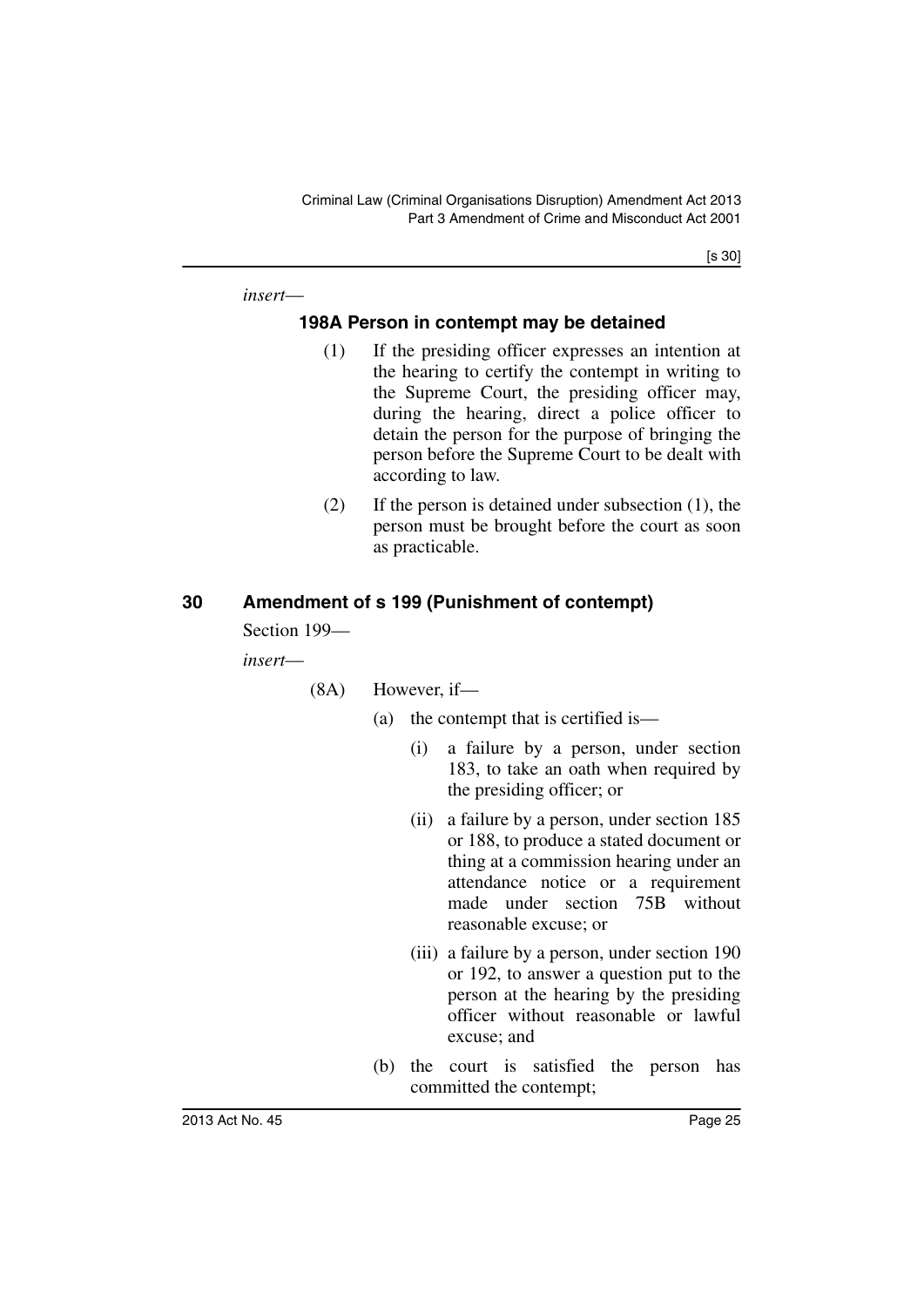[s 30]

<span id="page-26-0"></span>*insert*—

#### **198A Person in contempt may be detained**

- (1) If the presiding officer expresses an intention at the hearing to certify the contempt in writing to the Supreme Court, the presiding officer may, during the hearing, direct a police officer to detain the person for the purpose of bringing the person before the Supreme Court to be dealt with according to law.
- (2) If the person is detained under subsection (1), the person must be brought before the court as soon as practicable.

#### <span id="page-26-1"></span>**30 Amendment of s 199 (Punishment of contempt)**

Section 199—

*insert*—

(8A) However, if—

- (a) the contempt that is certified is—
	- (i) a failure by a person, under section 183, to take an oath when required by the presiding officer; or
	- (ii) a failure by a person, under section 185 or 188, to produce a stated document or thing at a commission hearing under an attendance notice or a requirement made under section 75B without reasonable excuse; or
	- (iii) a failure by a person, under section 190 or 192, to answer a question put to the person at the hearing by the presiding officer without reasonable or lawful excuse; and
- (b) the court is satisfied the person has committed the contempt;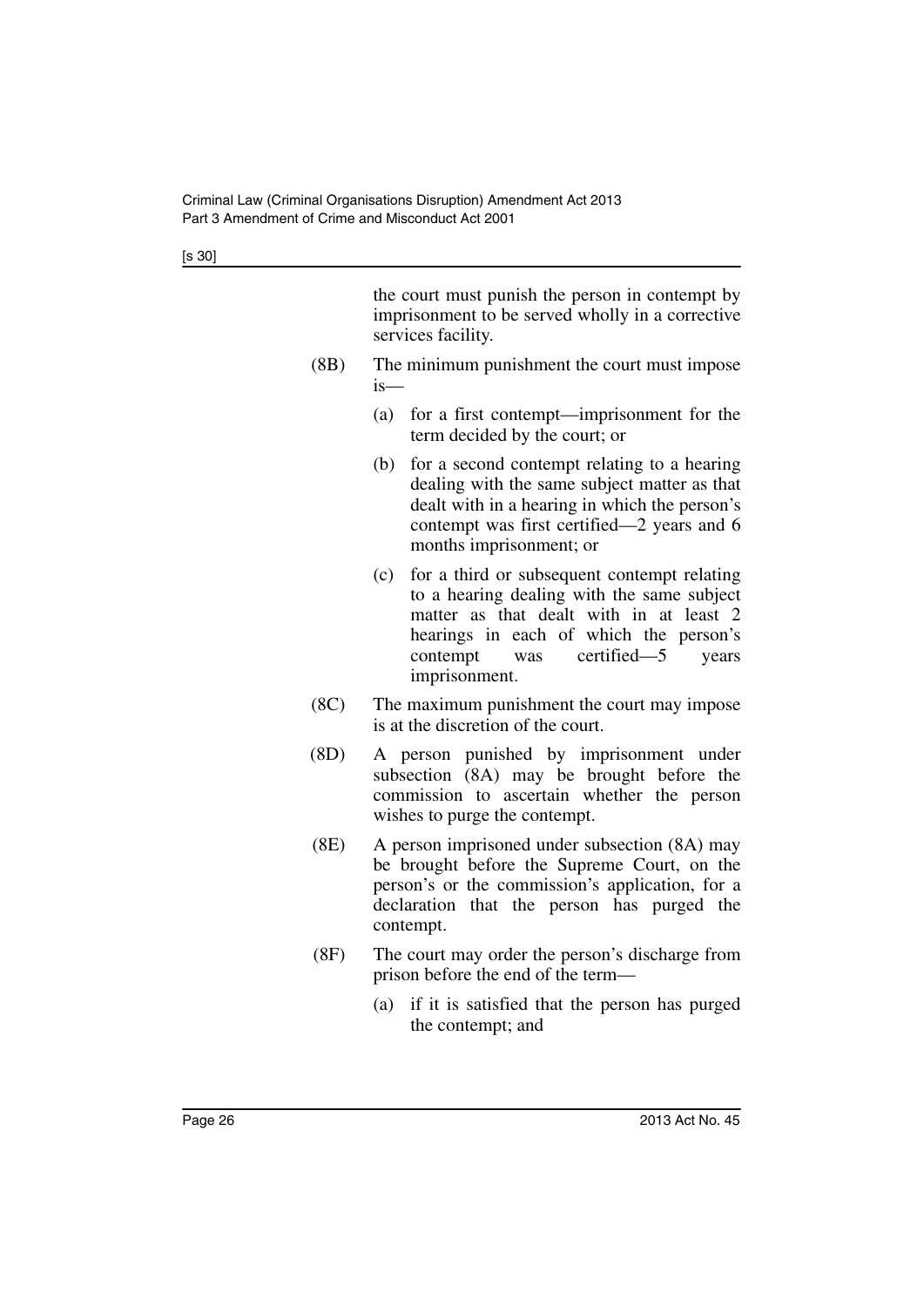[s 30]

the court must punish the person in contempt by imprisonment to be served wholly in a corrective services facility.

- (8B) The minimum punishment the court must impose is—
	- (a) for a first contempt—imprisonment for the term decided by the court; or
	- (b) for a second contempt relating to a hearing dealing with the same subject matter as that dealt with in a hearing in which the person's contempt was first certified—2 years and 6 months imprisonment; or
	- (c) for a third or subsequent contempt relating to a hearing dealing with the same subject matter as that dealt with in at least 2 hearings in each of which the person's contempt was certified—5 years imprisonment.
- (8C) The maximum punishment the court may impose is at the discretion of the court.
- (8D) A person punished by imprisonment under subsection (8A) may be brought before the commission to ascertain whether the person wishes to purge the contempt.
- (8E) A person imprisoned under subsection (8A) may be brought before the Supreme Court, on the person's or the commission's application, for a declaration that the person has purged the contempt.
- (8F) The court may order the person's discharge from prison before the end of the term—
	- (a) if it is satisfied that the person has purged the contempt; and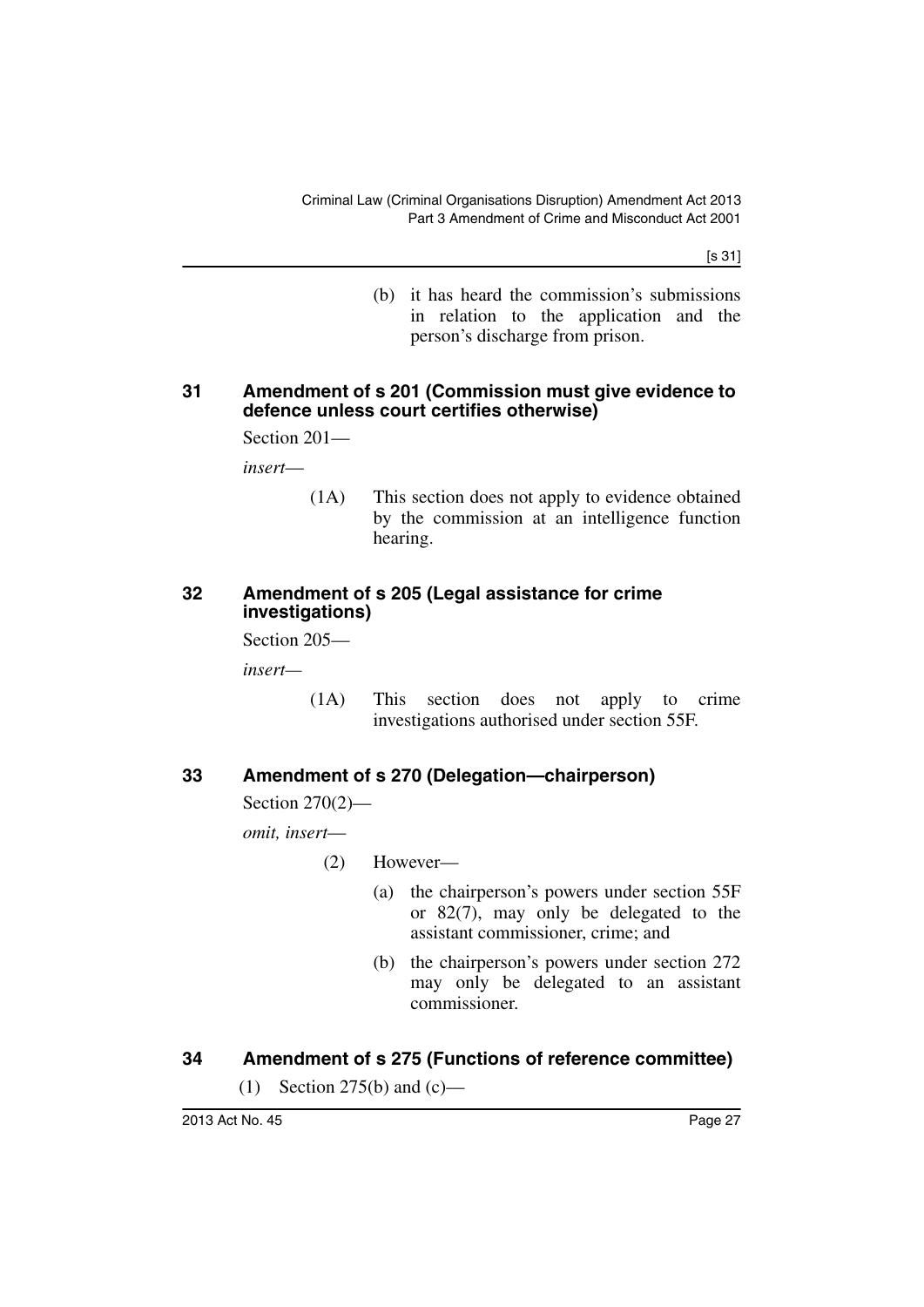[s 31]

(b) it has heard the commission's submissions in relation to the application and the person's discharge from prison.

#### <span id="page-28-0"></span>**31 Amendment of s 201 (Commission must give evidence to defence unless court certifies otherwise)**

Section 201—

*insert*—

(1A) This section does not apply to evidence obtained by the commission at an intelligence function hearing.

#### <span id="page-28-1"></span>**32 Amendment of s 205 (Legal assistance for crime investigations)**

Section 205—

*insert—*

(1A) This section does not apply to crime investigations authorised under section 55F.

#### <span id="page-28-2"></span>**33 Amendment of s 270 (Delegation—chairperson)**

Section 270(2)—

*omit, insert*—

(2) However—

- (a) the chairperson's powers under section 55F or 82(7), may only be delegated to the assistant commissioner, crime; and
- (b) the chairperson's powers under section 272 may only be delegated to an assistant commissioner.

#### <span id="page-28-3"></span>**34 Amendment of s 275 (Functions of reference committee)**

(1) Section 275(b) and  $(c)$ —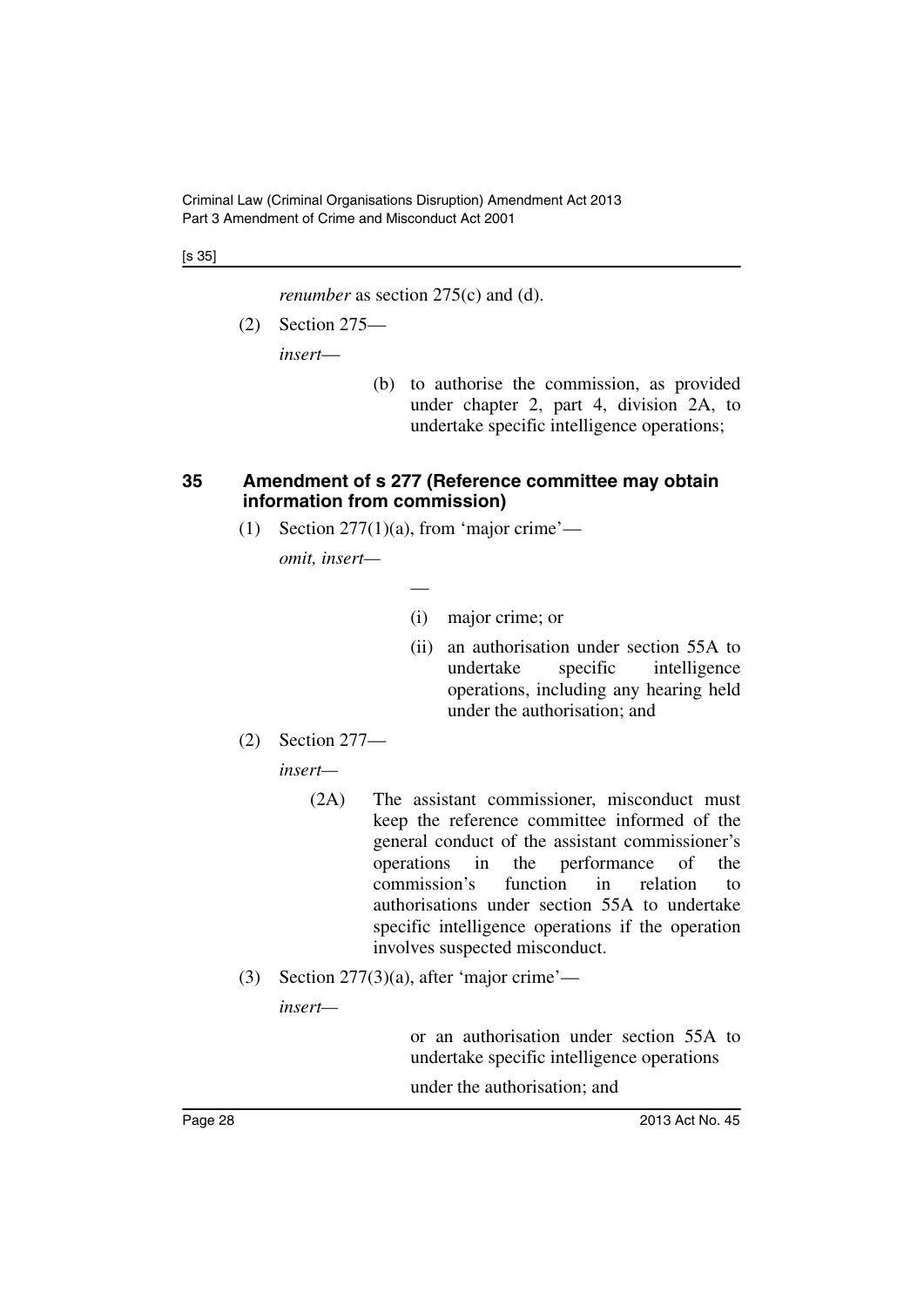[s 35]

*renumber* as section 275(c) and (d).

(2) Section 275—

*insert*—

(b) to authorise the commission, as provided under chapter 2, part 4, division 2A, to undertake specific intelligence operations;

#### <span id="page-29-0"></span>**35 Amendment of s 277 (Reference committee may obtain information from commission)**

(1) Section  $277(1)(a)$ , from 'major crime'—

—

*omit, insert—*

- (i) major crime; or
- (ii) an authorisation under section 55A to undertake specific intelligence operations, including any hearing held under the authorisation; and
- (2) Section 277—

*insert—*

- (2A) The assistant commissioner, misconduct must keep the reference committee informed of the general conduct of the assistant commissioner's operations in the performance of the commission's function in relation to authorisations under section 55A to undertake specific intelligence operations if the operation involves suspected misconduct.
- (3) Section  $277(3)(a)$ , after 'major crime'—

*insert—*

or an authorisation under section 55A to undertake specific intelligence operations

under the authorisation; and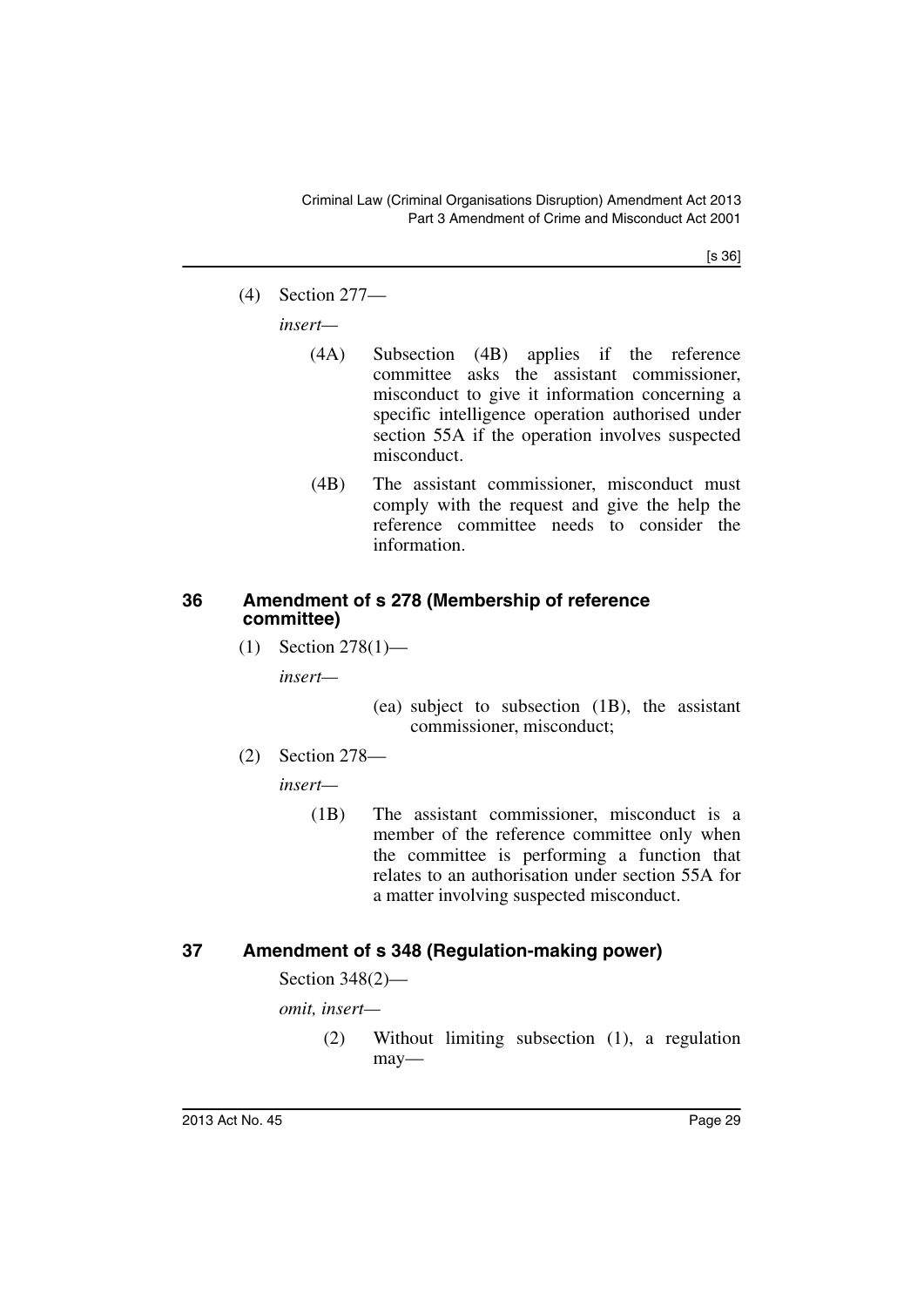[s 36]

(4) Section 277—

*insert—*

- (4A) Subsection (4B) applies if the reference committee asks the assistant commissioner, misconduct to give it information concerning a specific intelligence operation authorised under section 55A if the operation involves suspected misconduct.
- (4B) The assistant commissioner, misconduct must comply with the request and give the help the reference committee needs to consider the information.

#### <span id="page-30-0"></span>**36 Amendment of s 278 (Membership of reference committee)**

(1) Section 278(1)—

*insert—*

(ea) subject to subsection (1B), the assistant commissioner, misconduct;

(2) Section 278—

*insert—*

(1B) The assistant commissioner, misconduct is a member of the reference committee only when the committee is performing a function that relates to an authorisation under section 55A for a matter involving suspected misconduct.

## <span id="page-30-1"></span>**37 Amendment of s 348 (Regulation-making power)**

Section 348(2)—

*omit, insert—*

(2) Without limiting subsection (1), a regulation may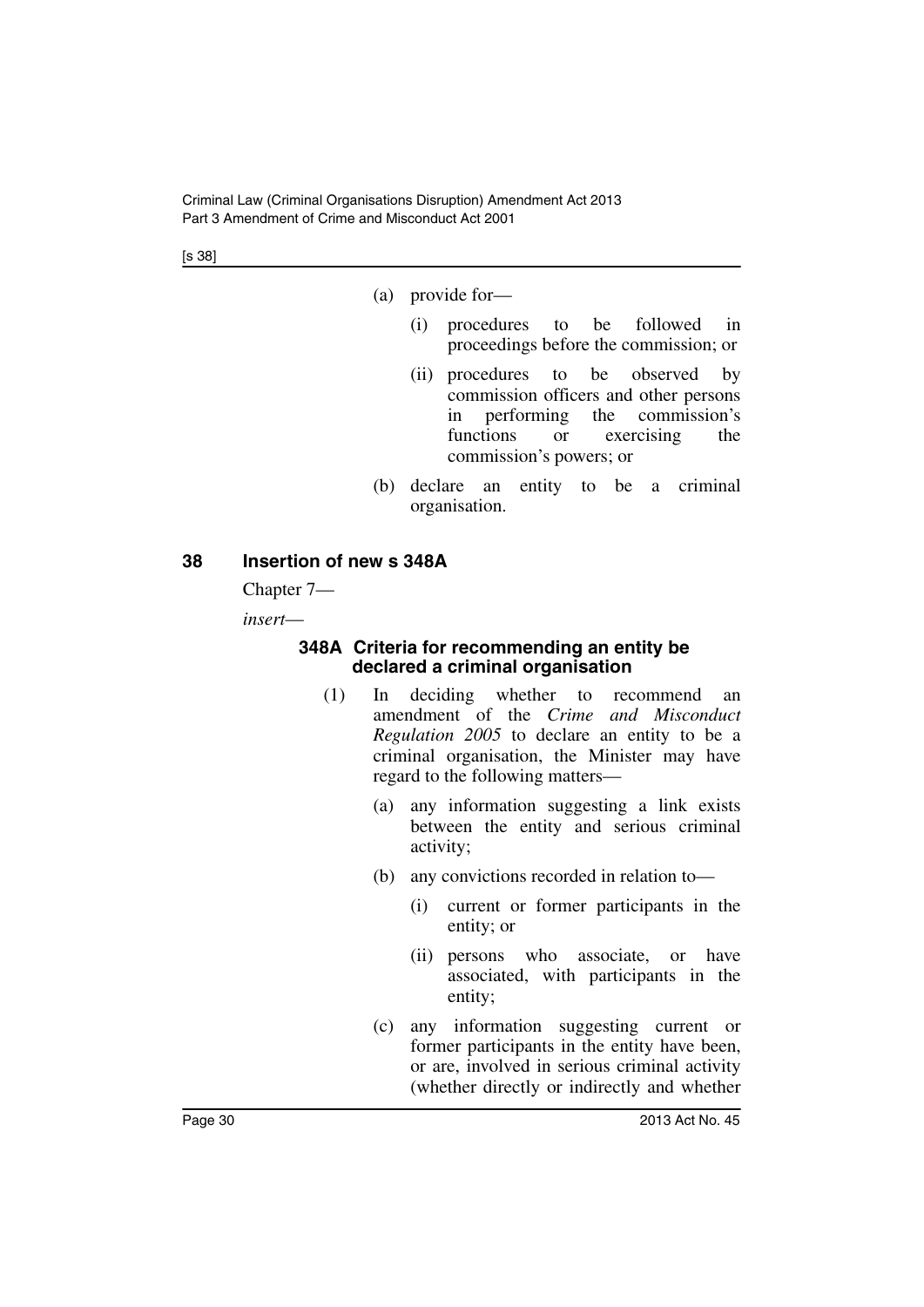Criminal Law (Criminal Organisations Disruption) Amendment Act 2013 Part 3 Amendment of Crime and Misconduct Act 2001

[s 38]

(a) provide for—

- (i) procedures to be followed in proceedings before the commission; or
- (ii) procedures to be observed by commission officers and other persons in performing the commission's functions or exercising the commission's powers; or
- (b) declare an entity to be a criminal organisation.

#### <span id="page-31-0"></span>**38 Insertion of new s 348A**

Chapter 7—

<span id="page-31-1"></span>*insert*—

#### **348A Criteria for recommending an entity be declared a criminal organisation**

- (1) In deciding whether to recommend an amendment of the *Crime and Misconduct Regulation 2005* to declare an entity to be a criminal organisation, the Minister may have regard to the following matters—
	- (a) any information suggesting a link exists between the entity and serious criminal activity;
	- (b) any convictions recorded in relation to—
		- (i) current or former participants in the entity; or
		- (ii) persons who associate, or have associated, with participants in the entity;
	- (c) any information suggesting current or former participants in the entity have been, or are, involved in serious criminal activity (whether directly or indirectly and whether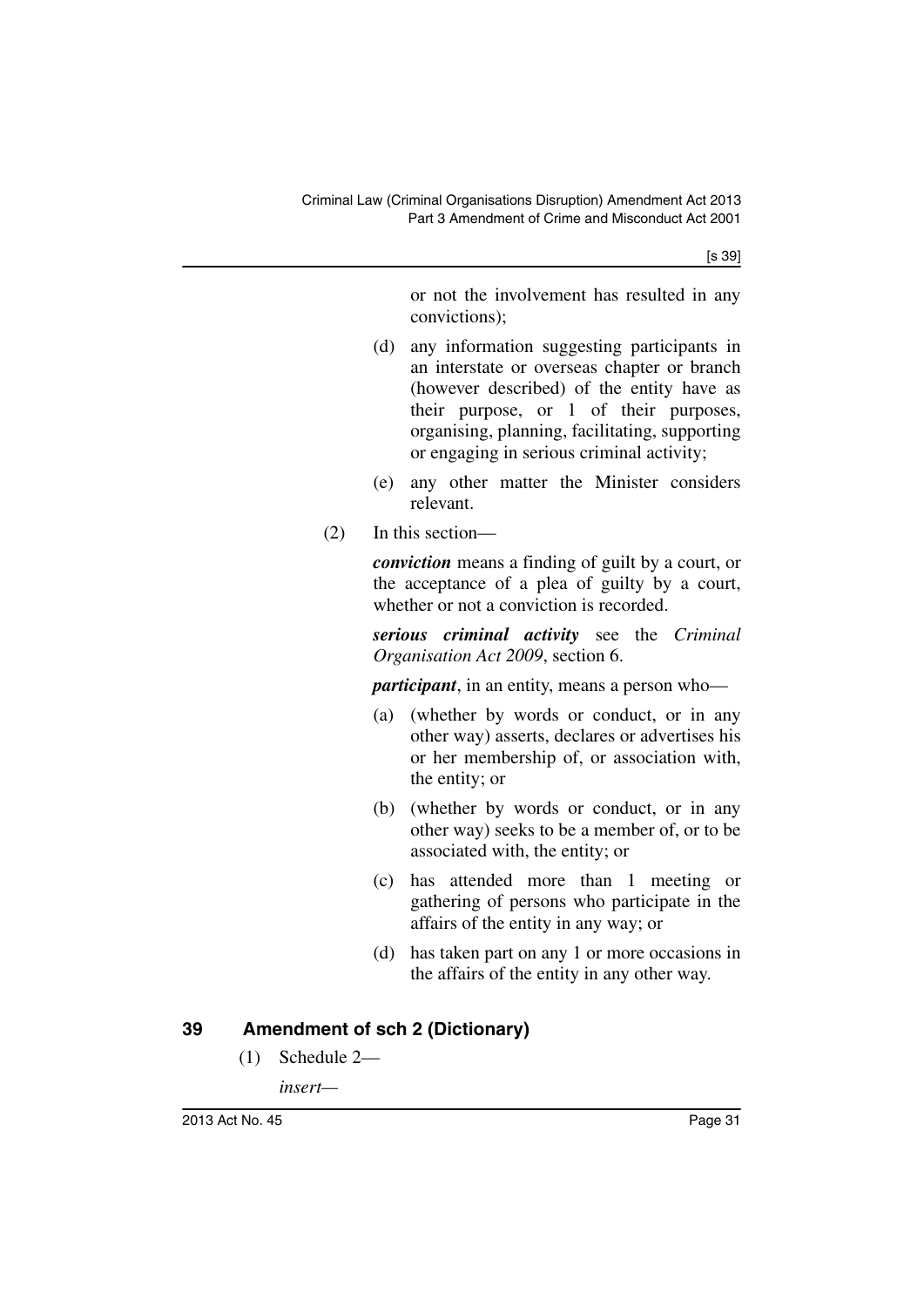[s 39]

or not the involvement has resulted in any convictions);

- (d) any information suggesting participants in an interstate or overseas chapter or branch (however described) of the entity have as their purpose, or 1 of their purposes, organising, planning, facilitating, supporting or engaging in serious criminal activity;
- (e) any other matter the Minister considers relevant.
- (2) In this section—

*conviction* means a finding of guilt by a court, or the acceptance of a plea of guilty by a court, whether or not a conviction is recorded.

*serious criminal activity* see the *Criminal Organisation Act 2009*, section 6.

*participant*, in an entity, means a person who—

- (a) (whether by words or conduct, or in any other way) asserts, declares or advertises his or her membership of, or association with, the entity; or
- (b) (whether by words or conduct, or in any other way) seeks to be a member of, or to be associated with, the entity; or
- (c) has attended more than 1 meeting or gathering of persons who participate in the affairs of the entity in any way; or
- (d) has taken part on any 1 or more occasions in the affairs of the entity in any other way.

## <span id="page-32-0"></span>**39 Amendment of sch 2 (Dictionary)**

(1) Schedule 2—

*insert—*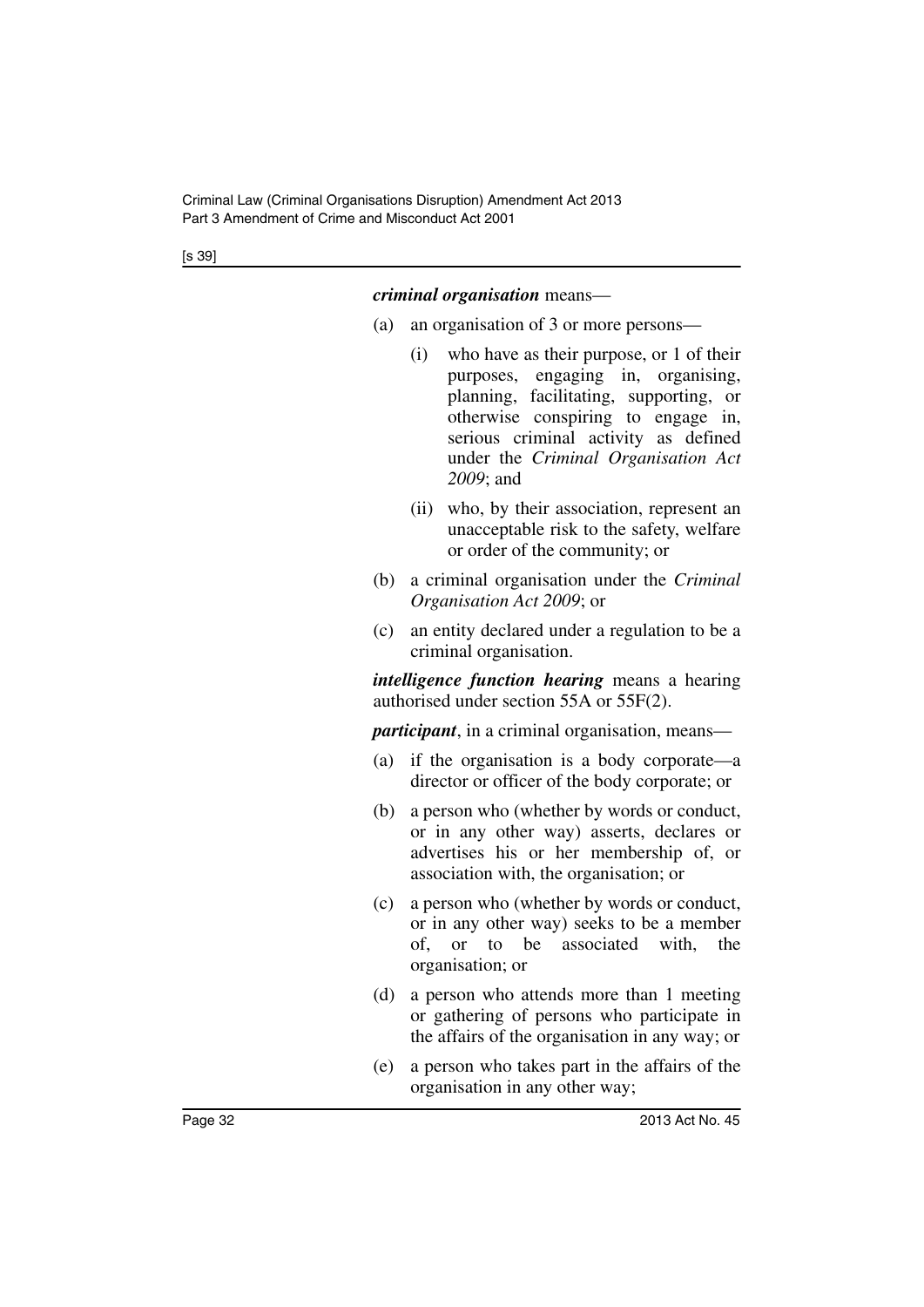[s 39]

#### *criminal organisation* means—

- (a) an organisation of 3 or more persons—
	- (i) who have as their purpose, or 1 of their purposes, engaging in, organising, planning, facilitating, supporting, or otherwise conspiring to engage in, serious criminal activity as defined under the *Criminal Organisation Act 2009*; and
	- (ii) who, by their association, represent an unacceptable risk to the safety, welfare or order of the community; or
- (b) a criminal organisation under the *Criminal Organisation Act 2009*; or
- (c) an entity declared under a regulation to be a criminal organisation.

*intelligence function hearing* means a hearing authorised under section 55A or 55F(2).

*participant*, in a criminal organisation, means—

- (a) if the organisation is a body corporate—a director or officer of the body corporate; or
- (b) a person who (whether by words or conduct, or in any other way) asserts, declares or advertises his or her membership of, or association with, the organisation; or
- (c) a person who (whether by words or conduct, or in any other way) seeks to be a member of, or to be associated with, the organisation; or
- (d) a person who attends more than 1 meeting or gathering of persons who participate in the affairs of the organisation in any way; or
- (e) a person who takes part in the affairs of the organisation in any other way;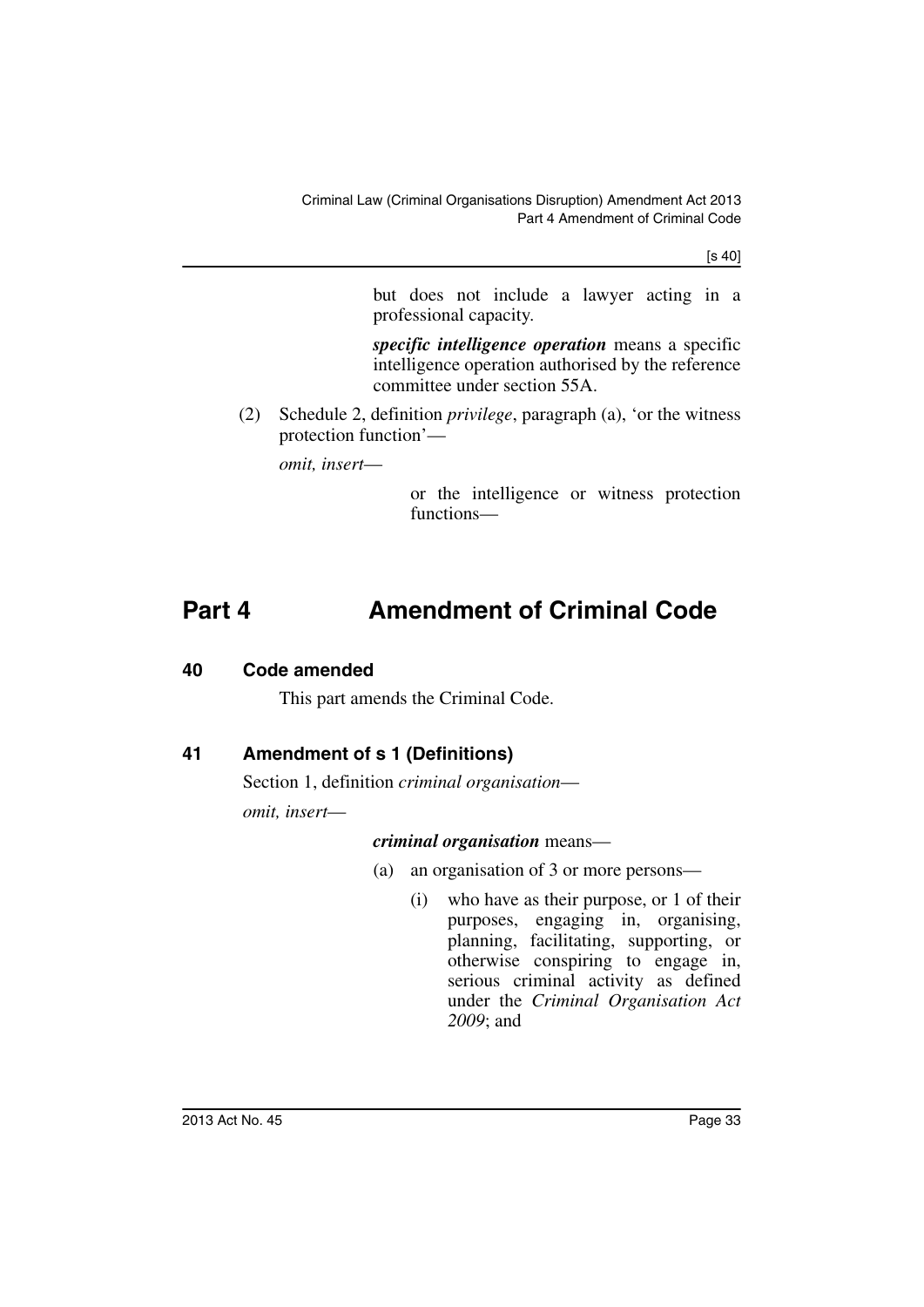[s 40]

but does not include a lawyer acting in a professional capacity.

*specific intelligence operation* means a specific intelligence operation authorised by the reference committee under section 55A.

(2) Schedule 2, definition *privilege*, paragraph (a), 'or the witness protection function'—

*omit, insert*—

or the intelligence or witness protection functions—

## <span id="page-34-0"></span>**Part 4 Amendment of Criminal Code**

#### <span id="page-34-1"></span>**40 Code amended**

This part amends the Criminal Code.

## <span id="page-34-2"></span>**41 Amendment of s 1 (Definitions)**

Section 1, definition *criminal organisation omit, insert*—

#### *criminal organisation* means—

- (a) an organisation of 3 or more persons—
	- (i) who have as their purpose, or 1 of their purposes, engaging in, organising, planning, facilitating, supporting, or otherwise conspiring to engage in, serious criminal activity as defined under the *Criminal Organisation Act 2009*; and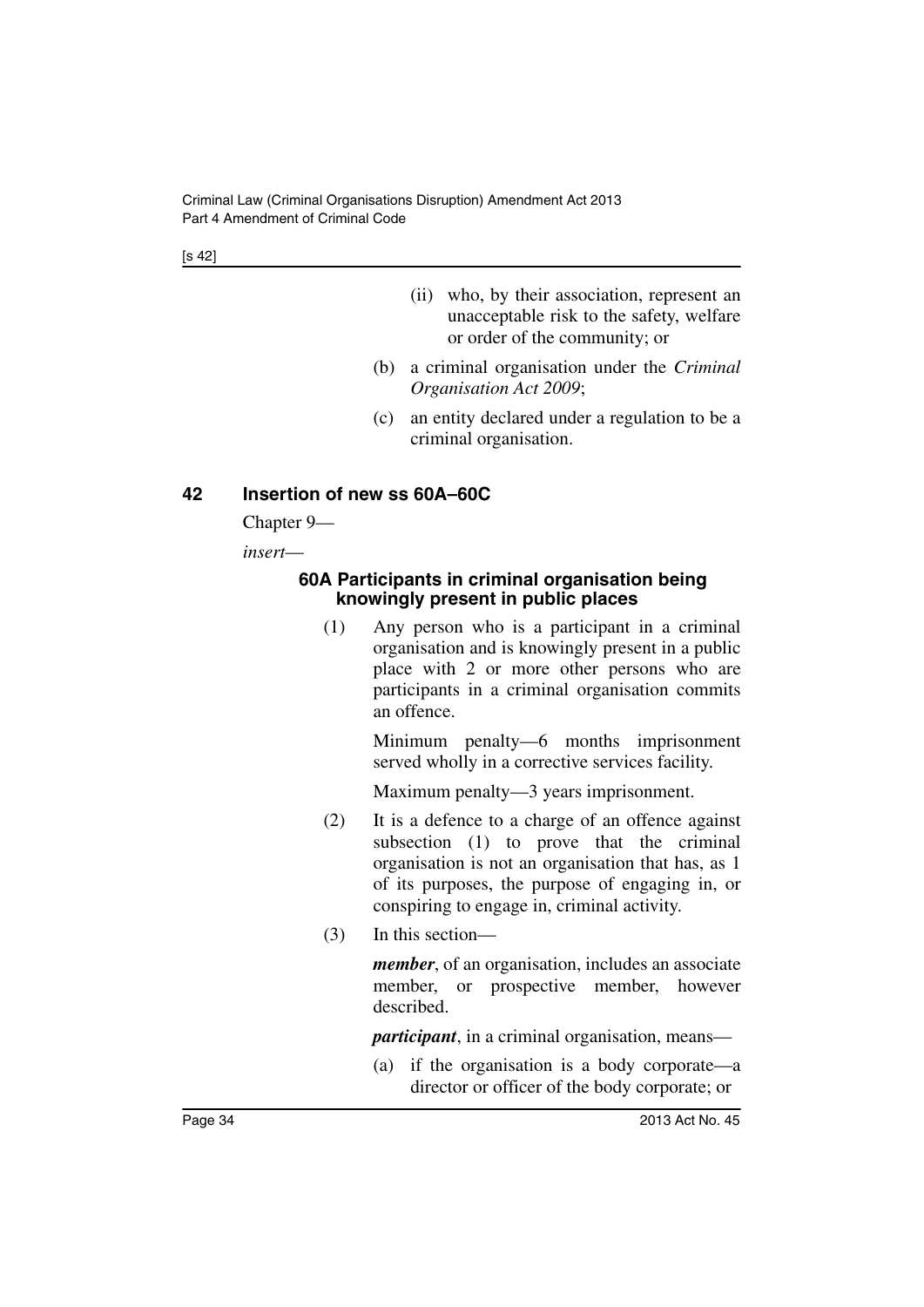[s 42]

- (ii) who, by their association, represent an unacceptable risk to the safety, welfare or order of the community; or
- (b) a criminal organisation under the *Criminal Organisation Act 2009*;
- (c) an entity declared under a regulation to be a criminal organisation.

### <span id="page-35-0"></span>**42 Insertion of new ss 60A–60C**

Chapter 9—

<span id="page-35-1"></span>*insert*—

#### **60A Participants in criminal organisation being knowingly present in public places**

(1) Any person who is a participant in a criminal organisation and is knowingly present in a public place with 2 or more other persons who are participants in a criminal organisation commits an offence.

> Minimum penalty—6 months imprisonment served wholly in a corrective services facility.

Maximum penalty—3 years imprisonment.

- (2) It is a defence to a charge of an offence against subsection (1) to prove that the criminal organisation is not an organisation that has, as 1 of its purposes, the purpose of engaging in, or conspiring to engage in, criminal activity.
- (3) In this section—

*member*, of an organisation, includes an associate member, or prospective member, however described.

*participant*, in a criminal organisation, means—

(a) if the organisation is a body corporate—a director or officer of the body corporate; or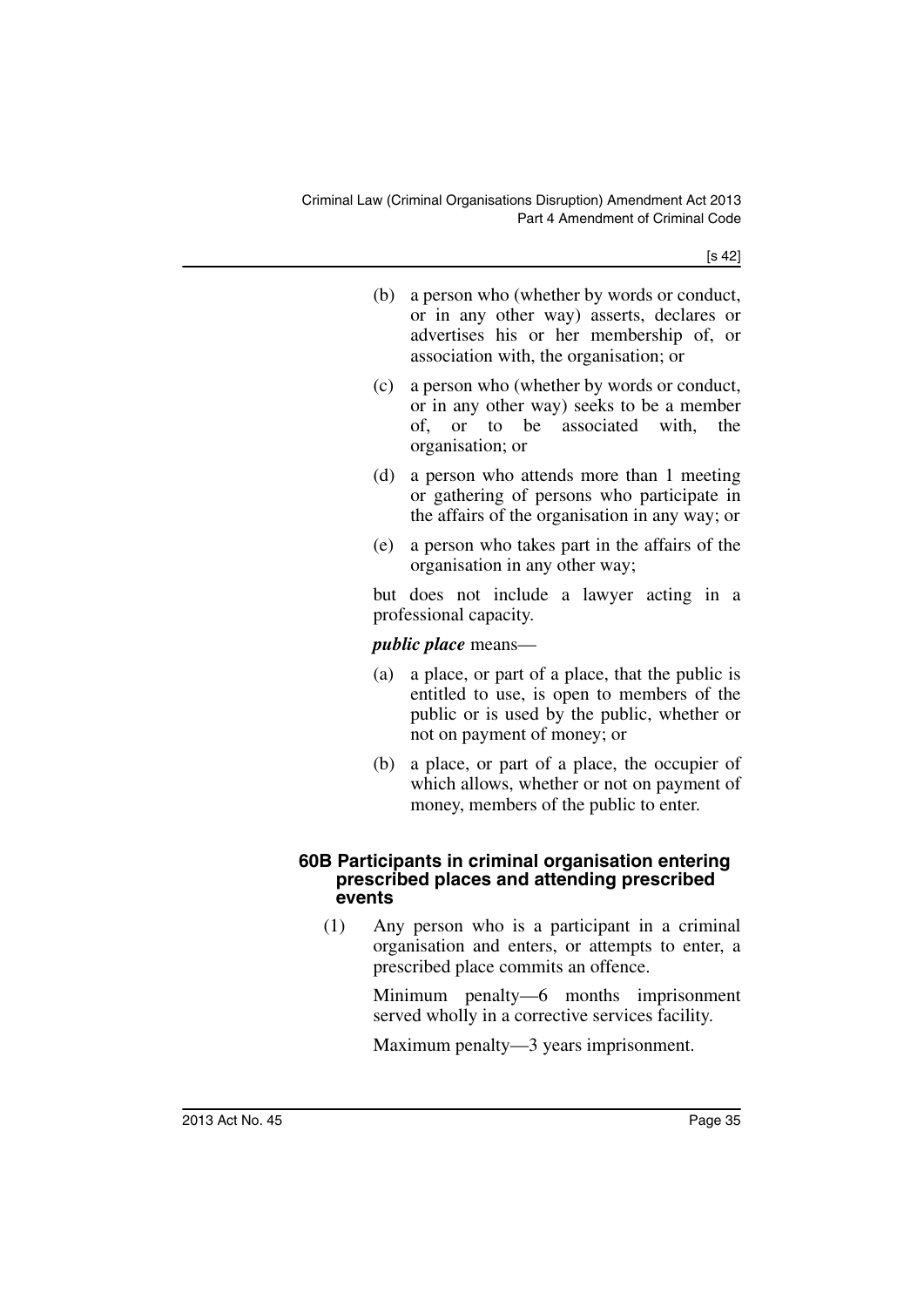[s 42]

| (b) a person who (whether by words or conduct, |  |
|------------------------------------------------|--|
| or in any other way) asserts, declares or      |  |
| advertises his or her membership of, or        |  |
| association with, the organisation; or         |  |

- (c) a person who (whether by words or conduct, or in any other way) seeks to be a member of, or to be associated with, the organisation; or
- (d) a person who attends more than 1 meeting or gathering of persons who participate in the affairs of the organisation in any way; or
- (e) a person who takes part in the affairs of the organisation in any other way;

but does not include a lawyer acting in a professional capacity.

### *public place* means—

- (a) a place, or part of a place, that the public is entitled to use, is open to members of the public or is used by the public, whether or not on payment of money; or
- (b) a place, or part of a place, the occupier of which allows, whether or not on payment of money, members of the public to enter.

#### **60B Participants in criminal organisation entering prescribed places and attending prescribed events**

(1) Any person who is a participant in a criminal organisation and enters, or attempts to enter, a prescribed place commits an offence.

> Minimum penalty—6 months imprisonment served wholly in a corrective services facility.

Maximum penalty—3 years imprisonment.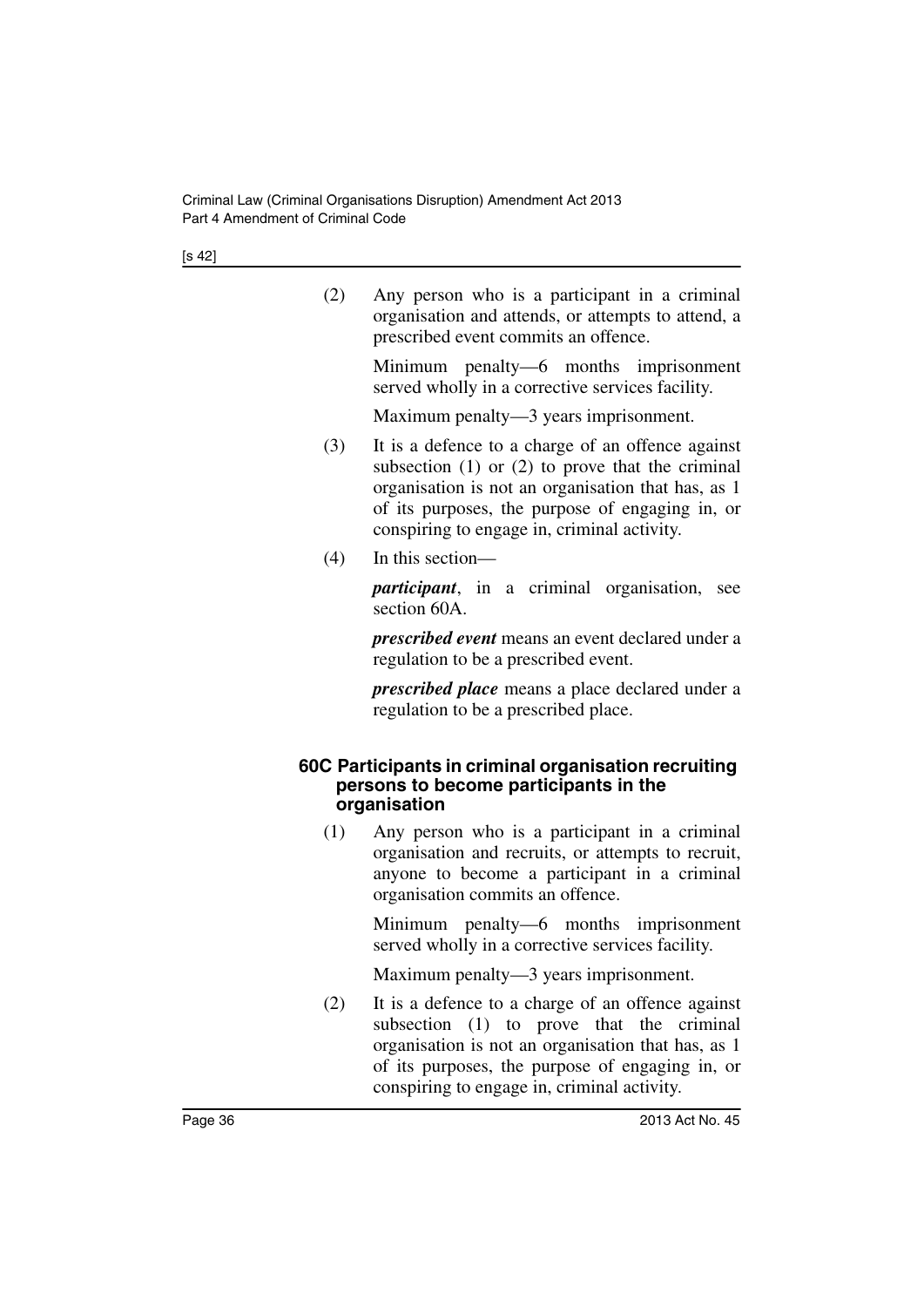[s 42]

| (2) | Any person who is a participant in a criminal      |
|-----|----------------------------------------------------|
|     | organisation and attends, or attempts to attend, a |
|     | prescribed event commits an offence.               |

Minimum penalty—6 months imprisonment served wholly in a corrective services facility.

Maximum penalty—3 years imprisonment.

- (3) It is a defence to a charge of an offence against subsection  $(1)$  or  $(2)$  to prove that the criminal organisation is not an organisation that has, as 1 of its purposes, the purpose of engaging in, or conspiring to engage in, criminal activity.
- (4) In this section—

*participant*, in a criminal organisation, see section 60A

*prescribed event* means an event declared under a regulation to be a prescribed event.

*prescribed place* means a place declared under a regulation to be a prescribed place.

#### **60C Participants in criminal organisation recruiting persons to become participants in the organisation**

(1) Any person who is a participant in a criminal organisation and recruits, or attempts to recruit, anyone to become a participant in a criminal organisation commits an offence.

> Minimum penalty—6 months imprisonment served wholly in a corrective services facility.

Maximum penalty—3 years imprisonment.

(2) It is a defence to a charge of an offence against subsection (1) to prove that the criminal organisation is not an organisation that has, as 1 of its purposes, the purpose of engaging in, or conspiring to engage in, criminal activity.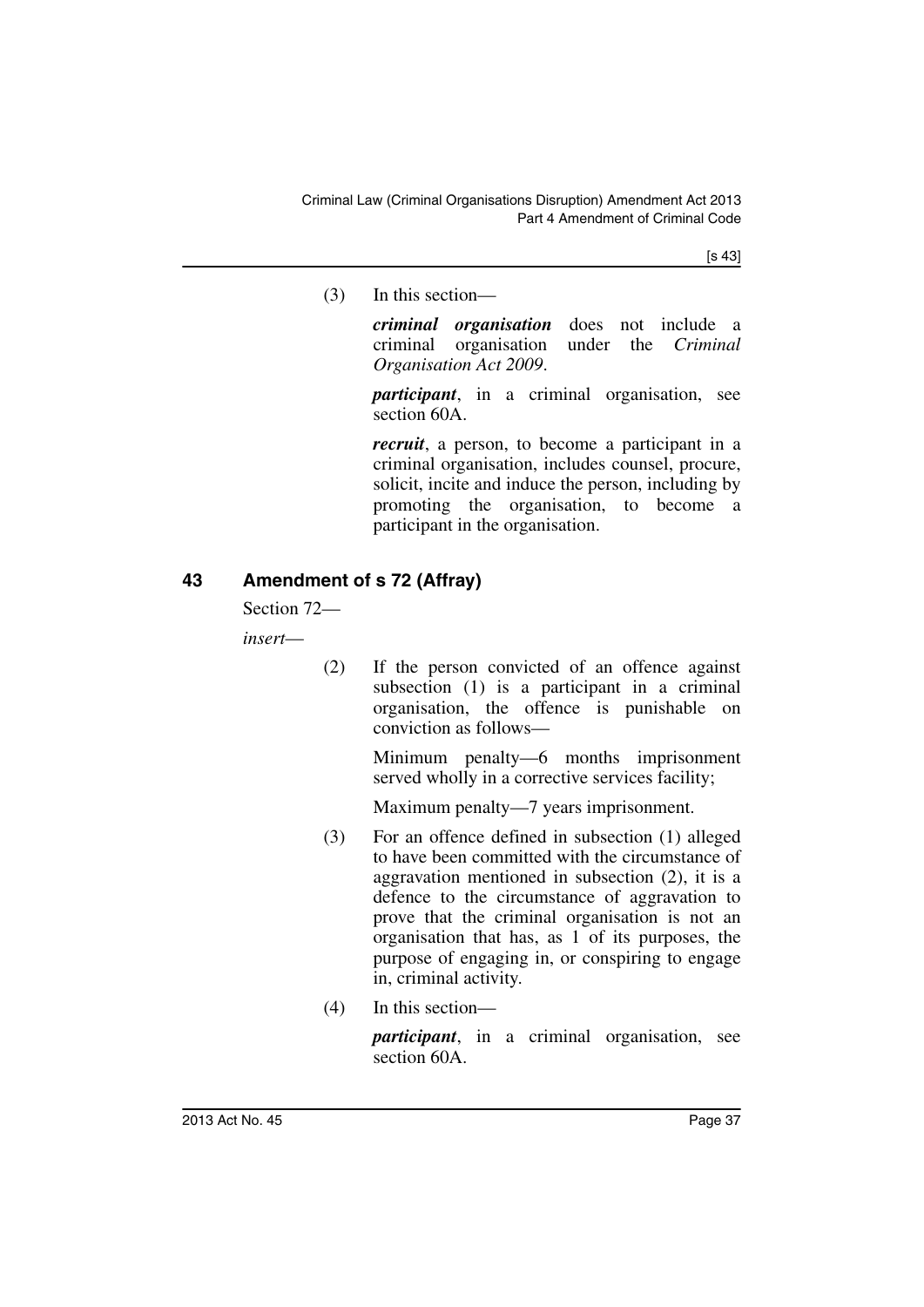[s 43]

(3) In this section—

*criminal organisation* does not include a criminal organisation under the *Criminal Organisation Act 2009*.

*participant*, in a criminal organisation, see section 60A.

*recruit*, a person, to become a participant in a criminal organisation, includes counsel, procure, solicit, incite and induce the person, including by promoting the organisation, to become a participant in the organisation.

### **43 Amendment of s 72 (Affray)**

Section 72—

*insert*—

(2) If the person convicted of an offence against subsection (1) is a participant in a criminal organisation, the offence is punishable on conviction as follows—

> Minimum penalty—6 months imprisonment served wholly in a corrective services facility;

Maximum penalty—7 years imprisonment.

- (3) For an offence defined in subsection (1) alleged to have been committed with the circumstance of aggravation mentioned in subsection (2), it is a defence to the circumstance of aggravation to prove that the criminal organisation is not an organisation that has, as 1 of its purposes, the purpose of engaging in, or conspiring to engage in, criminal activity.
- (4) In this section—

*participant*, in a criminal organisation, see section 60A.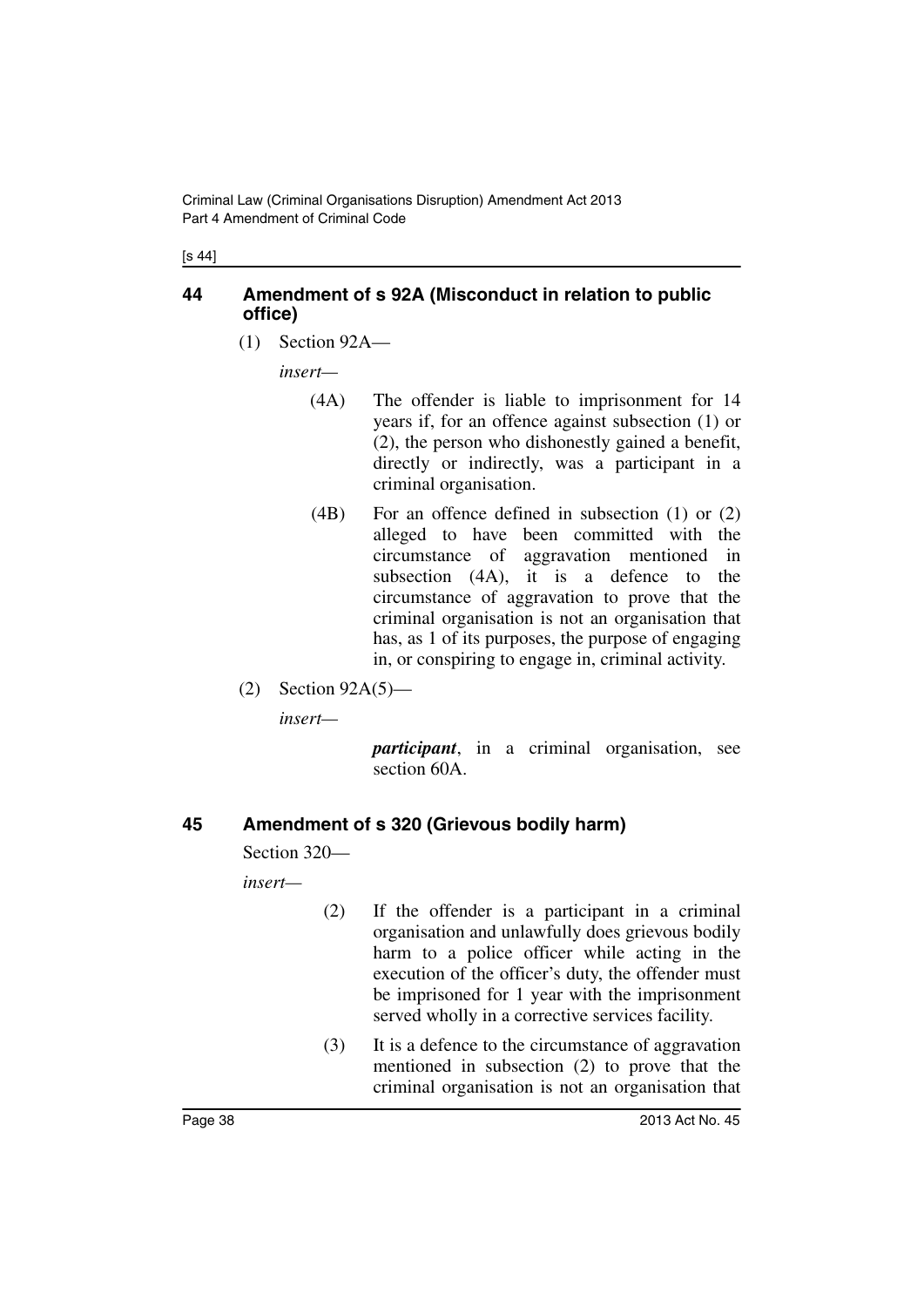[s 44]

### **44 Amendment of s 92A (Misconduct in relation to public office)**

(1) Section 92A—

*insert—*

- (4A) The offender is liable to imprisonment for 14 years if, for an offence against subsection (1) or (2), the person who dishonestly gained a benefit, directly or indirectly, was a participant in a criminal organisation.
- (4B) For an offence defined in subsection (1) or (2) alleged to have been committed with the circumstance of aggravation mentioned in subsection (4A), it is a defence to the circumstance of aggravation to prove that the criminal organisation is not an organisation that has, as 1 of its purposes, the purpose of engaging in, or conspiring to engage in, criminal activity.
- (2) Section 92A(5)—

*insert—*

*participant*, in a criminal organisation, see section 60A.

### **45 Amendment of s 320 (Grievous bodily harm)**

Section 320—

*insert—*

- (2) If the offender is a participant in a criminal organisation and unlawfully does grievous bodily harm to a police officer while acting in the execution of the officer's duty, the offender must be imprisoned for 1 year with the imprisonment served wholly in a corrective services facility.
- (3) It is a defence to the circumstance of aggravation mentioned in subsection (2) to prove that the criminal organisation is not an organisation that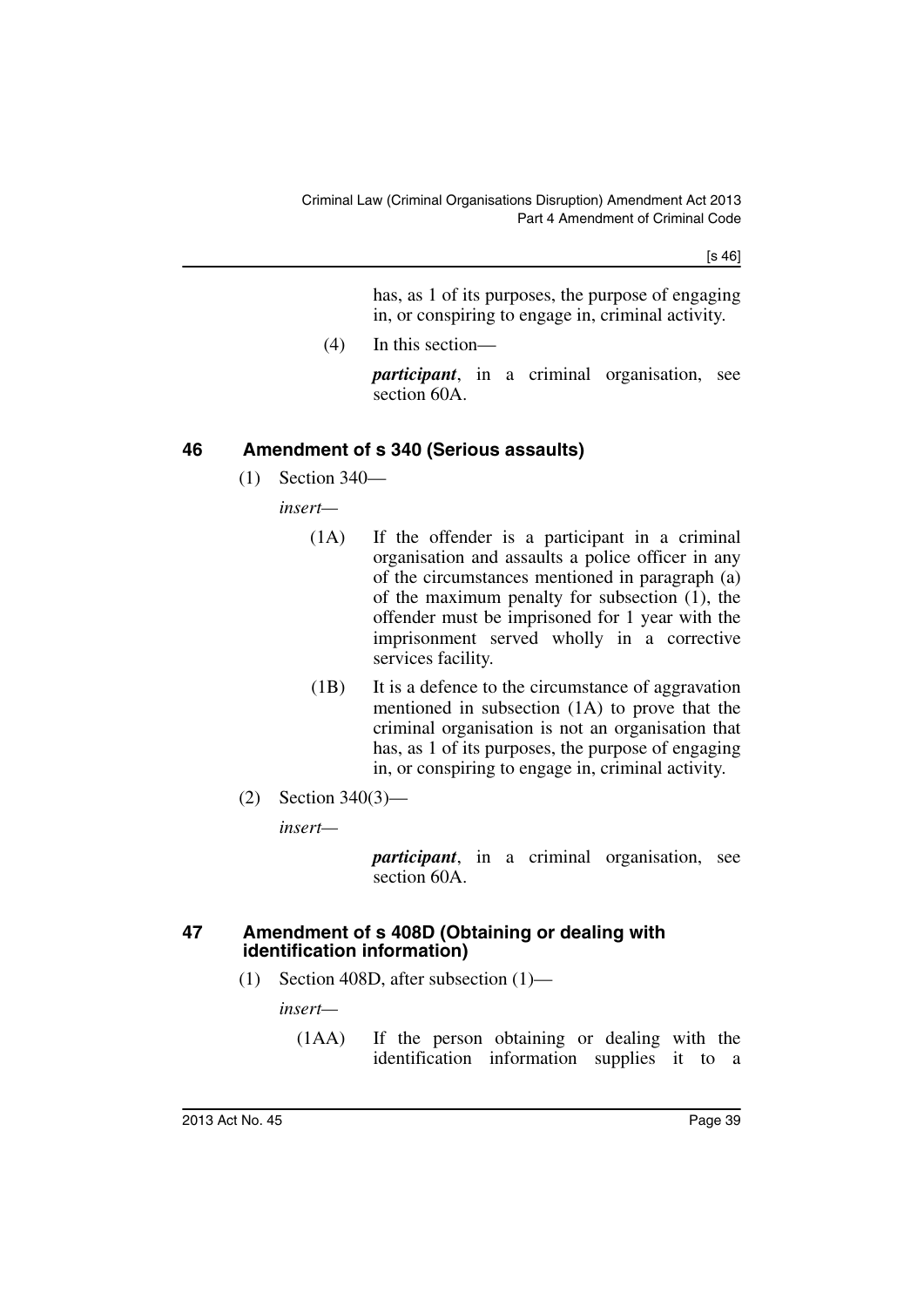[s 46]

has, as 1 of its purposes, the purpose of engaging in, or conspiring to engage in, criminal activity.

(4) In this section—

*participant*, in a criminal organisation, see section 60A.

# **46 Amendment of s 340 (Serious assaults)**

(1) Section 340—

*insert—*

- (1A) If the offender is a participant in a criminal organisation and assaults a police officer in any of the circumstances mentioned in paragraph (a) of the maximum penalty for subsection  $(1)$ , the offender must be imprisoned for 1 year with the imprisonment served wholly in a corrective services facility.
- (1B) It is a defence to the circumstance of aggravation mentioned in subsection (1A) to prove that the criminal organisation is not an organisation that has, as 1 of its purposes, the purpose of engaging in, or conspiring to engage in, criminal activity.
- (2) Section 340(3)—

*insert—*

*participant*, in a criminal organisation, see section 60A.

### **47 Amendment of s 408D (Obtaining or dealing with identification information)**

(1) Section 408D, after subsection (1)—

*insert—*

(1AA) If the person obtaining or dealing with the identification information supplies it to a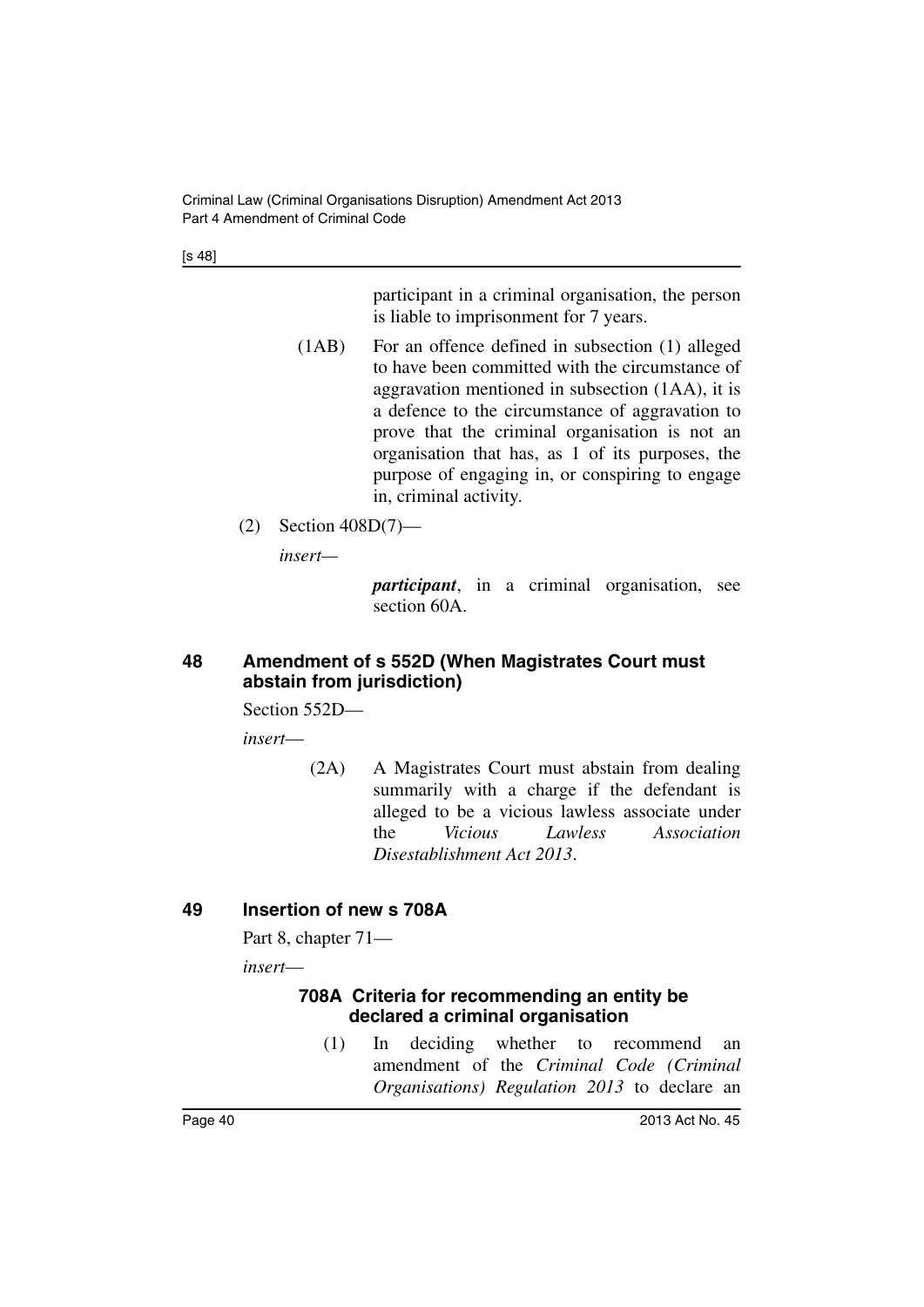[s 48]

participant in a criminal organisation, the person is liable to imprisonment for 7 years.

- (1AB) For an offence defined in subsection (1) alleged to have been committed with the circumstance of aggravation mentioned in subsection (1AA), it is a defence to the circumstance of aggravation to prove that the criminal organisation is not an organisation that has, as 1 of its purposes, the purpose of engaging in, or conspiring to engage in, criminal activity.
- (2) Section 408D(7)—

*insert—*

*participant*, in a criminal organisation, see section 60A.

### **48 Amendment of s 552D (When Magistrates Court must abstain from jurisdiction)**

Section 552D—

*insert*—

(2A) A Magistrates Court must abstain from dealing summarily with a charge if the defendant is alleged to be a vicious lawless associate under the *Vicious Lawless Association Disestablishment Act 2013*.

# **49 Insertion of new s 708A**

Part 8, chapter 71—

*insert*—

### **708A Criteria for recommending an entity be declared a criminal organisation**

(1) In deciding whether to recommend an amendment of the *Criminal Code (Criminal Organisations) Regulation 2013* to declare an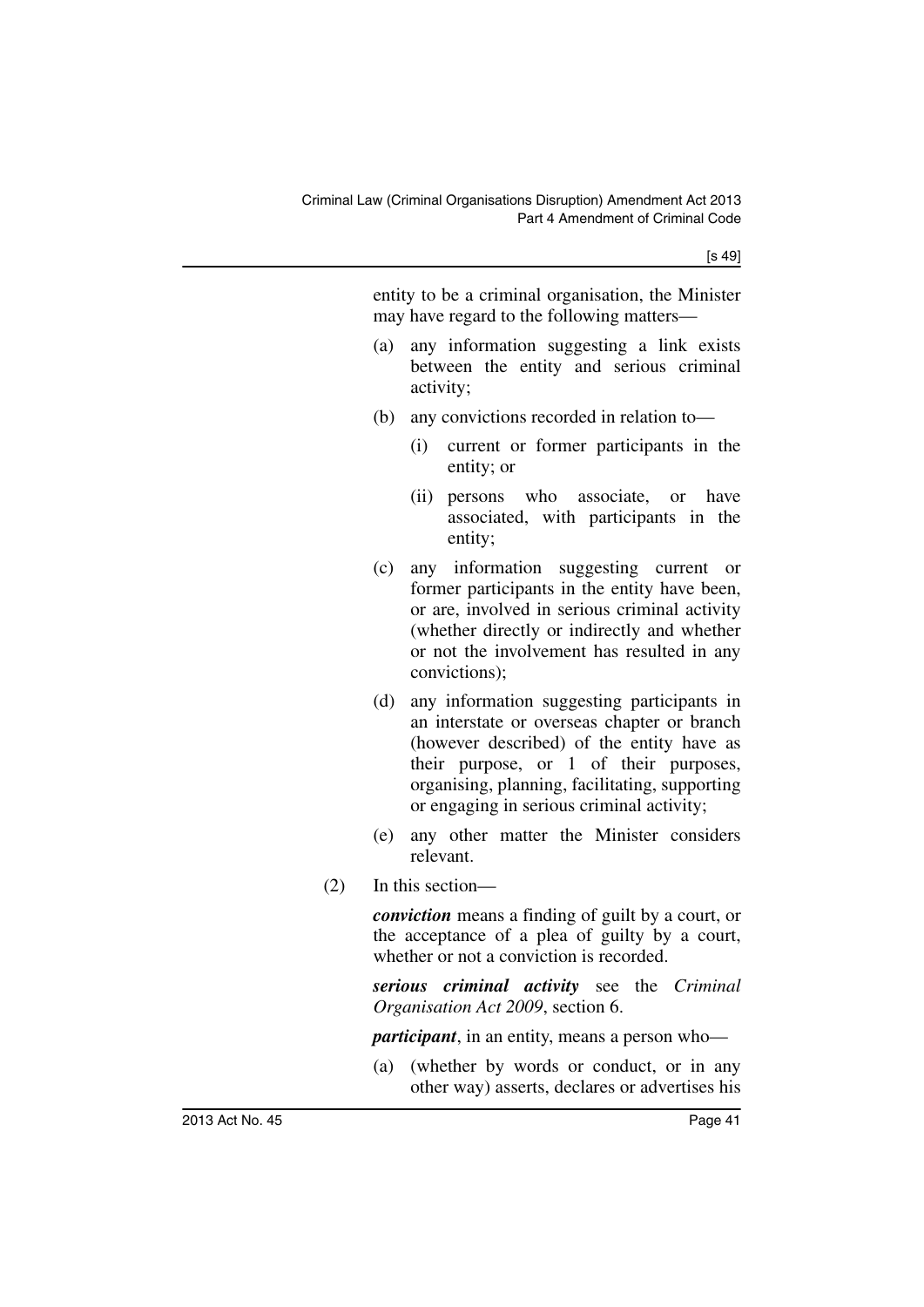[s 49]

entity to be a criminal organisation, the Minister may have regard to the following matters—

- (a) any information suggesting a link exists between the entity and serious criminal activity;
- (b) any convictions recorded in relation to—
	- (i) current or former participants in the entity; or
	- (ii) persons who associate, or have associated, with participants in the entity;
- (c) any information suggesting current or former participants in the entity have been, or are, involved in serious criminal activity (whether directly or indirectly and whether or not the involvement has resulted in any convictions);
- (d) any information suggesting participants in an interstate or overseas chapter or branch (however described) of the entity have as their purpose, or 1 of their purposes, organising, planning, facilitating, supporting or engaging in serious criminal activity;
- (e) any other matter the Minister considers relevant.
- (2) In this section—

*conviction* means a finding of guilt by a court, or the acceptance of a plea of guilty by a court, whether or not a conviction is recorded.

*serious criminal activity* see the *Criminal Organisation Act 2009*, section 6.

*participant*, in an entity, means a person who—

(a) (whether by words or conduct, or in any other way) asserts, declares or advertises his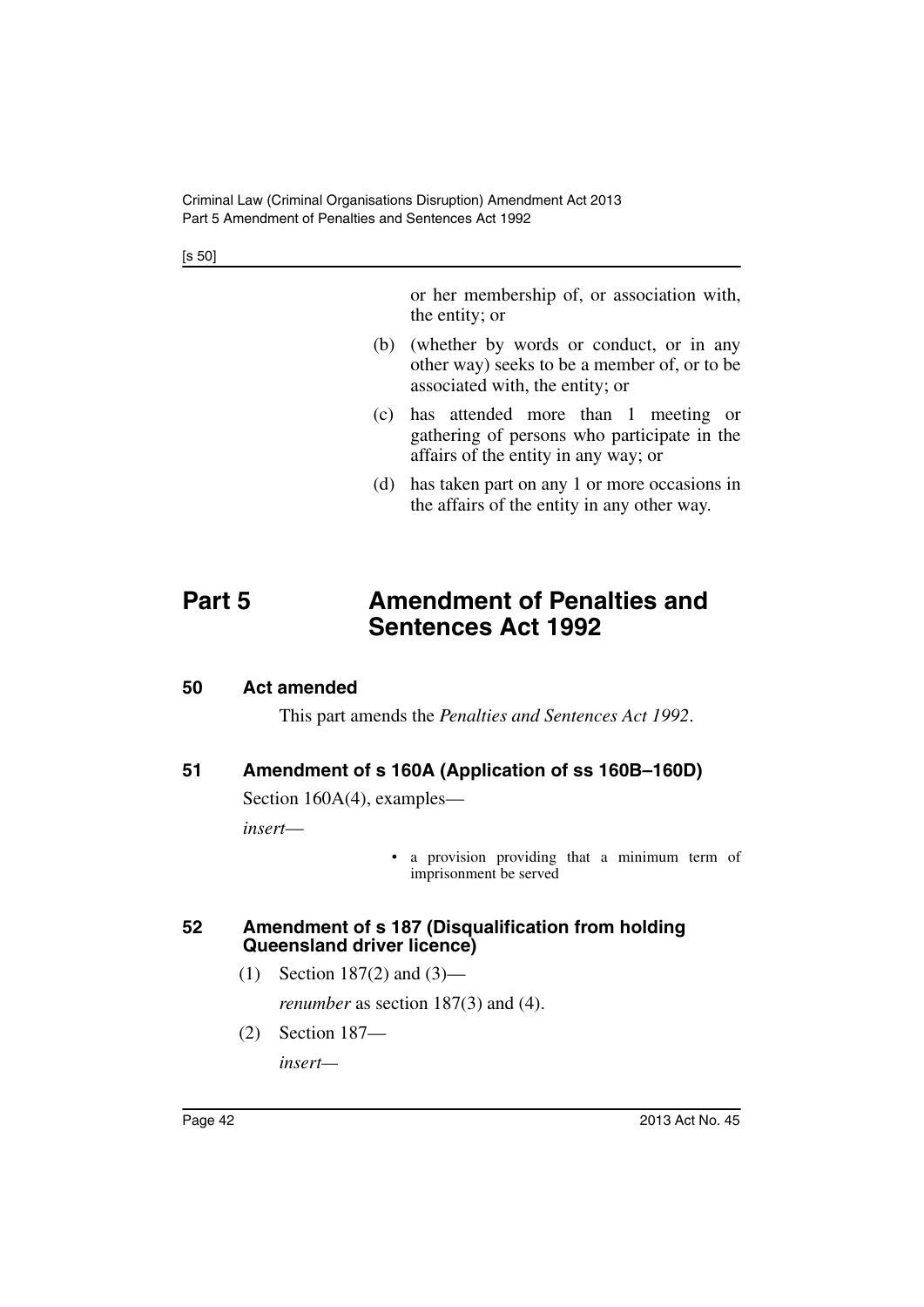[s 50]

or her membership of, or association with, the entity; or

- (b) (whether by words or conduct, or in any other way) seeks to be a member of, or to be associated with, the entity; or
- (c) has attended more than 1 meeting or gathering of persons who participate in the affairs of the entity in any way; or
- (d) has taken part on any 1 or more occasions in the affairs of the entity in any other way.

# **Part 5 Amendment of Penalties and Sentences Act 1992**

### **50 Act amended**

This part amends the *Penalties and Sentences Act 1992*.

# **51 Amendment of s 160A (Application of ss 160B–160D)**

Section 160A(4), examples—

*insert*—

• a provision providing that a minimum term of imprisonment be served

### **52 Amendment of s 187 (Disqualification from holding Queensland driver licence)**

(1) Section 187(2) and (3)—

*renumber* as section 187(3) and (4).

(2) Section 187—

*insert—*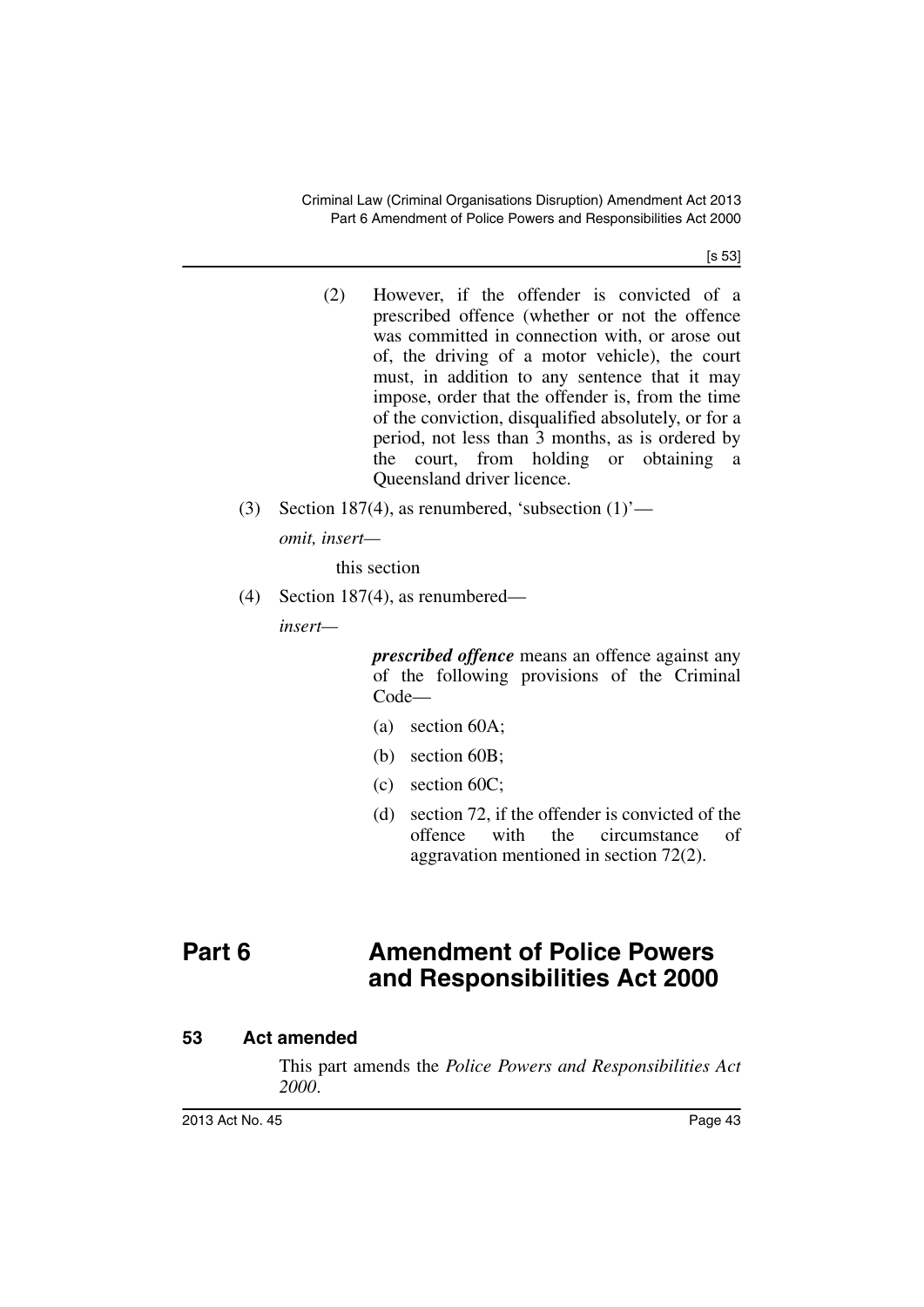[s 53]

- (2) However, if the offender is convicted of a prescribed offence (whether or not the offence was committed in connection with, or arose out of, the driving of a motor vehicle), the court must, in addition to any sentence that it may impose, order that the offender is, from the time of the conviction, disqualified absolutely, or for a period, not less than 3 months, as is ordered by the court, from holding or obtaining a Queensland driver licence.
- (3) Section 187(4), as renumbered, 'subsection  $(1)$ ' *omit, insert—*

this section

(4) Section 187(4), as renumbered—

*insert—*

*prescribed offence* means an offence against any of the following provisions of the Criminal Code—

- (a) section 60A;
- (b) section 60B;
- (c) section 60C;
- (d) section 72, if the offender is convicted of the offence with the circumstance of aggravation mentioned in section 72(2).

# **Part 6 Amendment of Police Powers and Responsibilities Act 2000**

# **53 Act amended**

This part amends the *Police Powers and Responsibilities Act 2000*.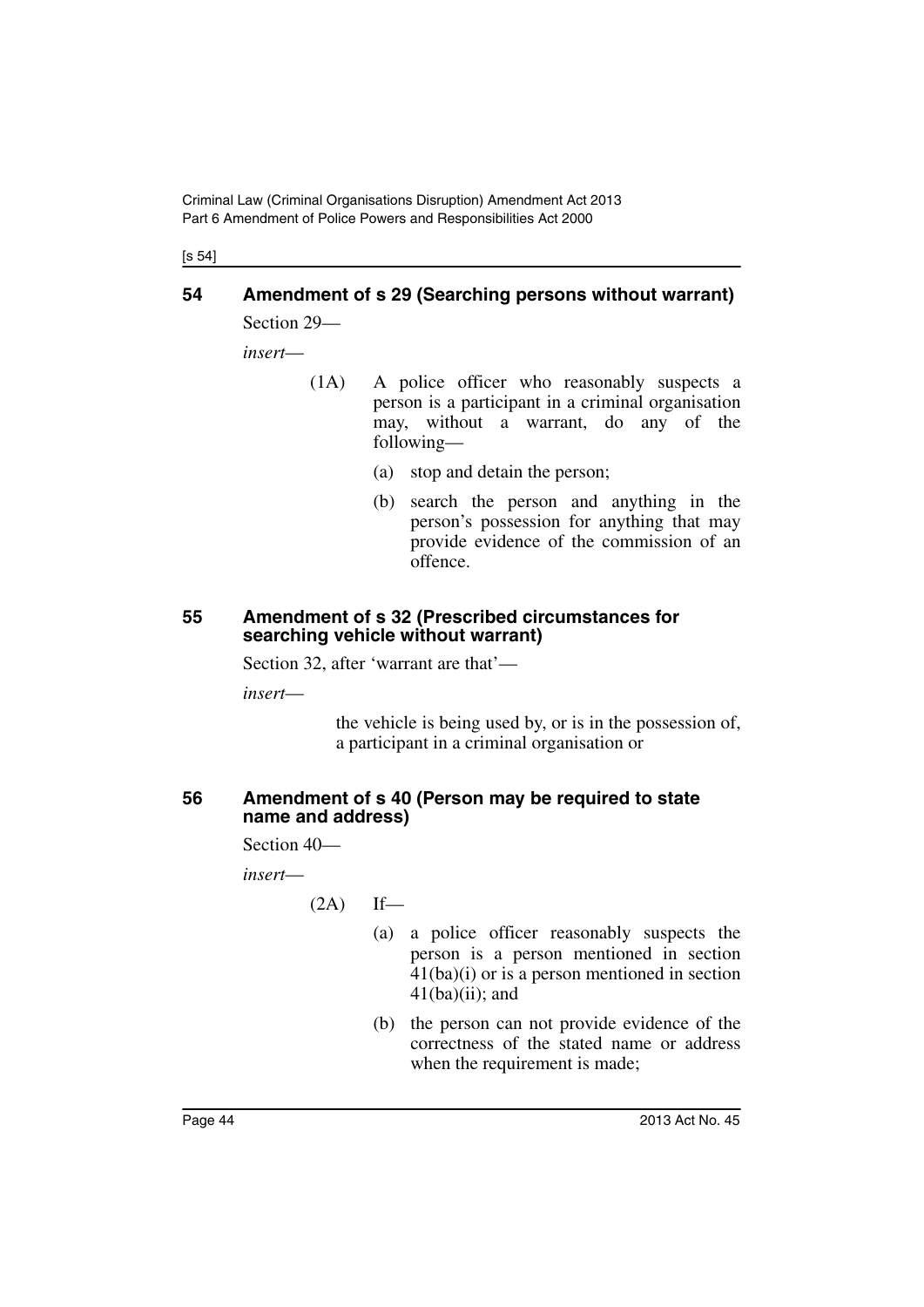[s 54]

# **54 Amendment of s 29 (Searching persons without warrant)**

Section 29—

*insert*—

- (1A) A police officer who reasonably suspects a person is a participant in a criminal organisation may, without a warrant, do any of the following—
	- (a) stop and detain the person;
	- (b) search the person and anything in the person's possession for anything that may provide evidence of the commission of an offence.

#### **55 Amendment of s 32 (Prescribed circumstances for searching vehicle without warrant)**

Section 32, after 'warrant are that'—

*insert*—

the vehicle is being used by, or is in the possession of, a participant in a criminal organisation or

### **56 Amendment of s 40 (Person may be required to state name and address)**

Section 40—

*insert*—

 $(2A)$  If—

- (a) a police officer reasonably suspects the person is a person mentioned in section 41(ba)(i) or is a person mentioned in section  $41(ba)(ii)$ ; and
- (b) the person can not provide evidence of the correctness of the stated name or address when the requirement is made;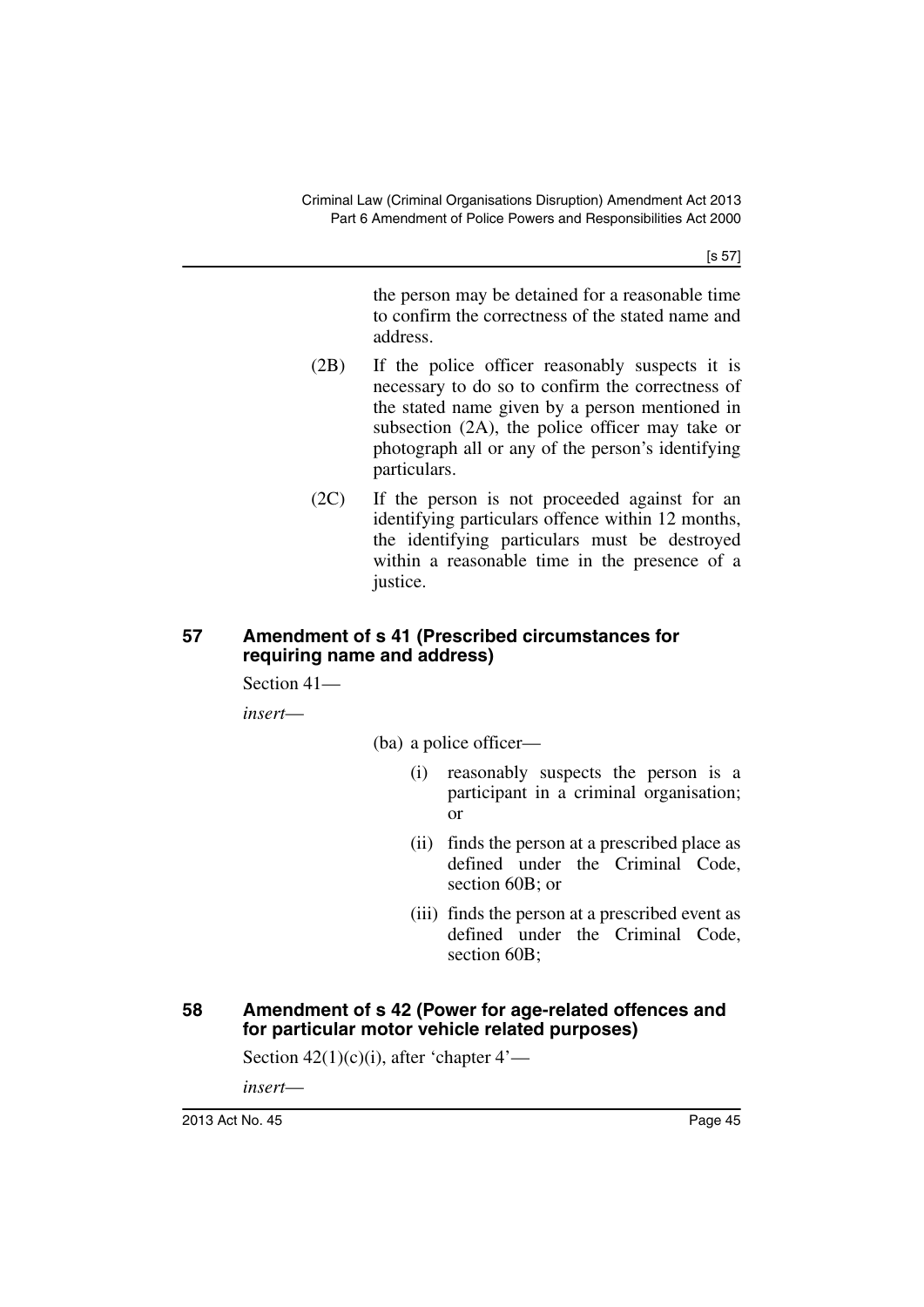[s 57]

the person may be detained for a reasonable time to confirm the correctness of the stated name and address.

- (2B) If the police officer reasonably suspects it is necessary to do so to confirm the correctness of the stated name given by a person mentioned in subsection (2A), the police officer may take or photograph all or any of the person's identifying particulars.
- (2C) If the person is not proceeded against for an identifying particulars offence within 12 months, the identifying particulars must be destroyed within a reasonable time in the presence of a justice.

### **57 Amendment of s 41 (Prescribed circumstances for requiring name and address)**

Section 41—

*insert*—

(ba) a police officer—

- (i) reasonably suspects the person is a participant in a criminal organisation; or
- (ii) finds the person at a prescribed place as defined under the Criminal Code, section 60B; or
- (iii) finds the person at a prescribed event as defined under the Criminal Code, section 60B;

### **58 Amendment of s 42 (Power for age-related offences and for particular motor vehicle related purposes)**

Section  $42(1)(c)(i)$ , after 'chapter  $4'$ —

*insert*—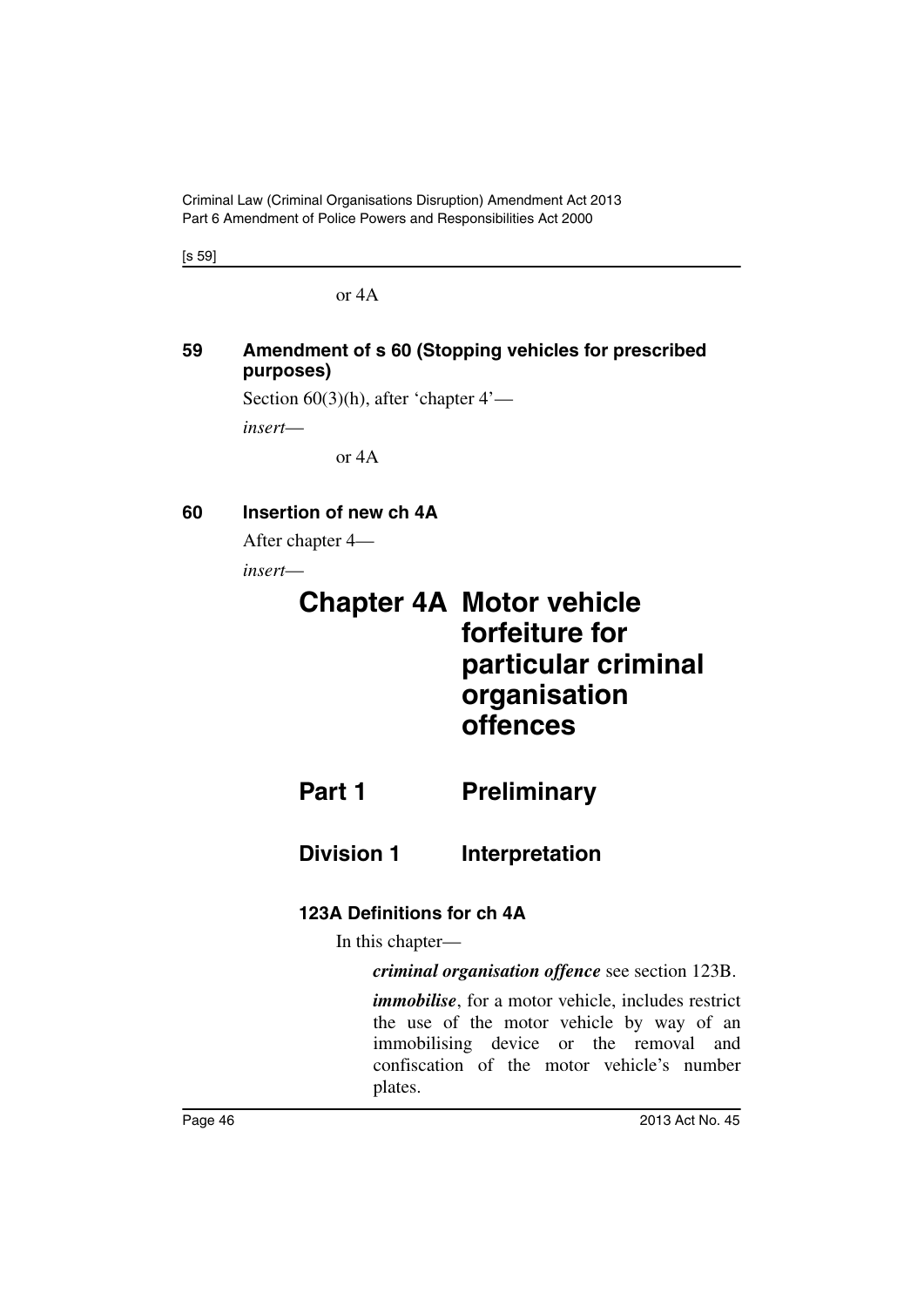Criminal Law (Criminal Organisations Disruption) Amendment Act 2013 Part 6 Amendment of Police Powers and Responsibilities Act 2000

[s 59]

or 4A

### **59 Amendment of s 60 (Stopping vehicles for prescribed purposes)**

Section 60(3)(h), after 'chapter 4'—

*insert*—

or 4A

### **60 Insertion of new ch 4A**

After chapter 4—

*insert*—

# **Chapter 4A Motor vehicle forfeiture for particular criminal organisation offences**

**Part 1** Preliminary

**Division 1** Interpretation

# **123A Definitions for ch 4A**

In this chapter—

*criminal organisation offence* see section 123B.

*immobilise*, for a motor vehicle, includes restrict the use of the motor vehicle by way of an immobilising device or the removal and confiscation of the motor vehicle's number plates.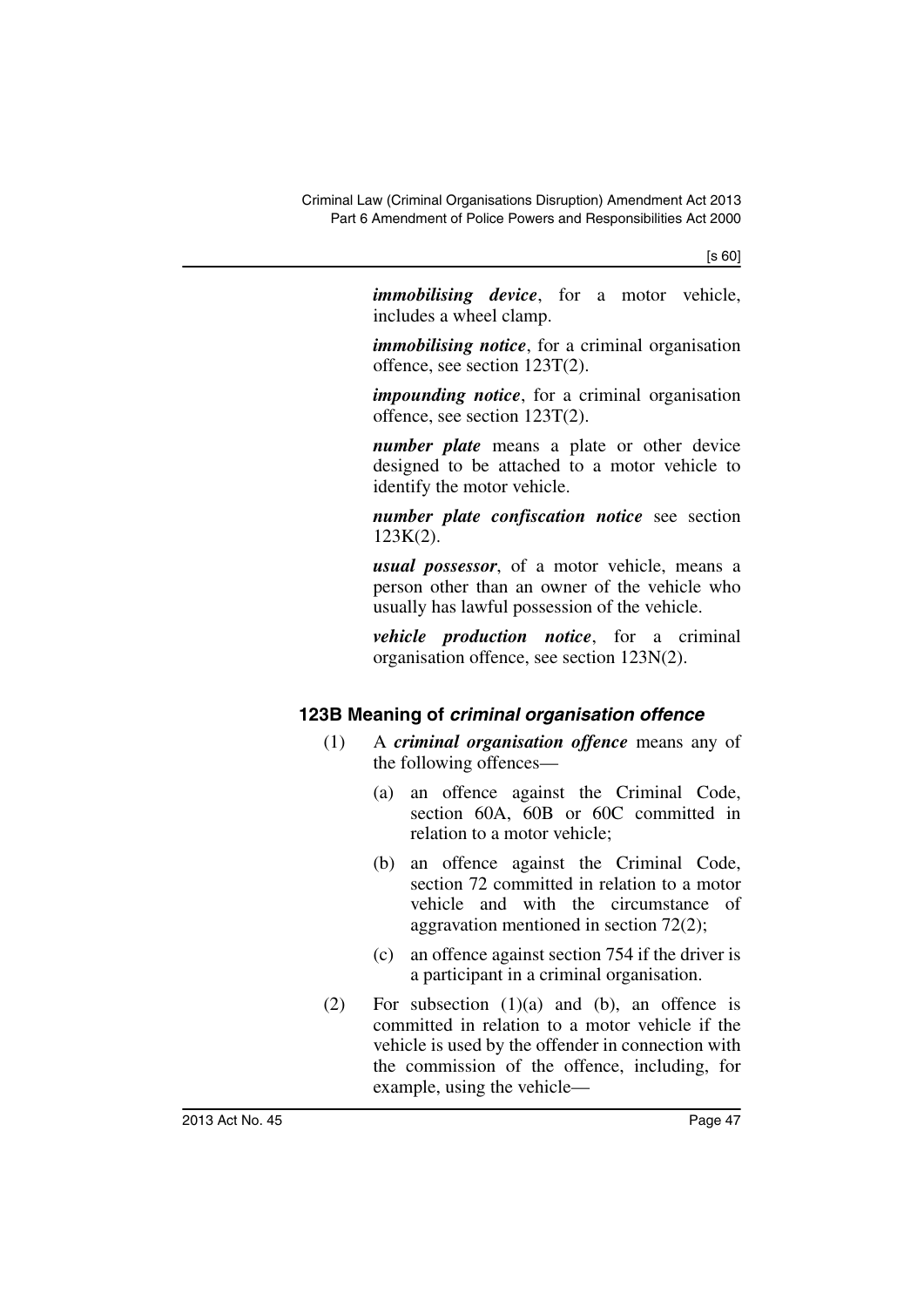*immobilising device*, for a motor vehicle, includes a wheel clamp.

*immobilising notice*, for a criminal organisation offence, see section 123T(2).

*impounding notice*, for a criminal organisation offence, see section 123T(2).

*number plate* means a plate or other device designed to be attached to a motor vehicle to identify the motor vehicle.

*number plate confiscation notice* see section 123K(2).

*usual possessor*, of a motor vehicle, means a person other than an owner of the vehicle who usually has lawful possession of the vehicle.

*vehicle production notice*, for a criminal organisation offence, see section 123N(2).

# **123B Meaning of** *criminal organisation offence*

- (1) A *criminal organisation offence* means any of the following offences—
	- (a) an offence against the Criminal Code, section 60A, 60B or 60C committed in relation to a motor vehicle;
	- (b) an offence against the Criminal Code, section 72 committed in relation to a motor vehicle and with the circumstance of aggravation mentioned in section 72(2);
	- (c) an offence against section 754 if the driver is a participant in a criminal organisation.
- (2) For subsection (1)(a) and (b), an offence is committed in relation to a motor vehicle if the vehicle is used by the offender in connection with the commission of the offence, including, for example, using the vehicle—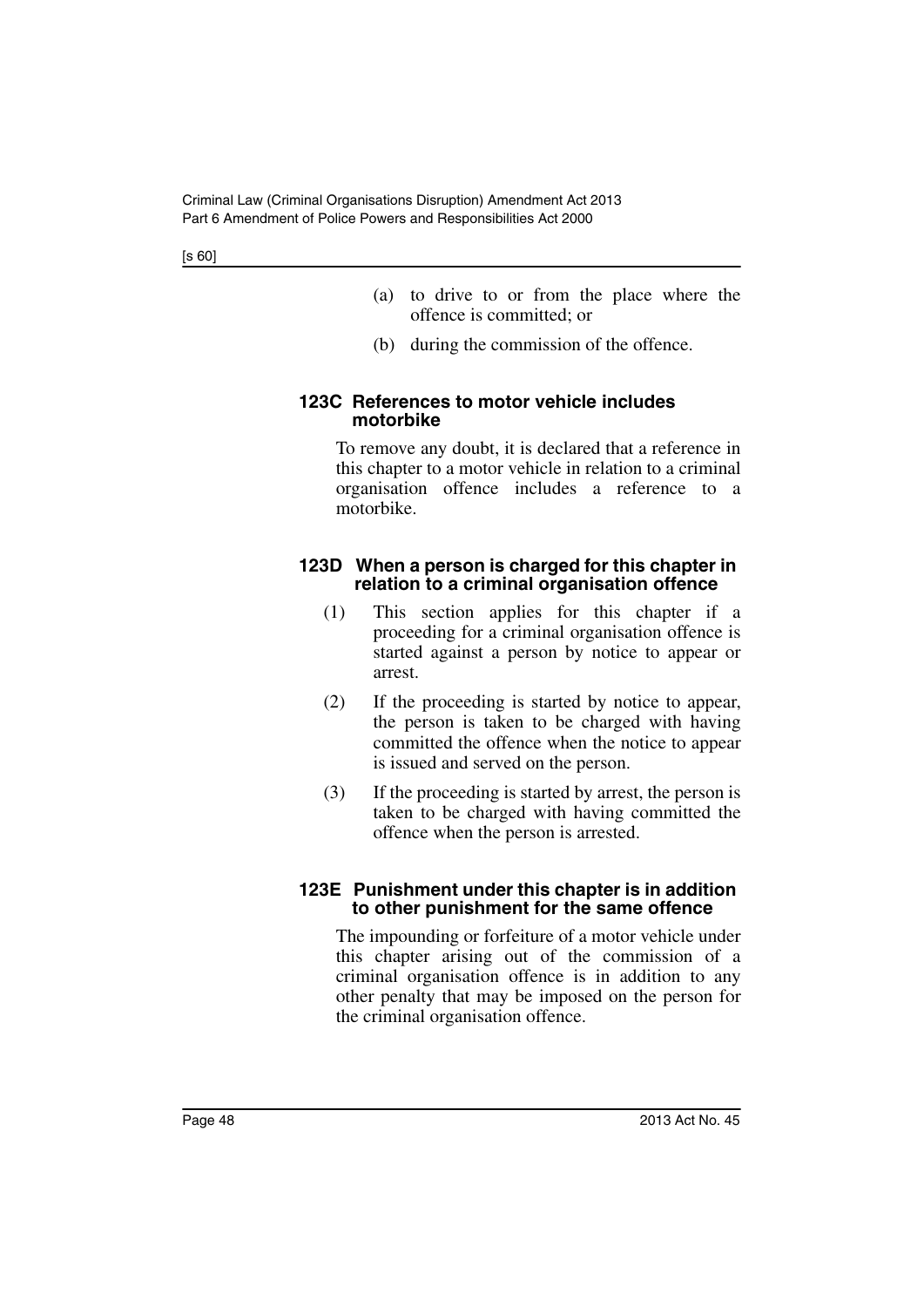- (a) to drive to or from the place where the offence is committed; or
- (b) during the commission of the offence.

### **123C References to motor vehicle includes motorbike**

To remove any doubt, it is declared that a reference in this chapter to a motor vehicle in relation to a criminal organisation offence includes a reference to a motorbike.

### **123D When a person is charged for this chapter in relation to a criminal organisation offence**

- (1) This section applies for this chapter if a proceeding for a criminal organisation offence is started against a person by notice to appear or arrest.
- (2) If the proceeding is started by notice to appear, the person is taken to be charged with having committed the offence when the notice to appear is issued and served on the person.
- (3) If the proceeding is started by arrest, the person is taken to be charged with having committed the offence when the person is arrested.

### **123E Punishment under this chapter is in addition to other punishment for the same offence**

The impounding or forfeiture of a motor vehicle under this chapter arising out of the commission of a criminal organisation offence is in addition to any other penalty that may be imposed on the person for the criminal organisation offence.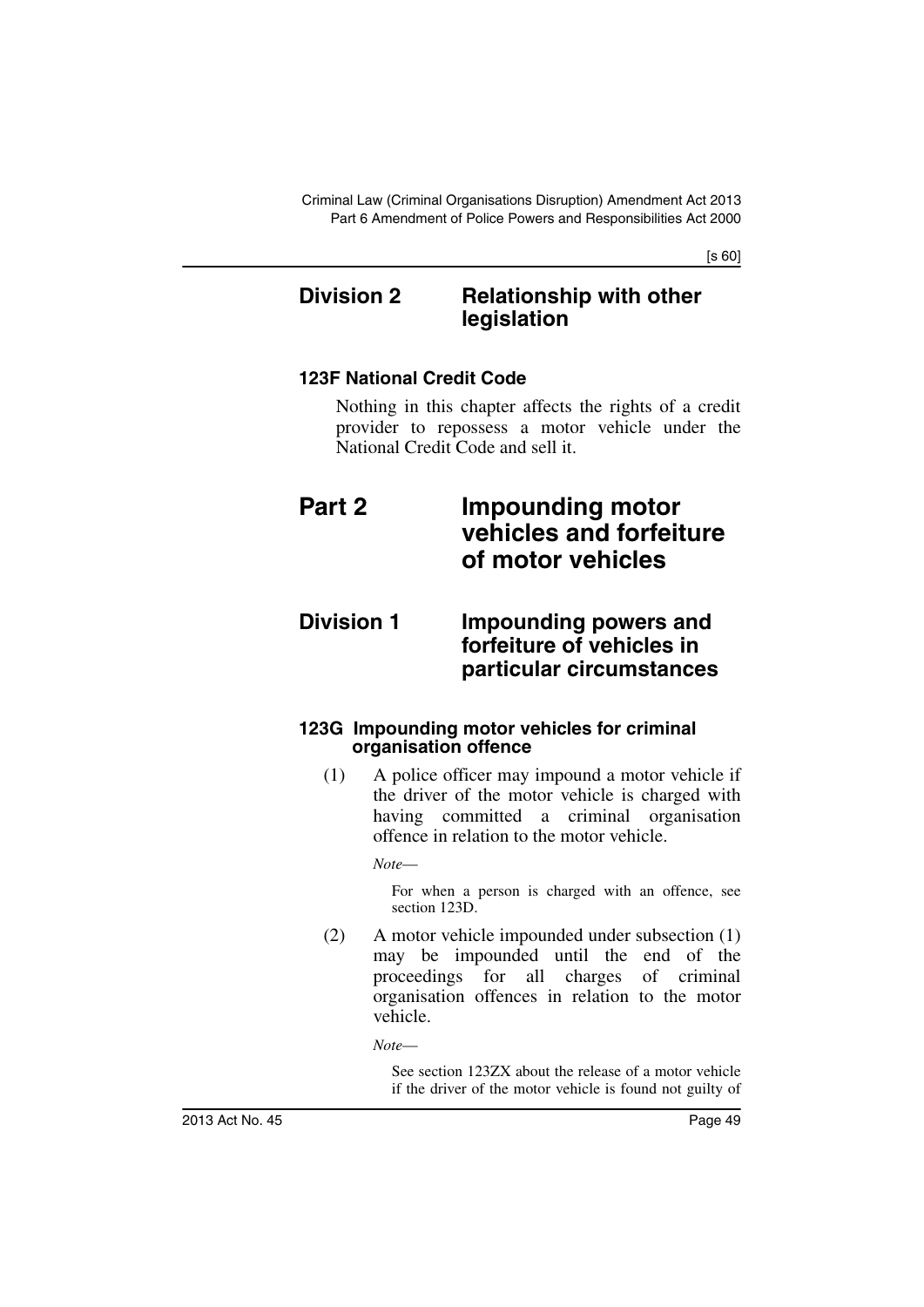# **Division 2 Relationship with other legislation**

# **123F National Credit Code**

Nothing in this chapter affects the rights of a credit provider to repossess a motor vehicle under the National Credit Code and sell it.

# **Part 2 Impounding motor vehicles and forfeiture of motor vehicles**

# **Division 1 Impounding powers and forfeiture of vehicles in particular circumstances**

### **123G Impounding motor vehicles for criminal organisation offence**

(1) A police officer may impound a motor vehicle if the driver of the motor vehicle is charged with having committed a criminal organisation offence in relation to the motor vehicle.

*Note*—

For when a person is charged with an offence, see section 123D.

(2) A motor vehicle impounded under subsection (1) may be impounded until the end of the proceedings for all charges of criminal organisation offences in relation to the motor vehicle.

*Note*—

See section 123ZX about the release of a motor vehicle if the driver of the motor vehicle is found not guilty of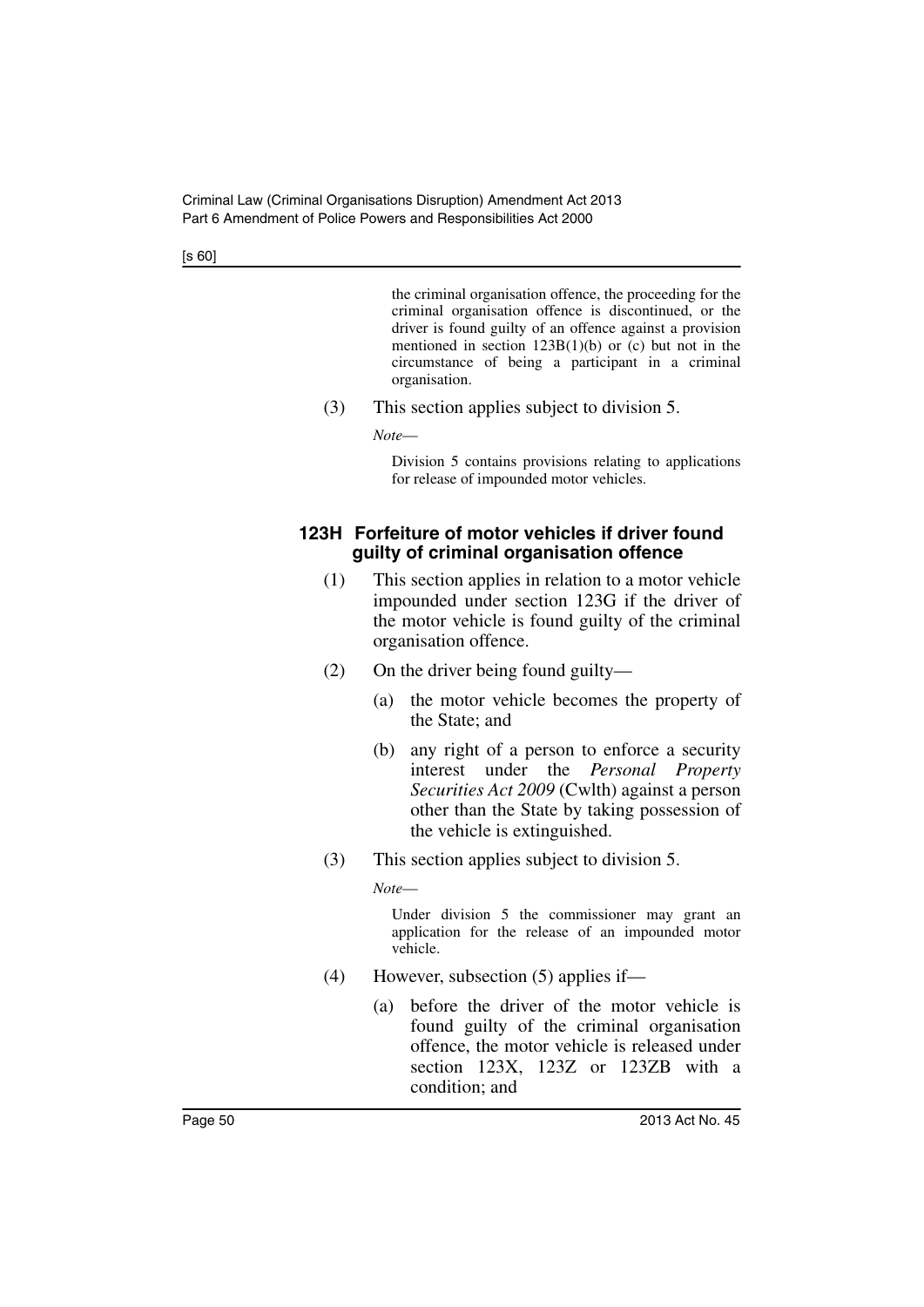the criminal organisation offence, the proceeding for the criminal organisation offence is discontinued, or the driver is found guilty of an offence against a provision mentioned in section  $123B(1)(b)$  or (c) but not in the circumstance of being a participant in a criminal organisation.

(3) This section applies subject to division 5.

*Note*—

Division 5 contains provisions relating to applications for release of impounded motor vehicles.

### **123H Forfeiture of motor vehicles if driver found guilty of criminal organisation offence**

- (1) This section applies in relation to a motor vehicle impounded under section 123G if the driver of the motor vehicle is found guilty of the criminal organisation offence.
- (2) On the driver being found guilty—
	- (a) the motor vehicle becomes the property of the State; and
	- (b) any right of a person to enforce a security interest under the *Personal Property Securities Act 2009* (Cwlth) against a person other than the State by taking possession of the vehicle is extinguished.
- (3) This section applies subject to division 5.

*Note*—

Under division 5 the commissioner may grant an application for the release of an impounded motor vehicle.

- (4) However, subsection (5) applies if—
	- (a) before the driver of the motor vehicle is found guilty of the criminal organisation offence, the motor vehicle is released under section 123X, 123Z or 123ZB with a condition; and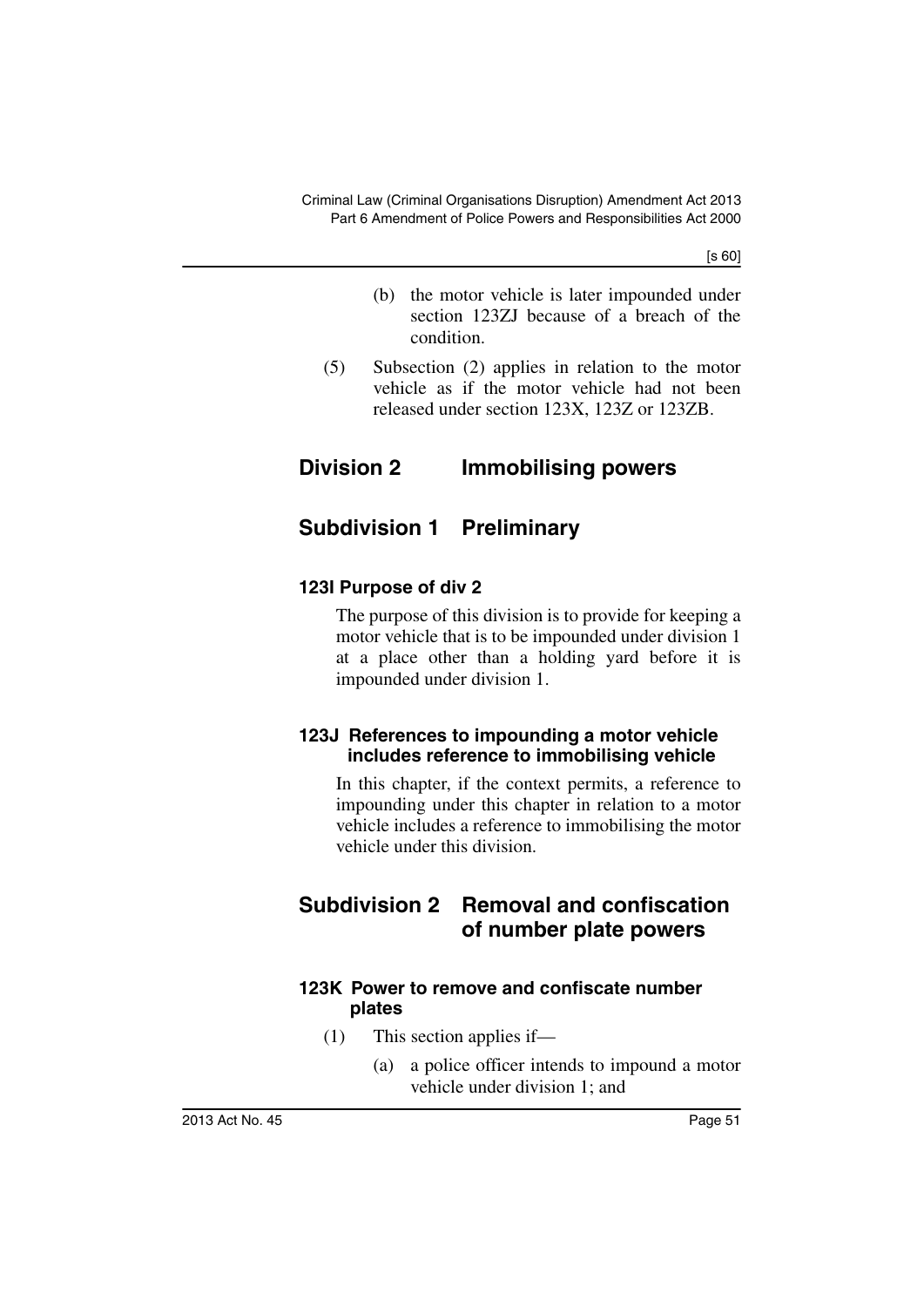- (b) the motor vehicle is later impounded under section 123ZJ because of a breach of the condition.
- (5) Subsection (2) applies in relation to the motor vehicle as if the motor vehicle had not been released under section 123X, 123Z or 123ZB.

# **Division 2 Immobilising powers**

# **Subdivision 1 Preliminary**

# **123I Purpose of div 2**

The purpose of this division is to provide for keeping a motor vehicle that is to be impounded under division 1 at a place other than a holding yard before it is impounded under division 1.

### **123J References to impounding a motor vehicle includes reference to immobilising vehicle**

In this chapter, if the context permits, a reference to impounding under this chapter in relation to a motor vehicle includes a reference to immobilising the motor vehicle under this division.

# **Subdivision 2 Removal and confiscation of number plate powers**

### **123K Power to remove and confiscate number plates**

- (1) This section applies if—
	- (a) a police officer intends to impound a motor vehicle under division 1; and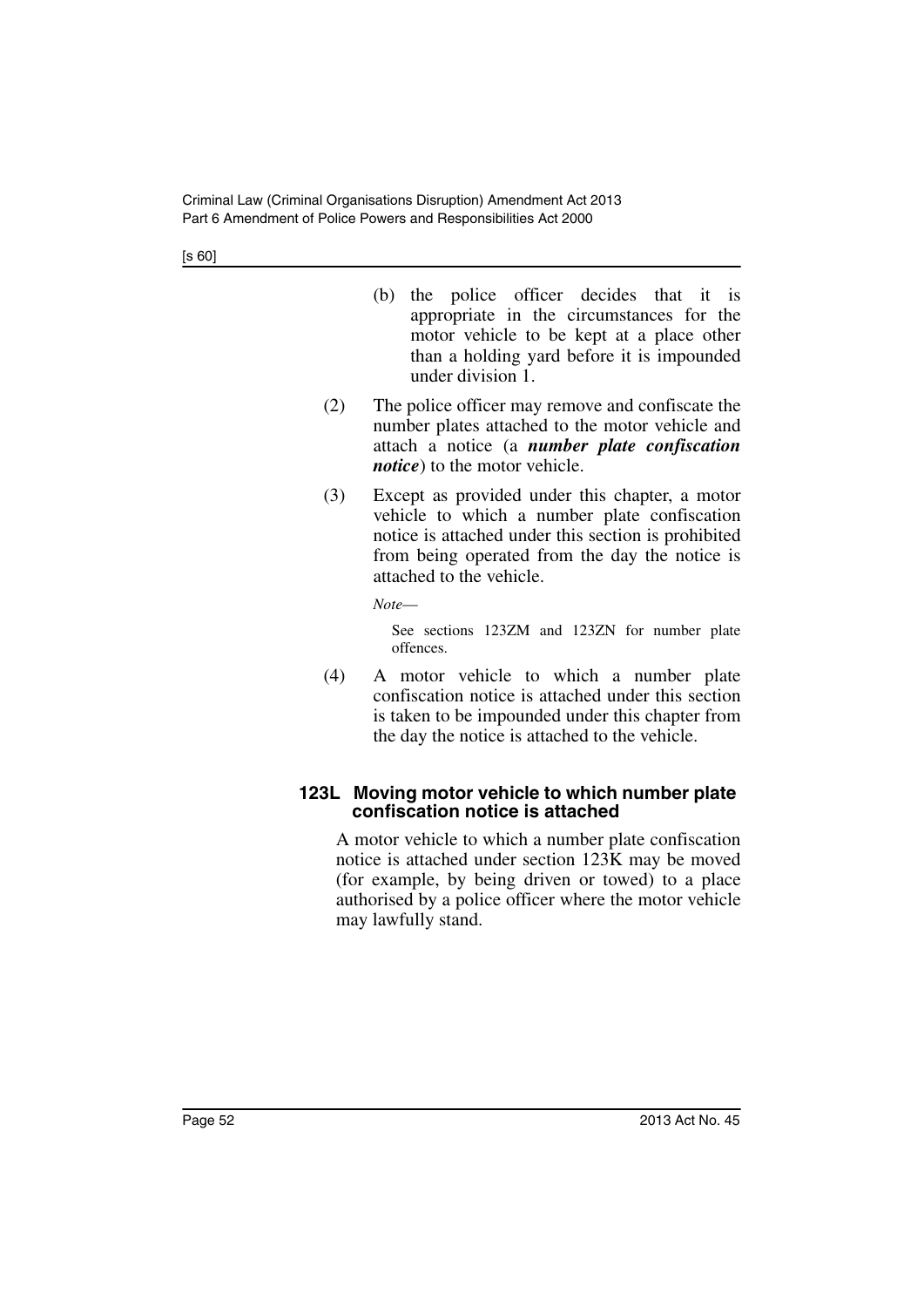- (b) the police officer decides that it is appropriate in the circumstances for the motor vehicle to be kept at a place other than a holding yard before it is impounded under division 1.
- (2) The police officer may remove and confiscate the number plates attached to the motor vehicle and attach a notice (a *number plate confiscation notice*) to the motor vehicle.
- (3) Except as provided under this chapter, a motor vehicle to which a number plate confiscation notice is attached under this section is prohibited from being operated from the day the notice is attached to the vehicle.

*Note*—

See sections 123ZM and 123ZN for number plate offences.

(4) A motor vehicle to which a number plate confiscation notice is attached under this section is taken to be impounded under this chapter from the day the notice is attached to the vehicle.

### **123L Moving motor vehicle to which number plate confiscation notice is attached**

A motor vehicle to which a number plate confiscation notice is attached under section 123K may be moved (for example, by being driven or towed) to a place authorised by a police officer where the motor vehicle may lawfully stand.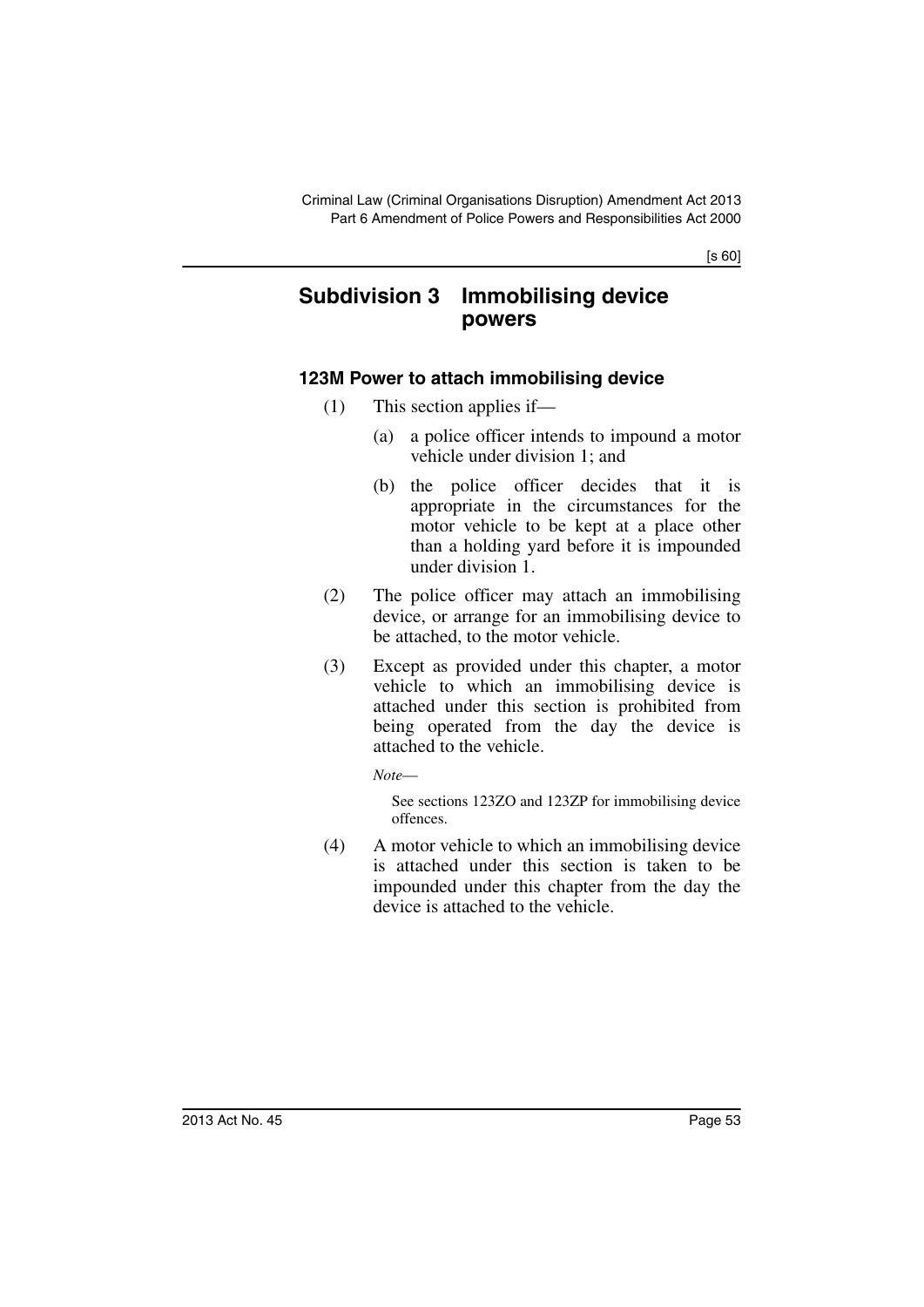# **Subdivision 3 Immobilising device powers**

### **123M Power to attach immobilising device**

- (1) This section applies if—
	- (a) a police officer intends to impound a motor vehicle under division 1; and
	- (b) the police officer decides that it is appropriate in the circumstances for the motor vehicle to be kept at a place other than a holding yard before it is impounded under division 1.
- (2) The police officer may attach an immobilising device, or arrange for an immobilising device to be attached, to the motor vehicle.
- (3) Except as provided under this chapter, a motor vehicle to which an immobilising device is attached under this section is prohibited from being operated from the day the device is attached to the vehicle.

*Note*—

See sections 123ZO and 123ZP for immobilising device offences.

(4) A motor vehicle to which an immobilising device is attached under this section is taken to be impounded under this chapter from the day the device is attached to the vehicle.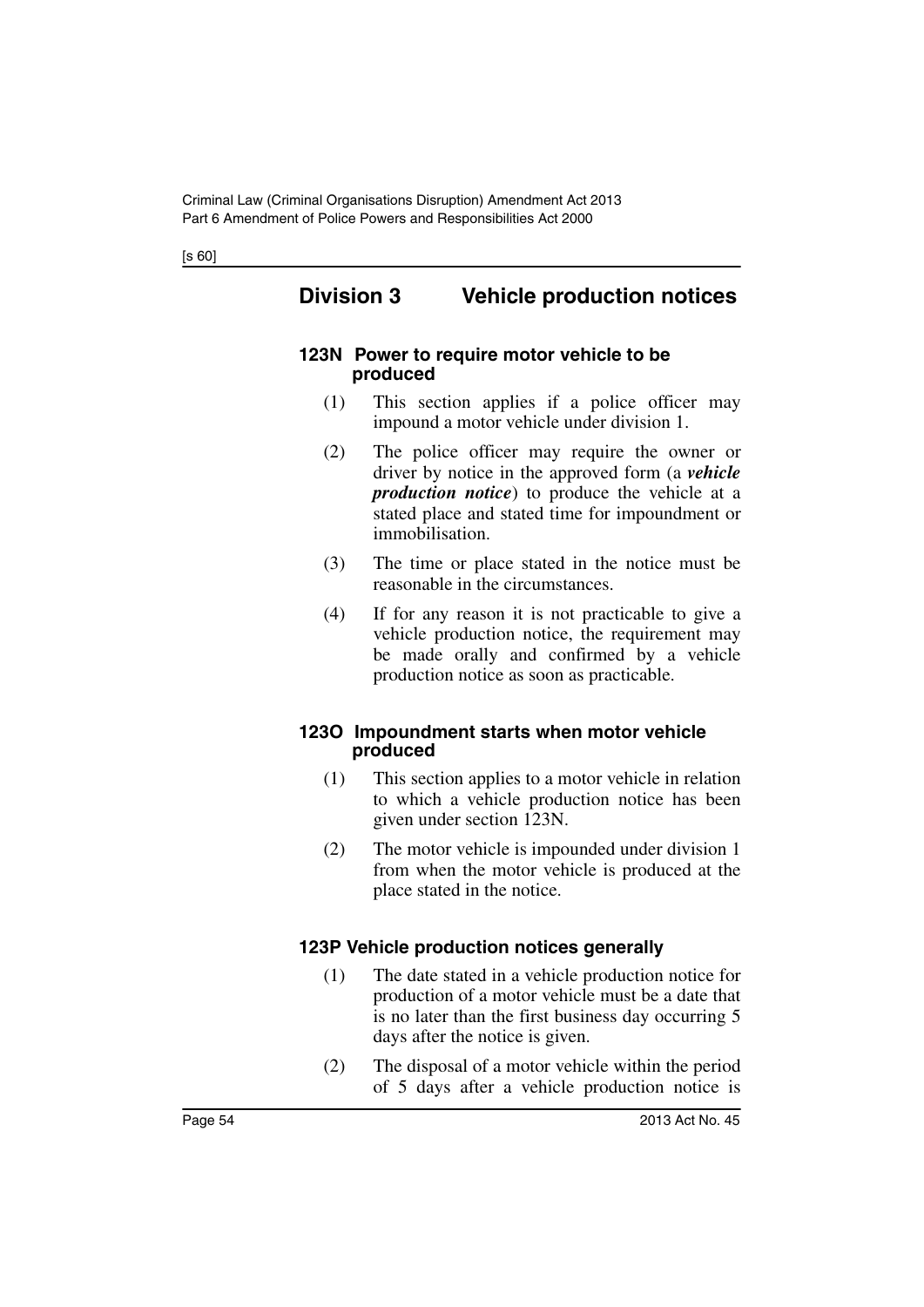# **Division 3 Vehicle production notices**

#### **123N Power to require motor vehicle to be produced**

- (1) This section applies if a police officer may impound a motor vehicle under division 1.
- (2) The police officer may require the owner or driver by notice in the approved form (a *vehicle production notice*) to produce the vehicle at a stated place and stated time for impoundment or immobilisation.
- (3) The time or place stated in the notice must be reasonable in the circumstances.
- (4) If for any reason it is not practicable to give a vehicle production notice, the requirement may be made orally and confirmed by a vehicle production notice as soon as practicable.

### **123O Impoundment starts when motor vehicle produced**

- (1) This section applies to a motor vehicle in relation to which a vehicle production notice has been given under section 123N.
- (2) The motor vehicle is impounded under division 1 from when the motor vehicle is produced at the place stated in the notice.

### **123P Vehicle production notices generally**

- (1) The date stated in a vehicle production notice for production of a motor vehicle must be a date that is no later than the first business day occurring 5 days after the notice is given.
- (2) The disposal of a motor vehicle within the period of 5 days after a vehicle production notice is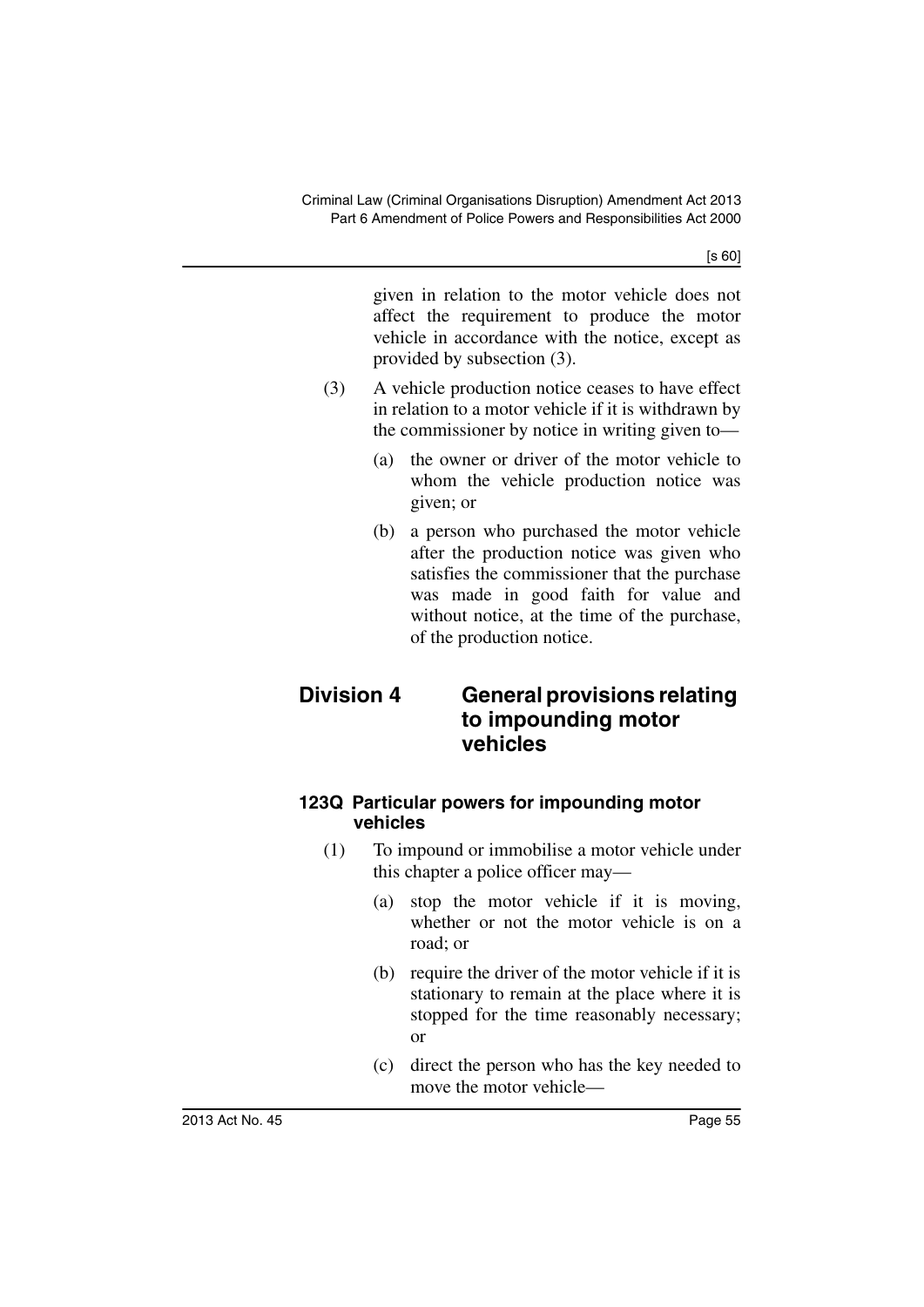given in relation to the motor vehicle does not affect the requirement to produce the motor vehicle in accordance with the notice, except as provided by subsection (3).

- (3) A vehicle production notice ceases to have effect in relation to a motor vehicle if it is withdrawn by the commissioner by notice in writing given to—
	- (a) the owner or driver of the motor vehicle to whom the vehicle production notice was given; or
	- (b) a person who purchased the motor vehicle after the production notice was given who satisfies the commissioner that the purchase was made in good faith for value and without notice, at the time of the purchase, of the production notice.

# **Division 4 General provisions relating to impounding motor vehicles**

### **123Q Particular powers for impounding motor vehicles**

- (1) To impound or immobilise a motor vehicle under this chapter a police officer may—
	- (a) stop the motor vehicle if it is moving, whether or not the motor vehicle is on a road; or
	- (b) require the driver of the motor vehicle if it is stationary to remain at the place where it is stopped for the time reasonably necessary; or
	- (c) direct the person who has the key needed to move the motor vehicle—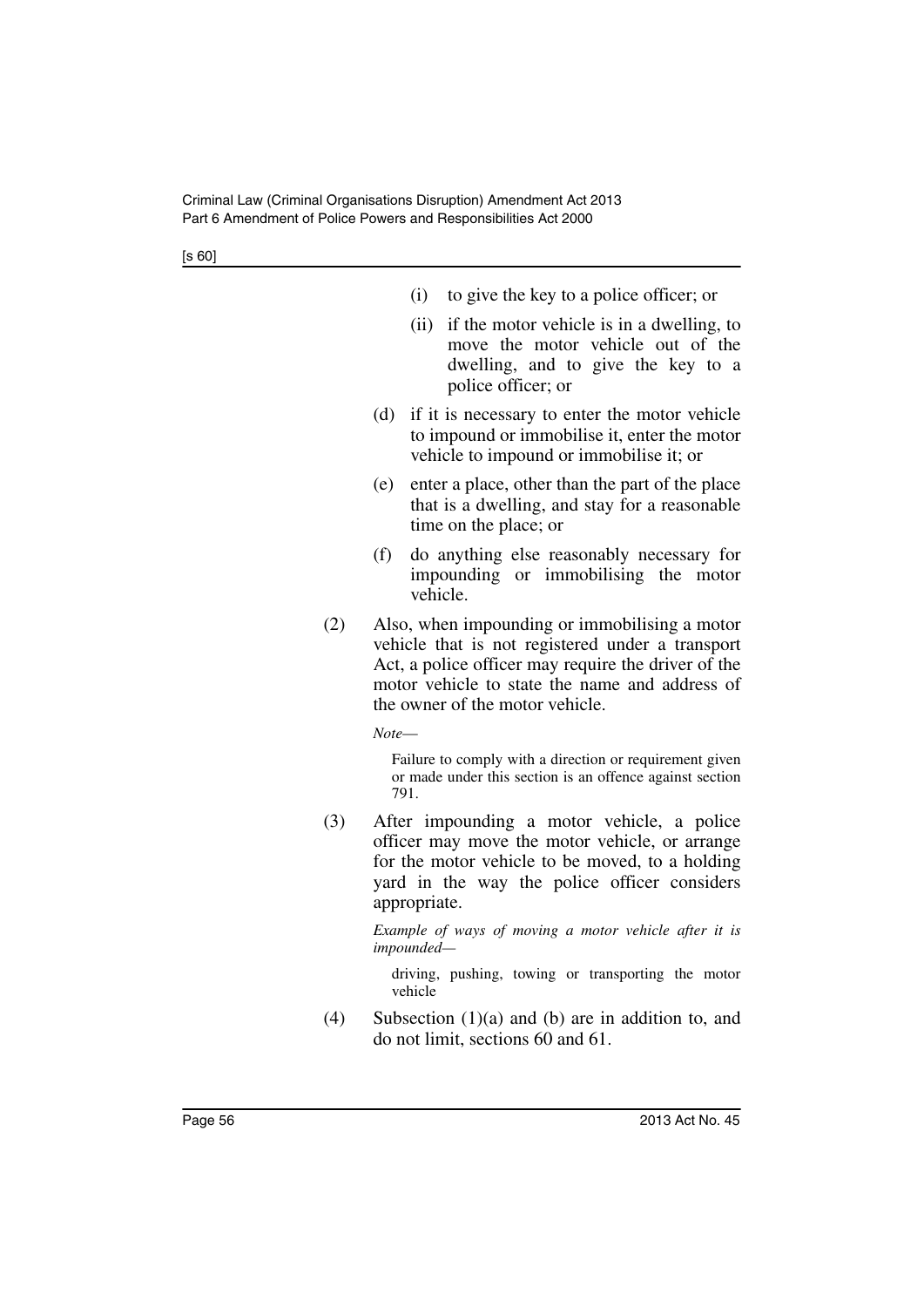- (i) to give the key to a police officer; or
- (ii) if the motor vehicle is in a dwelling, to move the motor vehicle out of the dwelling, and to give the key to a police officer; or
- (d) if it is necessary to enter the motor vehicle to impound or immobilise it, enter the motor vehicle to impound or immobilise it; or
- (e) enter a place, other than the part of the place that is a dwelling, and stay for a reasonable time on the place; or
- (f) do anything else reasonably necessary for impounding or immobilising the motor vehicle.
- (2) Also, when impounding or immobilising a motor vehicle that is not registered under a transport Act, a police officer may require the driver of the motor vehicle to state the name and address of the owner of the motor vehicle.

*Note*—

Failure to comply with a direction or requirement given or made under this section is an offence against section 791.

(3) After impounding a motor vehicle, a police officer may move the motor vehicle, or arrange for the motor vehicle to be moved, to a holding yard in the way the police officer considers appropriate.

> *Example of ways of moving a motor vehicle after it is impounded—*

driving, pushing, towing or transporting the motor vehicle

(4) Subsection (1)(a) and (b) are in addition to, and do not limit, sections 60 and 61.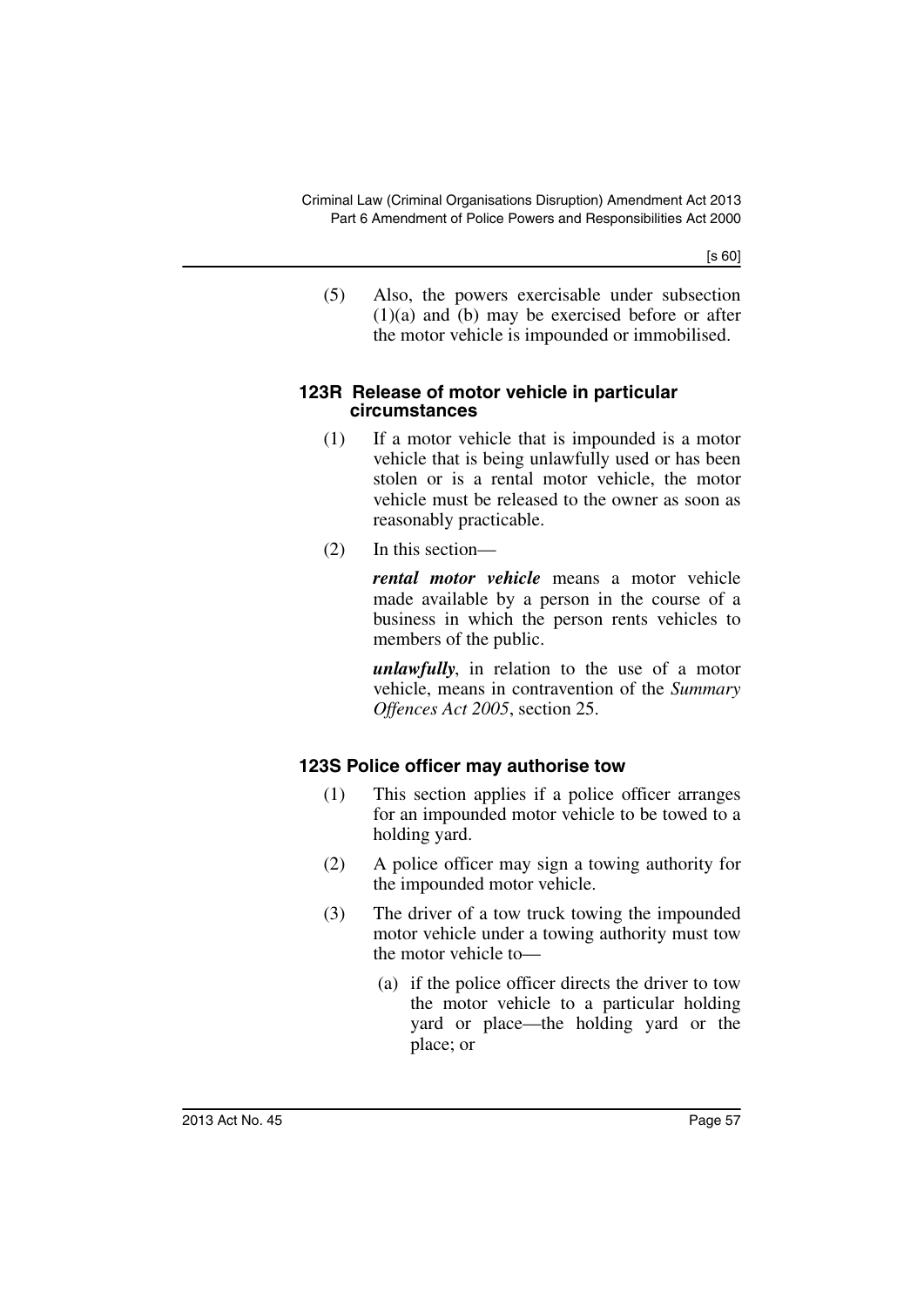(5) Also, the powers exercisable under subsection (1)(a) and (b) may be exercised before or after the motor vehicle is impounded or immobilised.

#### **123R Release of motor vehicle in particular circumstances**

- (1) If a motor vehicle that is impounded is a motor vehicle that is being unlawfully used or has been stolen or is a rental motor vehicle, the motor vehicle must be released to the owner as soon as reasonably practicable.
- (2) In this section—

*rental motor vehicle* means a motor vehicle made available by a person in the course of a business in which the person rents vehicles to members of the public.

*unlawfully*, in relation to the use of a motor vehicle, means in contravention of the *Summary Offences Act 2005*, section 25.

# **123S Police officer may authorise tow**

- (1) This section applies if a police officer arranges for an impounded motor vehicle to be towed to a holding yard.
- (2) A police officer may sign a towing authority for the impounded motor vehicle.
- (3) The driver of a tow truck towing the impounded motor vehicle under a towing authority must tow the motor vehicle to—
	- (a) if the police officer directs the driver to tow the motor vehicle to a particular holding yard or place—the holding yard or the place; or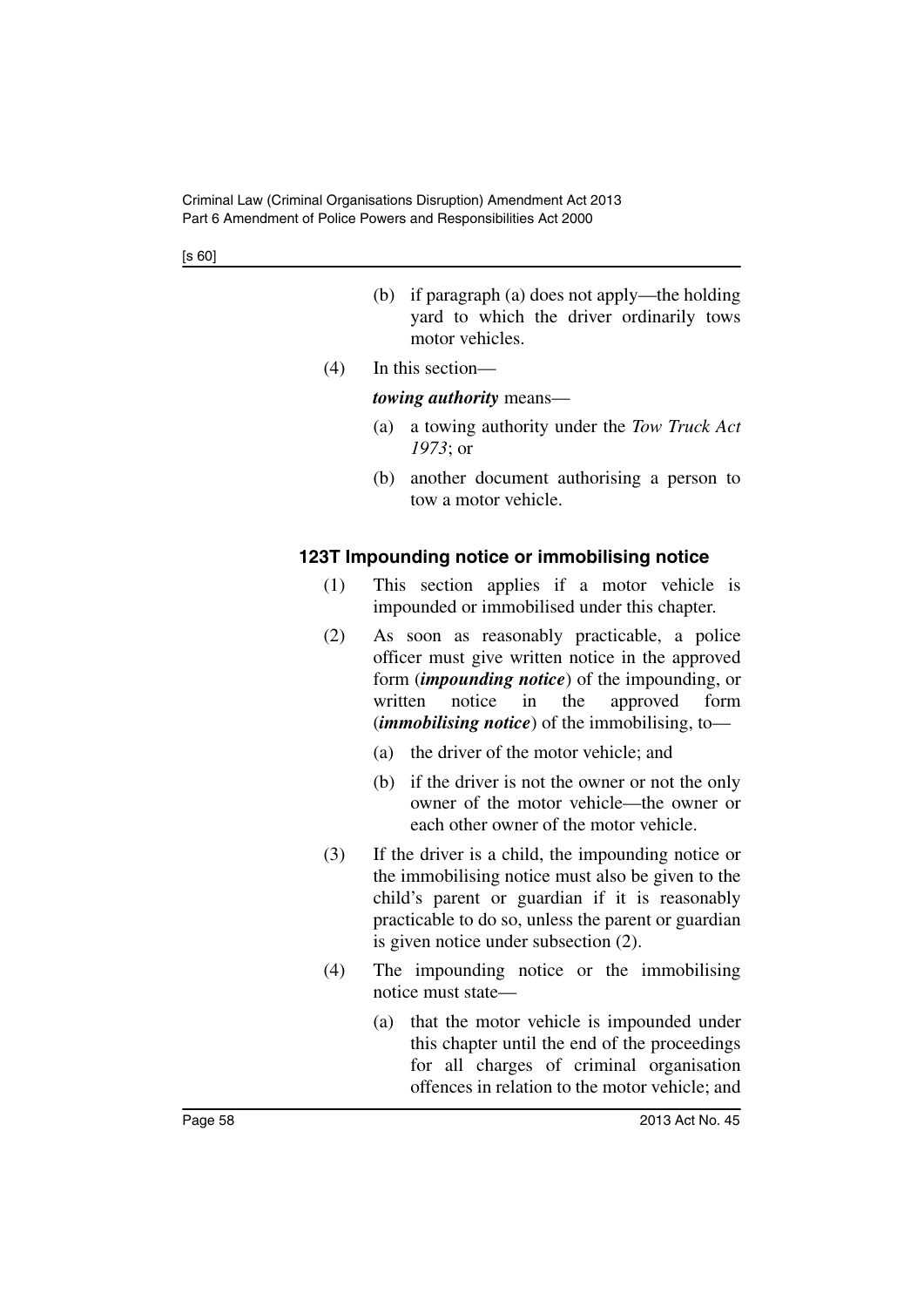- (b) if paragraph (a) does not apply—the holding yard to which the driver ordinarily tows motor vehicles.
- (4) In this section—

### *towing authority* means—

- (a) a towing authority under the *Tow Truck Act 1973*; or
- (b) another document authorising a person to tow a motor vehicle.

### **123T Impounding notice or immobilising notice**

- (1) This section applies if a motor vehicle is impounded or immobilised under this chapter.
- (2) As soon as reasonably practicable, a police officer must give written notice in the approved form (*impounding notice*) of the impounding, or written notice in the approved form (*immobilising notice*) of the immobilising, to—
	- (a) the driver of the motor vehicle; and
	- (b) if the driver is not the owner or not the only owner of the motor vehicle—the owner or each other owner of the motor vehicle.
- (3) If the driver is a child, the impounding notice or the immobilising notice must also be given to the child's parent or guardian if it is reasonably practicable to do so, unless the parent or guardian is given notice under subsection (2).
- (4) The impounding notice or the immobilising notice must state—
	- (a) that the motor vehicle is impounded under this chapter until the end of the proceedings for all charges of criminal organisation offences in relation to the motor vehicle; and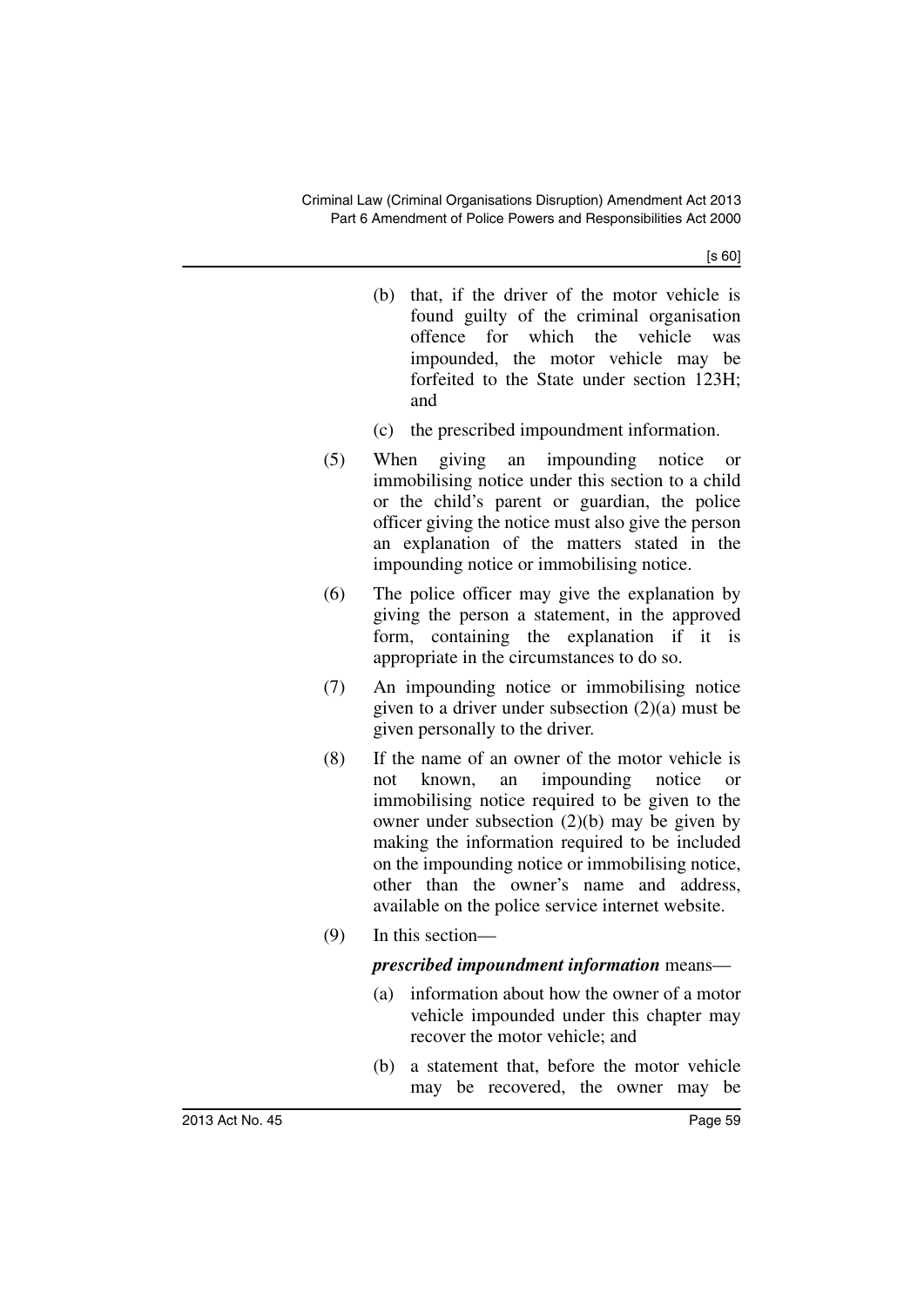- (b) that, if the driver of the motor vehicle is found guilty of the criminal organisation offence for which the vehicle was impounded, the motor vehicle may be forfeited to the State under section 123H; and
- (c) the prescribed impoundment information.
- (5) When giving an impounding notice or immobilising notice under this section to a child or the child's parent or guardian, the police officer giving the notice must also give the person an explanation of the matters stated in the impounding notice or immobilising notice.
- (6) The police officer may give the explanation by giving the person a statement, in the approved form, containing the explanation if it is appropriate in the circumstances to do so.
- (7) An impounding notice or immobilising notice given to a driver under subsection (2)(a) must be given personally to the driver.
- (8) If the name of an owner of the motor vehicle is not known, an impounding notice or immobilising notice required to be given to the owner under subsection (2)(b) may be given by making the information required to be included on the impounding notice or immobilising notice, other than the owner's name and address, available on the police service internet website.
- (9) In this section—

### *prescribed impoundment information* means—

- (a) information about how the owner of a motor vehicle impounded under this chapter may recover the motor vehicle; and
- (b) a statement that, before the motor vehicle may be recovered, the owner may be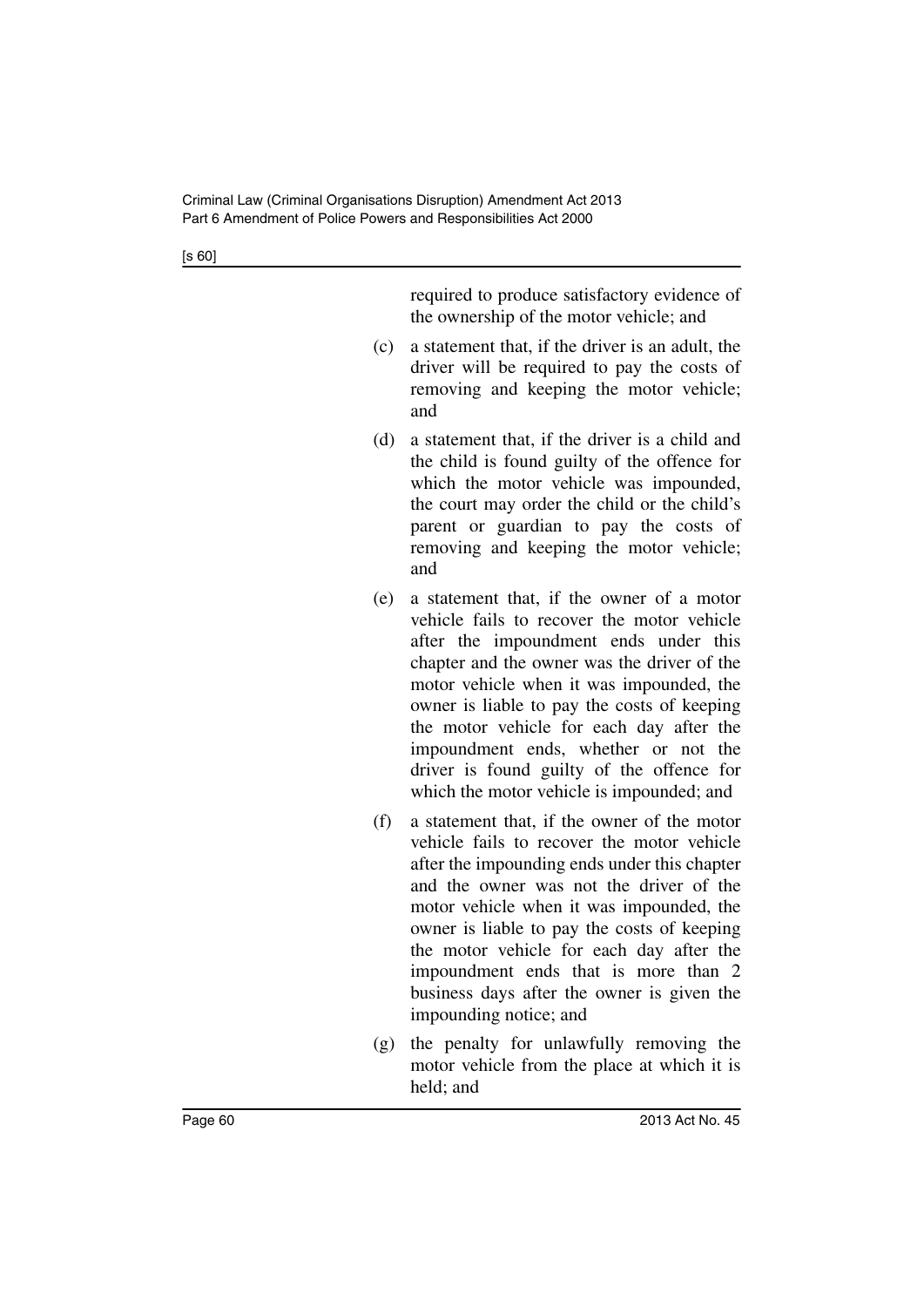required to produce satisfactory evidence of the ownership of the motor vehicle; and

- (c) a statement that, if the driver is an adult, the driver will be required to pay the costs of removing and keeping the motor vehicle; and
- (d) a statement that, if the driver is a child and the child is found guilty of the offence for which the motor vehicle was impounded, the court may order the child or the child's parent or guardian to pay the costs of removing and keeping the motor vehicle; and
- (e) a statement that, if the owner of a motor vehicle fails to recover the motor vehicle after the impoundment ends under this chapter and the owner was the driver of the motor vehicle when it was impounded, the owner is liable to pay the costs of keeping the motor vehicle for each day after the impoundment ends, whether or not the driver is found guilty of the offence for which the motor vehicle is impounded; and
- (f) a statement that, if the owner of the motor vehicle fails to recover the motor vehicle after the impounding ends under this chapter and the owner was not the driver of the motor vehicle when it was impounded, the owner is liable to pay the costs of keeping the motor vehicle for each day after the impoundment ends that is more than 2 business days after the owner is given the impounding notice; and
- (g) the penalty for unlawfully removing the motor vehicle from the place at which it is held; and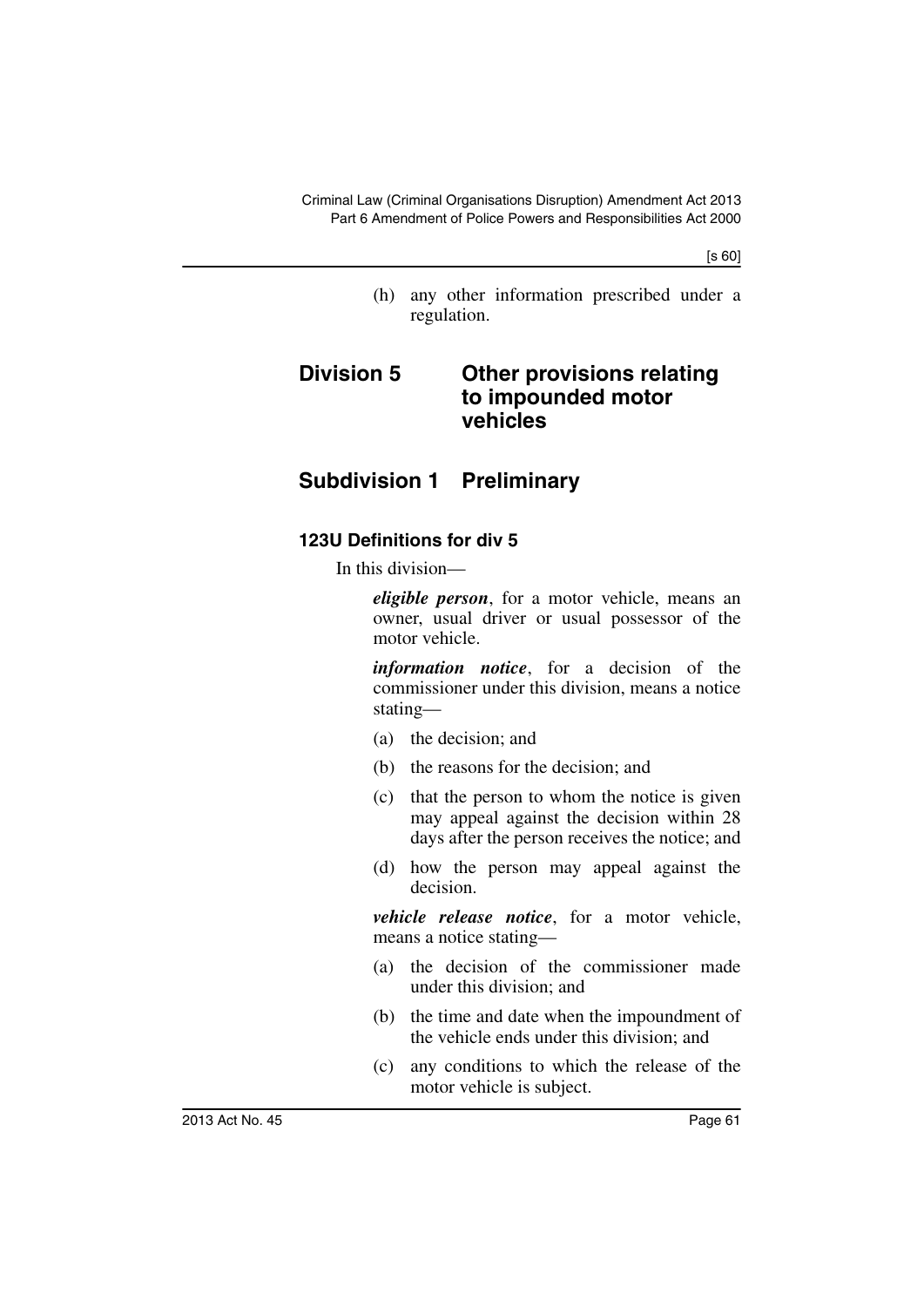(h) any other information prescribed under a regulation.

# **Division 5 Other provisions relating to impounded motor vehicles**

# **Subdivision 1 Preliminary**

### **123U Definitions for div 5**

In this division—

*eligible person*, for a motor vehicle, means an owner, usual driver or usual possessor of the motor vehicle.

*information notice*, for a decision of the commissioner under this division, means a notice stating—

- (a) the decision; and
- (b) the reasons for the decision; and
- (c) that the person to whom the notice is given may appeal against the decision within 28 days after the person receives the notice; and
- (d) how the person may appeal against the decision.

*vehicle release notice*, for a motor vehicle, means a notice stating—

- (a) the decision of the commissioner made under this division; and
- (b) the time and date when the impoundment of the vehicle ends under this division; and
- (c) any conditions to which the release of the motor vehicle is subject.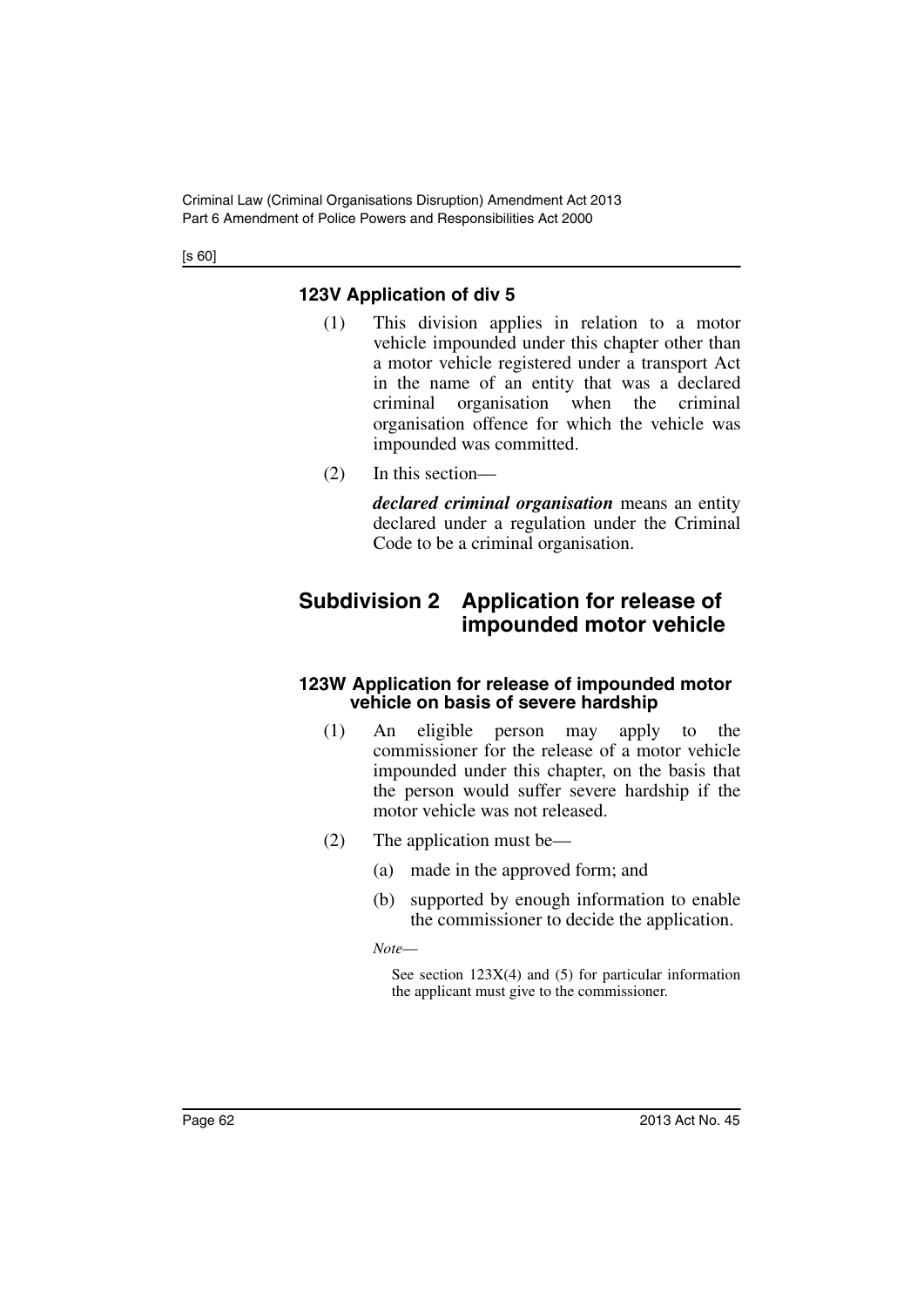# **123V Application of div 5**

- (1) This division applies in relation to a motor vehicle impounded under this chapter other than a motor vehicle registered under a transport Act in the name of an entity that was a declared criminal organisation when the criminal organisation offence for which the vehicle was impounded was committed.
- (2) In this section—

*declared criminal organisation* means an entity declared under a regulation under the Criminal Code to be a criminal organisation.

# **Subdivision 2 Application for release of impounded motor vehicle**

### **123W Application for release of impounded motor vehicle on basis of severe hardship**

- (1) An eligible person may apply to the commissioner for the release of a motor vehicle impounded under this chapter, on the basis that the person would suffer severe hardship if the motor vehicle was not released.
- (2) The application must be—
	- (a) made in the approved form; and
	- (b) supported by enough information to enable the commissioner to decide the application.

*Note*—

See section  $123X(4)$  and  $(5)$  for particular information the applicant must give to the commissioner.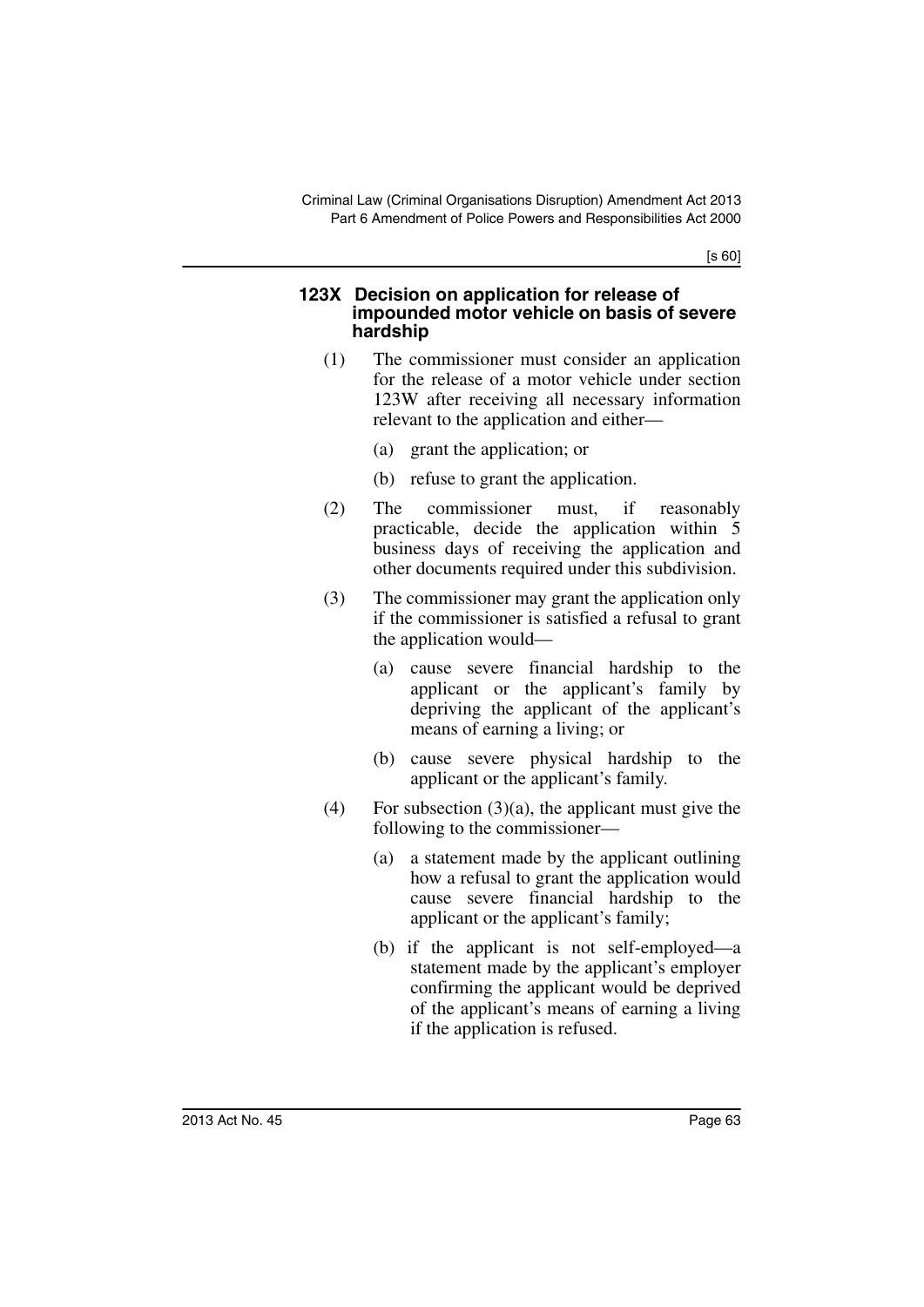#### **123X Decision on application for release of impounded motor vehicle on basis of severe hardship**

- (1) The commissioner must consider an application for the release of a motor vehicle under section 123W after receiving all necessary information relevant to the application and either—
	- (a) grant the application; or
	- (b) refuse to grant the application.
- (2) The commissioner must, if reasonably practicable, decide the application within 5 business days of receiving the application and other documents required under this subdivision.
- (3) The commissioner may grant the application only if the commissioner is satisfied a refusal to grant the application would—
	- (a) cause severe financial hardship to the applicant or the applicant's family by depriving the applicant of the applicant's means of earning a living; or
	- (b) cause severe physical hardship to the applicant or the applicant's family.
- (4) For subsection  $(3)(a)$ , the applicant must give the following to the commissioner—
	- (a) a statement made by the applicant outlining how a refusal to grant the application would cause severe financial hardship to the applicant or the applicant's family;
	- (b) if the applicant is not self-employed—a statement made by the applicant's employer confirming the applicant would be deprived of the applicant's means of earning a living if the application is refused.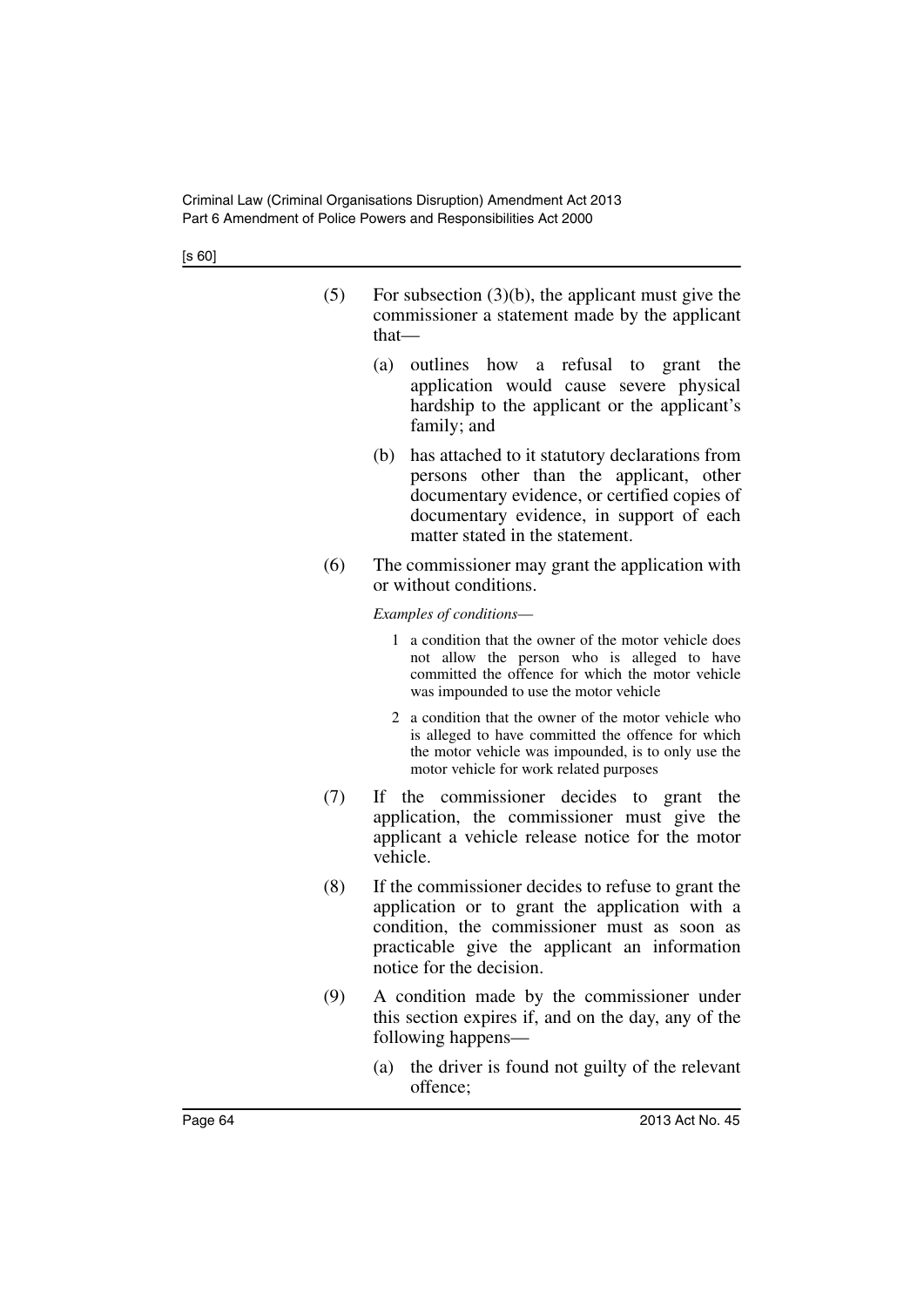| (5) | For subsection $(3)(b)$ , the applicant must give the |
|-----|-------------------------------------------------------|
|     | commissioner a statement made by the applicant        |
|     | that—                                                 |

- (a) outlines how a refusal to grant the application would cause severe physical hardship to the applicant or the applicant's family; and
- (b) has attached to it statutory declarations from persons other than the applicant, other documentary evidence, or certified copies of documentary evidence, in support of each matter stated in the statement.
- (6) The commissioner may grant the application with or without conditions.

*Examples of conditions*—

- 1 a condition that the owner of the motor vehicle does not allow the person who is alleged to have committed the offence for which the motor vehicle was impounded to use the motor vehicle
- 2 a condition that the owner of the motor vehicle who is alleged to have committed the offence for which the motor vehicle was impounded, is to only use the motor vehicle for work related purposes
- (7) If the commissioner decides to grant the application, the commissioner must give the applicant a vehicle release notice for the motor vehicle.
- (8) If the commissioner decides to refuse to grant the application or to grant the application with a condition, the commissioner must as soon as practicable give the applicant an information notice for the decision.
- (9) A condition made by the commissioner under this section expires if, and on the day, any of the following happens—
	- (a) the driver is found not guilty of the relevant offence;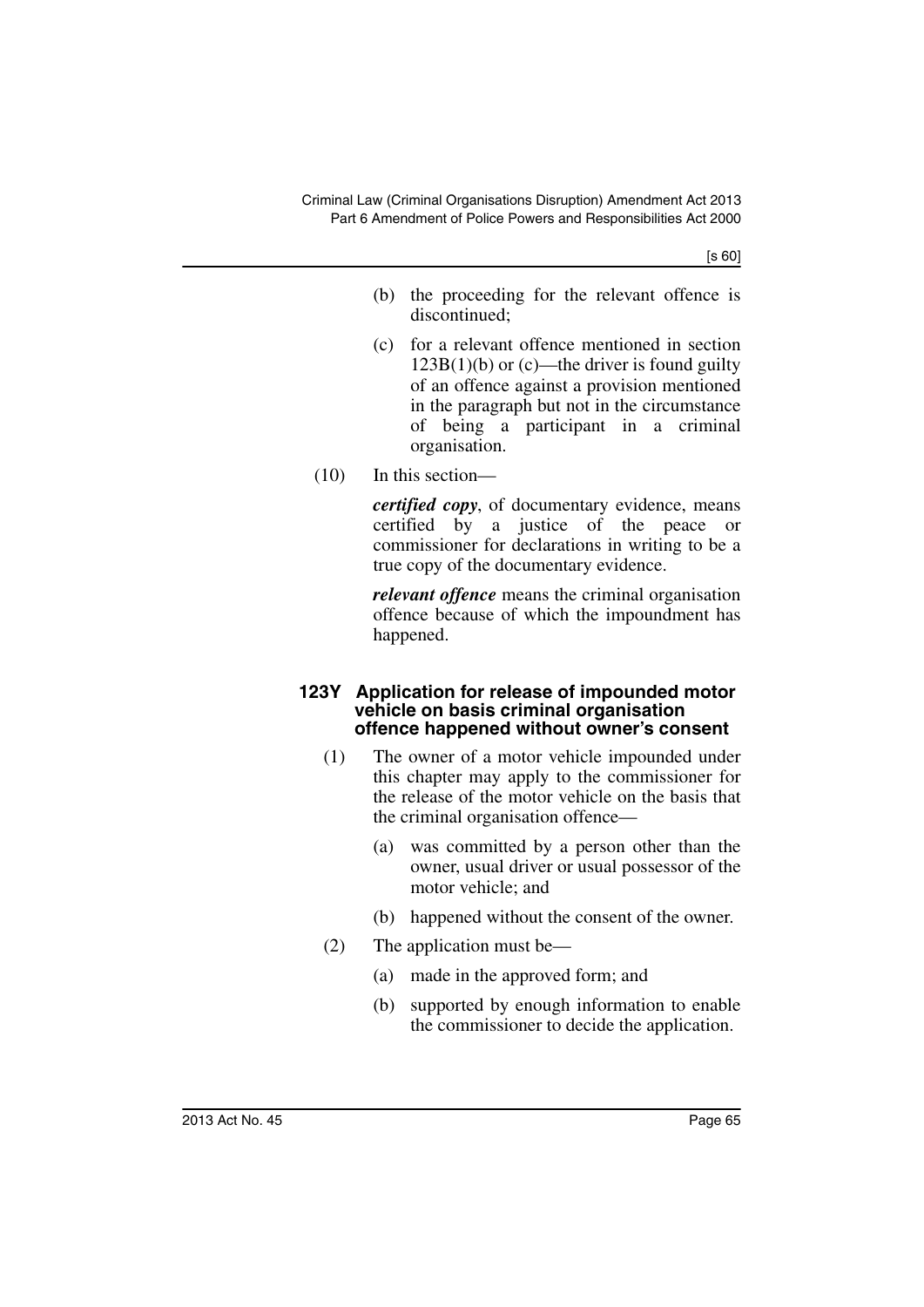- (b) the proceeding for the relevant offence is discontinued;
- (c) for a relevant offence mentioned in section  $123B(1)(b)$  or (c)—the driver is found guilty of an offence against a provision mentioned in the paragraph but not in the circumstance of being a participant in a criminal organisation.
- (10) In this section—

*certified copy*, of documentary evidence, means certified by a justice of the peace or commissioner for declarations in writing to be a true copy of the documentary evidence.

*relevant offence* means the criminal organisation offence because of which the impoundment has happened.

#### **123Y Application for release of impounded motor vehicle on basis criminal organisation offence happened without owner's consent**

- (1) The owner of a motor vehicle impounded under this chapter may apply to the commissioner for the release of the motor vehicle on the basis that the criminal organisation offence—
	- (a) was committed by a person other than the owner, usual driver or usual possessor of the motor vehicle; and
	- (b) happened without the consent of the owner.
- (2) The application must be—
	- (a) made in the approved form; and
	- (b) supported by enough information to enable the commissioner to decide the application.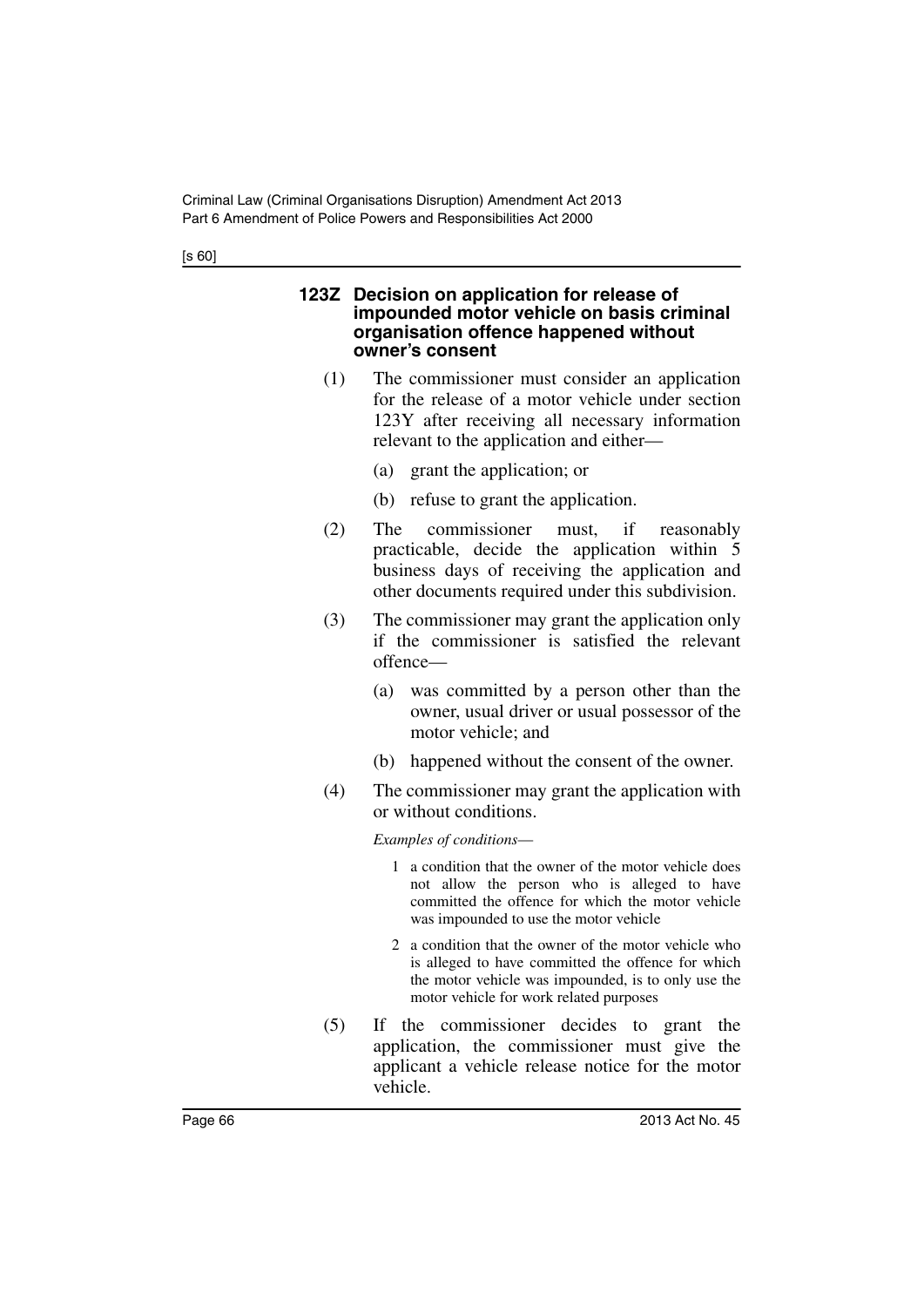#### **123Z Decision on application for release of impounded motor vehicle on basis criminal organisation offence happened without owner's consent**

- (1) The commissioner must consider an application for the release of a motor vehicle under section 123Y after receiving all necessary information relevant to the application and either—
	- (a) grant the application; or
	- (b) refuse to grant the application.
- (2) The commissioner must, if reasonably practicable, decide the application within 5 business days of receiving the application and other documents required under this subdivision.
- (3) The commissioner may grant the application only if the commissioner is satisfied the relevant offence—
	- (a) was committed by a person other than the owner, usual driver or usual possessor of the motor vehicle; and
	- (b) happened without the consent of the owner.
- (4) The commissioner may grant the application with or without conditions.

#### *Examples of conditions*—

- 1 a condition that the owner of the motor vehicle does not allow the person who is alleged to have committed the offence for which the motor vehicle was impounded to use the motor vehicle
- 2 a condition that the owner of the motor vehicle who is alleged to have committed the offence for which the motor vehicle was impounded, is to only use the motor vehicle for work related purposes
- (5) If the commissioner decides to grant the application, the commissioner must give the applicant a vehicle release notice for the motor vehicle.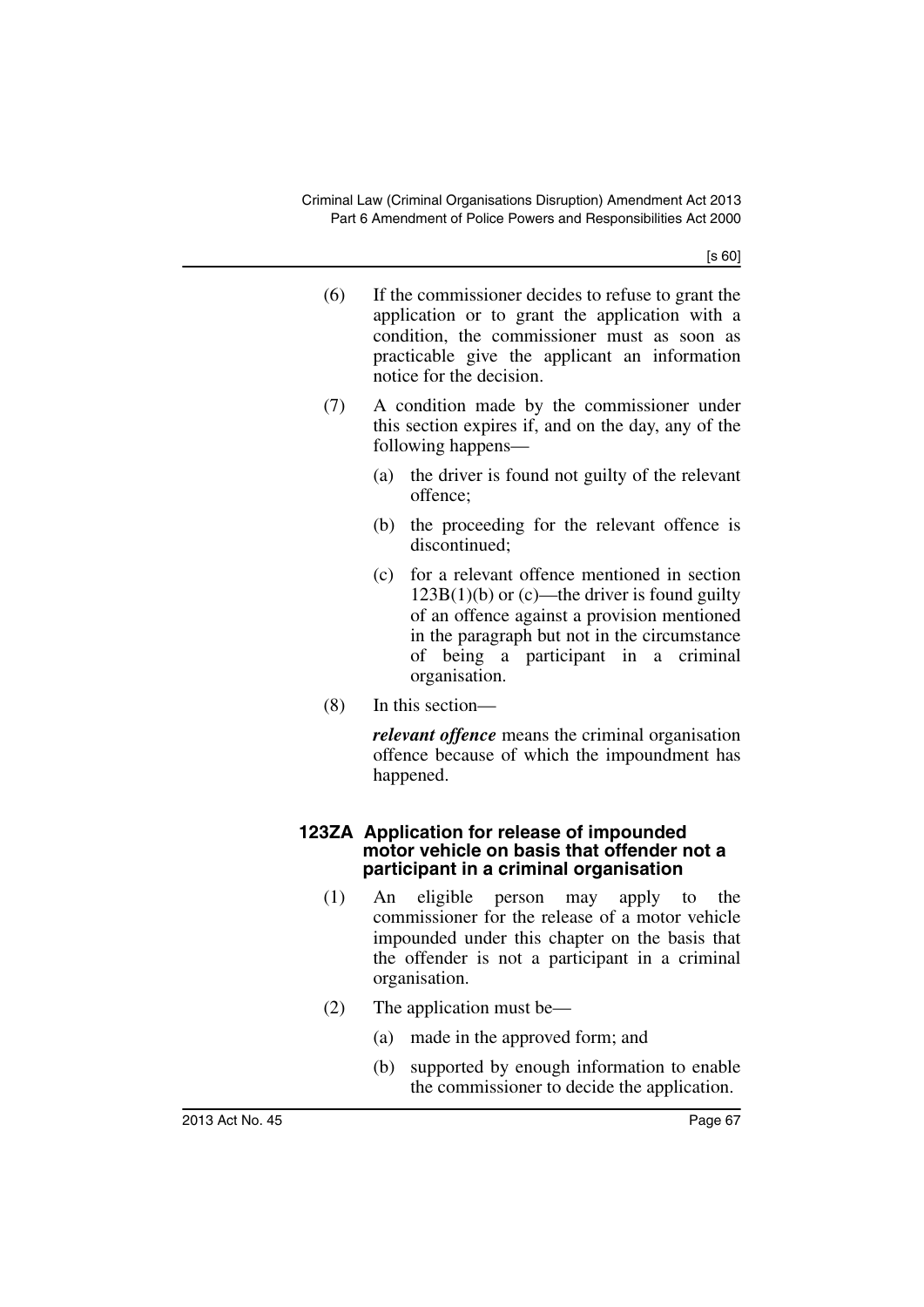- (6) If the commissioner decides to refuse to grant the application or to grant the application with a condition, the commissioner must as soon as practicable give the applicant an information notice for the decision.
- (7) A condition made by the commissioner under this section expires if, and on the day, any of the following happens—
	- (a) the driver is found not guilty of the relevant offence;
	- (b) the proceeding for the relevant offence is discontinued;
	- (c) for a relevant offence mentioned in section  $123B(1)(b)$  or (c)—the driver is found guilty of an offence against a provision mentioned in the paragraph but not in the circumstance of being a participant in a criminal organisation.
- (8) In this section—

*relevant offence* means the criminal organisation offence because of which the impoundment has happened.

#### **123ZA Application for release of impounded motor vehicle on basis that offender not a participant in a criminal organisation**

- (1) An eligible person may apply to the commissioner for the release of a motor vehicle impounded under this chapter on the basis that the offender is not a participant in a criminal organisation.
- (2) The application must be—
	- (a) made in the approved form; and
	- (b) supported by enough information to enable the commissioner to decide the application.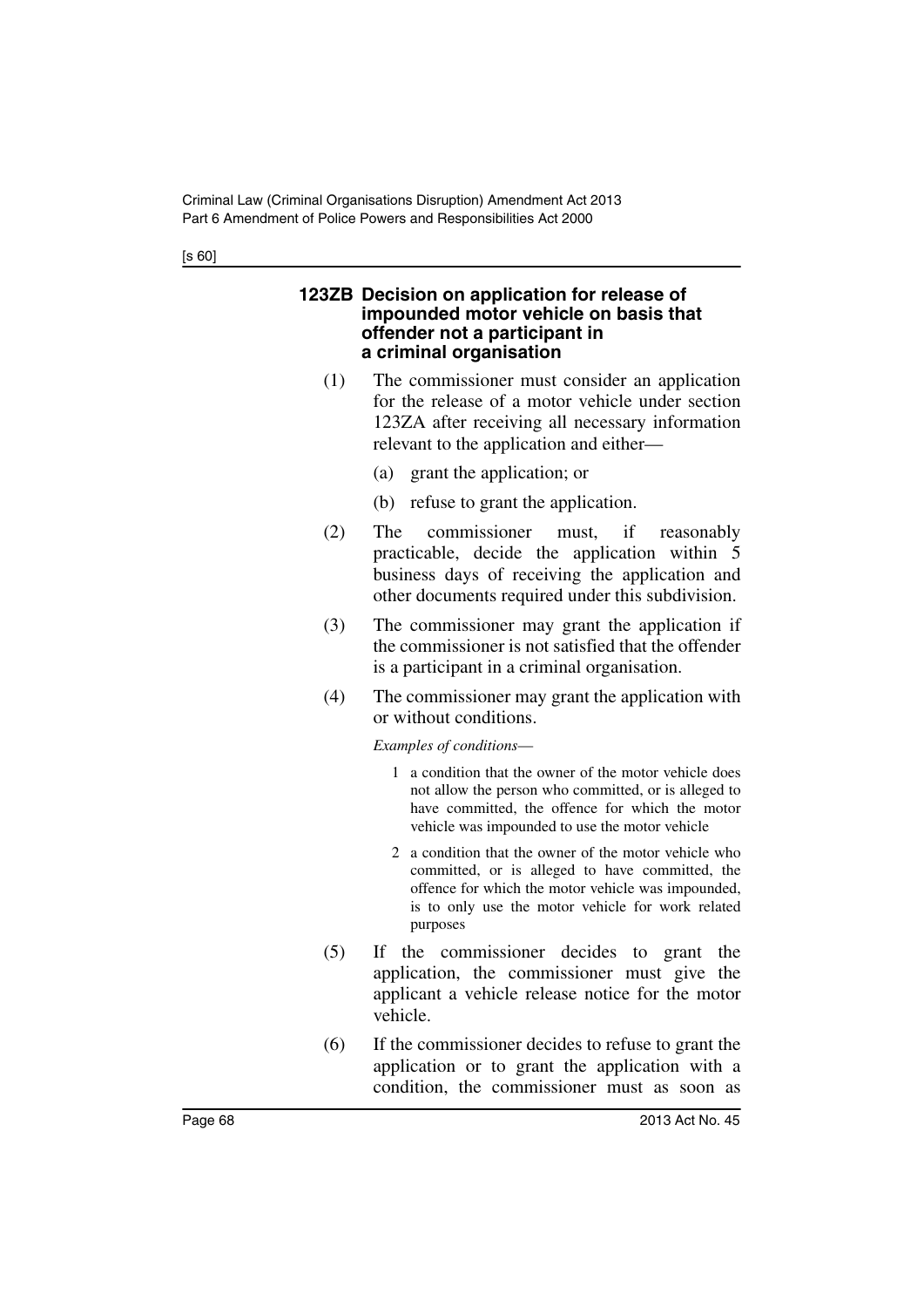#### **123ZB Decision on application for release of impounded motor vehicle on basis that offender not a participant in a criminal organisation**

- (1) The commissioner must consider an application for the release of a motor vehicle under section 123ZA after receiving all necessary information relevant to the application and either—
	- (a) grant the application; or
	- (b) refuse to grant the application.
- (2) The commissioner must, if reasonably practicable, decide the application within 5 business days of receiving the application and other documents required under this subdivision.
- (3) The commissioner may grant the application if the commissioner is not satisfied that the offender is a participant in a criminal organisation.
- (4) The commissioner may grant the application with or without conditions.

*Examples of conditions*—

- 1 a condition that the owner of the motor vehicle does not allow the person who committed, or is alleged to have committed, the offence for which the motor vehicle was impounded to use the motor vehicle
- 2 a condition that the owner of the motor vehicle who committed, or is alleged to have committed, the offence for which the motor vehicle was impounded, is to only use the motor vehicle for work related purposes
- (5) If the commissioner decides to grant the application, the commissioner must give the applicant a vehicle release notice for the motor vehicle.
- (6) If the commissioner decides to refuse to grant the application or to grant the application with a condition, the commissioner must as soon as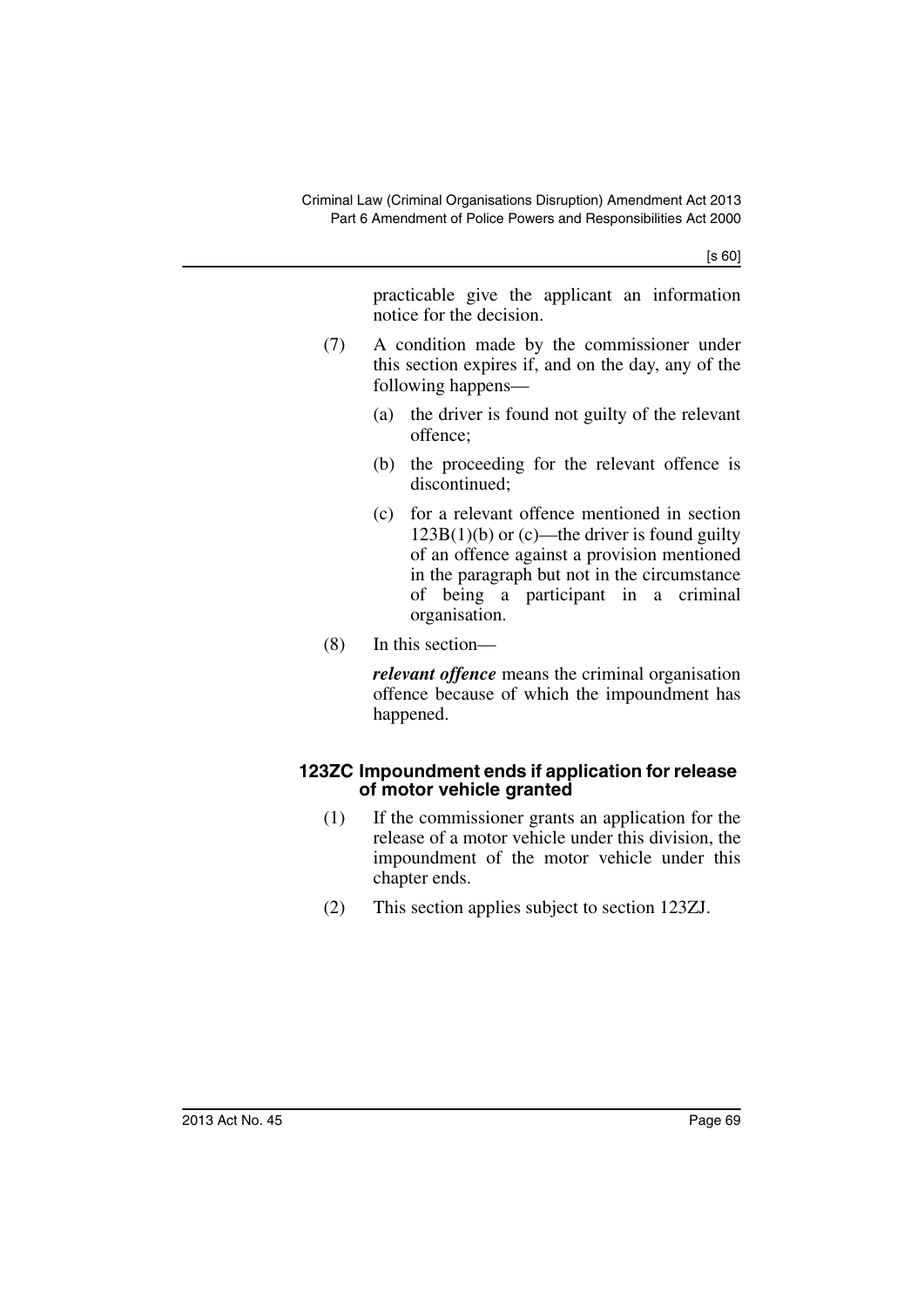practicable give the applicant an information notice for the decision.

- (7) A condition made by the commissioner under this section expires if, and on the day, any of the following happens—
	- (a) the driver is found not guilty of the relevant offence;
	- (b) the proceeding for the relevant offence is discontinued;
	- (c) for a relevant offence mentioned in section  $123B(1)(b)$  or (c)—the driver is found guilty of an offence against a provision mentioned in the paragraph but not in the circumstance of being a participant in a criminal organisation.
- (8) In this section—

*relevant offence* means the criminal organisation offence because of which the impoundment has happened.

### **123ZC Impoundment ends if application for release of motor vehicle granted**

- (1) If the commissioner grants an application for the release of a motor vehicle under this division, the impoundment of the motor vehicle under this chapter ends.
- (2) This section applies subject to section 123ZJ.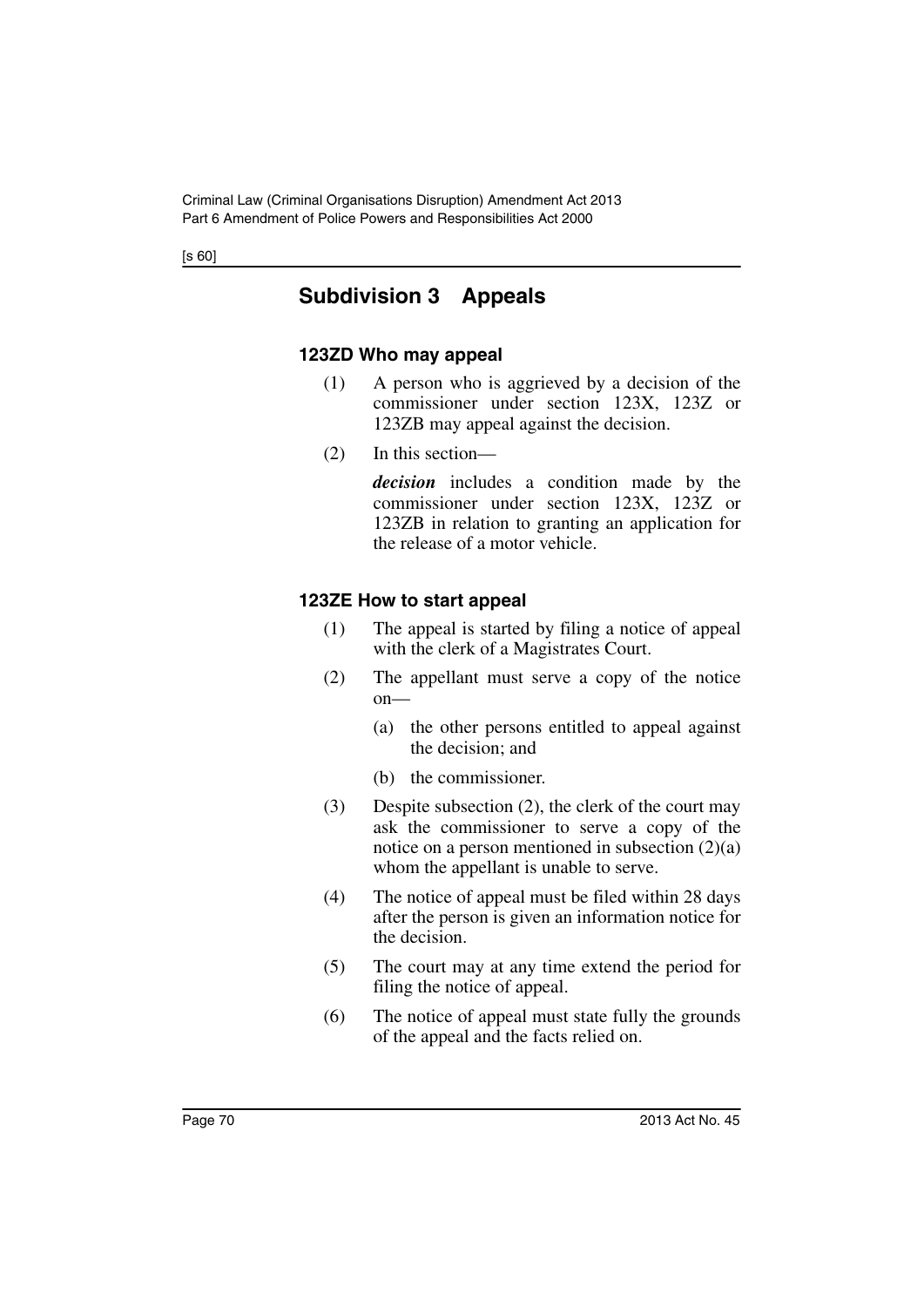# **Subdivision 3 Appeals**

### **123ZD Who may appeal**

- (1) A person who is aggrieved by a decision of the commissioner under section 123X, 123Z or 123ZB may appeal against the decision.
- (2) In this section—

*decision* includes a condition made by the commissioner under section 123X, 123Z or 123ZB in relation to granting an application for the release of a motor vehicle.

# **123ZE How to start appeal**

- (1) The appeal is started by filing a notice of appeal with the clerk of a Magistrates Court.
- (2) The appellant must serve a copy of the notice  $on$ —
	- (a) the other persons entitled to appeal against the decision; and
	- (b) the commissioner.
- (3) Despite subsection (2), the clerk of the court may ask the commissioner to serve a copy of the notice on a person mentioned in subsection  $(2)(a)$ whom the appellant is unable to serve.
- (4) The notice of appeal must be filed within 28 days after the person is given an information notice for the decision.
- (5) The court may at any time extend the period for filing the notice of appeal.
- (6) The notice of appeal must state fully the grounds of the appeal and the facts relied on.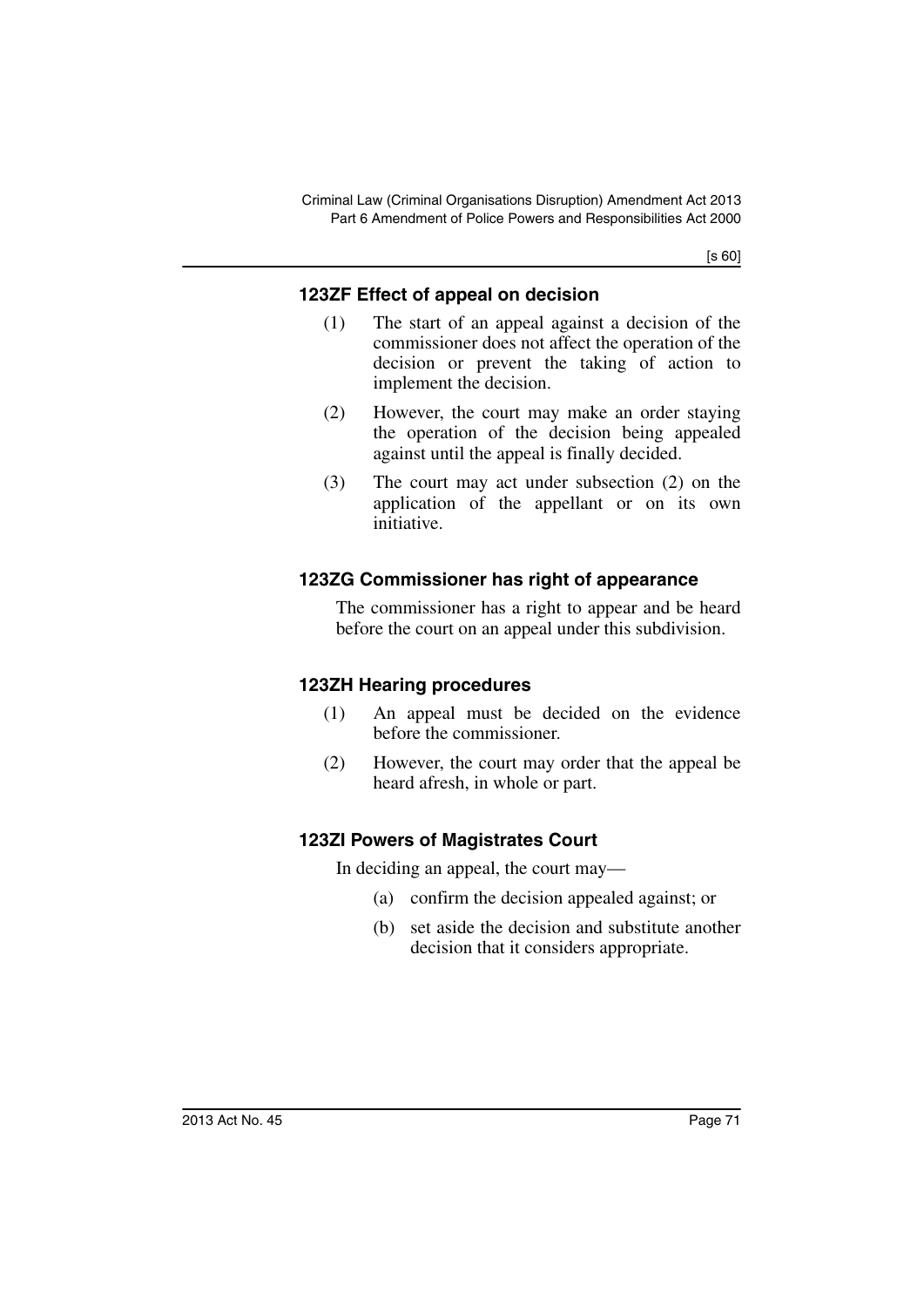# **123ZF Effect of appeal on decision**

- (1) The start of an appeal against a decision of the commissioner does not affect the operation of the decision or prevent the taking of action to implement the decision.
- (2) However, the court may make an order staying the operation of the decision being appealed against until the appeal is finally decided.
- (3) The court may act under subsection (2) on the application of the appellant or on its own initiative.

# **123ZG Commissioner has right of appearance**

The commissioner has a right to appear and be heard before the court on an appeal under this subdivision.

# **123ZH Hearing procedures**

- (1) An appeal must be decided on the evidence before the commissioner.
- (2) However, the court may order that the appeal be heard afresh, in whole or part.

# **123ZI Powers of Magistrates Court**

In deciding an appeal, the court may—

- (a) confirm the decision appealed against; or
- (b) set aside the decision and substitute another decision that it considers appropriate.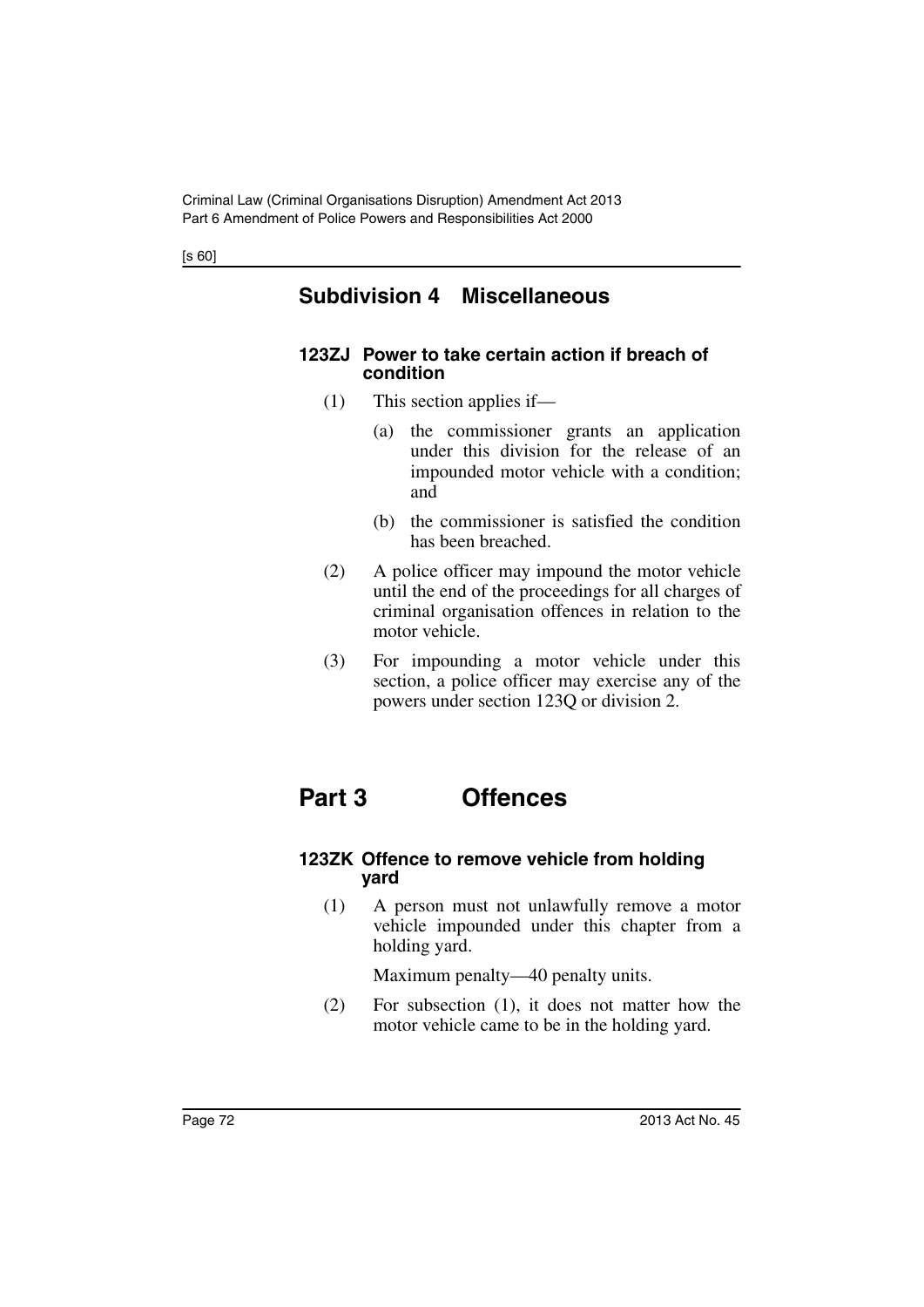# **Subdivision 4 Miscellaneous**

### **123ZJ Power to take certain action if breach of condition**

- (1) This section applies if—
	- (a) the commissioner grants an application under this division for the release of an impounded motor vehicle with a condition; and
	- (b) the commissioner is satisfied the condition has been breached.
- (2) A police officer may impound the motor vehicle until the end of the proceedings for all charges of criminal organisation offences in relation to the motor vehicle.
- (3) For impounding a motor vehicle under this section, a police officer may exercise any of the powers under section 123Q or division 2.

# **Part 3 Offences**

### **123ZK Offence to remove vehicle from holding yard**

(1) A person must not unlawfully remove a motor vehicle impounded under this chapter from a holding yard.

Maximum penalty—40 penalty units.

(2) For subsection (1), it does not matter how the motor vehicle came to be in the holding yard.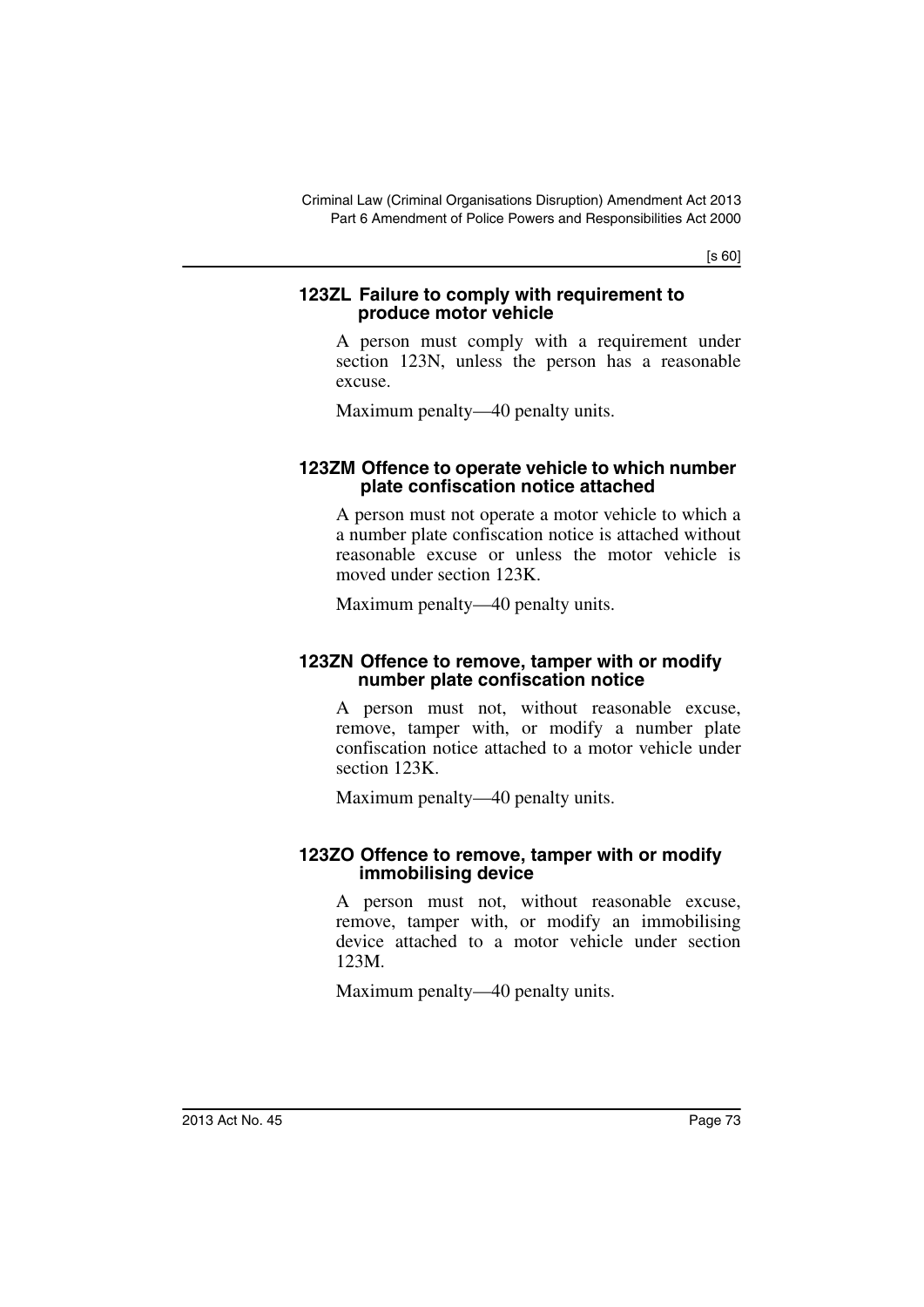### **123ZL Failure to comply with requirement to produce motor vehicle**

A person must comply with a requirement under section 123N, unless the person has a reasonable excuse.

Maximum penalty—40 penalty units.

### **123ZM Offence to operate vehicle to which number plate confiscation notice attached**

A person must not operate a motor vehicle to which a a number plate confiscation notice is attached without reasonable excuse or unless the motor vehicle is moved under section 123K.

Maximum penalty—40 penalty units.

### **123ZN Offence to remove, tamper with or modify number plate confiscation notice**

A person must not, without reasonable excuse, remove, tamper with, or modify a number plate confiscation notice attached to a motor vehicle under section 123K.

Maximum penalty—40 penalty units.

### **123ZO Offence to remove, tamper with or modify immobilising device**

A person must not, without reasonable excuse, remove, tamper with, or modify an immobilising device attached to a motor vehicle under section 123M.

Maximum penalty—40 penalty units.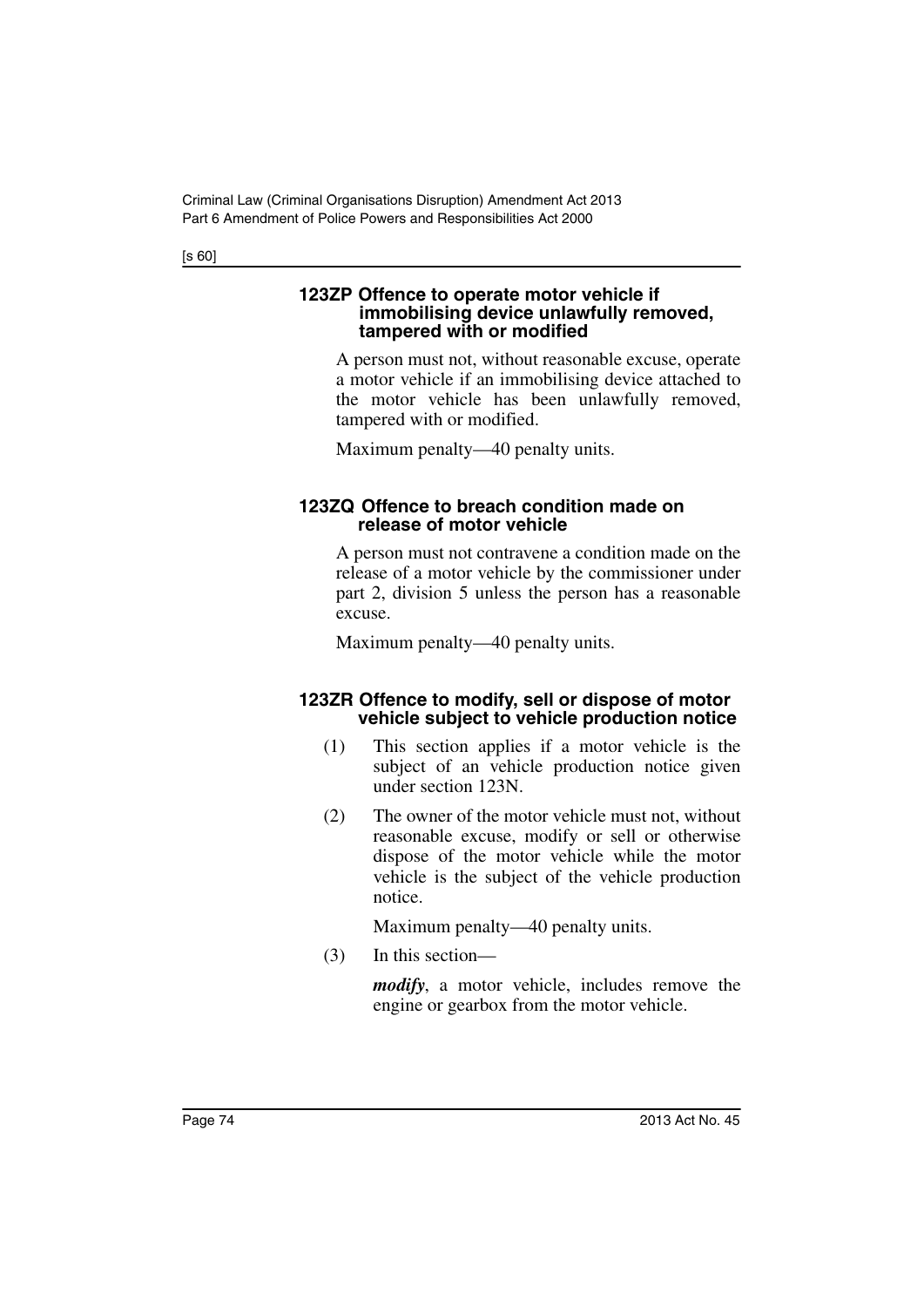#### **123ZP Offence to operate motor vehicle if immobilising device unlawfully removed, tampered with or modified**

A person must not, without reasonable excuse, operate a motor vehicle if an immobilising device attached to the motor vehicle has been unlawfully removed, tampered with or modified.

Maximum penalty—40 penalty units.

### **123ZQ Offence to breach condition made on release of motor vehicle**

A person must not contravene a condition made on the release of a motor vehicle by the commissioner under part 2, division 5 unless the person has a reasonable excuse.

Maximum penalty—40 penalty units.

### **123ZR Offence to modify, sell or dispose of motor vehicle subject to vehicle production notice**

- (1) This section applies if a motor vehicle is the subject of an vehicle production notice given under section 123N.
- (2) The owner of the motor vehicle must not, without reasonable excuse, modify or sell or otherwise dispose of the motor vehicle while the motor vehicle is the subject of the vehicle production notice.

Maximum penalty—40 penalty units.

(3) In this section—

*modify*, a motor vehicle, includes remove the engine or gearbox from the motor vehicle.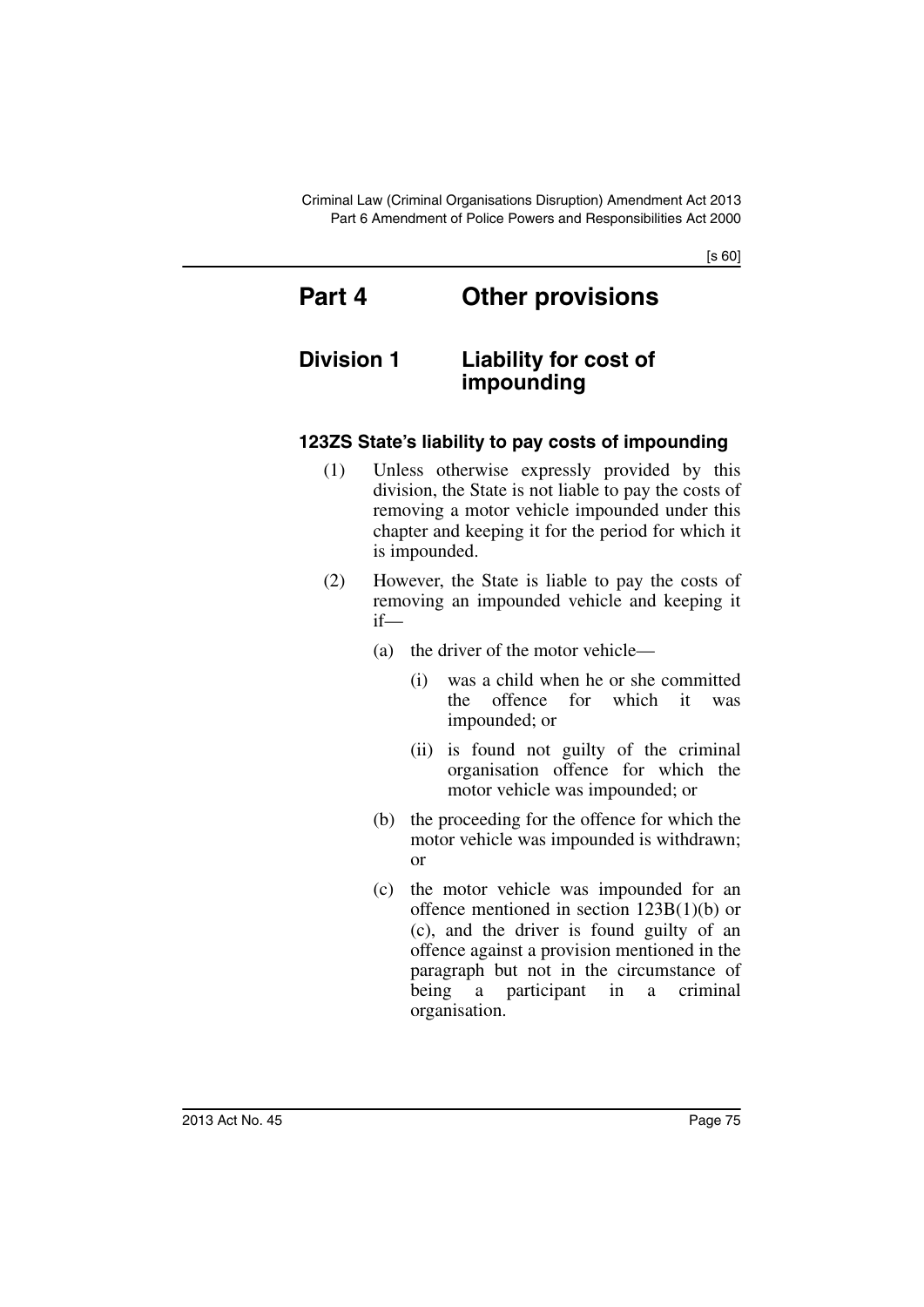# **Part 4 Other provisions**

# **Division 1 Liability for cost of impounding**

# **123ZS State's liability to pay costs of impounding**

- (1) Unless otherwise expressly provided by this division, the State is not liable to pay the costs of removing a motor vehicle impounded under this chapter and keeping it for the period for which it is impounded.
- (2) However, the State is liable to pay the costs of removing an impounded vehicle and keeping it if—
	- (a) the driver of the motor vehicle—
		- (i) was a child when he or she committed the offence for which it was impounded; or
		- (ii) is found not guilty of the criminal organisation offence for which the motor vehicle was impounded; or
	- (b) the proceeding for the offence for which the motor vehicle was impounded is withdrawn; or
	- (c) the motor vehicle was impounded for an offence mentioned in section 123B(1)(b) or (c), and the driver is found guilty of an offence against a provision mentioned in the paragraph but not in the circumstance of being a participant in a criminal organisation.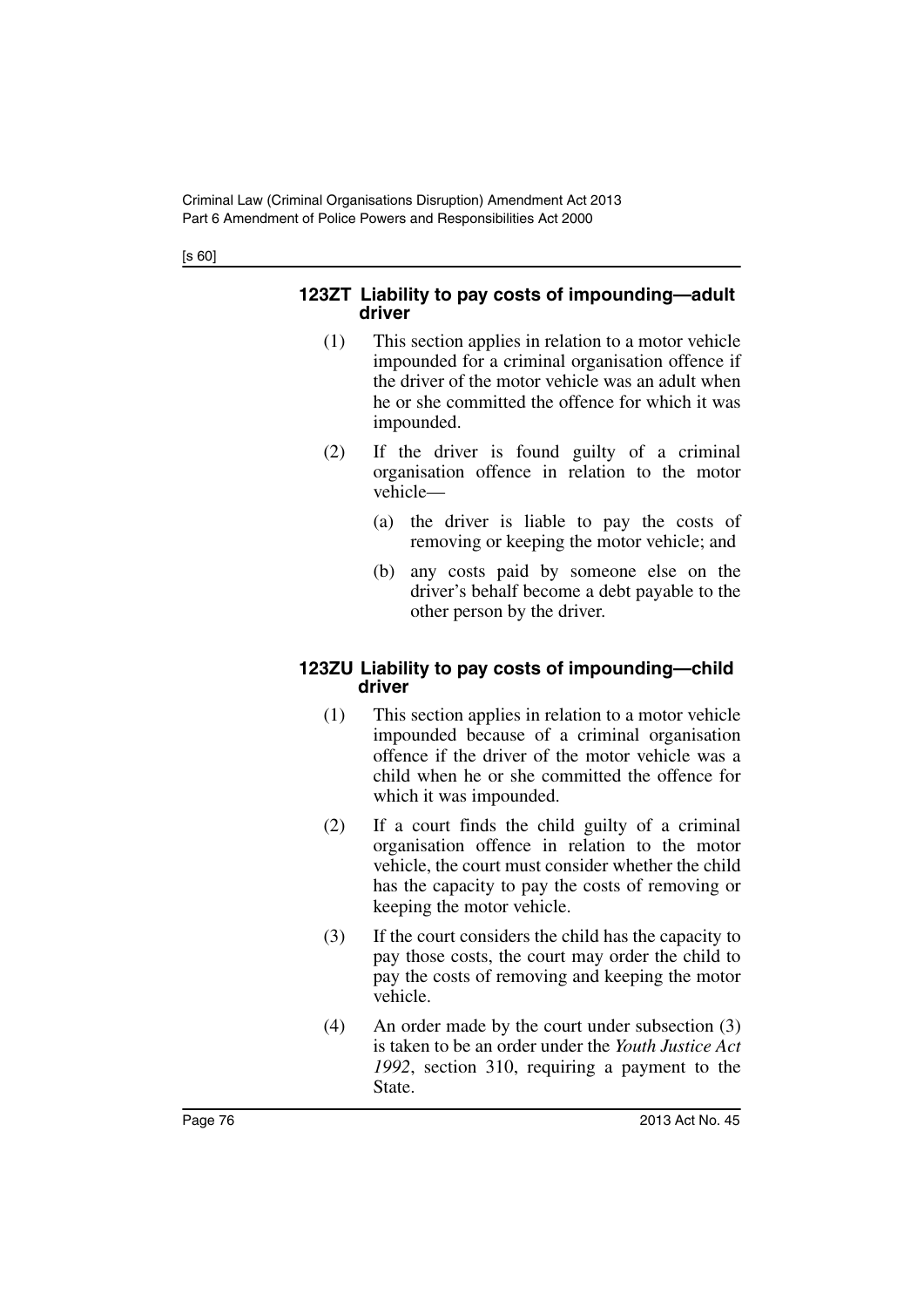### **123ZT Liability to pay costs of impounding—adult driver**

- (1) This section applies in relation to a motor vehicle impounded for a criminal organisation offence if the driver of the motor vehicle was an adult when he or she committed the offence for which it was impounded.
- (2) If the driver is found guilty of a criminal organisation offence in relation to the motor vehicle—
	- (a) the driver is liable to pay the costs of removing or keeping the motor vehicle; and
	- (b) any costs paid by someone else on the driver's behalf become a debt payable to the other person by the driver.

### **123ZU Liability to pay costs of impounding—child driver**

- (1) This section applies in relation to a motor vehicle impounded because of a criminal organisation offence if the driver of the motor vehicle was a child when he or she committed the offence for which it was impounded.
- (2) If a court finds the child guilty of a criminal organisation offence in relation to the motor vehicle, the court must consider whether the child has the capacity to pay the costs of removing or keeping the motor vehicle.
- (3) If the court considers the child has the capacity to pay those costs, the court may order the child to pay the costs of removing and keeping the motor vehicle.
- (4) An order made by the court under subsection (3) is taken to be an order under the *Youth Justice Act 1992*, section 310, requiring a payment to the State.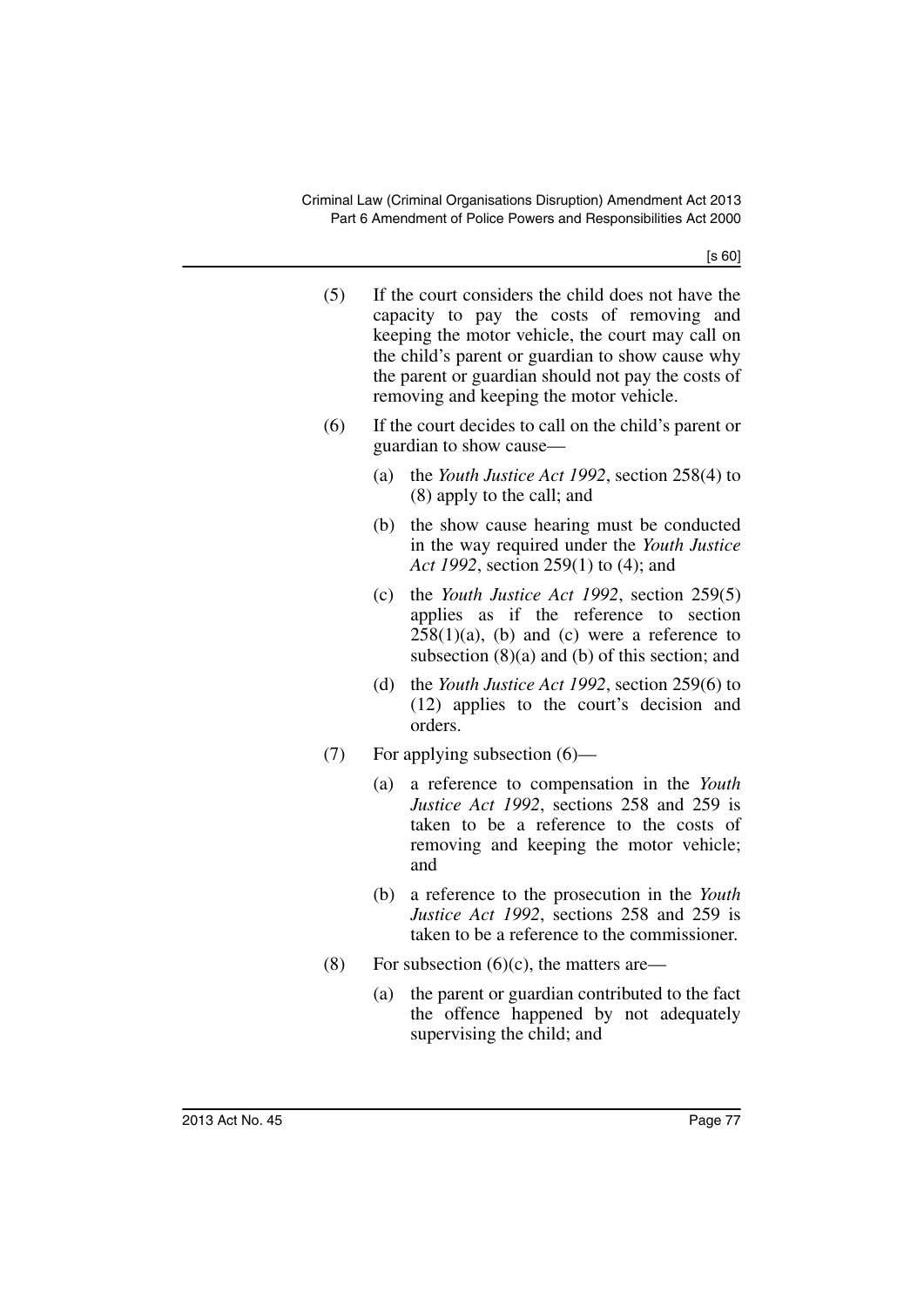- (5) If the court considers the child does not have the capacity to pay the costs of removing and keeping the motor vehicle, the court may call on the child's parent or guardian to show cause why the parent or guardian should not pay the costs of removing and keeping the motor vehicle.
- (6) If the court decides to call on the child's parent or guardian to show cause—
	- (a) the *Youth Justice Act 1992*, section 258(4) to (8) apply to the call; and
	- (b) the show cause hearing must be conducted in the way required under the *Youth Justice Act 1992*, section 259(1) to (4); and
	- (c) the *Youth Justice Act 1992*, section 259(5) applies as if the reference to section  $258(1)(a)$ , (b) and (c) were a reference to subsection (8)(a) and (b) of this section; and
	- (d) the *Youth Justice Act 1992*, section 259(6) to (12) applies to the court's decision and orders.
- (7) For applying subsection (6)—
	- (a) a reference to compensation in the *Youth Justice Act 1992*, sections 258 and 259 is taken to be a reference to the costs of removing and keeping the motor vehicle; and
	- (b) a reference to the prosecution in the *Youth Justice Act 1992*, sections 258 and 259 is taken to be a reference to the commissioner.
- (8) For subsection  $(6)(c)$ , the matters are—
	- (a) the parent or guardian contributed to the fact the offence happened by not adequately supervising the child; and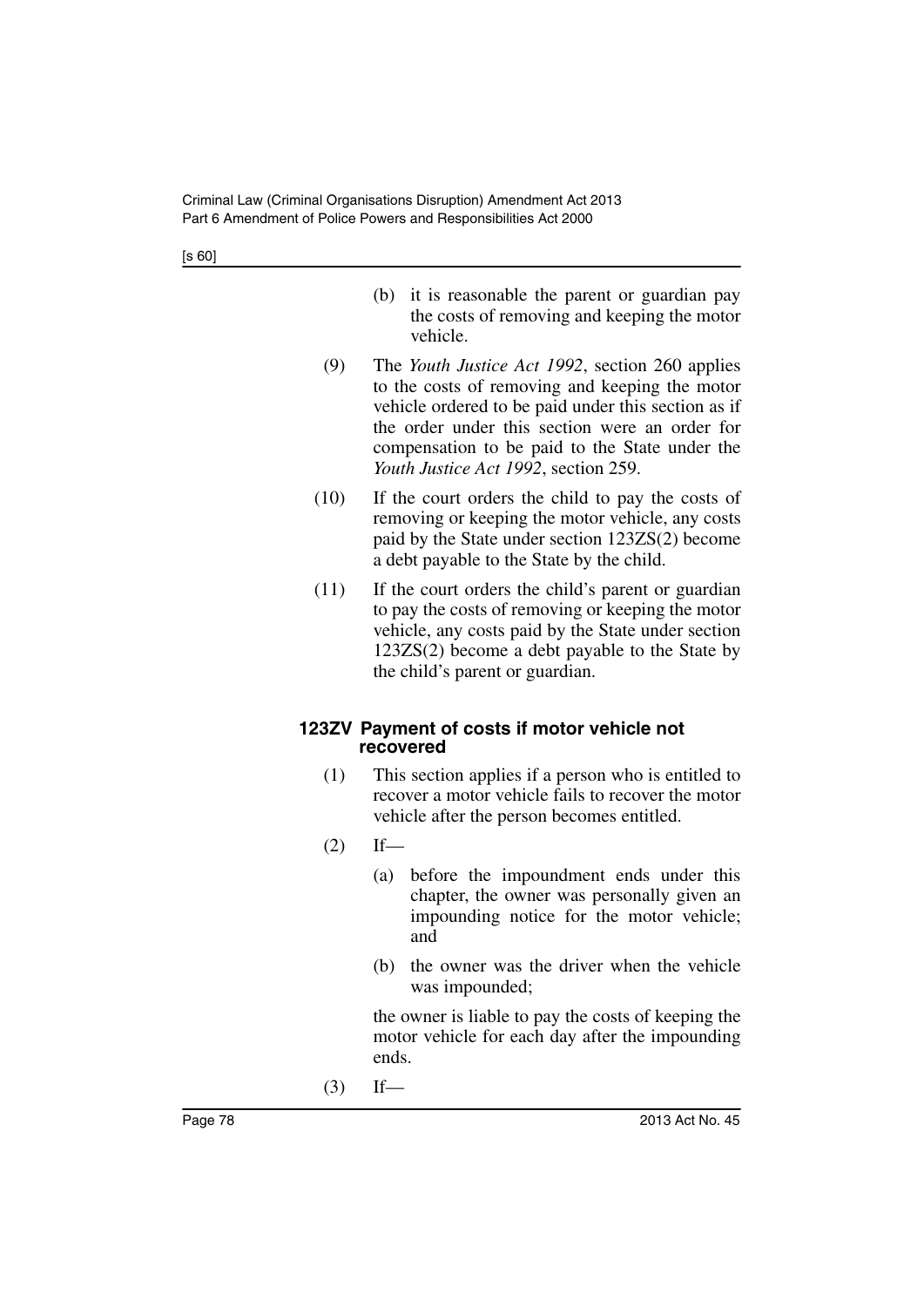- (b) it is reasonable the parent or guardian pay the costs of removing and keeping the motor vehicle.
- (9) The *Youth Justice Act 1992*, section 260 applies to the costs of removing and keeping the motor vehicle ordered to be paid under this section as if the order under this section were an order for compensation to be paid to the State under the *Youth Justice Act 1992*, section 259.
- (10) If the court orders the child to pay the costs of removing or keeping the motor vehicle, any costs paid by the State under section 123ZS(2) become a debt payable to the State by the child.
- (11) If the court orders the child's parent or guardian to pay the costs of removing or keeping the motor vehicle, any costs paid by the State under section 123ZS(2) become a debt payable to the State by the child's parent or guardian.

# **123ZV Payment of costs if motor vehicle not recovered**

- (1) This section applies if a person who is entitled to recover a motor vehicle fails to recover the motor vehicle after the person becomes entitled.
- $(2)$  If—
	- (a) before the impoundment ends under this chapter, the owner was personally given an impounding notice for the motor vehicle; and
	- (b) the owner was the driver when the vehicle was impounded;

the owner is liable to pay the costs of keeping the motor vehicle for each day after the impounding ends.

 $(3)$  If—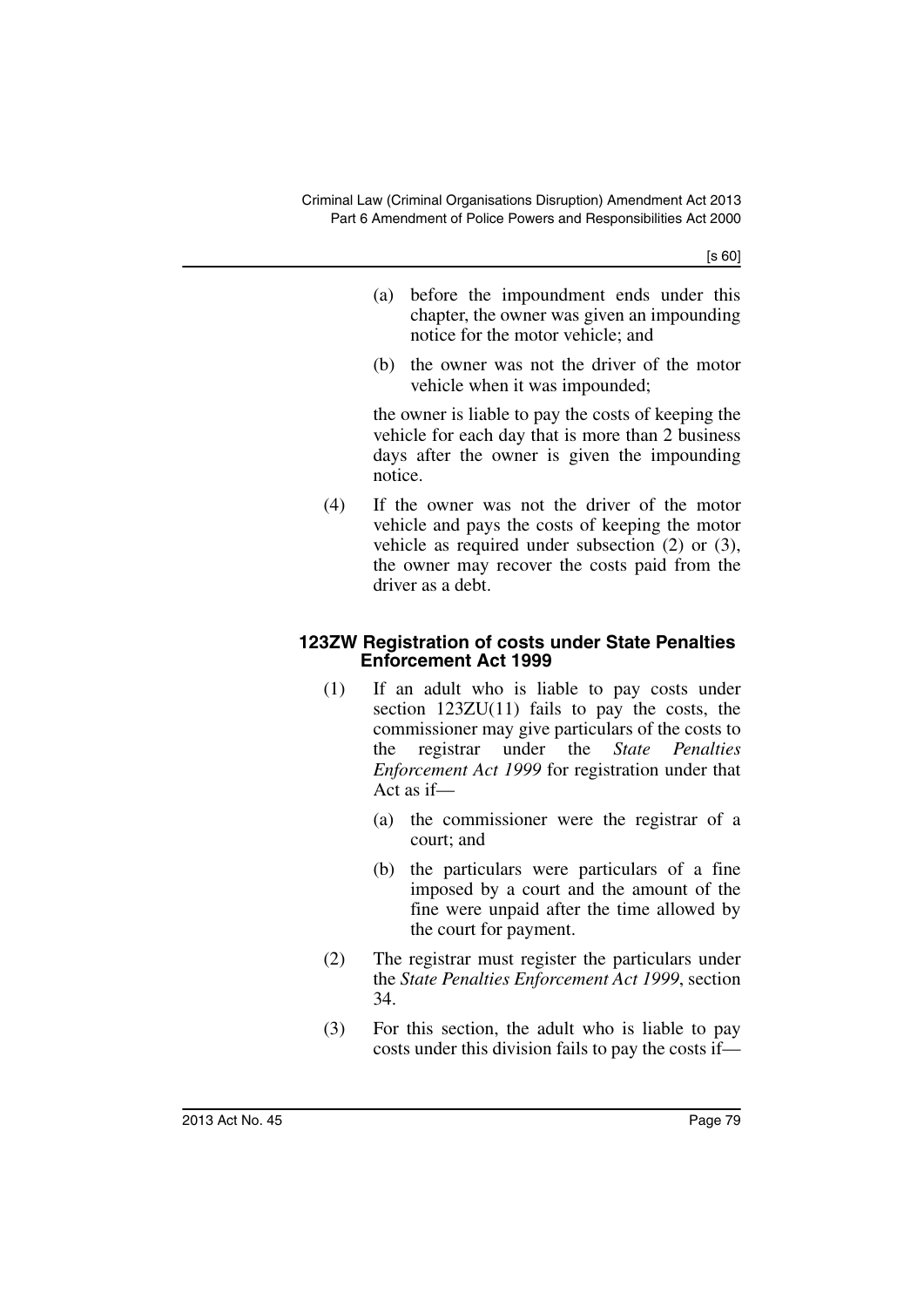- (a) before the impoundment ends under this chapter, the owner was given an impounding notice for the motor vehicle; and
- (b) the owner was not the driver of the motor vehicle when it was impounded;

the owner is liable to pay the costs of keeping the vehicle for each day that is more than 2 business days after the owner is given the impounding notice.

(4) If the owner was not the driver of the motor vehicle and pays the costs of keeping the motor vehicle as required under subsection (2) or (3), the owner may recover the costs paid from the driver as a debt.

### **123ZW Registration of costs under State Penalties Enforcement Act 1999**

- (1) If an adult who is liable to pay costs under section 123ZU(11) fails to pay the costs, the commissioner may give particulars of the costs to the registrar under the *State Penalties Enforcement Act 1999* for registration under that Act as if—
	- (a) the commissioner were the registrar of a court; and
	- (b) the particulars were particulars of a fine imposed by a court and the amount of the fine were unpaid after the time allowed by the court for payment.
- (2) The registrar must register the particulars under the *State Penalties Enforcement Act 1999*, section 34.
- (3) For this section, the adult who is liable to pay costs under this division fails to pay the costs if—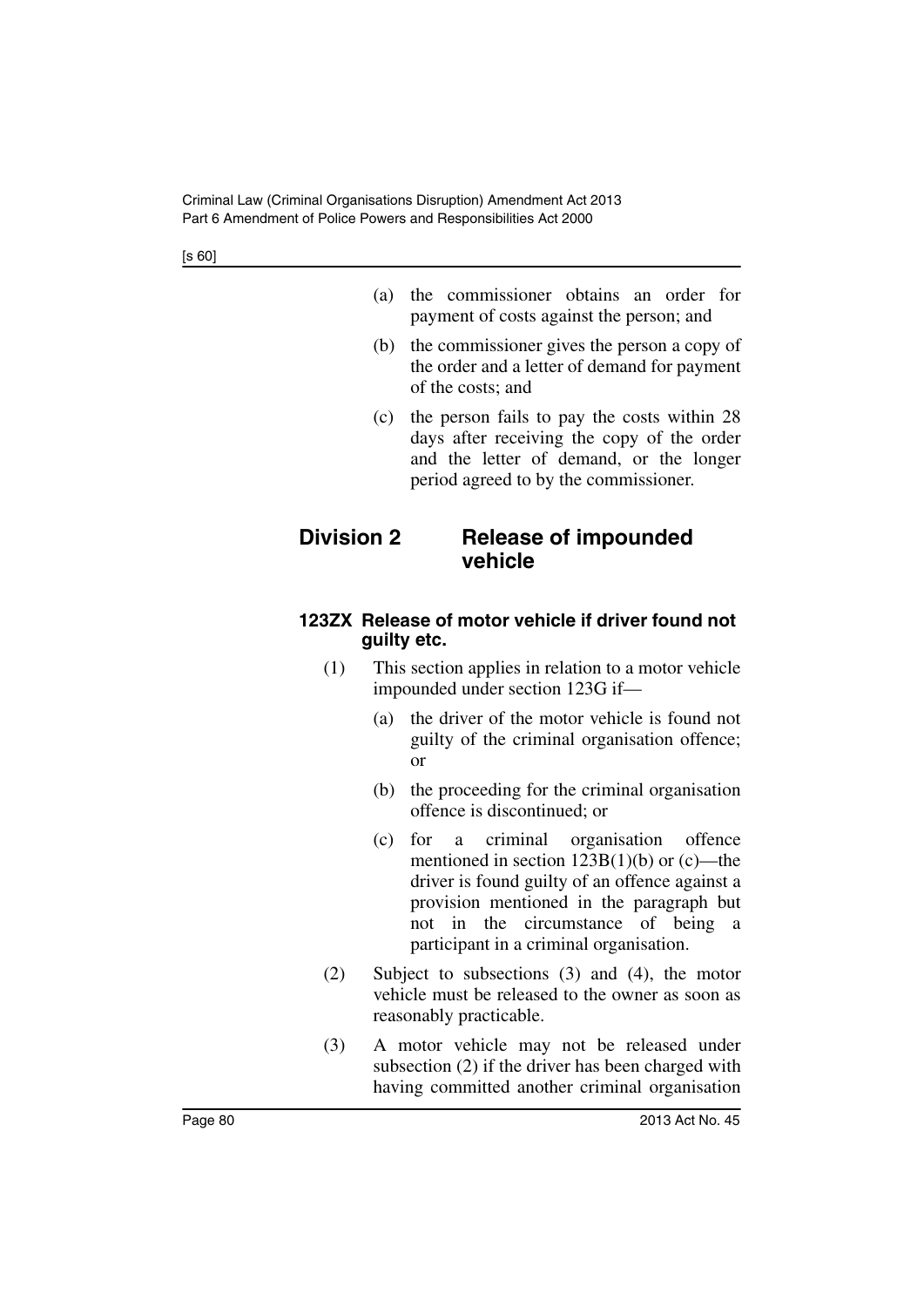- (a) the commissioner obtains an order for payment of costs against the person; and
- (b) the commissioner gives the person a copy of the order and a letter of demand for payment of the costs; and
- (c) the person fails to pay the costs within 28 days after receiving the copy of the order and the letter of demand, or the longer period agreed to by the commissioner.

# **Division 2 Release of impounded vehicle**

# **123ZX Release of motor vehicle if driver found not guilty etc.**

- (1) This section applies in relation to a motor vehicle impounded under section 123G if—
	- (a) the driver of the motor vehicle is found not guilty of the criminal organisation offence; or
	- (b) the proceeding for the criminal organisation offence is discontinued; or
	- (c) for a criminal organisation offence mentioned in section  $123B(1)(b)$  or (c)—the driver is found guilty of an offence against a provision mentioned in the paragraph but not in the circumstance of being a participant in a criminal organisation.
- (2) Subject to subsections (3) and (4), the motor vehicle must be released to the owner as soon as reasonably practicable.
- (3) A motor vehicle may not be released under subsection (2) if the driver has been charged with having committed another criminal organisation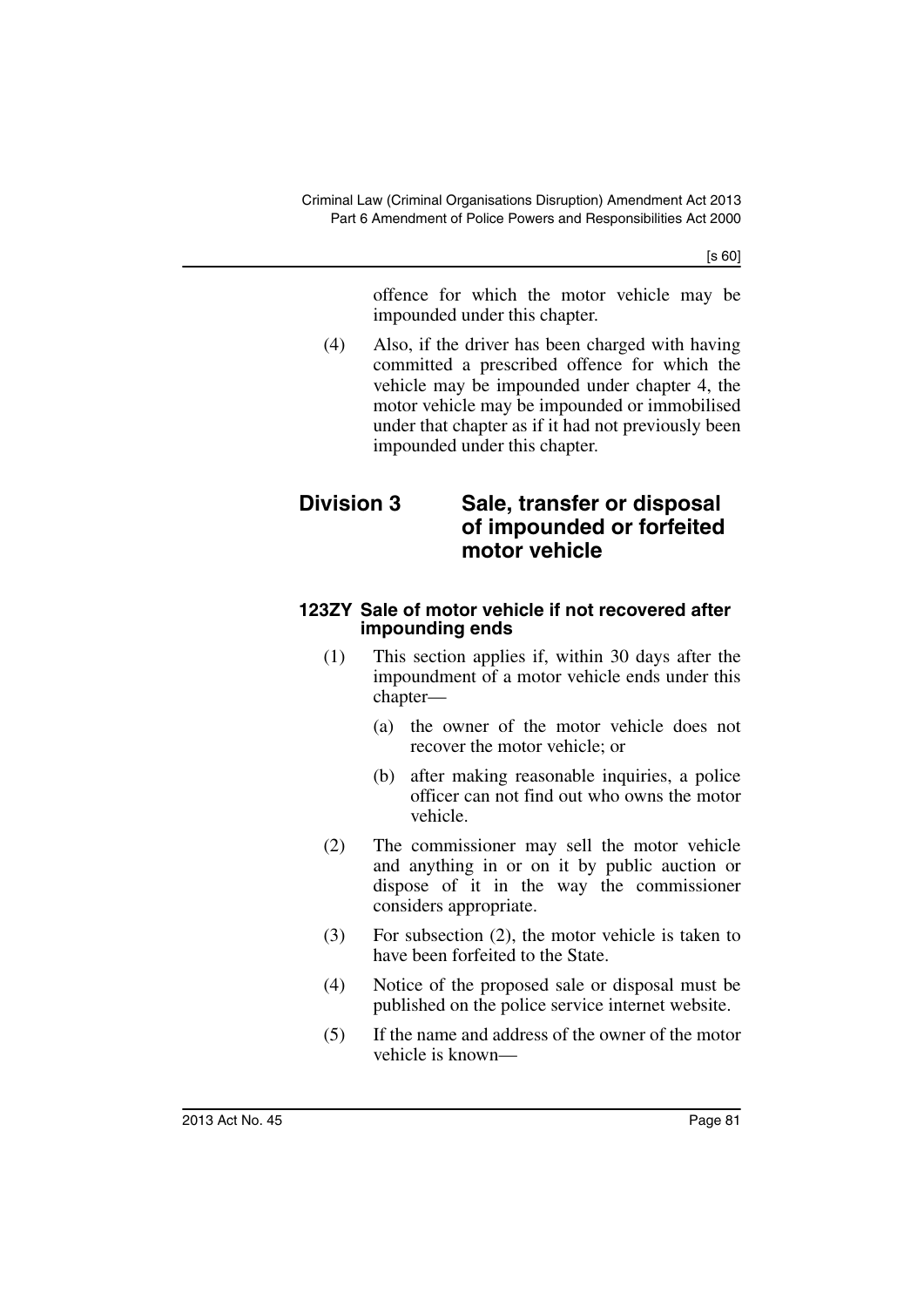offence for which the motor vehicle may be impounded under this chapter.

(4) Also, if the driver has been charged with having committed a prescribed offence for which the vehicle may be impounded under chapter 4, the motor vehicle may be impounded or immobilised under that chapter as if it had not previously been impounded under this chapter.

# **Division 3 Sale, transfer or disposal of impounded or forfeited motor vehicle**

### **123ZY Sale of motor vehicle if not recovered after impounding ends**

- (1) This section applies if, within 30 days after the impoundment of a motor vehicle ends under this chapter—
	- (a) the owner of the motor vehicle does not recover the motor vehicle; or
	- (b) after making reasonable inquiries, a police officer can not find out who owns the motor vehicle.
- (2) The commissioner may sell the motor vehicle and anything in or on it by public auction or dispose of it in the way the commissioner considers appropriate.
- (3) For subsection (2), the motor vehicle is taken to have been forfeited to the State.
- (4) Notice of the proposed sale or disposal must be published on the police service internet website.
- (5) If the name and address of the owner of the motor vehicle is known—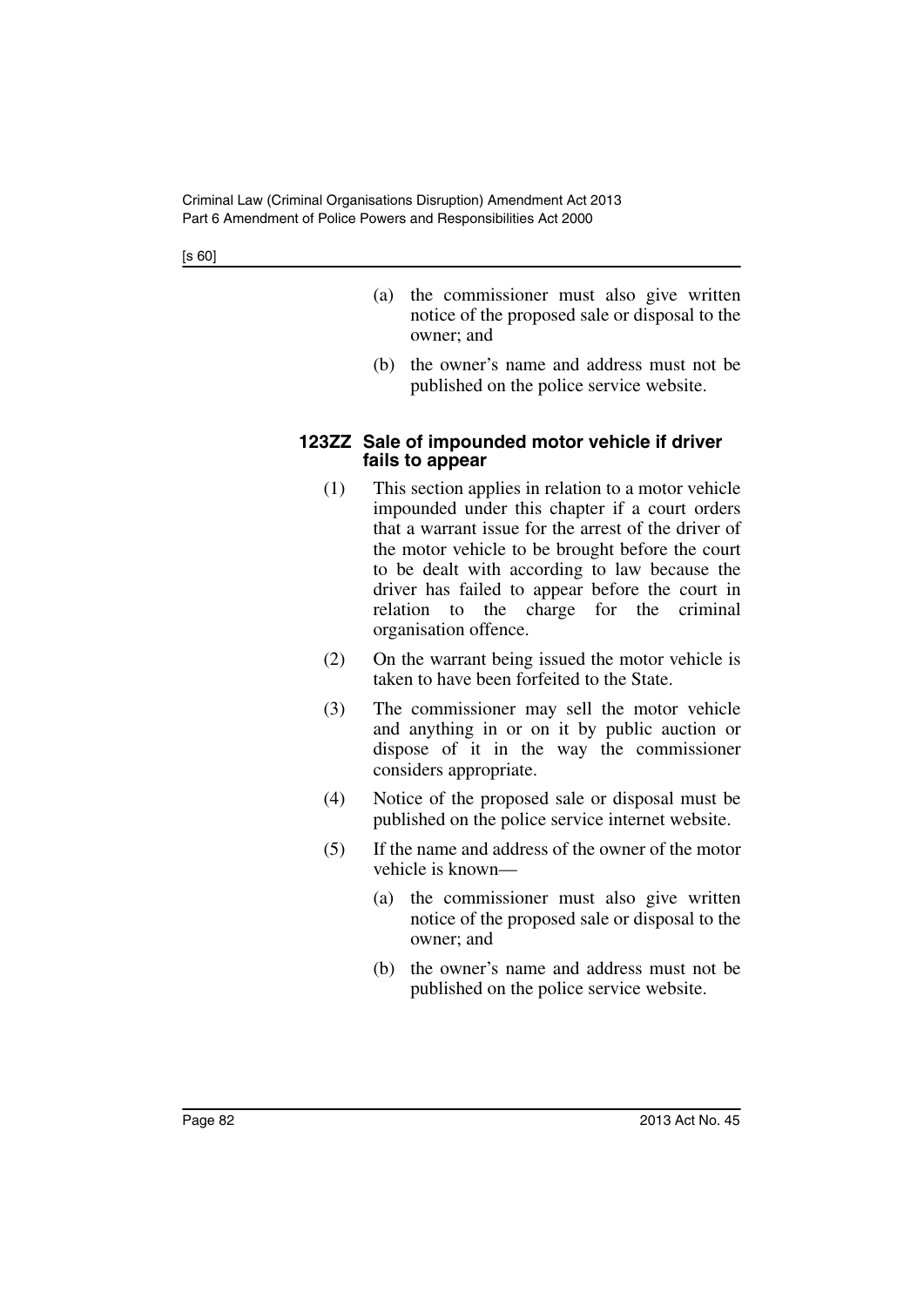- (a) the commissioner must also give written notice of the proposed sale or disposal to the owner; and
- (b) the owner's name and address must not be published on the police service website.

### **123ZZ Sale of impounded motor vehicle if driver fails to appear**

- (1) This section applies in relation to a motor vehicle impounded under this chapter if a court orders that a warrant issue for the arrest of the driver of the motor vehicle to be brought before the court to be dealt with according to law because the driver has failed to appear before the court in relation to the charge for the criminal organisation offence.
- (2) On the warrant being issued the motor vehicle is taken to have been forfeited to the State.
- (3) The commissioner may sell the motor vehicle and anything in or on it by public auction or dispose of it in the way the commissioner considers appropriate.
- (4) Notice of the proposed sale or disposal must be published on the police service internet website.
- (5) If the name and address of the owner of the motor vehicle is known—
	- (a) the commissioner must also give written notice of the proposed sale or disposal to the owner; and
	- (b) the owner's name and address must not be published on the police service website.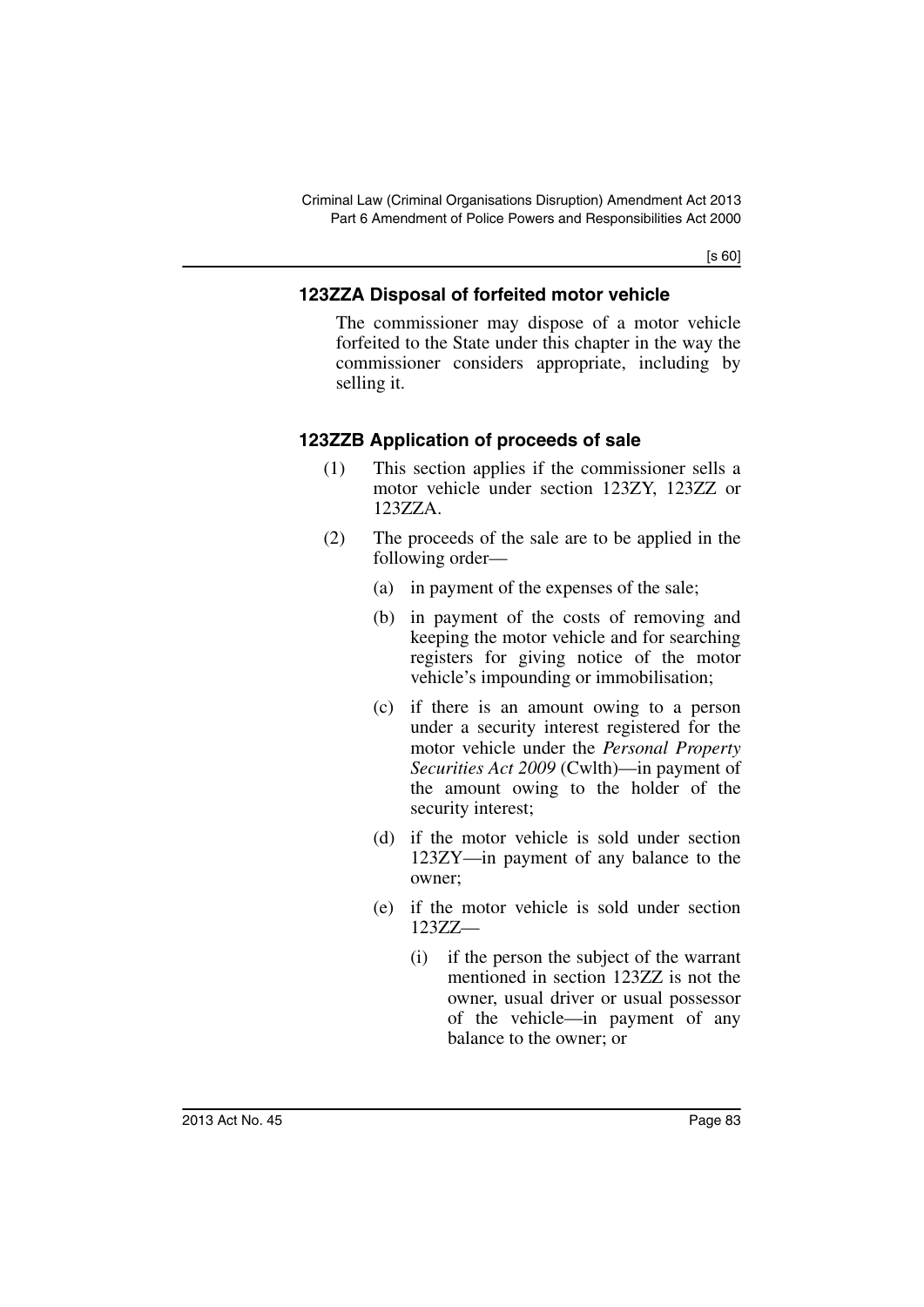# **123ZZA Disposal of forfeited motor vehicle**

The commissioner may dispose of a motor vehicle forfeited to the State under this chapter in the way the commissioner considers appropriate, including by selling it.

# **123ZZB Application of proceeds of sale**

- (1) This section applies if the commissioner sells a motor vehicle under section 123ZY, 123ZZ or 123ZZA.
- (2) The proceeds of the sale are to be applied in the following order—
	- (a) in payment of the expenses of the sale;
	- (b) in payment of the costs of removing and keeping the motor vehicle and for searching registers for giving notice of the motor vehicle's impounding or immobilisation;
	- (c) if there is an amount owing to a person under a security interest registered for the motor vehicle under the *Personal Property Securities Act 2009* (Cwlth)—in payment of the amount owing to the holder of the security interest;
	- (d) if the motor vehicle is sold under section 123ZY—in payment of any balance to the owner;
	- (e) if the motor vehicle is sold under section 123ZZ—
		- (i) if the person the subject of the warrant mentioned in section 123ZZ is not the owner, usual driver or usual possessor of the vehicle—in payment of any balance to the owner; or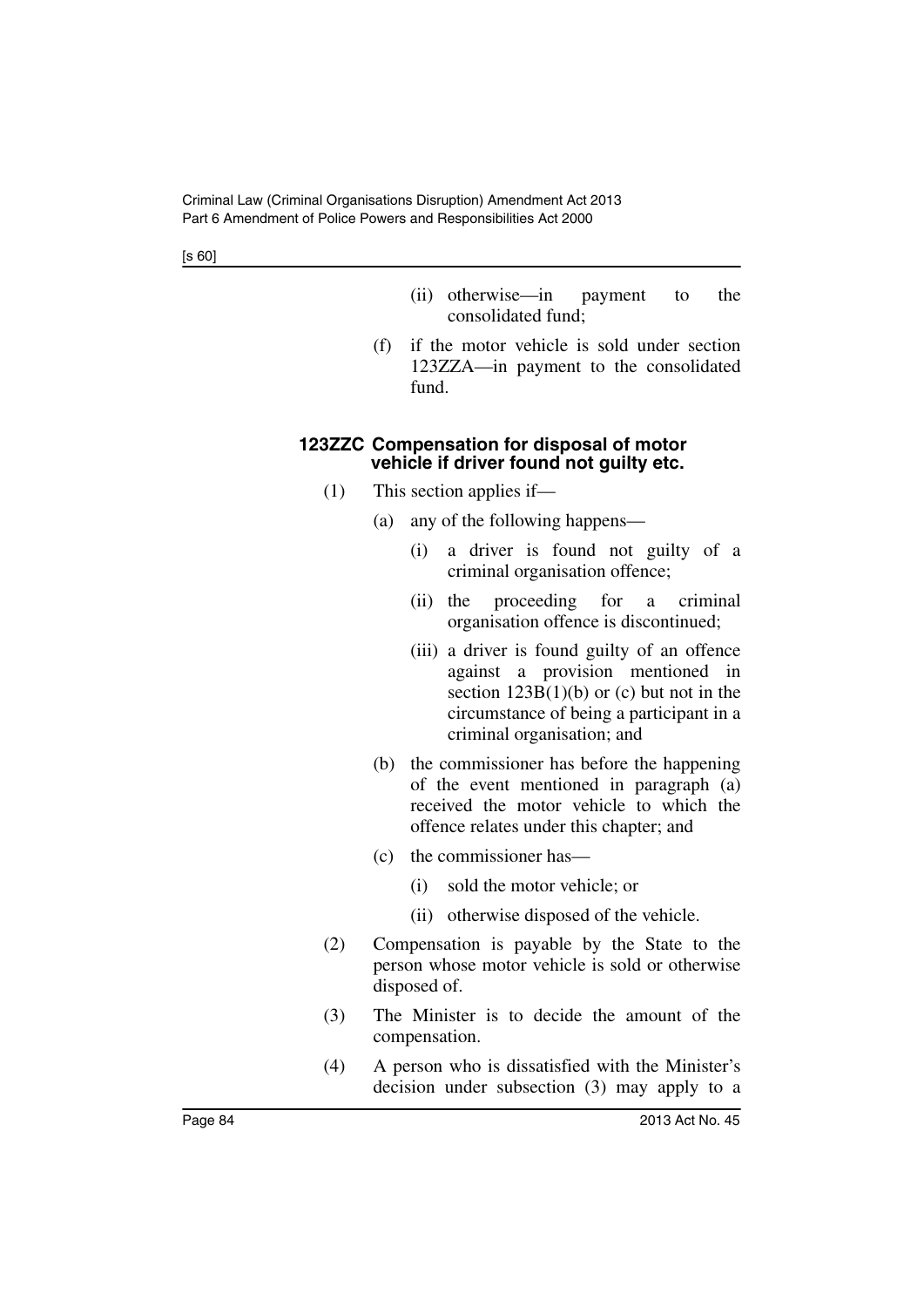- (ii) otherwise—in payment to the consolidated fund;
- (f) if the motor vehicle is sold under section 123ZZA—in payment to the consolidated fund.

### **123ZZC Compensation for disposal of motor vehicle if driver found not guilty etc.**

- (1) This section applies if—
	- (a) any of the following happens—
		- (i) a driver is found not guilty of a criminal organisation offence;
		- (ii) the proceeding for a criminal organisation offence is discontinued;
		- (iii) a driver is found guilty of an offence against a provision mentioned in section  $123B(1)(b)$  or (c) but not in the circumstance of being a participant in a criminal organisation; and
	- (b) the commissioner has before the happening of the event mentioned in paragraph (a) received the motor vehicle to which the offence relates under this chapter; and
	- (c) the commissioner has—
		- (i) sold the motor vehicle; or
		- (ii) otherwise disposed of the vehicle.
- (2) Compensation is payable by the State to the person whose motor vehicle is sold or otherwise disposed of.
- (3) The Minister is to decide the amount of the compensation.
- (4) A person who is dissatisfied with the Minister's decision under subsection (3) may apply to a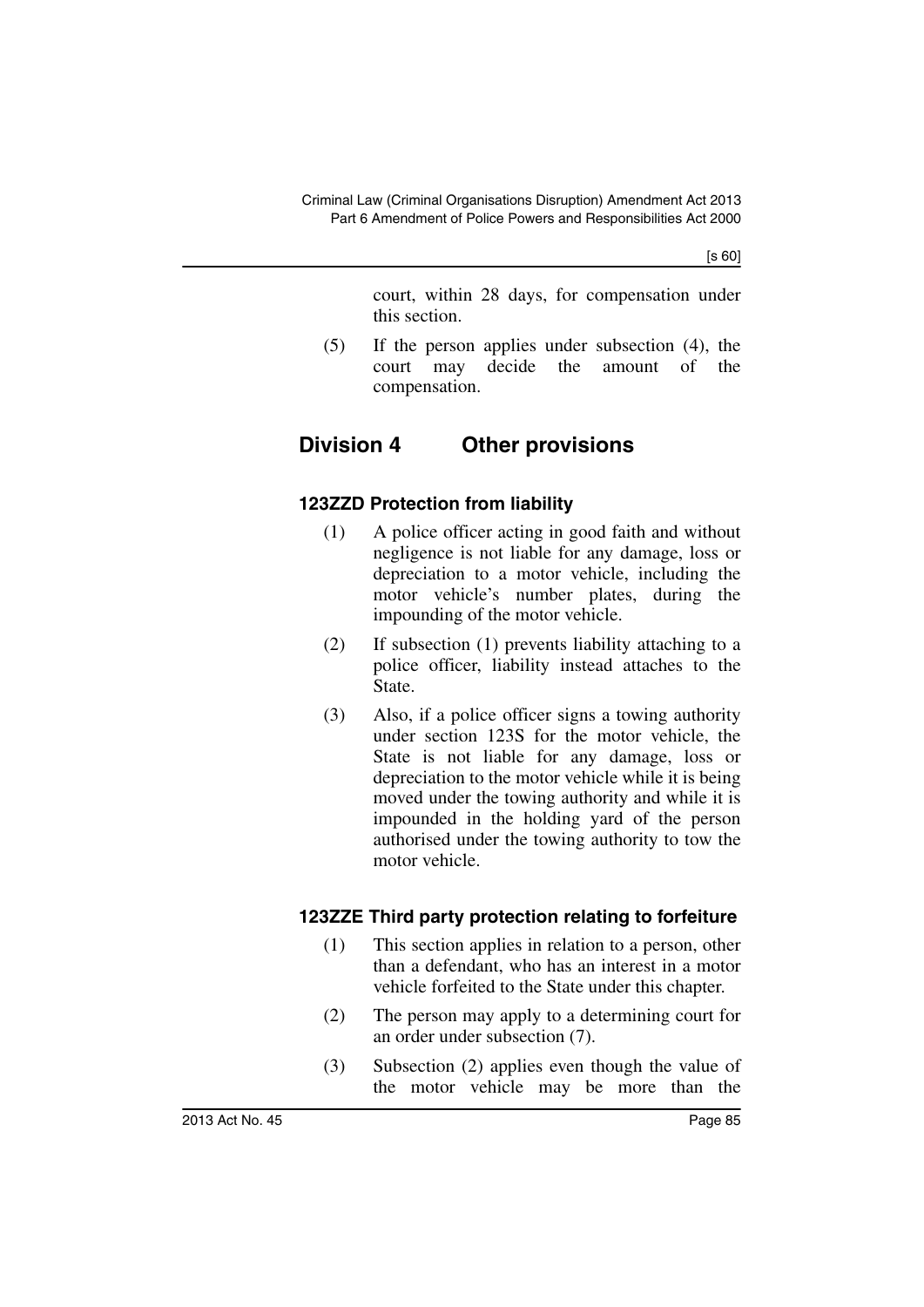court, within 28 days, for compensation under this section.

(5) If the person applies under subsection (4), the court may decide the amount of the compensation.

# **Division 4 Other provisions**

# **123ZZD Protection from liability**

- (1) A police officer acting in good faith and without negligence is not liable for any damage, loss or depreciation to a motor vehicle, including the motor vehicle's number plates, during the impounding of the motor vehicle.
- (2) If subsection (1) prevents liability attaching to a police officer, liability instead attaches to the State.
- (3) Also, if a police officer signs a towing authority under section 123S for the motor vehicle, the State is not liable for any damage, loss or depreciation to the motor vehicle while it is being moved under the towing authority and while it is impounded in the holding yard of the person authorised under the towing authority to tow the motor vehicle.

# **123ZZE Third party protection relating to forfeiture**

- (1) This section applies in relation to a person, other than a defendant, who has an interest in a motor vehicle forfeited to the State under this chapter.
- (2) The person may apply to a determining court for an order under subsection (7).
- (3) Subsection (2) applies even though the value of the motor vehicle may be more than the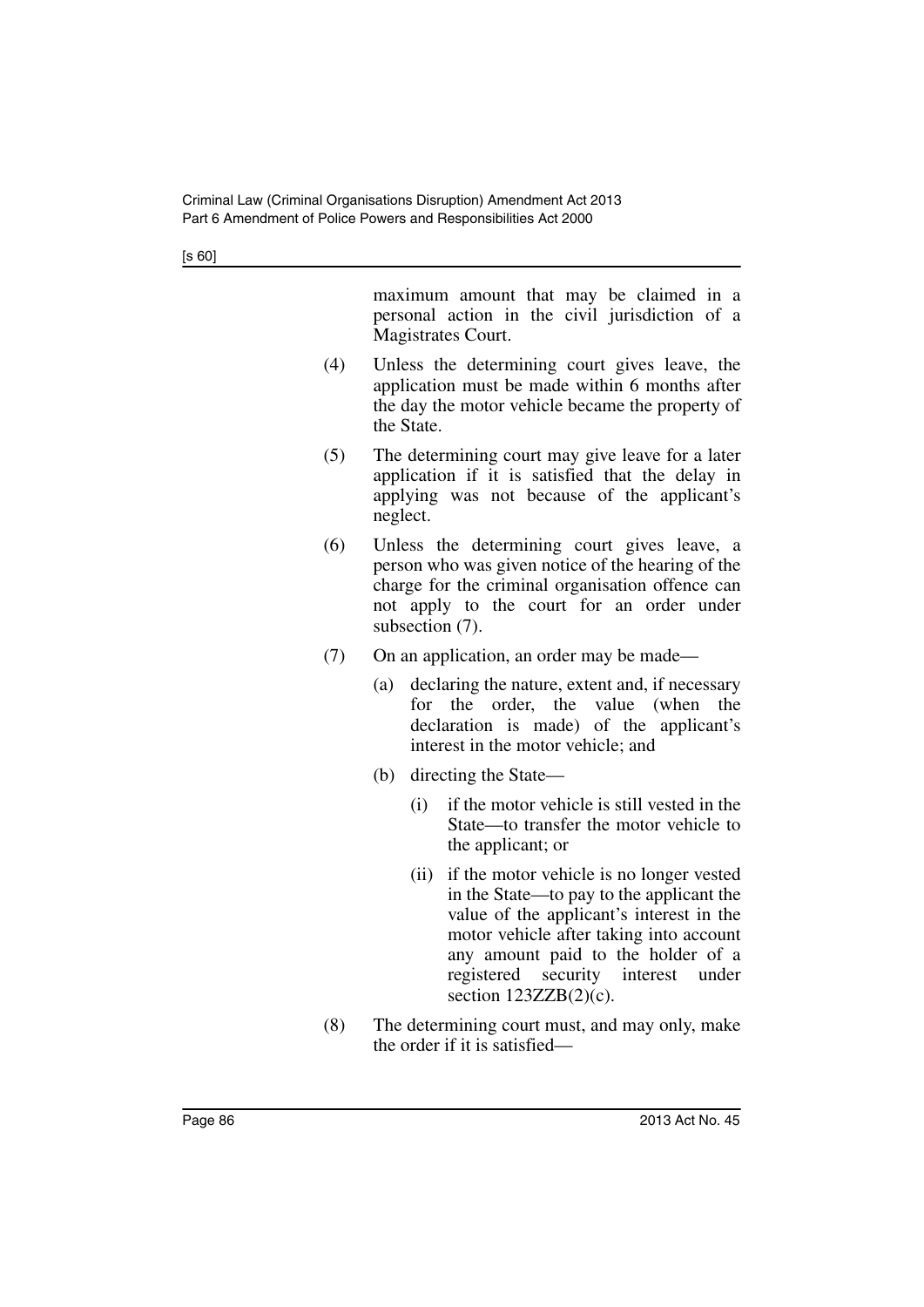maximum amount that may be claimed in a personal action in the civil jurisdiction of a Magistrates Court.

- (4) Unless the determining court gives leave, the application must be made within 6 months after the day the motor vehicle became the property of the State.
- (5) The determining court may give leave for a later application if it is satisfied that the delay in applying was not because of the applicant's neglect.
- (6) Unless the determining court gives leave, a person who was given notice of the hearing of the charge for the criminal organisation offence can not apply to the court for an order under subsection (7).
- (7) On an application, an order may be made—
	- (a) declaring the nature, extent and, if necessary for the order, the value (when the declaration is made) of the applicant's interest in the motor vehicle; and
	- (b) directing the State—
		- (i) if the motor vehicle is still vested in the State—to transfer the motor vehicle to the applicant; or
		- (ii) if the motor vehicle is no longer vested in the State—to pay to the applicant the value of the applicant's interest in the motor vehicle after taking into account any amount paid to the holder of a registered security interest under section  $123ZZB(2)(c)$ .
- (8) The determining court must, and may only, make the order if it is satisfied—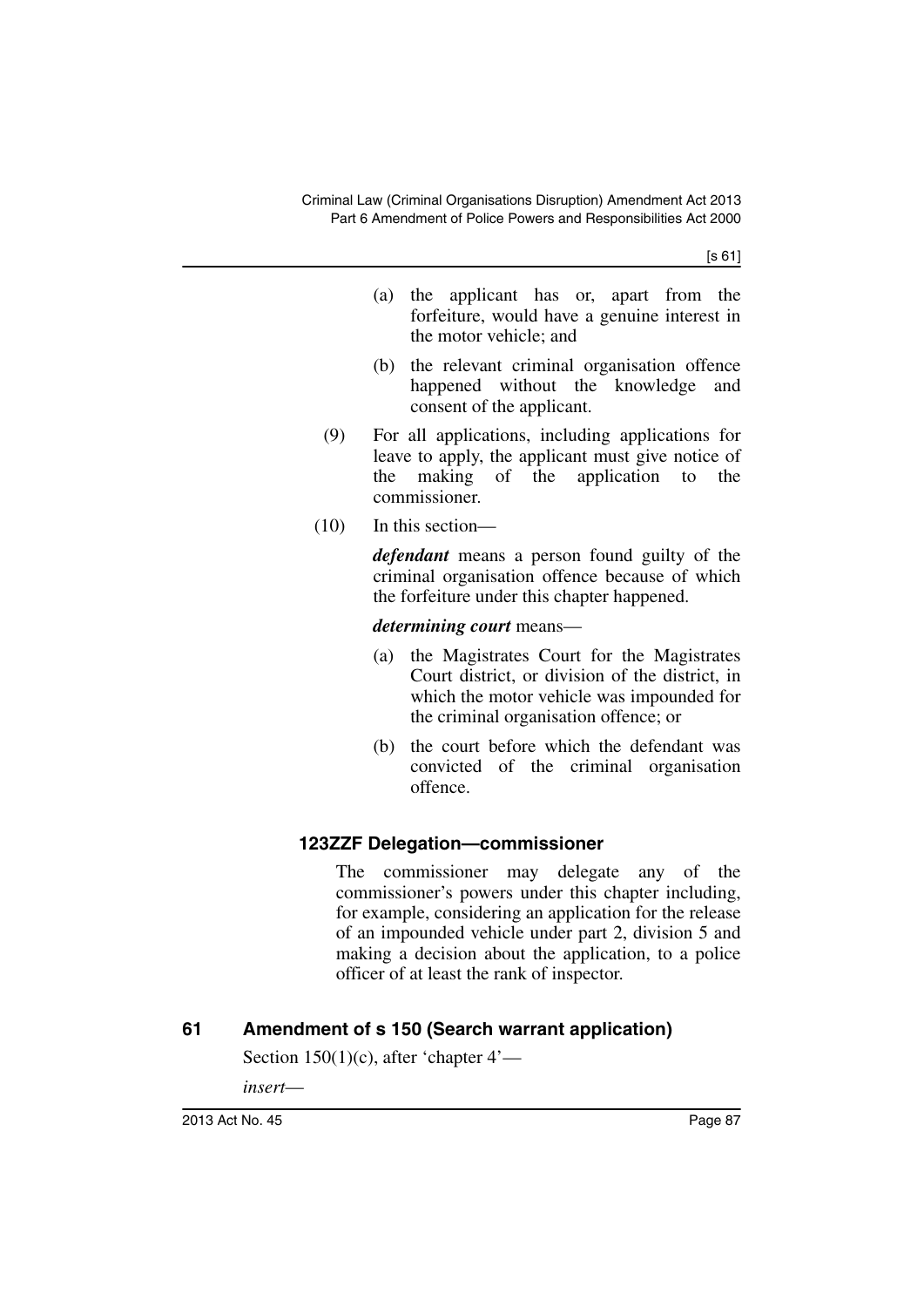[s 61]

- (a) the applicant has or, apart from the forfeiture, would have a genuine interest in the motor vehicle; and
- (b) the relevant criminal organisation offence happened without the knowledge and consent of the applicant.
- (9) For all applications, including applications for leave to apply, the applicant must give notice of the making of the application to the commissioner.
- (10) In this section—

*defendant* means a person found guilty of the criminal organisation offence because of which the forfeiture under this chapter happened.

*determining court* means—

- (a) the Magistrates Court for the Magistrates Court district, or division of the district, in which the motor vehicle was impounded for the criminal organisation offence; or
- (b) the court before which the defendant was convicted of the criminal organisation offence.

# **123ZZF Delegation—commissioner**

The commissioner may delegate any of the commissioner's powers under this chapter including, for example, considering an application for the release of an impounded vehicle under part 2, division 5 and making a decision about the application, to a police officer of at least the rank of inspector.

# **61 Amendment of s 150 (Search warrant application)**

Section  $150(1)(c)$ , after 'chapter  $4'$ —

*insert*—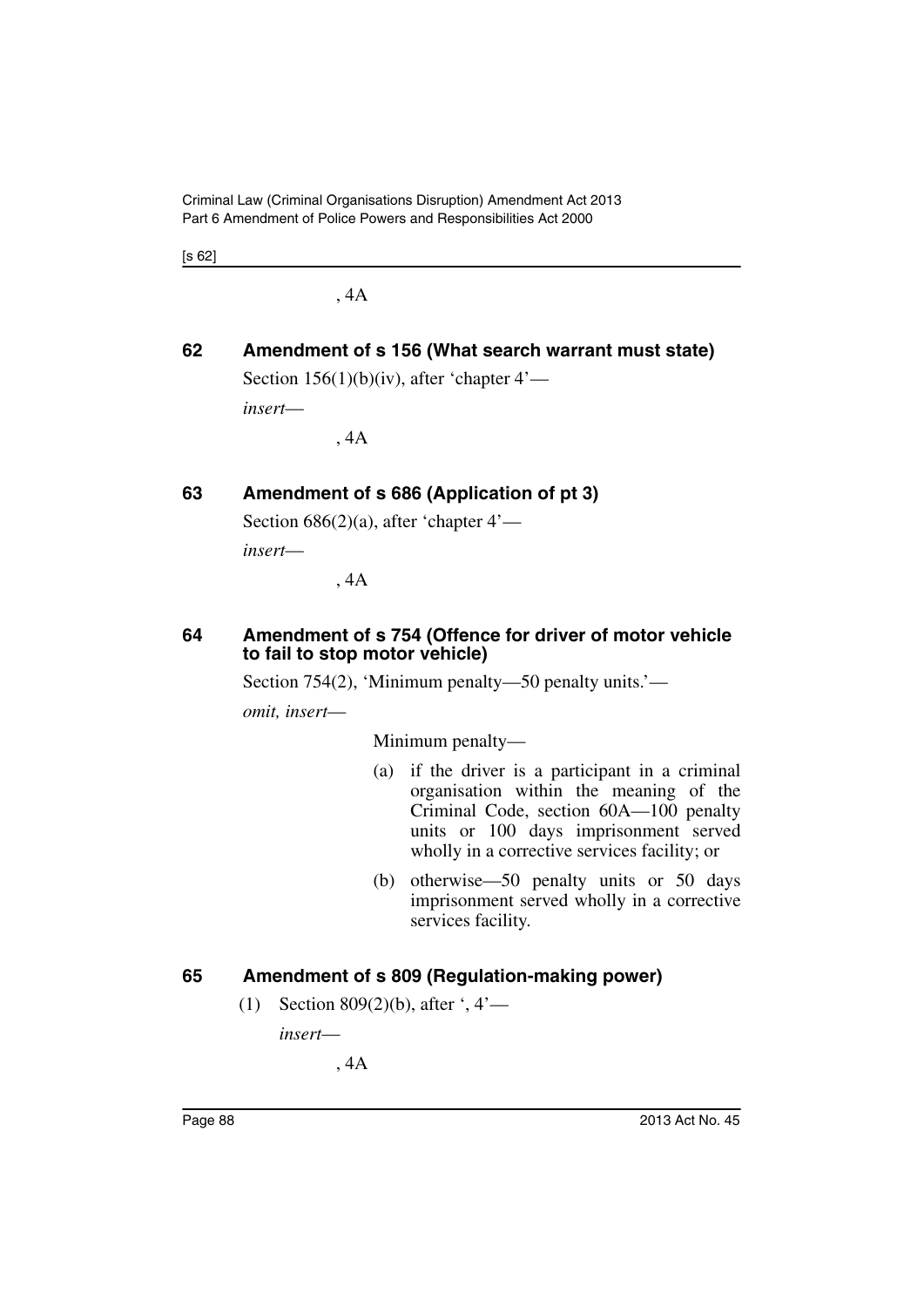Criminal Law (Criminal Organisations Disruption) Amendment Act 2013 Part 6 Amendment of Police Powers and Responsibilities Act 2000

[s 62]

, 4A

# **62 Amendment of s 156 (What search warrant must state)**

Section  $156(1)(b)(iv)$ , after 'chapter  $4'$ —

*insert*—

, 4A

# **63 Amendment of s 686 (Application of pt 3)**

Section  $686(2)(a)$ , after 'chapter  $4'$ —

*insert*—

, 4A

### **64 Amendment of s 754 (Offence for driver of motor vehicle to fail to stop motor vehicle)**

Section 754(2), 'Minimum penalty—50 penalty units.'—

*omit, insert*—

Minimum penalty—

- (a) if the driver is a participant in a criminal organisation within the meaning of the Criminal Code, section 60A—100 penalty units or 100 days imprisonment served wholly in a corrective services facility; or
- (b) otherwise—50 penalty units or 50 days imprisonment served wholly in a corrective services facility.

# **65 Amendment of s 809 (Regulation-making power)**

(1) Section 809(2)(b), after ', 4'—

*insert*—

, 4A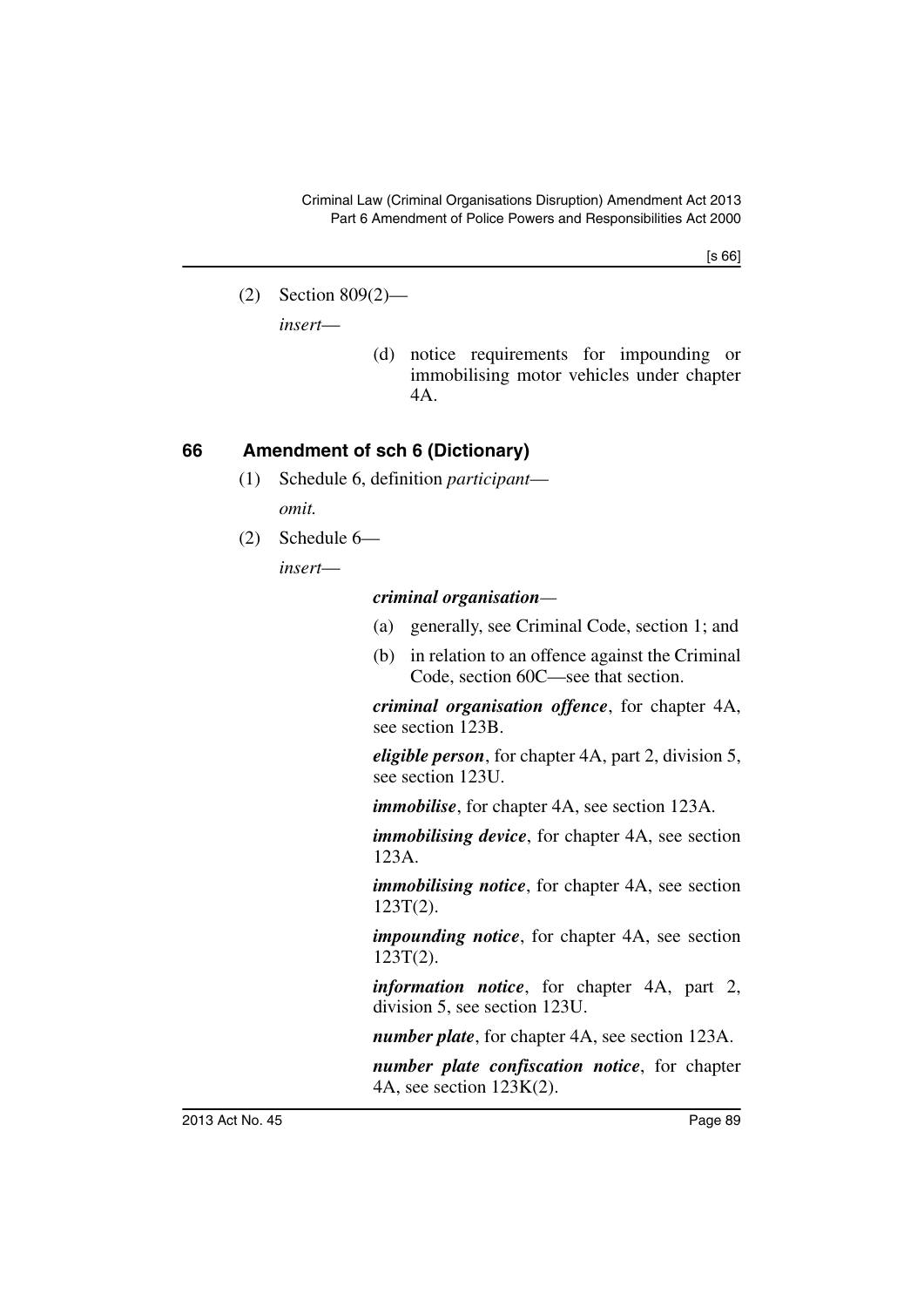[s 66]

(2) Section 809(2)—

*insert*—

(d) notice requirements for impounding or immobilising motor vehicles under chapter 4A.

# **66 Amendment of sch 6 (Dictionary)**

- (1) Schedule 6, definition *participant omit.*
- (2) Schedule 6—

*insert*—

### *criminal organisation—*

- (a) generally, see Criminal Code, section 1; and
- (b) in relation to an offence against the Criminal Code, section 60C—see that section.

*criminal organisation offence*, for chapter 4A, see section 123B.

*eligible person*, for chapter 4A, part 2, division 5, see section 123U.

*immobilise*, for chapter 4A, see section 123A.

*immobilising device*, for chapter 4A, see section 123A.

*immobilising notice*, for chapter 4A, see section 123T(2).

*impounding notice*, for chapter 4A, see section 123T(2).

*information notice*, for chapter 4A, part 2, division 5, see section 123U.

*number plate*, for chapter 4A, see section 123A.

*number plate confiscation notice*, for chapter 4A, see section 123K(2).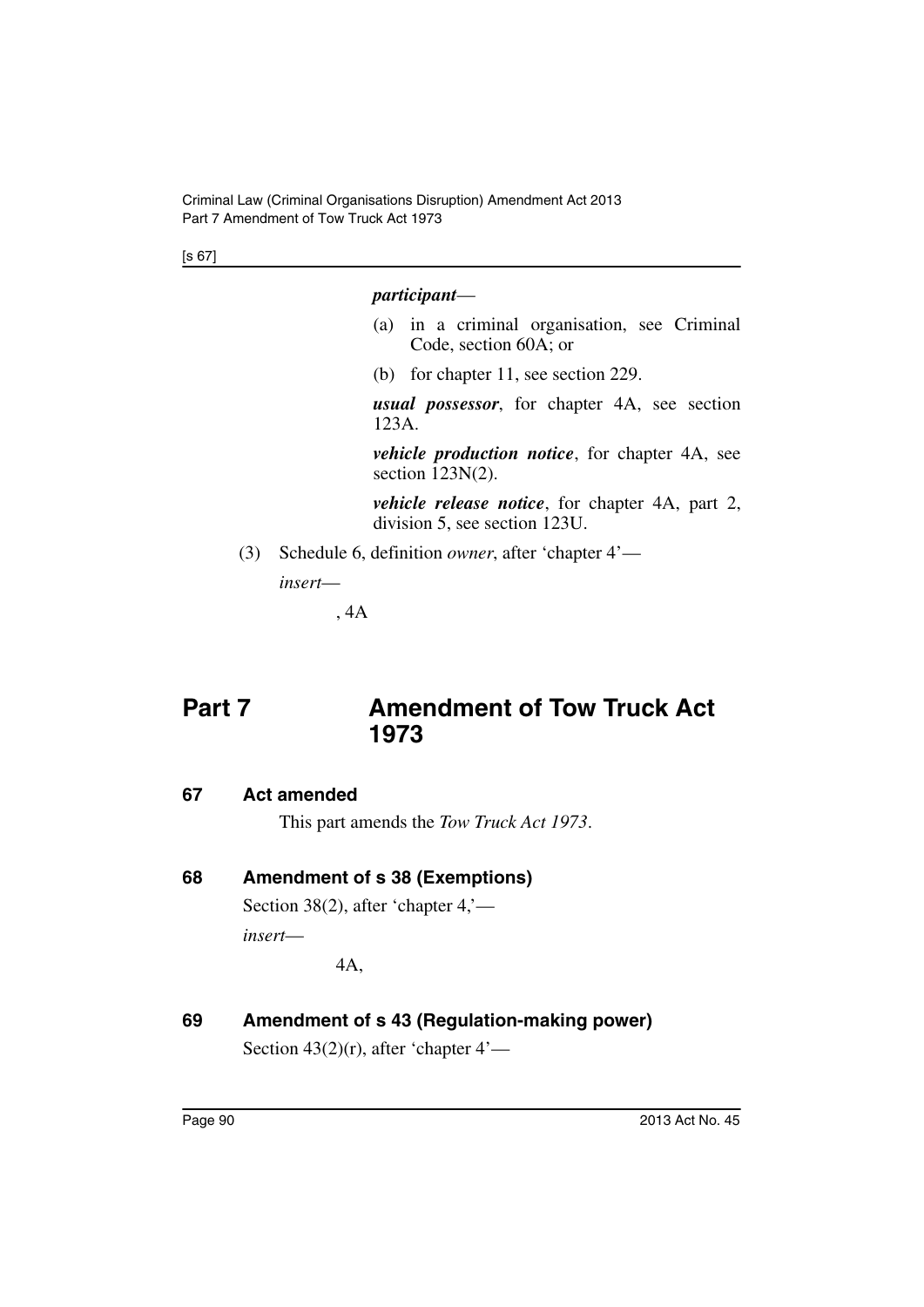[s 67]

### *participant*—

- (a) in a criminal organisation, see Criminal Code, section 60A; or
- (b) for chapter 11, see section 229.

*usual possessor*, for chapter 4A, see section 123A.

*vehicle production notice*, for chapter 4A, see section 123N(2).

*vehicle release notice*, for chapter 4A, part 2, division 5, see section 123U.

(3) Schedule 6, definition *owner*, after 'chapter 4'—

*insert*—

, 4A

# **Part 7** Amendment of Tow Truck Act **1973**

# **67 Act amended**

This part amends the *Tow Truck Act 1973*.

# **68 Amendment of s 38 (Exemptions)**

Section 38(2), after 'chapter 4,' *insert*—

4A,

**69 Amendment of s 43 (Regulation-making power)** Section  $43(2)(r)$ , after 'chapter  $4'$ —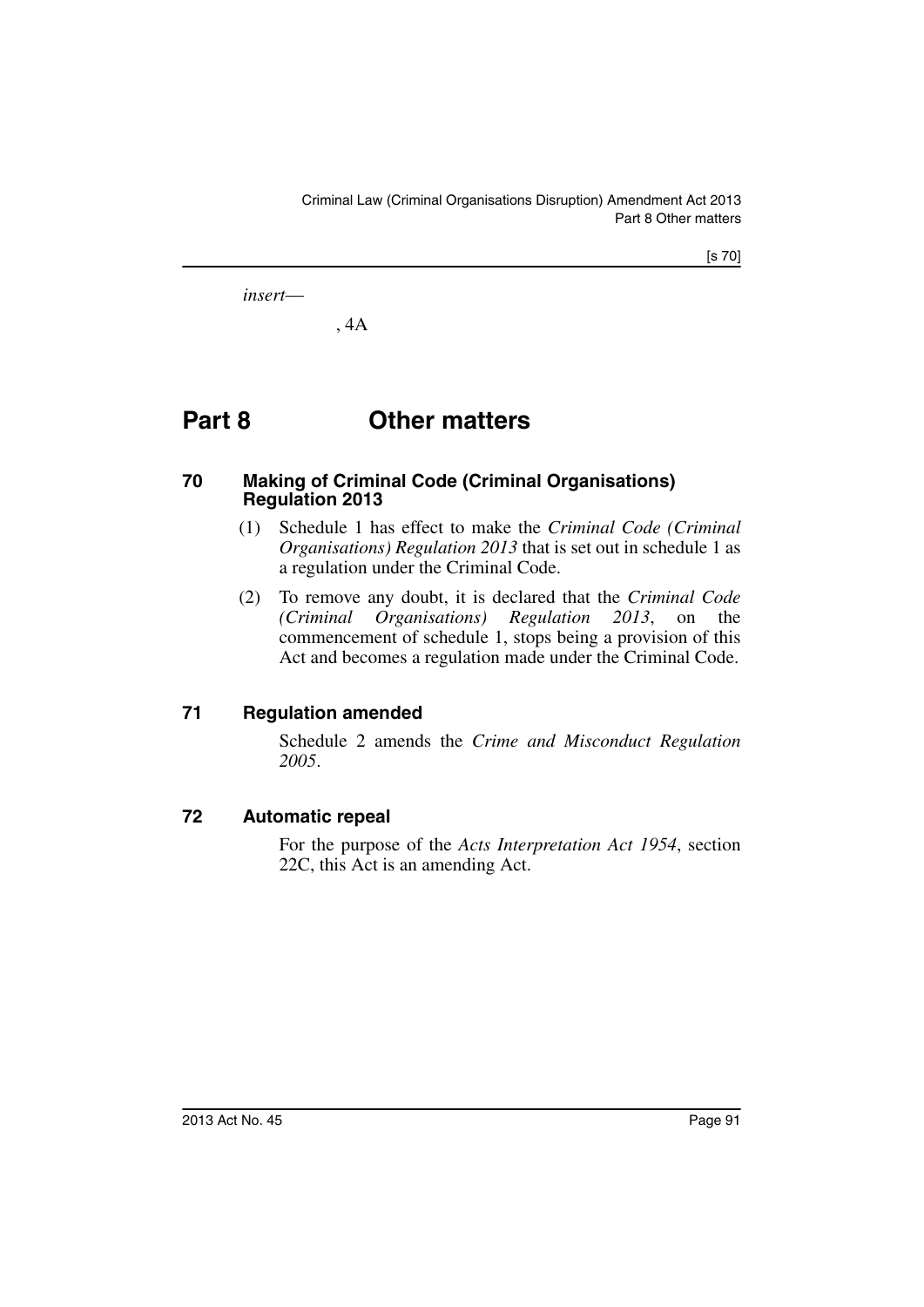[s 70]

*insert*—

, 4A

# **Part 8 Other matters**

#### **70 Making of Criminal Code (Criminal Organisations) Regulation 2013**

- (1) Schedule 1 has effect to make the *Criminal Code (Criminal Organisations) Regulation 2013* that is set out in schedule 1 as a regulation under the Criminal Code.
- (2) To remove any doubt, it is declared that the *Criminal Code (Criminal Organisations) Regulation 2013*, on the commencement of schedule 1, stops being a provision of this Act and becomes a regulation made under the Criminal Code.

# **71 Regulation amended**

Schedule 2 amends the *Crime and Misconduct Regulation 2005*.

### **72 Automatic repeal**

For the purpose of the *Acts Interpretation Act 1954*, section 22C, this Act is an amending Act.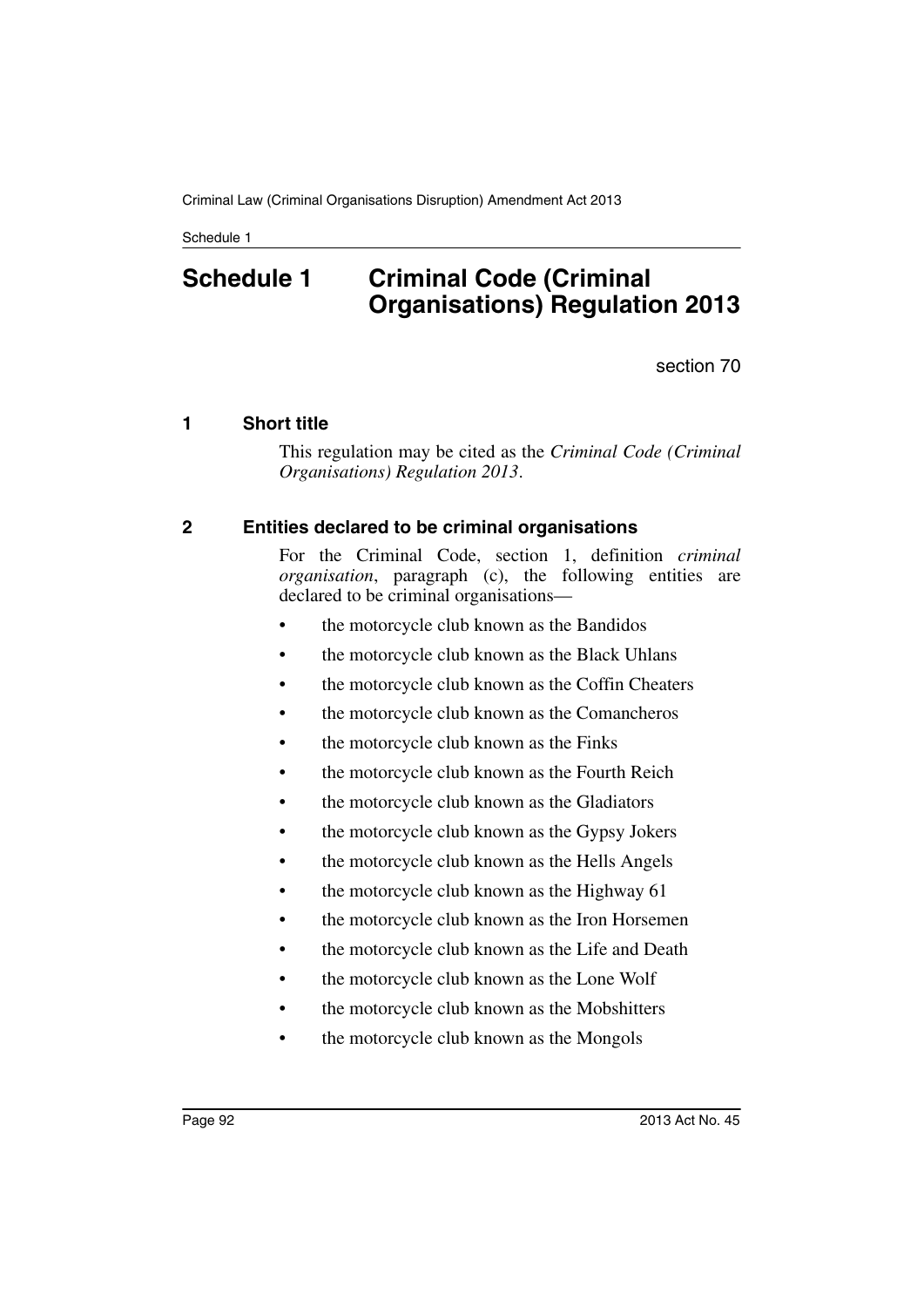# **Schedule 1 Criminal Code (Criminal Organisations) Regulation 2013**

section 70

### **1 Short title**

This regulation may be cited as the *Criminal Code (Criminal Organisations) Regulation 2013*.

### **2 Entities declared to be criminal organisations**

For the Criminal Code, section 1, definition *criminal organisation*, paragraph (c), the following entities are declared to be criminal organisations—

- the motorcycle club known as the Bandidos
- the motorcycle club known as the Black Uhlans
- the motorcycle club known as the Coffin Cheaters
- the motorcycle club known as the Comancheros
- the motorcycle club known as the Finks
- the motorcycle club known as the Fourth Reich
- the motorcycle club known as the Gladiators
- the motorcycle club known as the Gypsy Jokers
- the motorcycle club known as the Hells Angels
- the motorcycle club known as the Highway 61
- the motorcycle club known as the Iron Horsemen
- the motorcycle club known as the Life and Death
- the motorcycle club known as the Lone Wolf
- the motorcycle club known as the Mobshitters
- the motorcycle club known as the Mongols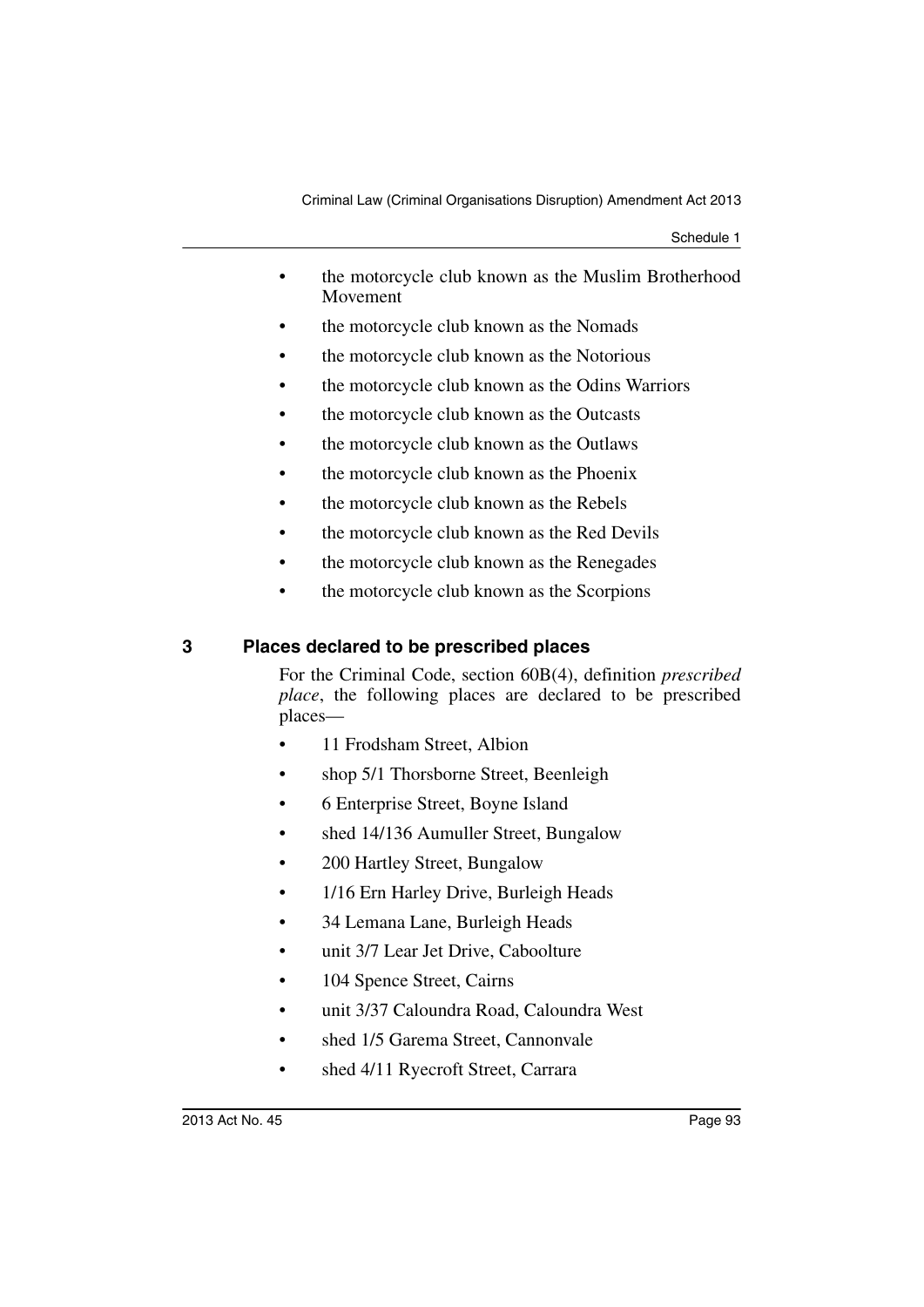- the motorcycle club known as the Muslim Brotherhood Movement
- the motorcycle club known as the Nomads
- the motorcycle club known as the Notorious
- the motorcycle club known as the Odins Warriors
- the motorcycle club known as the Outcasts
- the motorcycle club known as the Outlaws
- the motorcycle club known as the Phoenix
- the motorcycle club known as the Rebels
- the motorcycle club known as the Red Devils
- the motorcycle club known as the Renegades
- the motorcycle club known as the Scorpions

### **3 Places declared to be prescribed places**

For the Criminal Code, section 60B(4), definition *prescribed place*, the following places are declared to be prescribed places—

- 11 Frodsham Street, Albion
- shop 5/1 Thorsborne Street, Beenleigh
- 6 Enterprise Street, Boyne Island
- shed 14/136 Aumuller Street, Bungalow
- 200 Hartley Street, Bungalow
- 1/16 Ern Harley Drive, Burleigh Heads
- 34 Lemana Lane, Burleigh Heads
- unit 3/7 Lear Jet Drive, Caboolture
- 104 Spence Street, Cairns
- unit 3/37 Caloundra Road, Caloundra West
- shed 1/5 Garema Street, Cannonvale
- shed 4/11 Ryecroft Street, Carrara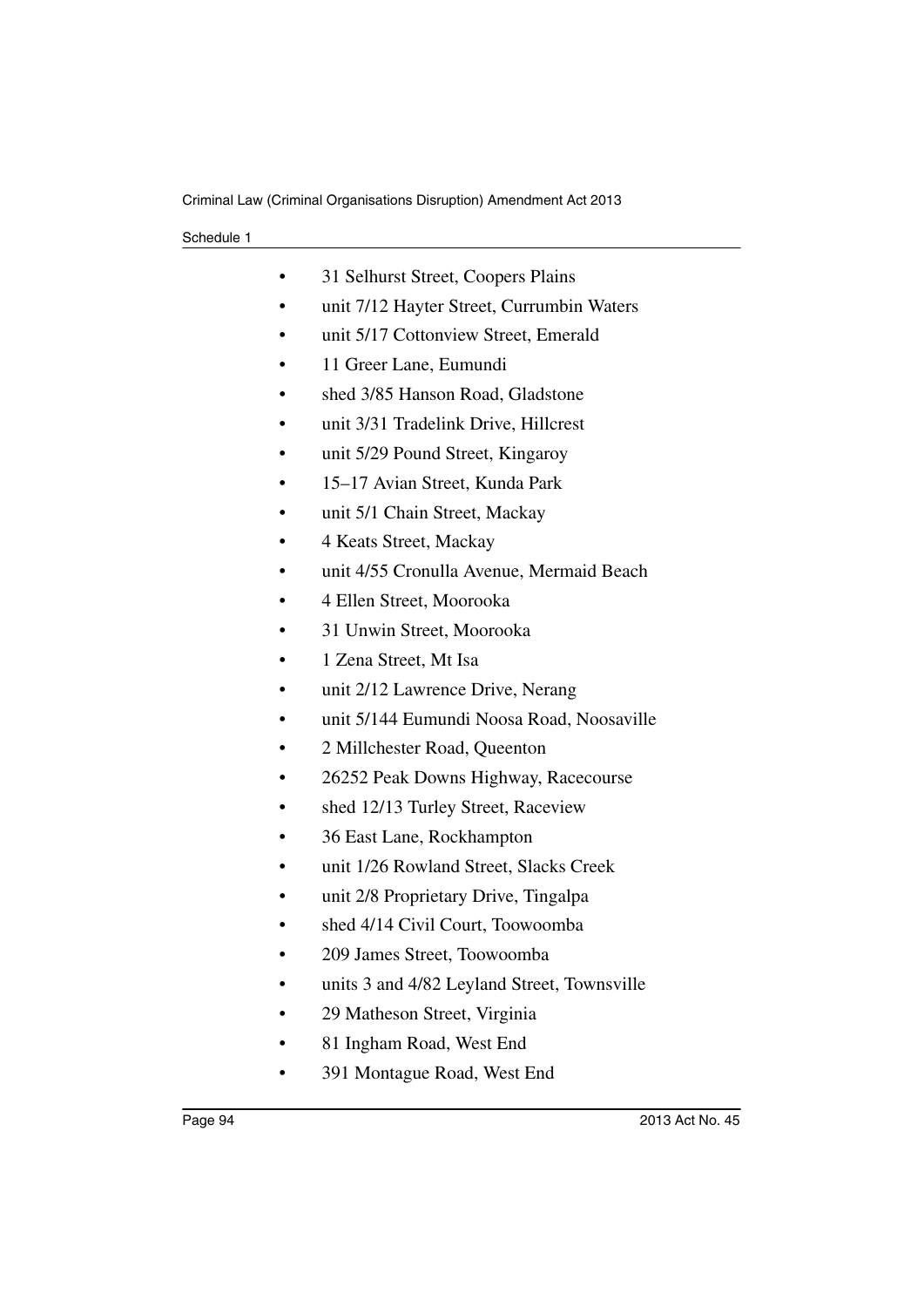| 31 Selhurst Street, Coopers Plains          |
|---------------------------------------------|
| unit 7/12 Hayter Street, Currumbin Waters   |
| unit 5/17 Cottonview Street, Emerald        |
| 11 Greer Lane, Eumundi                      |
| shed 3/85 Hanson Road, Gladstone            |
| unit 3/31 Tradelink Drive, Hillcrest        |
| unit 5/29 Pound Street, Kingaroy            |
| 15–17 Avian Street, Kunda Park              |
| unit 5/1 Chain Street, Mackay               |
| 4 Keats Street, Mackay                      |
| unit 4/55 Cronulla Avenue, Mermaid Beach    |
| 4 Ellen Street, Moorooka                    |
| 31 Unwin Street, Moorooka                   |
| 1 Zena Street, Mt Isa                       |
| unit 2/12 Lawrence Drive, Nerang            |
| unit 5/144 Eumundi Noosa Road, Noosaville   |
| 2 Millchester Road, Queenton                |
| 26252 Peak Downs Highway, Racecourse        |
| shed 12/13 Turley Street, Raceview          |
| 36 East Lane, Rockhampton                   |
| unit 1/26 Rowland Street, Slacks Creek      |
| unit 2/8 Proprietary Drive, Tingalpa        |
| shed 4/14 Civil Court, Toowoomba            |
| 209 James Street, Toowoomba                 |
| units 3 and 4/82 Leyland Street, Townsville |
| 29 Matheson Street, Virginia                |
| 81 Ingham Road, West End                    |
| 391 Montague Road, West End                 |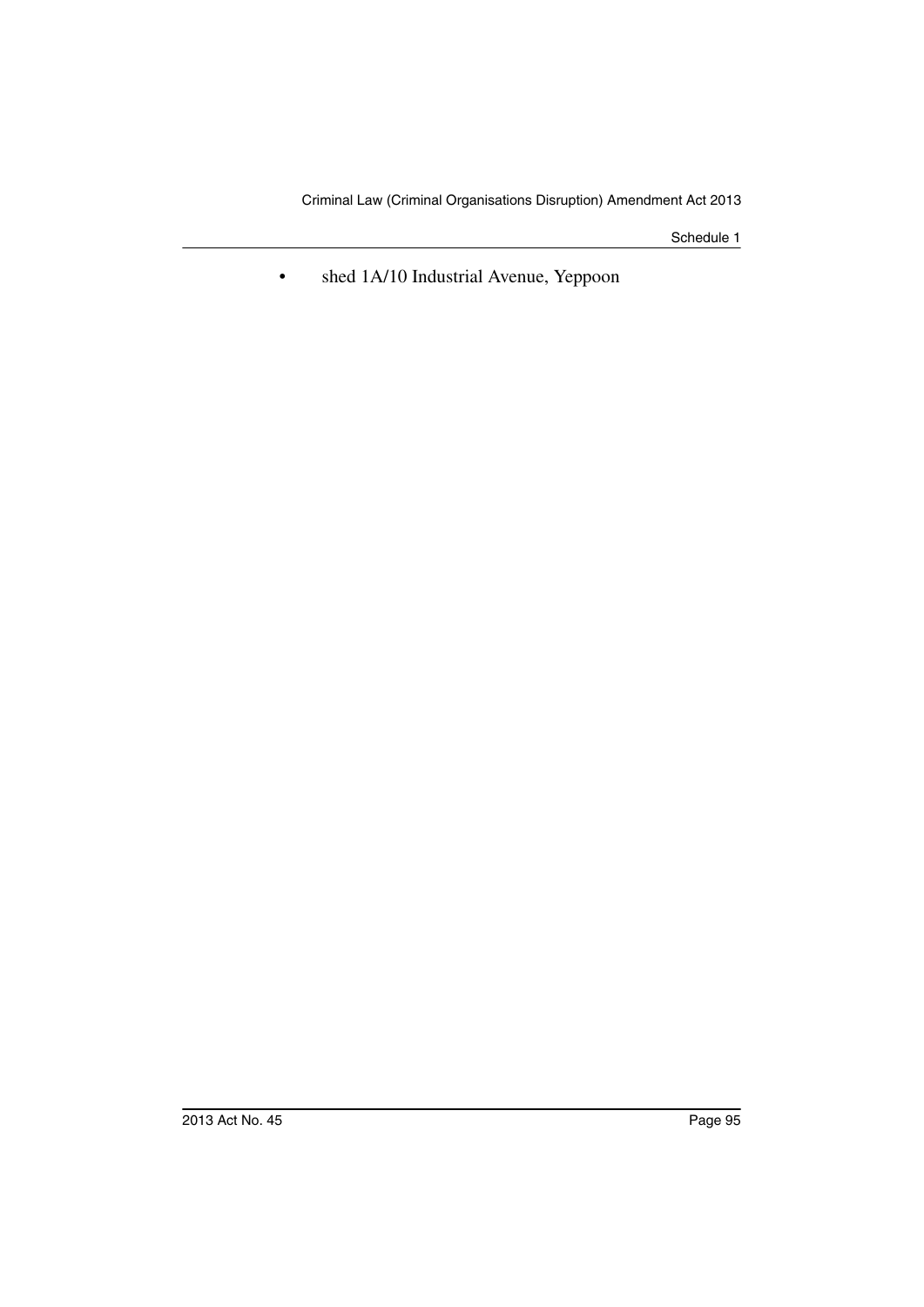• shed 1A/10 Industrial Avenue, Yeppoon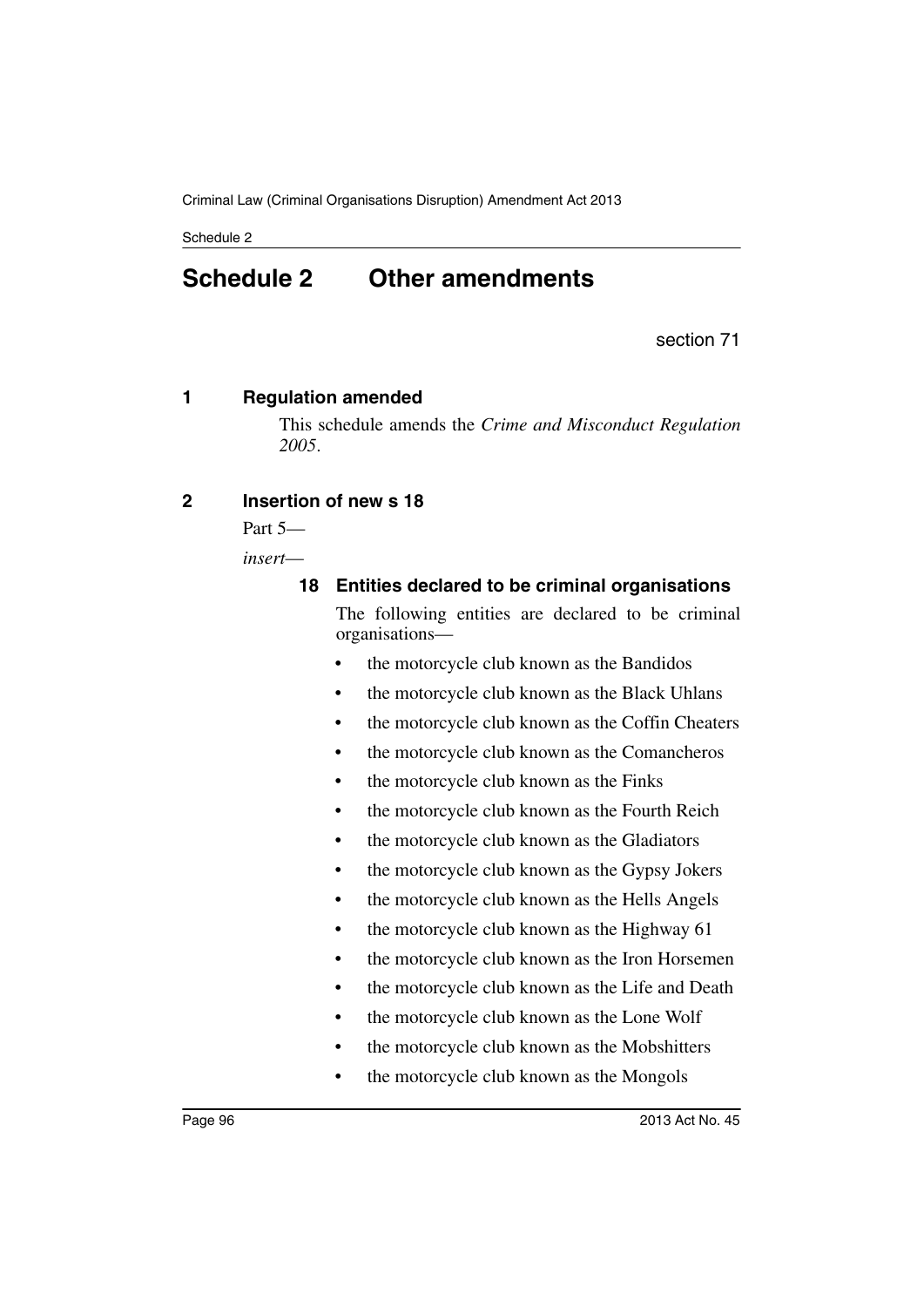# **Schedule 2 Other amendments**

section 71

### **1 Regulation amended**

This schedule amends the *Crime and Misconduct Regulation 2005*.

### **2 Insertion of new s 18**

Part 5—

*insert*—

**18 Entities declared to be criminal organisations**

The following entities are declared to be criminal organisations—

- the motorcycle club known as the Bandidos
- the motorcycle club known as the Black Uhlans
- the motorcycle club known as the Coffin Cheaters
- the motorcycle club known as the Comancheros
- the motorcycle club known as the Finks
- the motorcycle club known as the Fourth Reich
- the motorcycle club known as the Gladiators
- the motorcycle club known as the Gypsy Jokers
- the motorcycle club known as the Hells Angels
- the motorcycle club known as the Highway 61
- the motorcycle club known as the Iron Horsemen
- the motorcycle club known as the Life and Death
- the motorcycle club known as the Lone Wolf
- the motorcycle club known as the Mobshitters
- the motorcycle club known as the Mongols